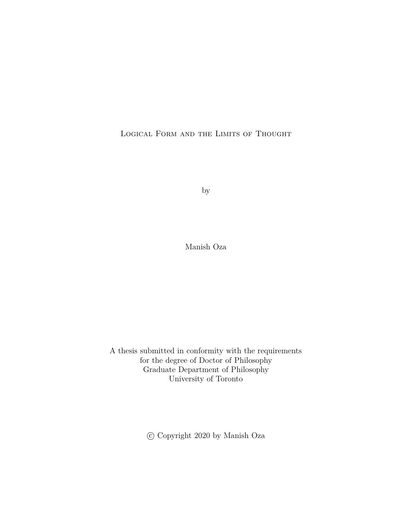Logical Form and the Limits of Thought

by

Manish Oza

A thesis submitted in conformity with the requirements for the degree of Doctor of Philosophy Graduate Department of Philosophy University of Toronto

c Copyright 2020 by Manish Oza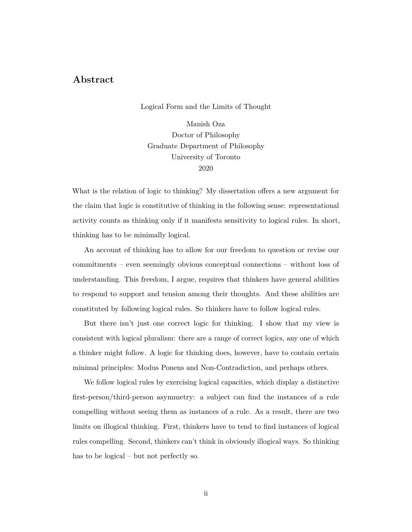# **Abstract**

Logical Form and the Limits of Thought

Manish Oza Doctor of Philosophy Graduate Department of Philosophy University of Toronto 2020

What is the relation of logic to thinking? My dissertation offers a new argument for the claim that logic is constitutive of thinking in the following sense: representational activity counts as thinking only if it manifests sensitivity to logical rules. In short, thinking has to be minimally logical.

An account of thinking has to allow for our freedom to question or revise our commitments – even seemingly obvious conceptual connections – without loss of understanding. This freedom, I argue, requires that thinkers have general abilities to respond to support and tension among their thoughts. And these abilities are constituted by following logical rules. So thinkers have to follow logical rules.

But there isn't just one correct logic for thinking. I show that my view is consistent with logical pluralism: there are a range of correct logics, any one of which a thinker might follow. A logic for thinking does, however, have to contain certain minimal principles: Modus Ponens and Non-Contradiction, and perhaps others.

We follow logical rules by exercising logical capacities, which display a distinctive first-person/third-person asymmetry: a subject can find the instances of a rule compelling without seeing them as instances of a rule. As a result, there are two limits on illogical thinking. First, thinkers have to tend to find instances of logical rules compelling. Second, thinkers can't think in obviously illogical ways. So thinking has to be logical – but not perfectly so.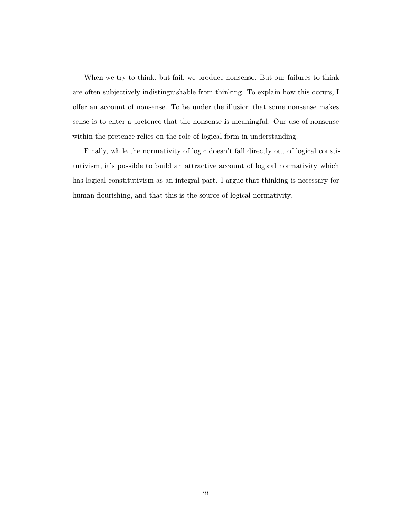When we try to think, but fail, we produce nonsense. But our failures to think are often subjectively indistinguishable from thinking. To explain how this occurs, I offer an account of nonsense. To be under the illusion that some nonsense makes sense is to enter a pretence that the nonsense is meaningful. Our use of nonsense within the pretence relies on the role of logical form in understanding.

Finally, while the normativity of logic doesn't fall directly out of logical constitutivism, it's possible to build an attractive account of logical normativity which has logical constitutivism as an integral part. I argue that thinking is necessary for human flourishing, and that this is the source of logical normativity.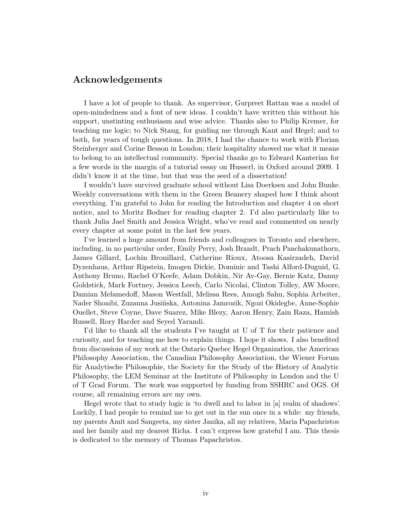# **Acknowledgements**

I have a lot of people to thank. As supervisor, Gurpreet Rattan was a model of open-mindedness and a font of new ideas. I couldn't have written this without his support, unstinting enthusiasm and wise advice. Thanks also to Philip Kremer, for teaching me logic; to Nick Stang, for guiding me through Kant and Hegel; and to both, for years of tough questions. In 2018, I had the chance to work with Florian Steinberger and Corine Besson in London; their hospitality showed me what it means to belong to an intellectual community. Special thanks go to Edward Kanterian for a few words in the margin of a tutorial essay on Husserl, in Oxford around 2009. I didn't know it at the time, but that was the seed of a dissertation!

I wouldn't have survived graduate school without Lisa Doerksen and John Bunke. Weekly conversations with them in the Green Beanery shaped how I think about everything. I'm grateful to John for reading the Introduction and chapter 4 on short notice, and to Moritz Bodner for reading chapter 2. I'd also particularly like to thank Julia Jael Smith and Jessica Wright, who've read and commented on nearly every chapter at some point in the last few years.

I've learned a huge amount from friends and colleagues in Toronto and elsewhere, including, in no particular order, Emily Perry, Josh Brandt, Prach Panchakunathorn, James Gillard, Lochin Brouillard, Catherine Rioux, Atoosa Kasirzadeh, David Dyzenhaus, Arthur Ripstein, Imogen Dickie, Dominic and Tashi Alford-Duguid, G. Anthony Bruno, Rachel O'Keefe, Adam Dobkin, Nir Av-Gay, Bernie Katz, Danny Goldstick, Mark Fortney, Jessica Leech, Carlo Nicolai, Clinton Tolley, AW Moore, Damian Melamedoff, Mason Westfall, Melissa Rees, Amogh Sahu, Sophia Arbeiter, Nader Shoaibi, Zuzanna Jusińska, Antonina Jamrozik, Ngozi Okidegbe, Anne-Sophie Ouellet, Steve Coyne, Dave Suarez, Mike Blezy, Aaron Henry, Zain Raza, Hamish Russell, Rory Harder and Seyed Yarandi.

I'd like to thank all the students I've taught at U of T for their patience and curiosity, and for teaching me how to explain things. I hope it shows. I also benefited from discussions of my work at the Ontario Quebec Hegel Organization, the American Philosophy Association, the Canadian Philosophy Association, the Wiener Forum für Analytische Philosophie, the Society for the Study of the History of Analytic Philosophy, the LEM Seminar at the Institute of Philosophy in London and the U of T Grad Forum. The work was supported by funding from SSHRC and OGS. Of course, all remaining errors are my own.

Hegel wrote that to study logic is 'to dwell and to labor in [a] realm of shadows'. Luckily, I had people to remind me to get out in the sun once in a while: my friends, my parents Amit and Sangeeta, my sister Janika, all my relatives, Maria Papachristos and her family and my dearest Richa. I can't express how grateful I am. This thesis is dedicated to the memory of Thomas Papachristos.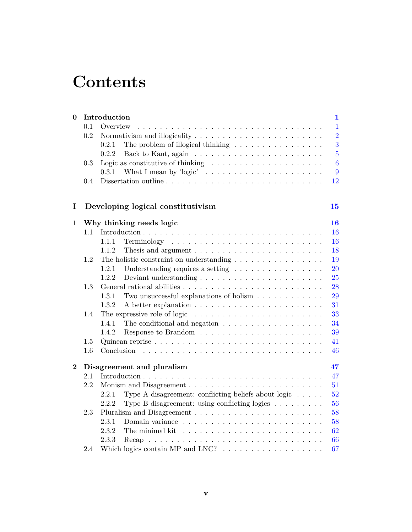# **Contents**

| $\bf{0}$ | Introduction<br>$\mathbf{1}$ |                                                                                         |                |
|----------|------------------------------|-----------------------------------------------------------------------------------------|----------------|
|          | 0.1                          | Overview                                                                                | $\mathbf{1}$   |
|          | 0.2                          |                                                                                         | $\overline{2}$ |
|          |                              | The problem of illogical thinking $\ldots \ldots \ldots \ldots \ldots$<br>0.2.1         | 3              |
|          |                              | 0.2.2                                                                                   | $\overline{5}$ |
|          | 0.3                          | Logic as constitutive of thinking $\ldots \ldots \ldots \ldots \ldots \ldots$           | 6              |
|          |                              | What I mean by 'logic' $\dots \dots \dots \dots \dots \dots \dots \dots \dots$<br>0.3.1 | 9              |
|          | 0.4                          |                                                                                         | 12             |
| I        |                              | Developing logical constitutivism                                                       | 15             |
| 1        |                              | Why thinking needs logic                                                                | 16             |
|          | 1.1                          |                                                                                         | 16             |
|          |                              | 1.1.1                                                                                   | 16             |
|          |                              | 1.1.2                                                                                   | 18             |
|          | $1.2\,$                      | The holistic constraint on understanding $\ldots \ldots \ldots \ldots \ldots$           | 19             |
|          |                              | 1.2.1<br>Understanding requires a setting $\ldots \ldots \ldots \ldots \ldots$          | 20             |
|          |                              | 1.2.2                                                                                   | 25             |
|          | 1.3                          |                                                                                         | 28             |
|          |                              | 1.3.1<br>Two unsuccessful explanations of holism $\ldots \ldots \ldots \ldots$          | 29             |
|          |                              | 1.3.2                                                                                   | 31             |
|          | 1.4                          | The expressive role of logic $\dots \dots \dots \dots \dots \dots \dots \dots \dots$    | 33             |
|          |                              | The conditional and negation $\ldots \ldots \ldots \ldots \ldots \ldots$<br>1.4.1       | 34             |
|          |                              | Response to Brandom $\dots \dots \dots \dots \dots \dots \dots \dots \dots$<br>1.4.2    | 39             |
|          | 1.5                          |                                                                                         | 41             |
|          | 1.6                          | Conclusion                                                                              | 46             |
| $\bf{2}$ |                              | Disagreement and pluralism                                                              | 47             |
|          | 2.1                          |                                                                                         | 47             |
|          | 2.2                          |                                                                                         | 51             |
|          |                              | 2.2.1<br>Type A disagreement: conflicting beliefs about logic                           | 52             |
|          |                              | 2.2.2<br>Type B disagreement: using conflicting logics                                  | 56             |
|          | 2.3                          |                                                                                         | 58             |
|          |                              | 2.3.1                                                                                   | 58             |
|          |                              | 2.3.2<br>The minimal kit                                                                | 62             |
|          |                              | 2.3.3                                                                                   | 66             |
|          | 2.4                          | Which logics contain MP and LNC? $\ldots \ldots \ldots \ldots \ldots \ldots$            | 67             |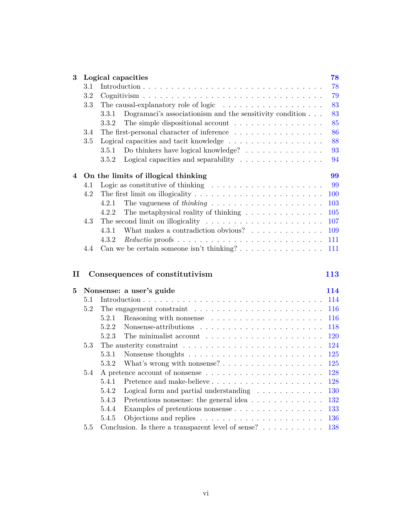| 3 | Logical capacities                        |                                                                                         |     |  |  |  |  |  |
|---|-------------------------------------------|-----------------------------------------------------------------------------------------|-----|--|--|--|--|--|
|   | 3.1                                       |                                                                                         | 78  |  |  |  |  |  |
|   | 3.2                                       |                                                                                         | 79  |  |  |  |  |  |
|   | 3.3                                       | The causal-explanatory role of logic $\dots \dots \dots \dots \dots \dots$              | 83  |  |  |  |  |  |
|   |                                           | Dogramaci's associationism and the sensitivity condition $\ldots$ .<br>3.3.1            | 83  |  |  |  |  |  |
|   |                                           | The simple dispositional account $\dots \dots \dots \dots \dots$<br>3.3.2               | 85  |  |  |  |  |  |
|   | 3.4                                       | The first-personal character of inference $\dots \dots \dots \dots \dots$               | 86  |  |  |  |  |  |
|   | 3.5                                       | Logical capacities and tacit knowledge $\ldots \ldots \ldots \ldots \ldots$             | 88  |  |  |  |  |  |
|   |                                           | Do thinkers have logical knowledge? $\ldots \ldots \ldots \ldots \ldots$<br>3.5.1       | 93  |  |  |  |  |  |
|   |                                           | Logical capacities and separability $\ldots \ldots \ldots \ldots \ldots$<br>3.5.2       | 94  |  |  |  |  |  |
| 4 | 99<br>On the limits of illogical thinking |                                                                                         |     |  |  |  |  |  |
|   | 4.1                                       | Logic as constitutive of thinking $\dots \dots \dots \dots \dots \dots \dots$           | 99  |  |  |  |  |  |
|   | 4.2                                       | The first limit on illogicality $\dots \dots \dots \dots \dots \dots \dots \dots \dots$ | 100 |  |  |  |  |  |
|   |                                           | 4.2.1                                                                                   | 103 |  |  |  |  |  |
|   |                                           | The metaphysical reality of thinking $\ldots \ldots \ldots \ldots$<br>4.2.2             | 105 |  |  |  |  |  |
|   | 4.3                                       | The second limit on illogicality $\dots \dots \dots \dots \dots \dots \dots \dots$      | 107 |  |  |  |  |  |
|   |                                           | What makes a contradiction obvious?<br>4.3.1                                            | 109 |  |  |  |  |  |
|   |                                           | 4.3.2                                                                                   | 111 |  |  |  |  |  |
|   | 4.4                                       |                                                                                         | 111 |  |  |  |  |  |
|   |                                           |                                                                                         |     |  |  |  |  |  |
| п |                                           | Consequences of constitutivism                                                          | 113 |  |  |  |  |  |
| 5 |                                           | Nonsense: a user's guide                                                                | 114 |  |  |  |  |  |
|   | 5.1                                       |                                                                                         | 114 |  |  |  |  |  |
|   | 5.2                                       |                                                                                         | 116 |  |  |  |  |  |
|   |                                           | 5.2.1                                                                                   | 116 |  |  |  |  |  |
|   |                                           | 5.2.2                                                                                   | 118 |  |  |  |  |  |
|   |                                           | 5.2.3                                                                                   | 120 |  |  |  |  |  |
|   | 5.3                                       | The austerity constraint $\dots \dots \dots \dots \dots \dots \dots \dots \dots \dots$  | 124 |  |  |  |  |  |
|   |                                           | 5.3.1                                                                                   | 125 |  |  |  |  |  |
|   |                                           | What's wrong with nonsense? $\ldots \ldots \ldots \ldots \ldots \ldots$<br>5.3.2        | 125 |  |  |  |  |  |
|   | 5.4                                       |                                                                                         | 128 |  |  |  |  |  |
|   |                                           | 5.4.1                                                                                   | 128 |  |  |  |  |  |
|   |                                           | 5.4.2<br>Logical form and partial understanding $\ldots \ldots \ldots \ldots$           | 130 |  |  |  |  |  |
|   |                                           | 5.4.3<br>Pretentious nonsense: the general idea                                         | 132 |  |  |  |  |  |
|   |                                           | Examples of pretentious nonsense<br>5.4.4                                               | 133 |  |  |  |  |  |
|   |                                           | 5.4.5<br>Objections and replies $\ldots \ldots \ldots \ldots \ldots \ldots \ldots$      | 136 |  |  |  |  |  |
|   | 5.5                                       | Conclusion. Is there a transparent level of sense? $\dots \dots \dots$                  | 138 |  |  |  |  |  |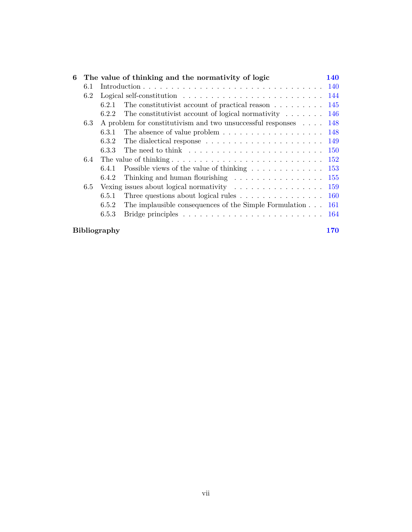| 6                   |     |       | The value of thinking and the normativity of logic                                                                               | <b>140</b> |  |  |  |
|---------------------|-----|-------|----------------------------------------------------------------------------------------------------------------------------------|------------|--|--|--|
|                     | 6.1 |       |                                                                                                                                  |            |  |  |  |
|                     | 6.2 |       |                                                                                                                                  |            |  |  |  |
|                     |     | 6.2.1 | The constitutivist account of practical reason $\dots \dots \dots 145$                                                           |            |  |  |  |
|                     |     | 6.2.2 | The constitutivist account of logical normativity $\ldots \ldots \ldots$ 146                                                     |            |  |  |  |
|                     | 6.3 |       | A problem for constitutivism and two unsuccessful responses $\ldots$ 148                                                         |            |  |  |  |
|                     |     | 6.3.1 | The absence of value problem $\dots \dots \dots \dots \dots \dots \dots \dots \dots$ 148                                         |            |  |  |  |
|                     |     | 6.3.2 | The dialectical response $\dots \dots \dots \dots \dots \dots \dots \dots \dots \dots \dots \dots \dots \dots \dots \dots \dots$ |            |  |  |  |
|                     |     | 6.3.3 | The need to think $\ldots \ldots \ldots \ldots \ldots \ldots \ldots \ldots \ldots 150$                                           |            |  |  |  |
|                     | 6.4 |       |                                                                                                                                  |            |  |  |  |
|                     |     | 6.4.1 | Possible views of the value of thinking $\ldots \ldots \ldots \ldots \ldots 153$                                                 |            |  |  |  |
|                     |     | 6.4.2 | Thinking and human flourishing $\ldots \ldots \ldots \ldots \ldots \ldots 155$                                                   |            |  |  |  |
|                     | 6.5 |       | Vexing issues about logical normativity $\ldots \ldots \ldots \ldots \ldots \ldots 159$                                          |            |  |  |  |
|                     |     | 6.5.1 | Three questions about logical rules $\ldots \ldots \ldots \ldots \ldots 160$                                                     |            |  |  |  |
|                     |     | 6.5.2 | The implausible consequences of the Simple Formulation $\ldots$ 161                                                              |            |  |  |  |
|                     |     | 6.5.3 |                                                                                                                                  |            |  |  |  |
| <b>Bibliography</b> |     |       |                                                                                                                                  |            |  |  |  |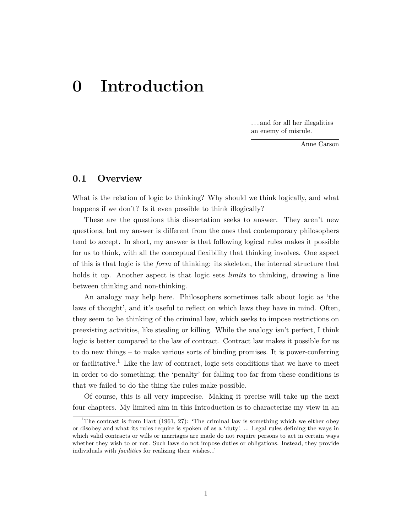# <span id="page-7-0"></span>**0 Introduction**

. . . and for all her illegalities an enemy of misrule.

Anne Carson

## <span id="page-7-1"></span>**0.1 Overview**

What is the relation of logic to thinking? Why should we think logically, and what happens if we don't? Is it even possible to think illogically?

These are the questions this dissertation seeks to answer. They aren't new questions, but my answer is different from the ones that contemporary philosophers tend to accept. In short, my answer is that following logical rules makes it possible for us to think, with all the conceptual flexibility that thinking involves. One aspect of this is that logic is the *form* of thinking: its skeleton, the internal structure that holds it up. Another aspect is that logic sets *limits* to thinking, drawing a line between thinking and non-thinking.

An analogy may help here. Philosophers sometimes talk about logic as 'the laws of thought', and it's useful to reflect on which laws they have in mind. Often, they seem to be thinking of the criminal law, which seeks to impose restrictions on preexisting activities, like stealing or killing. While the analogy isn't perfect, I think logic is better compared to the law of contract. Contract law makes it possible for us to do new things – to make various sorts of binding promises. It is power-conferring or facilitative.<sup>1</sup> Like the law of contract, logic sets conditions that we have to meet in order to do something; the 'penalty' for falling too far from these conditions is that we failed to do the thing the rules make possible.

Of course, this is all very imprecise. Making it precise will take up the next four chapters. My limited aim in this Introduction is to characterize my view in an

<sup>&</sup>lt;sup>1</sup>The contrast is from Hart (1961, 27): 'The criminal law is something which we either obey or disobey and what its rules require is spoken of as a 'duty'. ... Legal rules defining the ways in which valid contracts or wills or marriages are made do not require persons to act in certain ways whether they wish to or not. Such laws do not impose duties or obligations. Instead, they provide individuals with *facilities* for realizing their wishes...'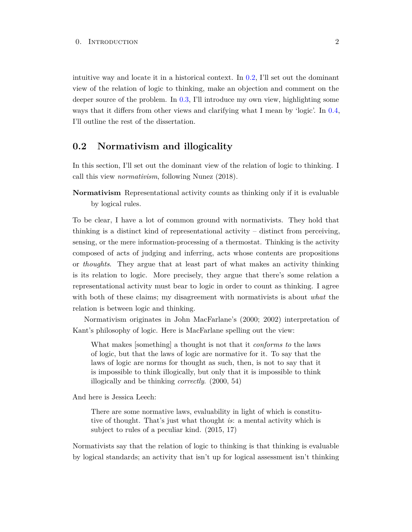intuitive way and locate it in a historical context. In [0.2,](#page-8-0) I'll set out the dominant view of the relation of logic to thinking, make an objection and comment on the deeper source of the problem. In  $0.3$ , I'll introduce my own view, highlighting some ways that it differs from other views and clarifying what I mean by 'logic'. In [0.4,](#page-18-0) I'll outline the rest of the dissertation.

# <span id="page-8-0"></span>**0.2 Normativism and illogicality**

In this section, I'll set out the dominant view of the relation of logic to thinking. I call this view *normativism*, following Nunez (2018).

**Normativism** Representational activity counts as thinking only if it is evaluable by logical rules.

To be clear, I have a lot of common ground with normativists. They hold that thinking is a distinct kind of representational activity  $-$  distinct from perceiving, sensing, or the mere information-processing of a thermostat. Thinking is the activity composed of acts of judging and inferring, acts whose contents are propositions or *thoughts*. They argue that at least part of what makes an activity thinking is its relation to logic. More precisely, they argue that there's some relation a representational activity must bear to logic in order to count as thinking. I agree with both of these claims; my disagreement with normativists is about *what* the relation is between logic and thinking.

Normativism originates in John MacFarlane's (2000; 2002) interpretation of Kant's philosophy of logic. Here is MacFarlane spelling out the view:

What makes [something] a thought is not that it *conforms to* the laws of logic, but that the laws of logic are normative for it. To say that the laws of logic are norms for thought as such, then, is not to say that it is impossible to think illogically, but only that it is impossible to think illogically and be thinking *correctly*. (2000, 54)

And here is Jessica Leech:

There are some normative laws, evaluability in light of which is constitutive of thought. That's just what thought *is*: a mental activity which is subject to rules of a peculiar kind. (2015, 17)

Normativists say that the relation of logic to thinking is that thinking is evaluable by logical standards; an activity that isn't up for logical assessment isn't thinking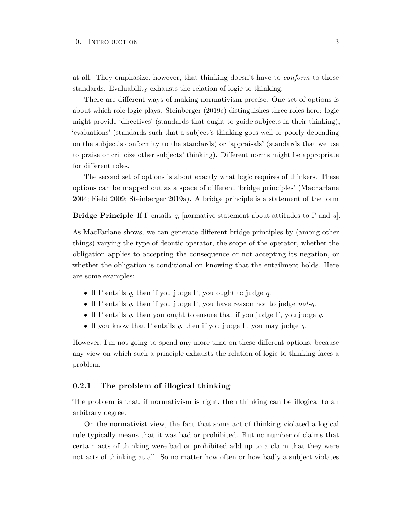at all. They emphasize, however, that thinking doesn't have to *conform* to those standards. Evaluability exhausts the relation of logic to thinking.

There are different ways of making normativism precise. One set of options is about which role logic plays. Steinberger (2019c) distinguishes three roles here: logic might provide 'directives' (standards that ought to guide subjects in their thinking), 'evaluations' (standards such that a subject's thinking goes well or poorly depending on the subject's conformity to the standards) or 'appraisals' (standards that we use to praise or criticize other subjects' thinking). Different norms might be appropriate for different roles.

The second set of options is about exactly what logic requires of thinkers. These options can be mapped out as a space of different 'bridge principles' (MacFarlane 2004; Field 2009; Steinberger 2019a). A bridge principle is a statement of the form

**Bridge Principle** If Γ entails *q*, [normative statement about attitudes to Γ and *q*].

As MacFarlane shows, we can generate different bridge principles by (among other things) varying the type of deontic operator, the scope of the operator, whether the obligation applies to accepting the consequence or not accepting its negation, or whether the obligation is conditional on knowing that the entailment holds. Here are some examples:

- If Γ entails *q*, then if you judge Γ, you ought to judge *q*.
- If Γ entails *q*, then if you judge Γ, you have reason not to judge *not-q*.
- If Γ entails *q*, then you ought to ensure that if you judge Γ, you judge *q*.
- If you know that Γ entails *q*, then if you judge Γ, you may judge *q*.

However, I'm not going to spend any more time on these different options, because any view on which such a principle exhausts the relation of logic to thinking faces a problem.

#### <span id="page-9-0"></span>**0.2.1 The problem of illogical thinking**

The problem is that, if normativism is right, then thinking can be illogical to an arbitrary degree.

On the normativist view, the fact that some act of thinking violated a logical rule typically means that it was bad or prohibited. But no number of claims that certain acts of thinking were bad or prohibited add up to a claim that they were not acts of thinking at all. So no matter how often or how badly a subject violates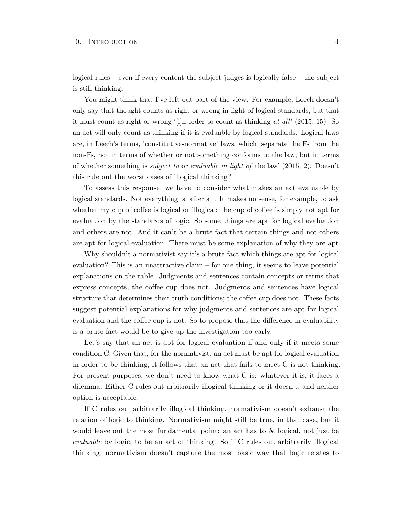logical rules – even if every content the subject judges is logically false – the subject is still thinking.

You might think that I've left out part of the view. For example, Leech doesn't only say that thought counts as right or wrong in light of logical standards, but that it must count as right or wrong '[i]n order to count as thinking *at all*' (2015, 15). So an act will only count as thinking if it is evaluable by logical standards. Logical laws are, in Leech's terms, 'constitutive-normative' laws, which 'separate the Fs from the non-Fs, not in terms of whether or not something conforms to the law, but in terms of whether something is *subject to* or *evaluable in light of* the law' (2015, 2). Doesn't this rule out the worst cases of illogical thinking?

To assess this response, we have to consider what makes an act evaluable by logical standards. Not everything is, after all. It makes no sense, for example, to ask whether my cup of coffee is logical or illogical: the cup of coffee is simply not apt for evaluation by the standards of logic. So some things are apt for logical evaluation and others are not. And it can't be a brute fact that certain things and not others are apt for logical evaluation. There must be some explanation of why they are apt.

Why shouldn't a normativist say it's a brute fact which things are apt for logical evaluation? This is an unattractive claim – for one thing, it seems to leave potential explanations on the table. Judgments and sentences contain concepts or terms that express concepts; the coffee cup does not. Judgments and sentences have logical structure that determines their truth-conditions; the coffee cup does not. These facts suggest potential explanations for why judgments and sentences are apt for logical evaluation and the coffee cup is not. So to propose that the difference in evaluability is a brute fact would be to give up the investigation too early.

Let's say that an act is apt for logical evaluation if and only if it meets some condition C. Given that, for the normativist, an act must be apt for logical evaluation in order to be thinking, it follows that an act that fails to meet C is not thinking. For present purposes, we don't need to know what C is: whatever it is, it faces a dilemma. Either C rules out arbitrarily illogical thinking or it doesn't, and neither option is acceptable.

If C rules out arbitrarily illogical thinking, normativism doesn't exhaust the relation of logic to thinking. Normativism might still be true, in that case, but it would leave out the most fundamental point: an act has to *be* logical, not just be *evaluable* by logic, to be an act of thinking. So if C rules out arbitrarily illogical thinking, normativism doesn't capture the most basic way that logic relates to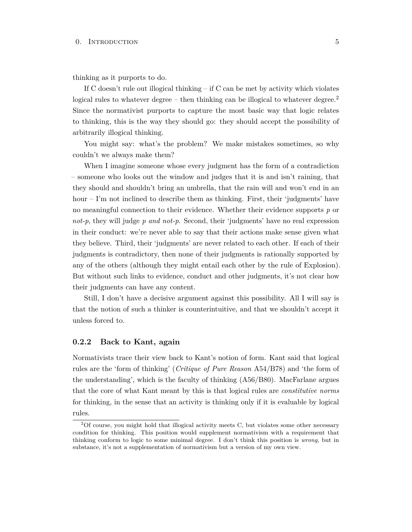thinking as it purports to do.

If C doesn't rule out illogical thinking – if C can be met by activity which violates logical rules to whatever degree – then thinking can be illogical to whatever degree.<sup>2</sup> Since the normativist purports to capture the most basic way that logic relates to thinking, this is the way they should go: they should accept the possibility of arbitrarily illogical thinking.

You might say: what's the problem? We make mistakes sometimes, so why couldn't we always make them?

When I imagine someone whose every judgment has the form of a contradiction – someone who looks out the window and judges that it is and isn't raining, that they should and shouldn't bring an umbrella, that the rain will and won't end in an hour – I'm not inclined to describe them as thinking. First, their 'judgments' have no meaningful connection to their evidence. Whether their evidence supports *p* or *not-p*, they will judge *p and not-p*. Second, their 'judgments' have no real expression in their conduct: we're never able to say that their actions make sense given what they believe. Third, their 'judgments' are never related to each other. If each of their judgments is contradictory, then none of their judgments is rationally supported by any of the others (although they might entail each other by the rule of Explosion). But without such links to evidence, conduct and other judgments, it's not clear how their judgments can have any content.

Still, I don't have a decisive argument against this possibility. All I will say is that the notion of such a thinker is counterintuitive, and that we shouldn't accept it unless forced to.

#### <span id="page-11-0"></span>**0.2.2 Back to Kant, again**

Normativists trace their view back to Kant's notion of form. Kant said that logical rules are the 'form of thinking' (*Critique of Pure Reason* A54/B78) and 'the form of the understanding', which is the faculty of thinking (A56/B80). MacFarlane argues that the core of what Kant meant by this is that logical rules are *constitutive norms* for thinking, in the sense that an activity is thinking only if it is evaluable by logical rules.

 $2$ Of course, you might hold that illogical activity meets C, but violates some other necessary condition for thinking. This position would supplement normativism with a requirement that thinking conform to logic to some minimal degree. I don't think this position is *wrong*, but in substance, it's not a supplementation of normativism but a version of my own view.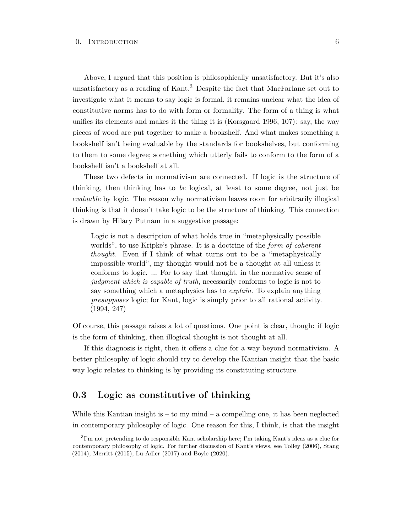Above, I argued that this position is philosophically unsatisfactory. But it's also unsatisfactory as a reading of Kant.<sup>3</sup> Despite the fact that MacFarlane set out to investigate what it means to say logic is formal, it remains unclear what the idea of constitutive norms has to do with form or formality. The form of a thing is what unifies its elements and makes it the thing it is (Korsgaard 1996, 107): say, the way pieces of wood are put together to make a bookshelf. And what makes something a bookshelf isn't being evaluable by the standards for bookshelves, but conforming to them to some degree; something which utterly fails to conform to the form of a bookshelf isn't a bookshelf at all.

These two defects in normativism are connected. If logic is the structure of thinking, then thinking has to *be* logical, at least to some degree, not just be *evaluable* by logic. The reason why normativism leaves room for arbitrarily illogical thinking is that it doesn't take logic to be the structure of thinking. This connection is drawn by Hilary Putnam in a suggestive passage:

Logic is not a description of what holds true in "metaphysically possible worlds", to use Kripke's phrase. It is a doctrine of the *form of coherent thought*. Even if I think of what turns out to be a "metaphysically impossible world", my thought would not be a thought at all unless it conforms to logic. ... For to say that thought, in the normative sense of *judgment which is capable of truth*, necessarily conforms to logic is not to say something which a metaphysics has to *explain*. To explain anything *presupposes* logic; for Kant, logic is simply prior to all rational activity. (1994, 247)

Of course, this passage raises a lot of questions. One point is clear, though: if logic is the form of thinking, then illogical thought is not thought at all.

If this diagnosis is right, then it offers a clue for a way beyond normativism. A better philosophy of logic should try to develop the Kantian insight that the basic way logic relates to thinking is by providing its constituting structure.

# <span id="page-12-0"></span>**0.3 Logic as constitutive of thinking**

While this Kantian insight is  $-$  to my mind  $-$  a compelling one, it has been neglected in contemporary philosophy of logic. One reason for this, I think, is that the insight

<sup>&</sup>lt;sup>3</sup>I'm not pretending to do responsible Kant scholarship here; I'm taking Kant's ideas as a clue for contemporary philosophy of logic. For further discussion of Kant's views, see Tolley (2006), Stang (2014), Merritt (2015), Lu-Adler (2017) and Boyle (2020).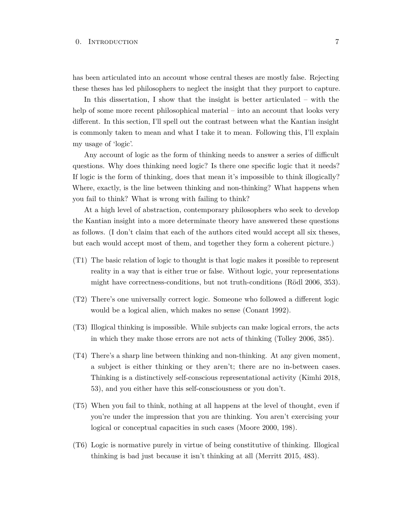has been articulated into an account whose central theses are mostly false. Rejecting these theses has led philosophers to neglect the insight that they purport to capture.

In this dissertation, I show that the insight is better articulated – with the help of some more recent philosophical material – into an account that looks very different. In this section, I'll spell out the contrast between what the Kantian insight is commonly taken to mean and what I take it to mean. Following this, I'll explain my usage of 'logic'.

Any account of logic as the form of thinking needs to answer a series of difficult questions. Why does thinking need logic? Is there one specific logic that it needs? If logic is the form of thinking, does that mean it's impossible to think illogically? Where, exactly, is the line between thinking and non-thinking? What happens when you fail to think? What is wrong with failing to think?

At a high level of abstraction, contemporary philosophers who seek to develop the Kantian insight into a more determinate theory have answered these questions as follows. (I don't claim that each of the authors cited would accept all six theses, but each would accept most of them, and together they form a coherent picture.)

- (T1) The basic relation of logic to thought is that logic makes it possible to represent reality in a way that is either true or false. Without logic, your representations might have correctness-conditions, but not truth-conditions (Rödl 2006, 353).
- (T2) There's one universally correct logic. Someone who followed a different logic would be a logical alien, which makes no sense (Conant 1992).
- (T3) Illogical thinking is impossible. While subjects can make logical errors, the acts in which they make those errors are not acts of thinking (Tolley 2006, 385).
- (T4) There's a sharp line between thinking and non-thinking. At any given moment, a subject is either thinking or they aren't; there are no in-between cases. Thinking is a distinctively self-conscious representational activity (Kimhi 2018, 53), and you either have this self-consciousness or you don't.
- (T5) When you fail to think, nothing at all happens at the level of thought, even if you're under the impression that you are thinking. You aren't exercising your logical or conceptual capacities in such cases (Moore 2000, 198).
- (T6) Logic is normative purely in virtue of being constitutive of thinking. Illogical thinking is bad just because it isn't thinking at all (Merritt 2015, 483).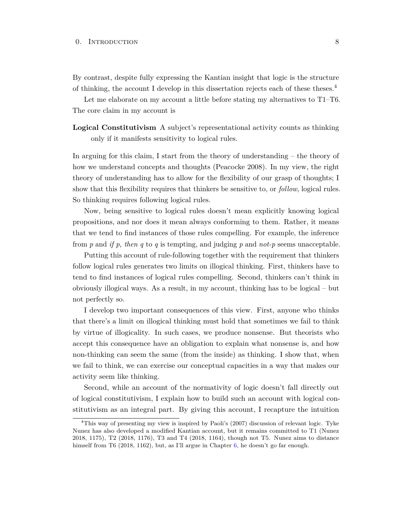By contrast, despite fully expressing the Kantian insight that logic is the structure of thinking, the account I develop in this dissertation rejects each of these theses.<sup>4</sup>

Let me elaborate on my account a little before stating my alternatives to T1–T6. The core claim in my account is

**Logical Constitutivism** A subject's representational activity counts as thinking only if it manifests sensitivity to logical rules.

In arguing for this claim, I start from the theory of understanding – the theory of how we understand concepts and thoughts (Peacocke 2008). In my view, the right theory of understanding has to allow for the flexibility of our grasp of thoughts; I show that this flexibility requires that thinkers be sensitive to, or *follow*, logical rules. So thinking requires following logical rules.

Now, being sensitive to logical rules doesn't mean explicitly knowing logical propositions, and nor does it mean always conforming to them. Rather, it means that we tend to find instances of those rules compelling. For example, the inference from *p* and *if p, then q* to *q* is tempting, and judging *p* and *not-p* seems unacceptable.

Putting this account of rule-following together with the requirement that thinkers follow logical rules generates two limits on illogical thinking. First, thinkers have to tend to find instances of logical rules compelling. Second, thinkers can't think in obviously illogical ways. As a result, in my account, thinking has to be logical – but not perfectly so.

I develop two important consequences of this view. First, anyone who thinks that there's a limit on illogical thinking must hold that sometimes we fail to think by virtue of illogicality. In such cases, we produce nonsense. But theorists who accept this consequence have an obligation to explain what nonsense is, and how non-thinking can seem the same (from the inside) as thinking. I show that, when we fail to think, we can exercise our conceptual capacities in a way that makes our activity seem like thinking.

Second, while an account of the normativity of logic doesn't fall directly out of logical constitutivism, I explain how to build such an account with logical constitutivism as an integral part. By giving this account, I recapture the intuition

<sup>4</sup>This way of presenting my view is inspired by Paoli's (2007) discussion of relevant logic. Tyke Nunez has also developed a modified Kantian account, but it remains committed to T1 (Nunez 2018, 1175), T2 (2018, 1176), T3 and T4 (2018, 1164), though not T5. Nunez aims to distance himself from T6 (2018, 1162), but, as I'll argue in Chapter [6,](#page-146-0) he doesn't go far enough.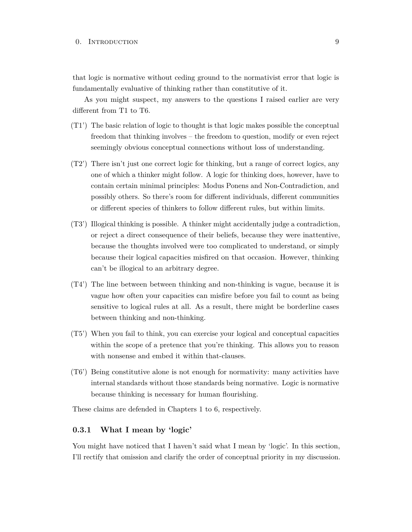that logic is normative without ceding ground to the normativist error that logic is fundamentally evaluative of thinking rather than constitutive of it.

As you might suspect, my answers to the questions I raised earlier are very different from T1 to T6.

- (T1') The basic relation of logic to thought is that logic makes possible the conceptual freedom that thinking involves – the freedom to question, modify or even reject seemingly obvious conceptual connections without loss of understanding.
- (T2') There isn't just one correct logic for thinking, but a range of correct logics, any one of which a thinker might follow. A logic for thinking does, however, have to contain certain minimal principles: Modus Ponens and Non-Contradiction, and possibly others. So there's room for different individuals, different communities or different species of thinkers to follow different rules, but within limits.
- (T3') Illogical thinking is possible. A thinker might accidentally judge a contradiction, or reject a direct consequence of their beliefs, because they were inattentive, because the thoughts involved were too complicated to understand, or simply because their logical capacities misfired on that occasion. However, thinking can't be illogical to an arbitrary degree.
- (T4') The line between between thinking and non-thinking is vague, because it is vague how often your capacities can misfire before you fail to count as being sensitive to logical rules at all. As a result, there might be borderline cases between thinking and non-thinking.
- (T5') When you fail to think, you can exercise your logical and conceptual capacities within the scope of a pretence that you're thinking. This allows you to reason with nonsense and embed it within that-clauses.
- (T6') Being constitutive alone is not enough for normativity: many activities have internal standards without those standards being normative. Logic is normative because thinking is necessary for human flourishing.

<span id="page-15-0"></span>These claims are defended in Chapters 1 to 6, respectively.

### **0.3.1 What I mean by 'logic'**

You might have noticed that I haven't said what I mean by 'logic'. In this section, I'll rectify that omission and clarify the order of conceptual priority in my discussion.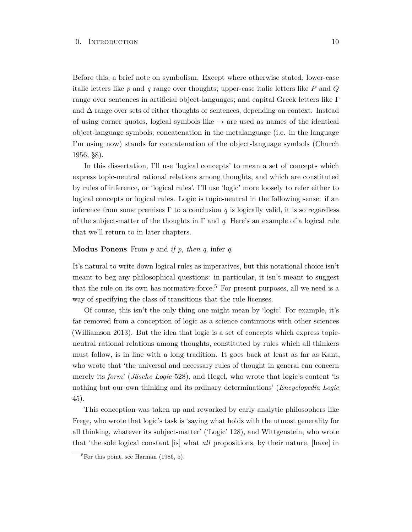Before this, a brief note on symbolism. Except where otherwise stated, lower-case italic letters like *p* and *q* range over thoughts; upper-case italic letters like *P* and *Q* range over sentences in artificial object-languages; and capital Greek letters like Γ and  $\Delta$  range over sets of either thoughts or sentences, depending on context. Instead of using corner quotes, logical symbols like  $\rightarrow$  are used as names of the identical object-language symbols; concatenation in the metalanguage (i.e. in the language I'm using now) stands for concatenation of the object-language symbols (Church 1956, §8).

In this dissertation, I'll use 'logical concepts' to mean a set of concepts which express topic-neutral rational relations among thoughts, and which are constituted by rules of inference, or 'logical rules'. I'll use 'logic' more loosely to refer either to logical concepts or logical rules. Logic is topic-neutral in the following sense: if an inference from some premises  $\Gamma$  to a conclusion q is logically valid, it is so regardless of the subject-matter of the thoughts in Γ and *q*. Here's an example of a logical rule that we'll return to in later chapters.

#### **Modus Ponens** From *p* and *if p, then q*, infer *q*.

It's natural to write down logical rules as imperatives, but this notational choice isn't meant to beg any philosophical questions: in particular, it isn't meant to suggest that the rule on its own has normative force.<sup>5</sup> For present purposes, all we need is a way of specifying the class of transitions that the rule licenses.

Of course, this isn't the only thing one might mean by 'logic'. For example, it's far removed from a conception of logic as a science continuous with other sciences (Williamson 2013). But the idea that logic is a set of concepts which express topicneutral rational relations among thoughts, constituted by rules which all thinkers must follow, is in line with a long tradition. It goes back at least as far as Kant, who wrote that 'the universal and necessary rules of thought in general can concern merely its *form*' (*Jäsche Logic* 528), and Hegel, who wrote that logic's content 'is nothing but our own thinking and its ordinary determinations' (*Encyclopedia Logic* 45).

This conception was taken up and reworked by early analytic philosophers like Frege, who wrote that logic's task is 'saying what holds with the utmost generality for all thinking, whatever its subject-matter' ('Logic' 128), and Wittgenstein, who wrote that 'the sole logical constant [is] what *all* propositions, by their nature, [have] in

 ${}^{5}$ For this point, see Harman (1986, 5).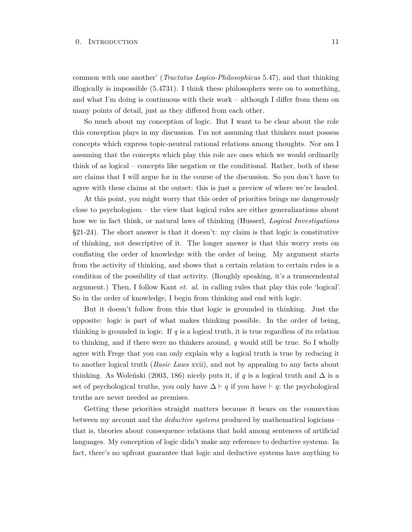common with one another' (*Tractatus Logico-Philosophicus* 5.47), and that thinking illogically is impossible (5.4731). I think these philosophers were on to something, and what I'm doing is continuous with their work – although I differ from them on many points of detail, just as they differed from each other.

So much about my conception of logic. But I want to be clear about the role this conception plays in my discussion. I'm not assuming that thinkers must possess concepts which express topic-neutral rational relations among thoughts. Nor am I assuming that the concepts which play this role are ones which we would ordinarily think of as logical – concepts like negation or the conditional. Rather, both of these are claims that I will argue for in the course of the discussion. So you don't have to agree with these claims at the outset: this is just a preview of where we're headed.

At this point, you might worry that this order of priorities brings me dangerously close to psychologism – the view that logical rules are either generalizations about how we in fact think, or natural laws of thinking (Husserl, *Logical Investigations* §21-24). The short answer is that it doesn't: my claim is that logic is constitutive of thinking, not descriptive of it. The longer answer is that this worry rests on conflating the order of knowledge with the order of being. My argument starts from the activity of thinking, and shows that a certain relation to certain rules is a condition of the possibility of that activity. (Roughly speaking, it's a transcendental argument.) Then, I follow Kant *et. al.* in calling rules that play this role 'logical'. So in the order of knowledge, I begin from thinking and end with logic.

But it doesn't follow from this that logic is grounded in thinking. Just the opposite: logic is part of what makes thinking possible. In the order of being, thinking is grounded in logic. If *q* is a logical truth, it is true regardless of its relation to thinking, and if there were no thinkers around, *q* would still be true. So I wholly agree with Frege that you can only explain why a logical truth is true by reducing it to another logical truth (*Basic Laws* xvii), and not by appealing to any facts about thinking. As Woleński (2003, 186) nicely puts it, if *q* is a logical truth and  $\Delta$  is a set of psychological truths, you only have  $\Delta \vdash q$  if you have  $\vdash q$ ; the psychological truths are never needed as premises.

Getting these priorities straight matters because it bears on the connection between my account and the *deductive systems* produced by mathematical logicians – that is, theories about consequence relations that hold among sentences of artificial languages. My conception of logic didn't make any reference to deductive systems. In fact, there's no upfront guarantee that logic and deductive systems have anything to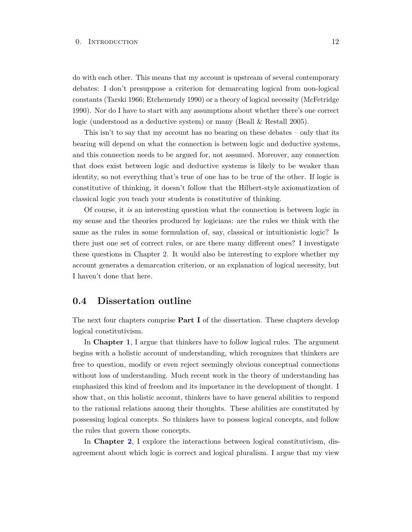do with each other. This means that my account is upstream of several contemporary debates: I don't presuppose a criterion for demarcating logical from non-logical constants (Tarski 1966; Etchemendy 1990) or a theory of logical necessity (McFetridge 1990). Nor do I have to start with any assumptions about whether there's one correct logic (understood as a deductive system) or many (Beall & Restall 2005).

This isn't to say that my account has no bearing on these debates – only that its bearing will depend on what the connection is between logic and deductive systems, and this connection needs to be argued for, not assumed. Moreover, any connection that does exist between logic and deductive systems is likely to be weaker than identity, so not everything that's true of one has to be true of the other. If logic is constitutive of thinking, it doesn't follow that the Hilbert-style axiomatization of classical logic you teach your students is constitutive of thinking.

Of course, it *is* an interesting question what the connection is between logic in my sense and the theories produced by logicians: are the rules we think with the same as the rules in some formulation of, say, classical or intuitionistic logic? Is there just one set of correct rules, or are there many different ones? I investigate these questions in Chapter [2.](#page-53-0) It would also be interesting to explore whether my account generates a demarcation criterion, or an explanation of logical necessity, but I haven't done that here.

### <span id="page-18-0"></span>**0.4 Dissertation outline**

The next four chapters comprise **Part I** of the dissertation. These chapters develop logical constitutivism.

In **Chapter [1](#page-22-0)**, I argue that thinkers have to follow logical rules. The argument begins with a holistic account of understanding, which recognizes that thinkers are free to question, modify or even reject seemingly obvious conceptual connections without loss of understanding. Much recent work in the theory of understanding has emphasized this kind of freedom and its importance in the development of thought. I show that, on this holistic account, thinkers have to have general abilities to respond to the rational relations among their thoughts. These abilities are constituted by possessing logical concepts. So thinkers have to possess logical concepts, and follow the rules that govern those concepts.

In **Chapter [2](#page-53-0)**, I explore the interactions between logical constitutivism, disagreement about which logic is correct and logical pluralism. I argue that my view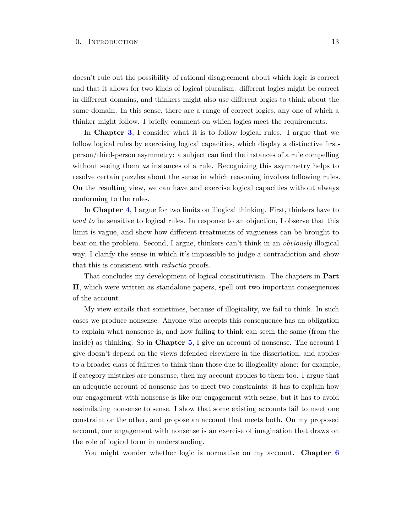doesn't rule out the possibility of rational disagreement about which logic is correct and that it allows for two kinds of logical pluralism: different logics might be correct in different domains, and thinkers might also use different logics to think about the same domain. In this sense, there are a range of correct logics, any one of which a thinker might follow. I briefly comment on which logics meet the requirements.

In **Chapter [3](#page-84-0)**, I consider what it is to follow logical rules. I argue that we follow logical rules by exercising logical capacities, which display a distinctive firstperson/third-person asymmetry: a subject can find the instances of a rule compelling without seeing them *as* instances of a rule. Recognizing this asymmetry helps to resolve certain puzzles about the sense in which reasoning involves following rules. On the resulting view, we can have and exercise logical capacities without always conforming to the rules.

In **Chapter [4](#page-105-0)**, I argue for two limits on illogical thinking. First, thinkers have to *tend to* be sensitive to logical rules. In response to an objection, I observe that this limit is vague, and show how different treatments of vagueness can be brought to bear on the problem. Second, I argue, thinkers can't think in an *obviously* illogical way. I clarify the sense in which it's impossible to judge a contradiction and show that this is consistent with *reductio* proofs.

That concludes my development of logical constitutivism. The chapters in **Part II**, which were written as standalone papers, spell out two important consequences of the account.

My view entails that sometimes, because of illogicality, we fail to think. In such cases we produce nonsense. Anyone who accepts this consequence has an obligation to explain what nonsense is, and how failing to think can seem the same (from the inside) as thinking. So in **Chapter [5](#page-120-0)**, I give an account of nonsense. The account I give doesn't depend on the views defended elsewhere in the dissertation, and applies to a broader class of failures to think than those due to illogicality alone: for example, if category mistakes are nonsense, then my account applies to them too. I argue that an adequate account of nonsense has to meet two constraints: it has to explain how our engagement with nonsense is like our engagement with sense, but it has to avoid assimilating nonsense to sense. I show that some existing accounts fail to meet one constraint or the other, and propose an account that meets both. On my proposed account, our engagement with nonsense is an exercise of imagination that draws on the role of logical form in understanding.

You might wonder whether logic is normative on my account. **Chapter [6](#page-146-0)**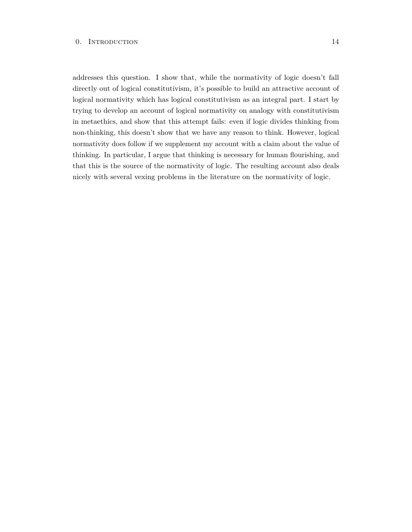addresses this question. I show that, while the normativity of logic doesn't fall directly out of logical constitutivism, it's possible to build an attractive account of logical normativity which has logical constitutivism as an integral part. I start by trying to develop an account of logical normativity on analogy with constitutivism in metaethics, and show that this attempt fails: even if logic divides thinking from non-thinking, this doesn't show that we have any reason to think. However, logical normativity does follow if we supplement my account with a claim about the value of thinking. In particular, I argue that thinking is necessary for human flourishing, and that this is the source of the normativity of logic. The resulting account also deals nicely with several vexing problems in the literature on the normativity of logic.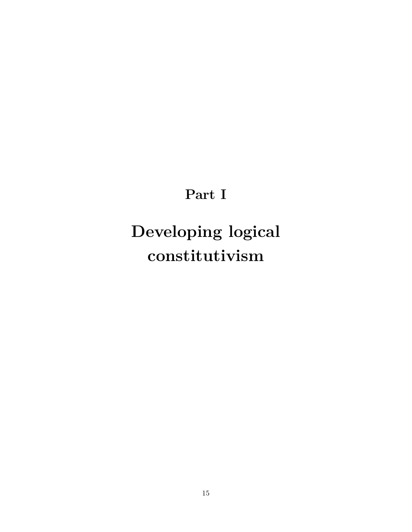# **Part I**

# <span id="page-21-0"></span>**Developing logical constitutivism**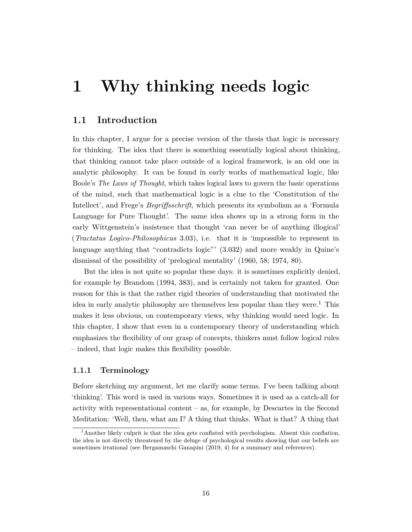# <span id="page-22-0"></span>**1 Why thinking needs logic**

# <span id="page-22-1"></span>**1.1 Introduction**

In this chapter, I argue for a precise version of the thesis that logic is necessary for thinking. The idea that there is something essentially logical about thinking, that thinking cannot take place outside of a logical framework, is an old one in analytic philosophy. It can be found in early works of mathematical logic, like Boole's *The Laws of Thought*, which takes logical laws to govern the basic operations of the mind, such that mathematical logic is a clue to the 'Constitution of the Intellect', and Frege's *Begriffsschrift*, which presents its symbolism as a 'Formula Language for Pure Thought'. The same idea shows up in a strong form in the early Wittgenstein's insistence that thought 'can never be of anything illogical' (*Tractatus Logico-Philosophicus* 3.03), i.e. that it is 'impossible to represent in language anything that "contradicts logic"' (3.032) and more weakly in Quine's dismissal of the possibility of 'prelogical mentality' (1960, 58; 1974, 80).

But the idea is not quite so popular these days: it is sometimes explicitly denied, for example by Brandom (1994, 383), and is certainly not taken for granted. One reason for this is that the rather rigid theories of understanding that motivated the idea in early analytic philosophy are themselves less popular than they were.<sup>1</sup> This makes it less obvious, on contemporary views, why thinking would need logic. In this chapter, I show that even in a contemporary theory of understanding which emphasizes the flexibility of our grasp of concepts, thinkers must follow logical rules – indeed, that logic makes this flexibility possible.

#### <span id="page-22-2"></span>**1.1.1 Terminology**

Before sketching my argument, let me clarify some terms. I've been talking about 'thinking'. This word is used in various ways. Sometimes it is used as a catch-all for activity with representational content – as, for example, by Descartes in the Second Meditation: 'Well, then, what am I? A thing that thinks. What is that? A thing that

<sup>&</sup>lt;sup>1</sup>Another likely culprit is that the idea gets conflated with psychologism. Absent this conflation, the idea is not directly threatened by the deluge of psychological results showing that our beliefs are sometimes irrational (see Bergamaschi Ganapini (2019, 4) for a summary and references).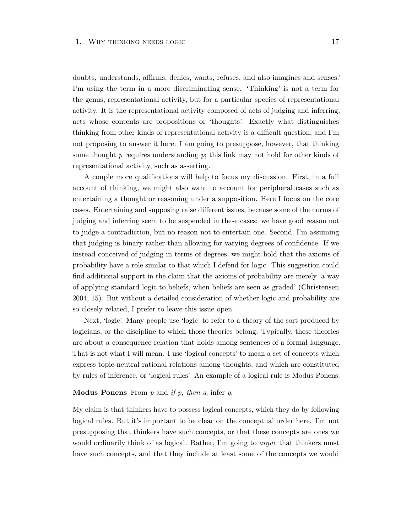doubts, understands, affirms, denies, wants, refuses, and also imagines and senses.' I'm using the term in a more discriminating sense. 'Thinking' is not a term for the genus, representational activity, but for a particular species of representational activity. It is the representational activity composed of acts of judging and inferring, acts whose contents are propositions or 'thoughts'. Exactly what distinguishes thinking from other kinds of representational activity is a difficult question, and I'm not proposing to answer it here. I am going to presuppose, however, that thinking some thought *p* requires understanding *p*; this link may not hold for other kinds of representational activity, such as asserting.

A couple more qualifications will help to focus my discussion. First, in a full account of thinking, we might also want to account for peripheral cases such as entertaining a thought or reasoning under a supposition. Here I focus on the core cases. Entertaining and supposing raise different issues, because some of the norms of judging and inferring seem to be suspended in these cases: we have good reason not to judge a contradiction, but no reason not to entertain one. Second, I'm assuming that judging is binary rather than allowing for varying degrees of confidence. If we instead conceived of judging in terms of degrees, we might hold that the axioms of probability have a role similar to that which I defend for logic. This suggestion could find additional support in the claim that the axioms of probability are merely 'a way of applying standard logic to beliefs, when beliefs are seen as graded' (Christensen 2004, 15). But without a detailed consideration of whether logic and probability are so closely related, I prefer to leave this issue open.

Next, 'logic'. Many people use 'logic' to refer to a theory of the sort produced by logicians, or the discipline to which those theories belong. Typically, these theories are about a consequence relation that holds among sentences of a formal language. That is not what I will mean. I use 'logical concepts' to mean a set of concepts which express topic-neutral rational relations among thoughts, and which are constituted by rules of inference, or 'logical rules'. An example of a logical rule is Modus Ponens:

#### **Modus Ponens** From *p* and *if p, then q*, infer *q*.

My claim is that thinkers have to possess logical concepts, which they do by following logical rules. But it's important to be clear on the conceptual order here. I'm not presupposing that thinkers have such concepts, or that these concepts are ones we would ordinarily think of as logical. Rather, I'm going to *argue* that thinkers must have such concepts, and that they include at least some of the concepts we would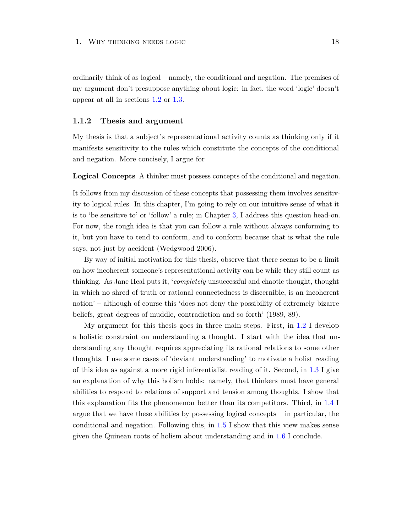ordinarily think of as logical – namely, the conditional and negation. The premises of my argument don't presuppose anything about logic: in fact, the word 'logic' doesn't appear at all in sections [1.2](#page-24-1) or [1.3.](#page-34-0)

#### <span id="page-24-0"></span>**1.1.2 Thesis and argument**

My thesis is that a subject's representational activity counts as thinking only if it manifests sensitivity to the rules which constitute the concepts of the conditional and negation. More concisely, I argue for

**Logical Concepts** A thinker must possess concepts of the conditional and negation.

It follows from my discussion of these concepts that possessing them involves sensitivity to logical rules. In this chapter, I'm going to rely on our intuitive sense of what it is to 'be sensitive to' or 'follow' a rule; in Chapter [3,](#page-84-0) I address this question head-on. For now, the rough idea is that you can follow a rule without always conforming to it, but you have to tend to conform, and to conform because that is what the rule says, not just by accident (Wedgwood 2006).

By way of initial motivation for this thesis, observe that there seems to be a limit on how incoherent someone's representational activity can be while they still count as thinking. As Jane Heal puts it, '*completely* unsuccessful and chaotic thought, thought in which no shred of truth or rational connectedness is discernible, is an incoherent notion' – although of course this 'does not deny the possibility of extremely bizarre beliefs, great degrees of muddle, contradiction and so forth' (1989, 89).

<span id="page-24-1"></span>My argument for this thesis goes in three main steps. First, in [1.2](#page-24-1) I develop a holistic constraint on understanding a thought. I start with the idea that understanding any thought requires appreciating its rational relations to some other thoughts. I use some cases of 'deviant understanding' to motivate a holist reading of this idea as against a more rigid inferentialist reading of it. Second, in [1.3](#page-34-0) I give an explanation of why this holism holds: namely, that thinkers must have general abilities to respond to relations of support and tension among thoughts. I show that this explanation fits the phenomenon better than its competitors. Third, in [1.4](#page-39-0) I argue that we have these abilities by possessing logical concepts – in particular, the conditional and negation. Following this, in [1.5](#page-47-0) I show that this view makes sense given the Quinean roots of holism about understanding and in [1.6](#page-51-0) I conclude.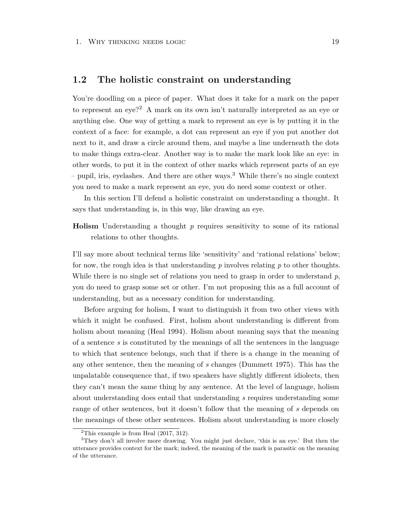### **1.2 The holistic constraint on understanding**

You're doodling on a piece of paper. What does it take for a mark on the paper to represent an eye?<sup>2</sup> A mark on its own isn't naturally interpreted as an eye or anything else. One way of getting a mark to represent an eye is by putting it in the context of a face: for example, a dot can represent an eye if you put another dot next to it, and draw a circle around them, and maybe a line underneath the dots to make things extra-clear. Another way is to make the mark look like an eye: in other words, to put it in the context of other marks which represent parts of an eye – pupil, iris, eyelashes. And there are other ways.<sup>3</sup> While there's no single context you need to make a mark represent an eye, you do need some context or other.

In this section I'll defend a holistic constraint on understanding a thought. It says that understanding is, in this way, like drawing an eye.

**Holism** Understanding a thought *p* requires sensitivity to some of its rational relations to other thoughts.

I'll say more about technical terms like 'sensitivity' and 'rational relations' below; for now, the rough idea is that understanding *p* involves relating *p* to other thoughts. While there is no single set of relations you need to grasp in order to understand *p*, you do need to grasp some set or other. I'm not proposing this as a full account of understanding, but as a necessary condition for understanding.

Before arguing for holism, I want to distinguish it from two other views with which it might be confused. First, holism about understanding is different from holism about meaning (Heal 1994). Holism about meaning says that the meaning of a sentence *s* is constituted by the meanings of all the sentences in the language to which that sentence belongs, such that if there is a change in the meaning of any other sentence, then the meaning of *s* changes (Dummett 1975). This has the unpalatable consequence that, if two speakers have slightly different idiolects, then they can't mean the same thing by any sentence. At the level of language, holism about understanding does entail that understanding *s* requires understanding some range of other sentences, but it doesn't follow that the meaning of *s* depends on the meanings of these other sentences. Holism about understanding is more closely

<sup>&</sup>lt;sup>2</sup>This example is from Heal  $(2017, 312)$ .

<sup>3</sup>They don't all involve more drawing. You might just declare, 'this is an eye.' But then the utterance provides context for the mark; indeed, the meaning of the mark is parasitic on the meaning of the utterance.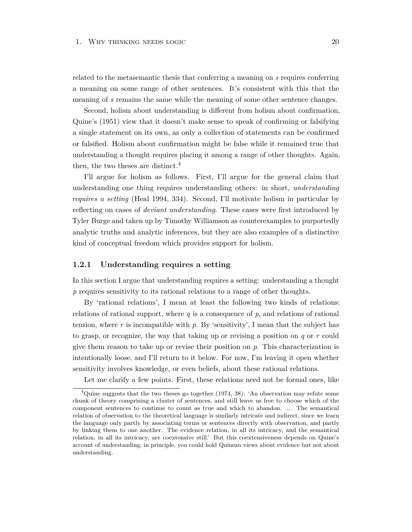related to the metasemantic thesis that conferring a meaning on *s* requires conferring a meaning on some range of other sentences. It's consistent with this that the meaning of *s* remains the same while the meaning of some other sentence changes.

Second, holism about understanding is different from holism about confirmation, Quine's (1951) view that it doesn't make sense to speak of confirming or falsifying a single statement on its own, as only a collection of statements can be confirmed or falsified. Holism about confirmation might be false while it remained true that understanding a thought requires placing it among a range of other thoughts. Again, then, the two theses are distinct.<sup>4</sup>

I'll argue for holism as follows. First, I'll argue for the general claim that understanding one thing requires understanding others: in short, *understanding requires a setting* (Heal 1994, 334). Second, I'll motivate holism in particular by reflecting on cases of *deviant understanding*. These cases were first introduced by Tyler Burge and taken up by Timothy Williamson as counterexamples to purportedly analytic truths and analytic inferences, but they are also examples of a distinctive kind of conceptual freedom which provides support for holism.

### <span id="page-26-0"></span>**1.2.1 Understanding requires a setting**

In this section I argue that understanding requires a setting: understanding a thought p requires sensitivity to its rational relations to a range of other thoughts.

By 'rational relations', I mean at least the following two kinds of relations: relations of rational support, where  $q$  is a consequence of  $p$ , and relations of rational tension, where  $r$  is incompatible with  $p$ . By 'sensitivity', I mean that the subject has to grasp, or recognize, the way that taking up or revising a position on *q* or *r* could give them reason to take up or revise their position on *p*. This characterization is intentionally loose, and I'll return to it below. For now, I'm leaving it open whether sensitivity involves knowledge, or even beliefs, about these rational relations.

Let me clarify a few points. First, these relations need not be formal ones, like

<sup>&</sup>lt;sup>4</sup>Quine suggests that the two theses go together (1974, 38): 'An observation may refute some chunk of theory comprising a cluster of sentences, and still leave us free to choose which of the component sentences to continue to count as true and which to abandon. ... The semantical relation of observation to the theoretical language is similarly intricate and indirect, since we learn the language only partly by associating terms or sentences directly with observation, and partly by linking them to one another. The evidence relation, in all its intricacy, and the semantical relation, in all its intricacy, are coextensive still.' But this coextensiveness depends on Quine's account of understanding; in principle, you could hold Quinean views about evidence but not about understanding.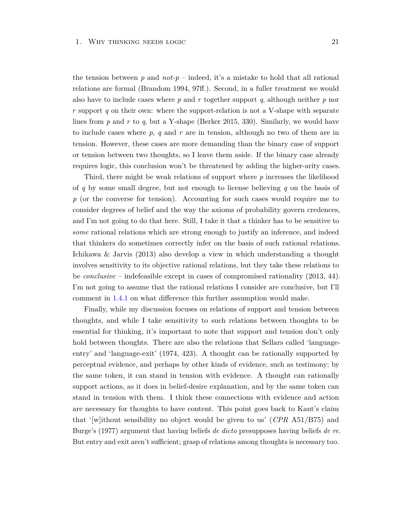the tension between *p* and *not-p* – indeed, it's a mistake to hold that all rational relations are formal (Brandom 1994, 97ff.). Second, in a fuller treatment we would also have to include cases where *p* and *r* together support *q*, although neither *p* nor *r* support *q* on their own: where the support-relation is not a V-shape with separate lines from *p* and *r* to *q*, but a Y-shape (Berker 2015, 330). Similarly, we would have to include cases where *p*, *q* and *r* are in tension, although no two of them are in tension. However, these cases are more demanding than the binary case of support or tension between two thoughts, so I leave them aside. If the binary case already requires logic, this conclusion won't be threatened by adding the higher-arity cases.

Third, there might be weak relations of support where *p* increases the likelihood of *q* by some small degree, but not enough to license believing *q* on the basis of *p* (or the converse for tension). Accounting for such cases would require me to consider degrees of belief and the way the axioms of probability govern credences, and I'm not going to do that here. Still, I take it that a thinker has to be sensitive to *some* rational relations which are strong enough to justify an inference, and indeed that thinkers do sometimes correctly infer on the basis of such rational relations. Ichikawa & Jarvis (2013) also develop a view in which understanding a thought involves sensitivity to its objective rational relations, but they take these relations to be *conclusive* – indefeasible except in cases of compromised rationality (2013, 44). I'm not going to assume that the rational relations I consider are conclusive, but I'll comment in [1.4.1](#page-40-0) on what difference this further assumption would make.

Finally, while my discussion focuses on relations of support and tension between thoughts, and while I take sensitivity to such relations between thoughts to be essential for thinking, it's important to note that support and tension don't only hold between thoughts. There are also the relations that Sellars called 'languageentry' and 'language-exit' (1974, 423). A thought can be rationally supported by perceptual evidence, and perhaps by other kinds of evidence, such as testimony; by the same token, it can stand in tension with evidence. A thought can rationally support actions, as it does in belief-desire explanation, and by the same token can stand in tension with them. I think these connections with evidence and action are necessary for thoughts to have content. This point goes back to Kant's claim that '[w]ithout sensibility no object would be given to us' (*CPR* A51/B75) and Burge's (1977) argument that having beliefs *de dicto* presupposes having beliefs *de re*. But entry and exit aren't sufficient; grasp of relations among thoughts is necessary too.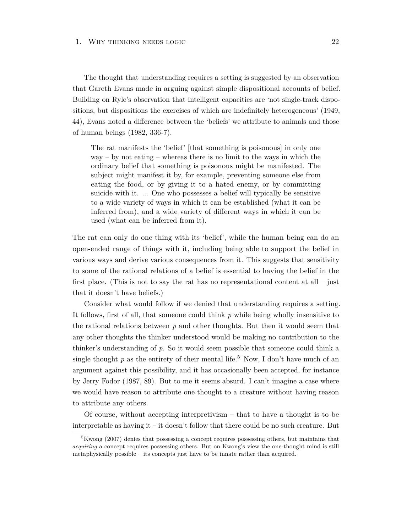#### 1. WHY THINKING NEEDS LOGIC 22

The thought that understanding requires a setting is suggested by an observation that Gareth Evans made in arguing against simple dispositional accounts of belief. Building on Ryle's observation that intelligent capacities are 'not single-track dispositions, but dispositions the exercises of which are indefinitely heterogeneous' (1949, 44), Evans noted a difference between the 'beliefs' we attribute to animals and those of human beings (1982, 336-7).

The rat manifests the 'belief' [that something is poisonous] in only one way – by not eating – whereas there is no limit to the ways in which the ordinary belief that something is poisonous might be manifested. The subject might manifest it by, for example, preventing someone else from eating the food, or by giving it to a hated enemy, or by committing suicide with it. ... One who possesses a belief will typically be sensitive to a wide variety of ways in which it can be established (what it can be inferred from), and a wide variety of different ways in which it can be used (what can be inferred from it).

The rat can only do one thing with its 'belief', while the human being can do an open-ended range of things with it, including being able to support the belief in various ways and derive various consequences from it. This suggests that sensitivity to some of the rational relations of a belief is essential to having the belief in the first place. (This is not to say the rat has no representational content at all – just that it doesn't have beliefs.)

Consider what would follow if we denied that understanding requires a setting. It follows, first of all, that someone could think *p* while being wholly insensitive to the rational relations between *p* and other thoughts. But then it would seem that any other thoughts the thinker understood would be making no contribution to the thinker's understanding of *p*. So it would seem possible that someone could think a single thought  $p$  as the entirety of their mental life.<sup>5</sup> Now, I don't have much of an argument against this possibility, and it has occasionally been accepted, for instance by Jerry Fodor (1987, 89). But to me it seems absurd. I can't imagine a case where we would have reason to attribute one thought to a creature without having reason to attribute any others.

Of course, without accepting interpretivism – that to have a thought is to be interpretable as having it – it doesn't follow that there could be no such creature. But

 $5$ Kwong (2007) denies that possessing a concept requires possessing others, but maintains that *acquiring* a concept requires possessing others. But on Kwong's view the one-thought mind is still metaphysically possible – its concepts just have to be innate rather than acquired.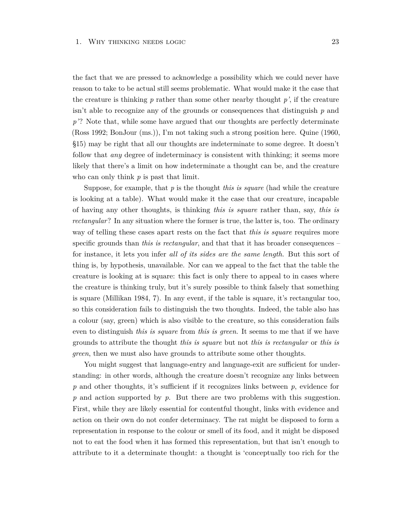the fact that we are pressed to acknowledge a possibility which we could never have reason to take to be actual still seems problematic. What would make it the case that the creature is thinking  $p$  rather than some other nearby thought  $p'$ , if the creature isn't able to recognize any of the grounds or consequences that distinguish *p* and p'? Note that, while some have argued that our thoughts are perfectly determinate (Ross 1992; BonJour (ms.)), I'm not taking such a strong position here. Quine (1960, §15) may be right that all our thoughts are indeterminate to some degree. It doesn't follow that *any* degree of indeterminacy is consistent with thinking; it seems more likely that there's a limit on how indeterminate a thought can be, and the creature who can only think *p* is past that limit.

Suppose, for example, that *p* is the thought *this is square* (had while the creature is looking at a table). What would make it the case that our creature, incapable of having any other thoughts, is thinking *this is square* rather than, say, *this is rectangular*? In any situation where the former is true, the latter is, too. The ordinary way of telling these cases apart rests on the fact that *this is square* requires more specific grounds than *this is rectangular*, and that that it has broader consequences – for instance, it lets you infer *all of its sides are the same length*. But this sort of thing is, by hypothesis, unavailable. Nor can we appeal to the fact that the table the creature is looking at is square: this fact is only there to appeal to in cases where the creature is thinking truly, but it's surely possible to think falsely that something is square (Millikan 1984, 7). In any event, if the table is square, it's rectangular too, so this consideration fails to distinguish the two thoughts. Indeed, the table also has a colour (say, green) which is also visible to the creature, so this consideration fails even to distinguish *this is square* from *this is green*. It seems to me that if we have grounds to attribute the thought *this is square* but not *this is rectangular* or *this is green*, then we must also have grounds to attribute some other thoughts.

You might suggest that language-entry and language-exit are sufficient for understanding: in other words, although the creature doesn't recognize any links between *p* and other thoughts, it's sufficient if it recognizes links between *p*, evidence for *p* and action supported by *p*. But there are two problems with this suggestion. First, while they are likely essential for contentful thought, links with evidence and action on their own do not confer determinacy. The rat might be disposed to form a representation in response to the colour or smell of its food, and it might be disposed not to eat the food when it has formed this representation, but that isn't enough to attribute to it a determinate thought: a thought is 'conceptually too rich for the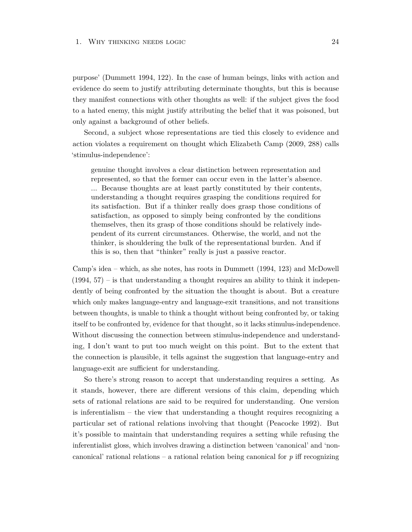purpose' (Dummett 1994, 122). In the case of human beings, links with action and evidence do seem to justify attributing determinate thoughts, but this is because they manifest connections with other thoughts as well: if the subject gives the food to a hated enemy, this might justify attributing the belief that it was poisoned, but only against a background of other beliefs.

Second, a subject whose representations are tied this closely to evidence and action violates a requirement on thought which Elizabeth Camp (2009, 288) calls 'stimulus-independence':

genuine thought involves a clear distinction between representation and represented, so that the former can occur even in the latter's absence. ... Because thoughts are at least partly constituted by their contents, understanding a thought requires grasping the conditions required for its satisfaction. But if a thinker really does grasp those conditions of satisfaction, as opposed to simply being confronted by the conditions themselves, then its grasp of those conditions should be relatively independent of its current circumstances. Otherwise, the world, and not the thinker, is shouldering the bulk of the representational burden. And if this is so, then that "thinker" really is just a passive reactor.

Camp's idea – which, as she notes, has roots in Dummett (1994, 123) and McDowell  $(1994, 57)$  – is that understanding a thought requires an ability to think it independently of being confronted by the situation the thought is about. But a creature which only makes language-entry and language-exit transitions, and not transitions between thoughts, is unable to think a thought without being confronted by, or taking itself to be confronted by, evidence for that thought, so it lacks stimulus-independence. Without discussing the connection between stimulus-independence and understanding, I don't want to put too much weight on this point. But to the extent that the connection is plausible, it tells against the suggestion that language-entry and language-exit are sufficient for understanding.

So there's strong reason to accept that understanding requires a setting. As it stands, however, there are different versions of this claim, depending which sets of rational relations are said to be required for understanding. One version is inferentialism – the view that understanding a thought requires recognizing a particular set of rational relations involving that thought (Peacocke 1992). But it's possible to maintain that understanding requires a setting while refusing the inferentialist gloss, which involves drawing a distinction between 'canonical' and 'noncanonical' rational relations – a rational relation being canonical for *p* iff recognizing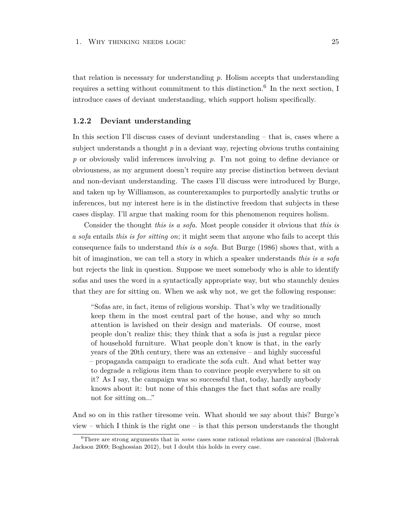that relation is necessary for understanding *p*. Holism accepts that understanding requires a setting without commitment to this distinction.<sup>6</sup> In the next section, I introduce cases of deviant understanding, which support holism specifically.

#### <span id="page-31-0"></span>**1.2.2 Deviant understanding**

In this section I'll discuss cases of deviant understanding – that is, cases where a subject understands a thought  $p$  in a deviant way, rejecting obvious truths containing *p* or obviously valid inferences involving *p*. I'm not going to define deviance or obviousness, as my argument doesn't require any precise distinction between deviant and non-deviant understanding. The cases I'll discuss were introduced by Burge, and taken up by Williamson, as counterexamples to purportedly analytic truths or inferences, but my interest here is in the distinctive freedom that subjects in these cases display. I'll argue that making room for this phenomenon requires holism.

Consider the thought *this is a sofa*. Most people consider it obvious that *this is a sofa* entails *this is for sitting on*; it might seem that anyone who fails to accept this consequence fails to understand *this is a sofa*. But Burge (1986) shows that, with a bit of imagination, we can tell a story in which a speaker understands *this is a sofa* but rejects the link in question. Suppose we meet somebody who is able to identify sofas and uses the word in a syntactically appropriate way, but who staunchly denies that they are for sitting on. When we ask why not, we get the following response:

"Sofas are, in fact, items of religious worship. That's why we traditionally keep them in the most central part of the house, and why so much attention is lavished on their design and materials. Of course, most people don't realize this; they think that a sofa is just a regular piece of household furniture. What people don't know is that, in the early years of the 20th century, there was an extensive – and highly successful – propaganda campaign to eradicate the sofa cult. And what better way to degrade a religious item than to convince people everywhere to sit on it? As I say, the campaign was so successful that, today, hardly anybody knows about it: but none of this changes the fact that sofas are really not for sitting on..."

And so on in this rather tiresome vein. What should we say about this? Burge's view – which I think is the right one – is that this person understands the thought

<sup>6</sup>There are strong arguments that in *some* cases some rational relations are canonical (Balcerak Jackson 2009; Boghossian 2012), but I doubt this holds in every case.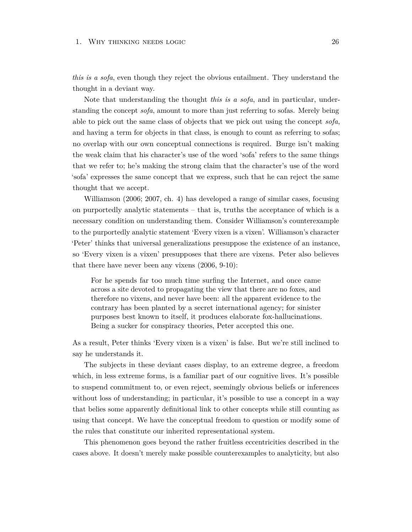#### 1. WHY THINKING NEEDS LOGIC 26

*this is a sofa*, even though they reject the obvious entailment. They understand the thought in a deviant way.

Note that understanding the thought *this is a sofa*, and in particular, understanding the concept *sofa*, amount to more than just referring to sofas. Merely being able to pick out the same class of objects that we pick out using the concept *sofa*, and having a term for objects in that class, is enough to count as referring to sofas; no overlap with our own conceptual connections is required. Burge isn't making the weak claim that his character's use of the word 'sofa' refers to the same things that we refer to; he's making the strong claim that the character's use of the word 'sofa' expresses the same concept that we express, such that he can reject the same thought that we accept.

Williamson (2006; 2007, ch. 4) has developed a range of similar cases, focusing on purportedly analytic statements – that is, truths the acceptance of which is a necessary condition on understanding them. Consider Williamson's counterexample to the purportedly analytic statement 'Every vixen is a vixen'. Williamson's character 'Peter' thinks that universal generalizations presuppose the existence of an instance, so 'Every vixen is a vixen' presupposes that there are vixens. Peter also believes that there have never been any vixens (2006, 9-10):

For he spends far too much time surfing the Internet, and once came across a site devoted to propagating the view that there are no foxes, and therefore no vixens, and never have been: all the apparent evidence to the contrary has been planted by a secret international agency; for sinister purposes best known to itself, it produces elaborate fox-hallucinations. Being a sucker for conspiracy theories, Peter accepted this one.

As a result, Peter thinks 'Every vixen is a vixen' is false. But we're still inclined to say he understands it.

The subjects in these deviant cases display, to an extreme degree, a freedom which, in less extreme forms, is a familiar part of our cognitive lives. It's possible to suspend commitment to, or even reject, seemingly obvious beliefs or inferences without loss of understanding; in particular, it's possible to use a concept in a way that belies some apparently definitional link to other concepts while still counting as using that concept. We have the conceptual freedom to question or modify some of the rules that constitute our inherited representational system.

This phenomenon goes beyond the rather fruitless eccentricities described in the cases above. It doesn't merely make possible counterexamples to analyticity, but also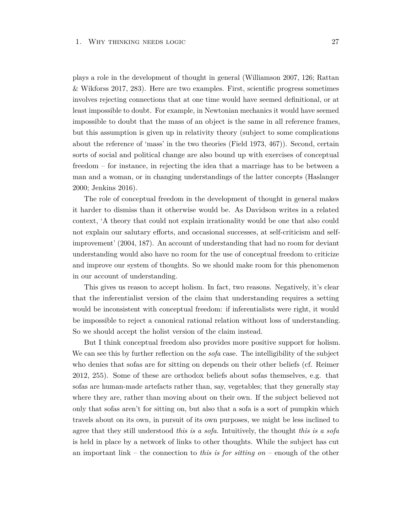plays a role in the development of thought in general (Williamson 2007, 126; Rattan & Wikforss 2017, 283). Here are two examples. First, scientific progress sometimes involves rejecting connections that at one time would have seemed definitional, or at least impossible to doubt. For example, in Newtonian mechanics it would have seemed impossible to doubt that the mass of an object is the same in all reference frames, but this assumption is given up in relativity theory (subject to some complications about the reference of 'mass' in the two theories (Field 1973, 467)). Second, certain sorts of social and political change are also bound up with exercises of conceptual freedom – for instance, in rejecting the idea that a marriage has to be between a man and a woman, or in changing understandings of the latter concepts (Haslanger 2000; Jenkins 2016).

The role of conceptual freedom in the development of thought in general makes it harder to dismiss than it otherwise would be. As Davidson writes in a related context, 'A theory that could not explain irrationality would be one that also could not explain our salutary efforts, and occasional successes, at self-criticism and selfimprovement' (2004, 187). An account of understanding that had no room for deviant understanding would also have no room for the use of conceptual freedom to criticize and improve our system of thoughts. So we should make room for this phenomenon in our account of understanding.

This gives us reason to accept holism. In fact, two reasons. Negatively, it's clear that the inferentialist version of the claim that understanding requires a setting would be inconsistent with conceptual freedom: if inferentialists were right, it would be impossible to reject a canonical rational relation without loss of understanding. So we should accept the holist version of the claim instead.

But I think conceptual freedom also provides more positive support for holism. We can see this by further reflection on the *sofa* case. The intelligibility of the subject who denies that sofas are for sitting on depends on their other beliefs (cf. Reimer 2012, 255). Some of these are orthodox beliefs about sofas themselves, e.g. that sofas are human-made artefacts rather than, say, vegetables; that they generally stay where they are, rather than moving about on their own. If the subject believed not only that sofas aren't for sitting on, but also that a sofa is a sort of pumpkin which travels about on its own, in pursuit of its own purposes, we might be less inclined to agree that they still understood *this is a sofa*. Intuitively, the thought *this is a sofa* is held in place by a network of links to other thoughts. While the subject has cut an important link – the connection to *this is for sitting on* – enough of the other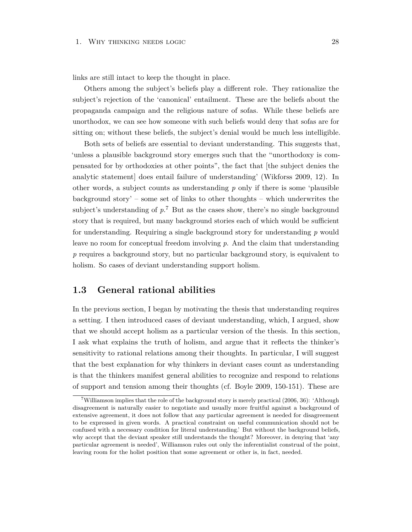links are still intact to keep the thought in place.

Others among the subject's beliefs play a different role. They rationalize the subject's rejection of the 'canonical' entailment. These are the beliefs about the propaganda campaign and the religious nature of sofas. While these beliefs are unorthodox, we can see how someone with such beliefs would deny that sofas are for sitting on; without these beliefs, the subject's denial would be much less intelligible.

Both sets of beliefs are essential to deviant understanding. This suggests that, 'unless a plausible background story emerges such that the "unorthodoxy is compensated for by orthodoxies at other points", the fact that [the subject denies the analytic statement] does entail failure of understanding' (Wikforss 2009, 12). In other words, a subject counts as understanding *p* only if there is some 'plausible background story' – some set of links to other thoughts – which underwrites the subject's understanding of  $p^7$ . But as the cases show, there's no single background story that is required, but many background stories each of which would be sufficient for understanding. Requiring a single background story for understanding *p* would leave no room for conceptual freedom involving *p*. And the claim that understanding *p* requires a background story, but no particular background story, is equivalent to holism. So cases of deviant understanding support holism.

### <span id="page-34-0"></span>**1.3 General rational abilities**

In the previous section, I began by motivating the thesis that understanding requires a setting. I then introduced cases of deviant understanding, which, I argued, show that we should accept holism as a particular version of the thesis. In this section, I ask what explains the truth of holism, and argue that it reflects the thinker's sensitivity to rational relations among their thoughts. In particular, I will suggest that the best explanation for why thinkers in deviant cases count as understanding is that the thinkers manifest general abilities to recognize and respond to relations of support and tension among their thoughts (cf. Boyle 2009, 150-151). These are

 $7$ Williamson implies that the role of the background story is merely practical (2006, 36): 'Although disagreement is naturally easier to negotiate and usually more fruitful against a background of extensive agreement, it does not follow that any particular agreement is needed for disagreement to be expressed in given words. A practical constraint on useful communication should not be confused with a necessary condition for literal understanding.' But without the background beliefs, why accept that the deviant speaker still understands the thought? Moreover, in denying that 'any particular agreement is needed', Williamson rules out only the inferentialist construal of the point, leaving room for the holist position that some agreement or other is, in fact, needed.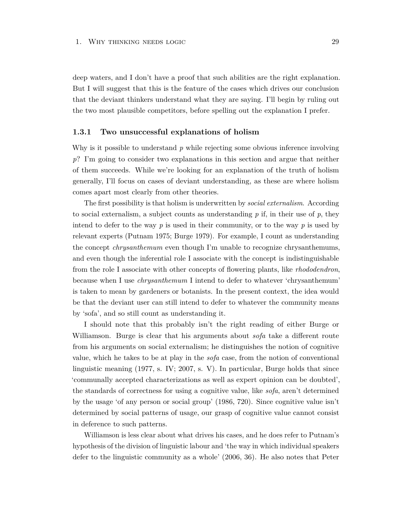deep waters, and I don't have a proof that such abilities are the right explanation. But I will suggest that this is the feature of the cases which drives our conclusion that the deviant thinkers understand what they are saying. I'll begin by ruling out the two most plausible competitors, before spelling out the explanation I prefer.

#### <span id="page-35-0"></span>**1.3.1 Two unsuccessful explanations of holism**

Why is it possible to understand *p* while rejecting some obvious inference involving *p*? I'm going to consider two explanations in this section and argue that neither of them succeeds. While we're looking for an explanation of the truth of holism generally, I'll focus on cases of deviant understanding, as these are where holism comes apart most clearly from other theories.

The first possibility is that holism is underwritten by *social externalism*. According to social externalism, a subject counts as understanding *p* if, in their use of *p*, they intend to defer to the way *p* is used in their community, or to the way *p* is used by relevant experts (Putnam 1975; Burge 1979). For example, I count as understanding the concept *chrysanthemum* even though I'm unable to recognize chrysanthemums, and even though the inferential role I associate with the concept is indistinguishable from the role I associate with other concepts of flowering plants, like *rhododendron*, because when I use *chrysanthemum* I intend to defer to whatever 'chrysanthemum' is taken to mean by gardeners or botanists. In the present context, the idea would be that the deviant user can still intend to defer to whatever the community means by 'sofa', and so still count as understanding it.

I should note that this probably isn't the right reading of either Burge or Williamson. Burge is clear that his arguments about *sofa* take a different route from his arguments on social externalism; he distinguishes the notion of cognitive value, which he takes to be at play in the *sofa* case, from the notion of conventional linguistic meaning (1977, s. IV; 2007, s. V). In particular, Burge holds that since 'communally accepted characterizations as well as expert opinion can be doubted', the standards of correctness for using a cognitive value, like *sofa*, aren't determined by the usage 'of any person or social group' (1986, 720). Since cognitive value isn't determined by social patterns of usage, our grasp of cognitive value cannot consist in deference to such patterns.

Williamson is less clear about what drives his cases, and he does refer to Putnam's hypothesis of the division of linguistic labour and 'the way in which individual speakers defer to the linguistic community as a whole' (2006, 36). He also notes that Peter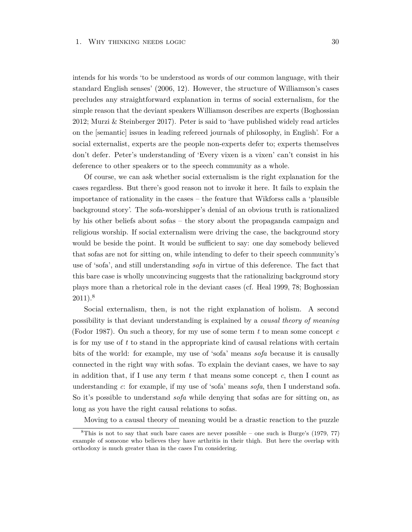intends for his words 'to be understood as words of our common language, with their standard English senses' (2006, 12). However, the structure of Williamson's cases precludes any straightforward explanation in terms of social externalism, for the simple reason that the deviant speakers Williamson describes are experts (Boghossian 2012; Murzi & Steinberger 2017). Peter is said to 'have published widely read articles on the [semantic] issues in leading refereed journals of philosophy, in English'. For a social externalist, experts are the people non-experts defer to; experts themselves don't defer. Peter's understanding of 'Every vixen is a vixen' can't consist in his deference to other speakers or to the speech community as a whole.

Of course, we can ask whether social externalism is the right explanation for the cases regardless. But there's good reason not to invoke it here. It fails to explain the importance of rationality in the cases – the feature that Wikforss calls a 'plausible background story'. The sofa-worshipper's denial of an obvious truth is rationalized by his other beliefs about sofas – the story about the propaganda campaign and religious worship. If social externalism were driving the case, the background story would be beside the point. It would be sufficient to say: one day somebody believed that sofas are not for sitting on, while intending to defer to their speech community's use of 'sofa', and still understanding *sofa* in virtue of this deference. The fact that this bare case is wholly unconvincing suggests that the rationalizing background story plays more than a rhetorical role in the deviant cases (cf. Heal 1999, 78; Boghossian  $2011$ ).<sup>8</sup>

Social externalism, then, is not the right explanation of holism. A second possibility is that deviant understanding is explained by a *causal theory of meaning* (Fodor 1987). On such a theory, for my use of some term *t* to mean some concept *c* is for my use of *t* to stand in the appropriate kind of causal relations with certain bits of the world: for example, my use of 'sofa' means *sofa* because it is causally connected in the right way with sofas. To explain the deviant cases, we have to say in addition that, if I use any term  $t$  that means some concept  $c$ , then I count as understanding *c*: for example, if my use of 'sofa' means *sofa*, then I understand sofa. So it's possible to understand *sofa* while denying that sofas are for sitting on, as long as you have the right causal relations to sofas.

Moving to a causal theory of meaning would be a drastic reaction to the puzzle

 ${}^8$ This is not to say that such bare cases are never possible – one such is Burge's (1979, 77) example of someone who believes they have arthritis in their thigh. But here the overlap with orthodoxy is much greater than in the cases I'm considering.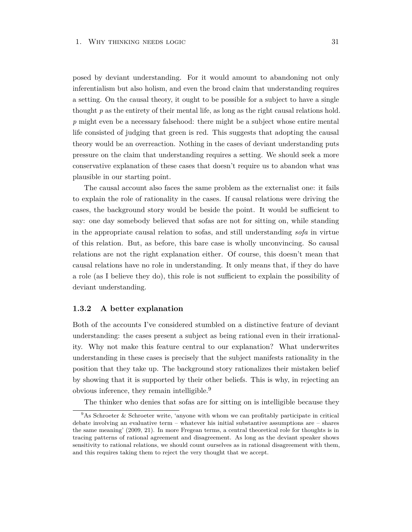posed by deviant understanding. For it would amount to abandoning not only inferentialism but also holism, and even the broad claim that understanding requires a setting. On the causal theory, it ought to be possible for a subject to have a single thought *p* as the entirety of their mental life, as long as the right causal relations hold. *p* might even be a necessary falsehood: there might be a subject whose entire mental life consisted of judging that green is red. This suggests that adopting the causal theory would be an overreaction. Nothing in the cases of deviant understanding puts pressure on the claim that understanding requires a setting. We should seek a more conservative explanation of these cases that doesn't require us to abandon what was plausible in our starting point.

The causal account also faces the same problem as the externalist one: it fails to explain the role of rationality in the cases. If causal relations were driving the cases, the background story would be beside the point. It would be sufficient to say: one day somebody believed that sofas are not for sitting on, while standing in the appropriate causal relation to sofas, and still understanding *sofa* in virtue of this relation. But, as before, this bare case is wholly unconvincing. So causal relations are not the right explanation either. Of course, this doesn't mean that causal relations have no role in understanding. It only means that, if they do have a role (as I believe they do), this role is not sufficient to explain the possibility of deviant understanding.

#### **1.3.2 A better explanation**

Both of the accounts I've considered stumbled on a distinctive feature of deviant understanding: the cases present a subject as being rational even in their irrationality. Why not make this feature central to our explanation? What underwrites understanding in these cases is precisely that the subject manifests rationality in the position that they take up. The background story rationalizes their mistaken belief by showing that it is supported by their other beliefs. This is why, in rejecting an obvious inference, they remain intelligible.<sup>9</sup>

The thinker who denies that sofas are for sitting on is intelligible because they

 $9$ As Schroeter & Schroeter write, 'anyone with whom we can profitably participate in critical debate involving an evaluative term – whatever his initial substantive assumptions are – shares the same meaning' (2009, 21). In more Fregean terms, a central theoretical role for thoughts is in tracing patterns of rational agreement and disagreement. As long as the deviant speaker shows sensitivity to rational relations, we should count ourselves as in rational disagreement with them, and this requires taking them to reject the very thought that we accept.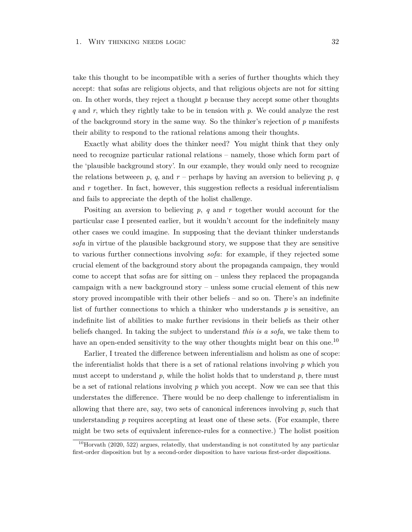take this thought to be incompatible with a series of further thoughts which they accept: that sofas are religious objects, and that religious objects are not for sitting on. In other words, they reject a thought *p* because they accept some other thoughts *q* and *r*, which they rightly take to be in tension with *p*. We could analyze the rest of the background story in the same way. So the thinker's rejection of *p* manifests their ability to respond to the rational relations among their thoughts.

Exactly what ability does the thinker need? You might think that they only need to recognize particular rational relations – namely, those which form part of the 'plausible background story'. In our example, they would only need to recognize the relations between  $p$ ,  $q$ , and  $r$  – perhaps by having an aversion to believing  $p$ ,  $q$ and *r* together. In fact, however, this suggestion reflects a residual inferentialism and fails to appreciate the depth of the holist challenge.

Positing an aversion to believing *p*, *q* and *r* together would account for the particular case I presented earlier, but it wouldn't account for the indefinitely many other cases we could imagine. In supposing that the deviant thinker understands *sofa* in virtue of the plausible background story, we suppose that they are sensitive to various further connections involving *sofa*: for example, if they rejected some crucial element of the background story about the propaganda campaign, they would come to accept that sofas are for sitting on – unless they replaced the propaganda campaign with a new background story – unless some crucial element of this new story proved incompatible with their other beliefs – and so on. There's an indefinite list of further connections to which a thinker who understands *p* is sensitive, an indefinite list of abilities to make further revisions in their beliefs as their other beliefs changed. In taking the subject to understand *this is a sofa*, we take them to have an open-ended sensitivity to the way other thoughts might bear on this one.<sup>10</sup>

Earlier, I treated the difference between inferentialism and holism as one of scope: the inferentialist holds that there is a set of rational relations involving *p* which you must accept to understand  $p$ , while the holist holds that to understand  $p$ , there must be a set of rational relations involving *p* which you accept. Now we can see that this understates the difference. There would be no deep challenge to inferentialism in allowing that there are, say, two sets of canonical inferences involving *p*, such that understanding p requires accepting at least one of these sets. (For example, there might be two sets of equivalent inference-rules for a connective.) The holist position

 $10$ Horvath (2020, 522) argues, relatedly, that understanding is not constituted by any particular first-order disposition but by a second-order disposition to have various first-order dispositions.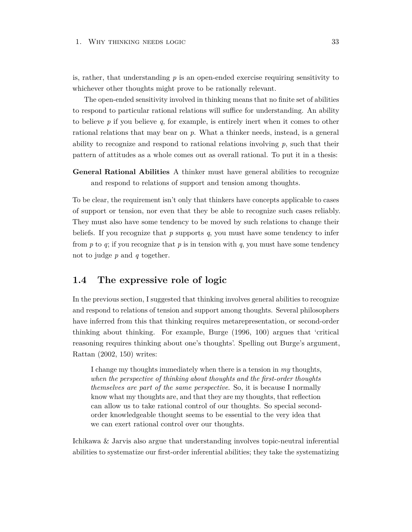is, rather, that understanding *p* is an open-ended exercise requiring sensitivity to whichever other thoughts might prove to be rationally relevant.

The open-ended sensitivity involved in thinking means that no finite set of abilities to respond to particular rational relations will suffice for understanding. An ability to believe *p* if you believe *q*, for example, is entirely inert when it comes to other rational relations that may bear on *p*. What a thinker needs, instead, is a general ability to recognize and respond to rational relations involving  $p$ , such that their pattern of attitudes as a whole comes out as overall rational. To put it in a thesis:

**General Rational Abilities** A thinker must have general abilities to recognize and respond to relations of support and tension among thoughts.

To be clear, the requirement isn't only that thinkers have concepts applicable to cases of support or tension, nor even that they be able to recognize such cases reliably. They must also have some tendency to be moved by such relations to change their beliefs. If you recognize that *p* supports *q*, you must have some tendency to infer from *p* to *q*; if you recognize that *p* is in tension with *q*, you must have some tendency not to judge *p* and *q* together.

# **1.4 The expressive role of logic**

In the previous section, I suggested that thinking involves general abilities to recognize and respond to relations of tension and support among thoughts. Several philosophers have inferred from this that thinking requires metarepresentation, or second-order thinking about thinking. For example, Burge (1996, 100) argues that 'critical reasoning requires thinking about one's thoughts'. Spelling out Burge's argument, Rattan (2002, 150) writes:

I change my thoughts immediately when there is a tension in *my* thoughts, *when the perspective of thinking about thoughts and the first-order thoughts themselves are part of the same perspective*. So, it is because I normally know what my thoughts are, and that they are my thoughts, that reflection can allow us to take rational control of our thoughts. So special secondorder knowledgeable thought seems to be essential to the very idea that we can exert rational control over our thoughts.

Ichikawa & Jarvis also argue that understanding involves topic-neutral inferential abilities to systematize our first-order inferential abilities; they take the systematizing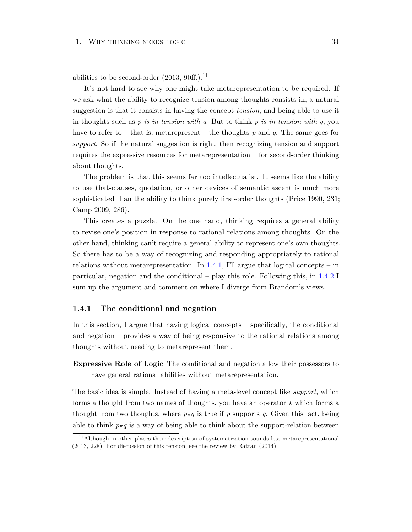abilities to be second-order  $(2013, 90ff.)$ .<sup>11</sup>

It's not hard to see why one might take metarepresentation to be required. If we ask what the ability to recognize tension among thoughts consists in, a natural suggestion is that it consists in having the concept *tension*, and being able to use it in thoughts such as *p is in tension with q*. But to think *p is in tension with q*, you have to refer to – that is, metarepresent – the thoughts *p* and *q*. The same goes for *support*. So if the natural suggestion is right, then recognizing tension and support requires the expressive resources for metarepresentation – for second-order thinking about thoughts.

The problem is that this seems far too intellectualist. It seems like the ability to use that-clauses, quotation, or other devices of semantic ascent is much more sophisticated than the ability to think purely first-order thoughts (Price 1990, 231; Camp 2009, 286).

This creates a puzzle. On the one hand, thinking requires a general ability to revise one's position in response to rational relations among thoughts. On the other hand, thinking can't require a general ability to represent one's own thoughts. So there has to be a way of recognizing and responding appropriately to rational relations without metarepresentation. In  $1.4.1$ , I'll argue that logical concepts – in particular, negation and the conditional – play this role. Following this, in [1.4.2](#page-44-0) I sum up the argument and comment on where I diverge from Brandom's views.

## <span id="page-40-0"></span>**1.4.1 The conditional and negation**

In this section, I argue that having logical concepts – specifically, the conditional and negation – provides a way of being responsive to the rational relations among thoughts without needing to metarepresent them.

**Expressive Role of Logic** The conditional and negation allow their possessors to have general rational abilities without metarepresentation.

The basic idea is simple. Instead of having a meta-level concept like *support*, which forms a thought from two names of thoughts, you have an operator  $\star$  which forms a thought from two thoughts, where  $p \star q$  is true if p supports q. Given this fact, being able to think  $p \star q$  is a way of being able to think about the support-relation between

 $11$ Although in other places their description of systematization sounds less metarepresentational (2013, 228). For discussion of this tension, see the review by Rattan (2014).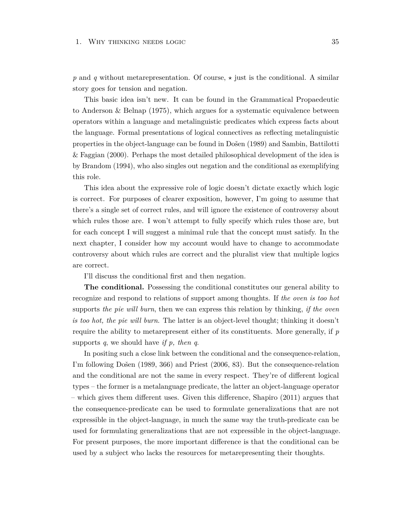p and q without metarepresentation. Of course,  $\star$  just is the conditional. A similar story goes for tension and negation.

This basic idea isn't new. It can be found in the Grammatical Propaedeutic to Anderson & Belnap (1975), which argues for a systematic equivalence between operators within a language and metalinguistic predicates which express facts about the language. Formal presentations of logical connectives as reflecting metalinguistic properties in the object-language can be found in Došen (1989) and Sambin, Battilotti & Faggian (2000). Perhaps the most detailed philosophical development of the idea is by Brandom (1994), who also singles out negation and the conditional as exemplifying this role.

This idea about the expressive role of logic doesn't dictate exactly which logic is correct. For purposes of clearer exposition, however, I'm going to assume that there's a single set of correct rules, and will ignore the existence of controversy about which rules those are. I won't attempt to fully specify which rules those are, but for each concept I will suggest a minimal rule that the concept must satisfy. In the next chapter, I consider how my account would have to change to accommodate controversy about which rules are correct and the pluralist view that multiple logics are correct.

I'll discuss the conditional first and then negation.

**The conditional.** Possessing the conditional constitutes our general ability to recognize and respond to relations of support among thoughts. If *the oven is too hot* supports *the pie will burn*, then we can express this relation by thinking, *if the oven is too hot, the pie will burn*. The latter is an object-level thought; thinking it doesn't require the ability to metarepresent either of its constituents. More generally, if *p* supports *q*, we should have *if p, then q*.

In positing such a close link between the conditional and the consequence-relation, I'm following Došen (1989, 366) and Priest (2006, 83). But the consequence-relation and the conditional are not the same in every respect. They're of different logical types – the former is a metalanguage predicate, the latter an object-language operator – which gives them different uses. Given this difference, Shapiro (2011) argues that the consequence-predicate can be used to formulate generalizations that are not expressible in the object-language, in much the same way the truth-predicate can be used for formulating generalizations that are not expressible in the object-language. For present purposes, the more important difference is that the conditional can be used by a subject who lacks the resources for metarepresenting their thoughts.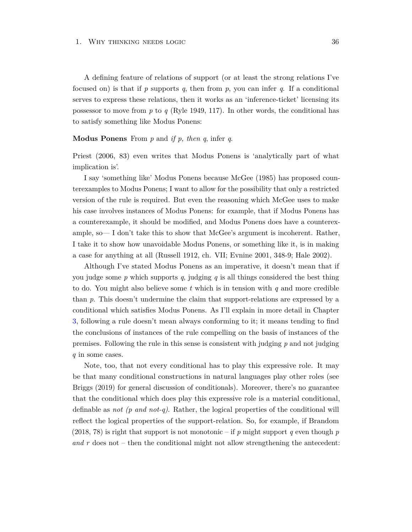A defining feature of relations of support (or at least the strong relations I've focused on) is that if *p* supports *q*, then from *p*, you can infer *q*. If a conditional serves to express these relations, then it works as an 'inference-ticket' licensing its possessor to move from *p* to *q* (Ryle 1949, 117). In other words, the conditional has to satisfy something like Modus Ponens:

## **Modus Ponens** From *p* and *if p, then q*, infer *q*.

Priest (2006, 83) even writes that Modus Ponens is 'analytically part of what implication is'.

I say 'something like' Modus Ponens because McGee (1985) has proposed counterexamples to Modus Ponens; I want to allow for the possibility that only a restricted version of the rule is required. But even the reasoning which McGee uses to make his case involves instances of Modus Ponens: for example, that if Modus Ponens has a counterexample, it should be modified, and Modus Ponens does have a counterexample, so— I don't take this to show that McGee's argument is incoherent. Rather, I take it to show how unavoidable Modus Ponens, or something like it, is in making a case for anything at all (Russell 1912, ch. VII; Evnine 2001, 348-9; Hale 2002).

Although I've stated Modus Ponens as an imperative, it doesn't mean that if you judge some  $p$  which supports  $q$ , judging  $q$  is all things considered the best thing to do. You might also believe some *t* which is in tension with *q* and more credible than *p*. This doesn't undermine the claim that support-relations are expressed by a conditional which satisfies Modus Ponens. As I'll explain in more detail in Chapter [3,](#page-84-0) following a rule doesn't mean always conforming to it; it means tending to find the conclusions of instances of the rule compelling on the basis of instances of the premises. Following the rule in this sense is consistent with judging *p* and not judging *q* in some cases.

Note, too, that not every conditional has to play this expressive role. It may be that many conditional constructions in natural languages play other roles (see Briggs (2019) for general discussion of conditionals). Moreover, there's no guarantee that the conditional which does play this expressive role is a material conditional, definable as *not (p and not-q)*. Rather, the logical properties of the conditional will reflect the logical properties of the support-relation. So, for example, if Brandom (2018, 78) is right that support is not monotonic – if *p* might support *q* even though *p and r* does not – then the conditional might not allow strengthening the antecedent: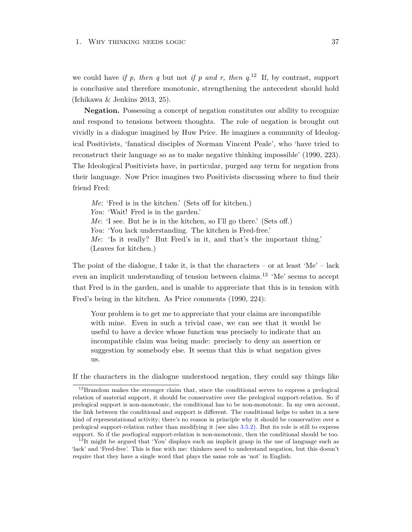we could have *if p, then q* but not *if p and r, then*  $q^{12}$  If, by contrast, support is conclusive and therefore monotonic, strengthening the antecedent should hold (Ichikawa & Jenkins 2013, 25).

**Negation.** Possessing a concept of negation constitutes our ability to recognize and respond to tensions between thoughts. The role of negation is brought out vividly in a dialogue imagined by Huw Price. He imagines a community of Ideological Positivists, 'fanatical disciples of Norman Vincent Peale', who 'have tried to reconstruct their language so as to make negative thinking impossible' (1990, 223). The Ideological Positivists have, in particular, purged any term for negation from their language. Now Price imagines two Positivists discussing where to find their friend Fred:

*Me*: 'Fred is in the kitchen.' (Sets off for kitchen.) *You*: 'Wait! Fred is in the garden.' *Me*: 'I see. But he is in the kitchen, so I'll go there.' (Sets off.) *You*: 'You lack understanding. The kitchen is Fred-free.' *Me*: 'Is it really? But Fred's in it, and that's the important thing.' (Leaves for kitchen.)

The point of the dialogue, I take it, is that the characters – or at least 'Me' – lack even an implicit understanding of tension between claims.<sup>13</sup> 'Me' seems to accept that Fred is in the garden, and is unable to appreciate that this is in tension with Fred's being in the kitchen. As Price comments (1990, 224):

Your problem is to get me to appreciate that your claims are incompatible with mine. Even in such a trivial case, we can see that it would be useful to have a device whose function was precisely to indicate that an incompatible claim was being made: precisely to deny an assertion or suggestion by somebody else. It seems that this is what negation gives us.

If the characters in the dialogue understood negation, they could say things like

 $12$ Brandom makes the stronger claim that, since the conditional serves to express a prelogical relation of material support, it should be conservative over the prelogical support-relation. So if prelogical support is non-monotonic, the conditional has to be non-monotonic. In my own account, the link between the conditional and support is different. The conditional helps to usher in a new kind of representational activity; there's no reason in principle why it should be conservative over a prelogical support-relation rather than modifying it (see also [3.5.2\)](#page-100-0). But its role is still to express support. So if the *post*logical support-relation is non-monotonic, then the conditional should be too.

 $13$ It might be argued that 'You' displays such an implicit grasp in the use of language such as 'lack' and 'Fred-free'. This is fine with me: thinkers need to understand negation, but this doesn't require that they have a single word that plays the same role as 'not' in English.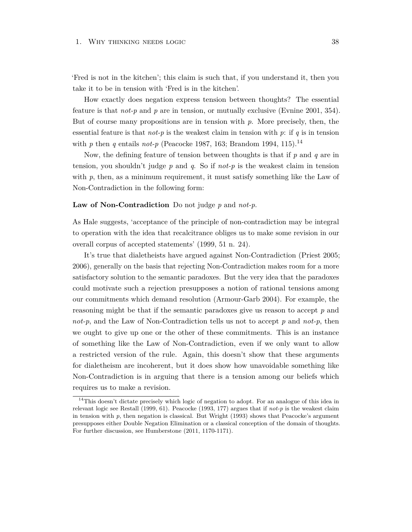'Fred is not in the kitchen'; this claim is such that, if you understand it, then you take it to be in tension with 'Fred is in the kitchen'.

How exactly does negation express tension between thoughts? The essential feature is that *not-p* and *p* are in tension, or mutually exclusive (Evnine 2001, 354). But of course many propositions are in tension with *p*. More precisely, then, the essential feature is that  $not-p$  is the weakest claim in tension with p: if q is in tension with *p* then *q* entails *not-p* (Peacocke 1987, 163; Brandom 1994, 115).<sup>14</sup>

Now, the defining feature of tension between thoughts is that if *p* and *q* are in tension, you shouldn't judge *p* and *q*. So if *not-p* is the weakest claim in tension with p, then, as a minimum requirement, it must satisfy something like the Law of Non-Contradiction in the following form:

# **Law of Non-Contradiction** Do not judge *p* and *not-p*.

As Hale suggests, 'acceptance of the principle of non-contradiction may be integral to operation with the idea that recalcitrance obliges us to make some revision in our overall corpus of accepted statements' (1999, 51 n. 24).

It's true that dialetheists have argued against Non-Contradiction (Priest 2005; 2006), generally on the basis that rejecting Non-Contradiction makes room for a more satisfactory solution to the semantic paradoxes. But the very idea that the paradoxes could motivate such a rejection presupposes a notion of rational tensions among our commitments which demand resolution (Armour-Garb 2004). For example, the reasoning might be that if the semantic paradoxes give us reason to accept *p* and *not-p*, and the Law of Non-Contradiction tells us not to accept *p* and *not-p*, then we ought to give up one or the other of these commitments. This is an instance of something like the Law of Non-Contradiction, even if we only want to allow a restricted version of the rule. Again, this doesn't show that these arguments for dialetheism are incoherent, but it does show how unavoidable something like Non-Contradiction is in arguing that there is a tension among our beliefs which requires us to make a revision.

<span id="page-44-0"></span><sup>&</sup>lt;sup>14</sup>This doesn't dictate precisely which logic of negation to adopt. For an analogue of this idea in relevant logic see Restall (1999, 61). Peacocke (1993, 177) argues that if *not-p* is the weakest claim in tension with  $p$ , then negation is classical. But Wright  $(1993)$  shows that Peacocke's argument presupposes either Double Negation Elimination or a classical conception of the domain of thoughts. For further discussion, see Humberstone (2011, 1170-1171).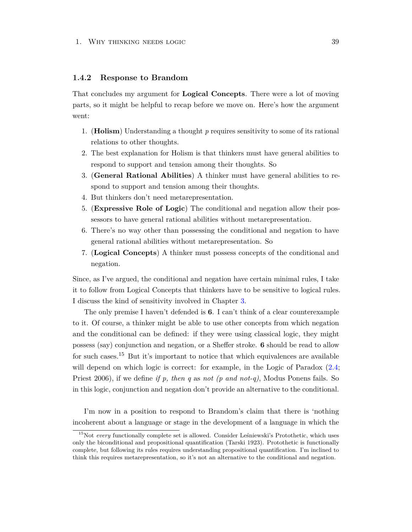# **1.4.2 Response to Brandom**

That concludes my argument for **Logical Concepts**. There were a lot of moving parts, so it might be helpful to recap before we move on. Here's how the argument went:

- 1. (**Holism**) Understanding a thought *p* requires sensitivity to some of its rational relations to other thoughts.
- 2. The best explanation for Holism is that thinkers must have general abilities to respond to support and tension among their thoughts. So
- 3. (**General Rational Abilities**) A thinker must have general abilities to respond to support and tension among their thoughts.
- 4. But thinkers don't need metarepresentation.
- 5. (**Expressive Role of Logic**) The conditional and negation allow their possessors to have general rational abilities without metarepresentation.
- 6. There's no way other than possessing the conditional and negation to have general rational abilities without metarepresentation. So
- 7. (**Logical Concepts**) A thinker must possess concepts of the conditional and negation.

Since, as I've argued, the conditional and negation have certain minimal rules, I take it to follow from Logical Concepts that thinkers have to be sensitive to logical rules. I discuss the kind of sensitivity involved in Chapter [3.](#page-84-0)

The only premise I haven't defended is **6**. I can't think of a clear counterexample to it. Of course, a thinker might be able to use other concepts from which negation and the conditional can be defined: if they were using classical logic, they might possess (say) conjunction and negation, or a Sheffer stroke. **6** should be read to allow for such cases.<sup>15</sup> But it's important to notice that which equivalences are available will depend on which logic is correct: for example, in the Logic of Paradox  $(2.4;$ Priest 2006), if we define *if p, then q* as *not (p and not-q)*, Modus Ponens fails. So in this logic, conjunction and negation don't provide an alternative to the conditional.

I'm now in a position to respond to Brandom's claim that there is 'nothing incoherent about a language or stage in the development of a language in which the

<sup>&</sup>lt;sup>15</sup>Not *every* functionally complete set is allowed. Consider Leśniewski's Protothetic, which uses only the biconditional and propositional quantification (Tarski 1923). Protothetic is functionally complete, but following its rules requires understanding propositional quantification. I'm inclined to think this requires metarepresentation, so it's not an alternative to the conditional and negation.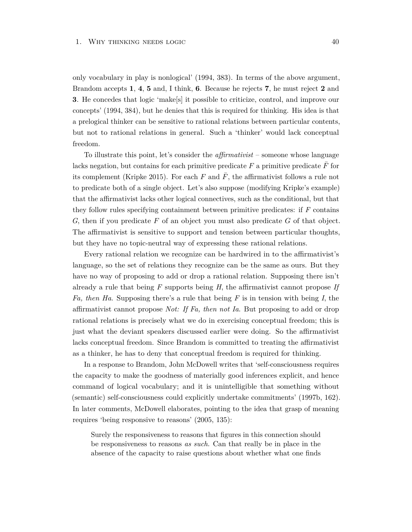only vocabulary in play is nonlogical' (1994, 383). In terms of the above argument, Brandom accepts **1**, **4**, **5** and, I think, **6**. Because he rejects **7**, he must reject **2** and **3**. He concedes that logic 'make[s] it possible to criticize, control, and improve our concepts' (1994, 384), but he denies that this is required for thinking. His idea is that a prelogical thinker can be sensitive to rational relations between particular contents, but not to rational relations in general. Such a 'thinker' would lack conceptual freedom.

To illustrate this point, let's consider the *affirmativist* – someone whose language lacks negation, but contains for each primitive predicate  $F$  a primitive predicate  $F$  for its complement (Kripke 2015). For each  $F$  and  $\overline{F}$ , the affirmativist follows a rule not to predicate both of a single object. Let's also suppose (modifying Kripke's example) that the affirmativist lacks other logical connectives, such as the conditional, but that they follow rules specifying containment between primitive predicates: if *F* contains *G*, then if you predicate *F* of an object you must also predicate *G* of that object. The affirmativist is sensitive to support and tension between particular thoughts, but they have no topic-neutral way of expressing these rational relations.

Every rational relation we recognize can be hardwired in to the affirmativist's language, so the set of relations they recognize can be the same as ours. But they have no way of proposing to add or drop a rational relation. Supposing there isn't already a rule that being *F* supports being *H*, the affirmativist cannot propose *If Fa, then Ha*. Supposing there's a rule that being *F* is in tension with being *I*, the affirmativist cannot propose *Not: If Fa, then not Ia*. But proposing to add or drop rational relations is precisely what we do in exercising conceptual freedom; this is just what the deviant speakers discussed earlier were doing. So the affirmativist lacks conceptual freedom. Since Brandom is committed to treating the affirmativist as a thinker, he has to deny that conceptual freedom is required for thinking.

In a response to Brandom, John McDowell writes that 'self-consciousness requires the capacity to make the goodness of materially good inferences explicit, and hence command of logical vocabulary; and it is unintelligible that something without (semantic) self-consciousness could explicitly undertake commitments' (1997b, 162). In later comments, McDowell elaborates, pointing to the idea that grasp of meaning requires 'being responsive to reasons' (2005, 135):

Surely the responsiveness to reasons that figures in this connection should be responsiveness to reasons *as such*. Can that really be in place in the absence of the capacity to raise questions about whether what one finds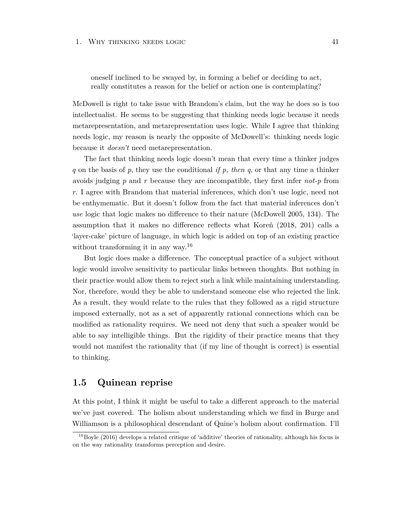oneself inclined to be swayed by, in forming a belief or deciding to act, really constitutes a reason for the belief or action one is contemplating?

McDowell is right to take issue with Brandom's claim, but the way he does so is too intellectualist. He seems to be suggesting that thinking needs logic because it needs metarepresentation, and metarepresentation uses logic. While I agree that thinking needs logic, my reason is nearly the opposite of McDowell's: thinking needs logic because it *doesn't* need metarepresentation.

The fact that thinking needs logic doesn't mean that every time a thinker judges *q* on the basis of *p*, they use the conditional *if p, then q*, or that any time a thinker avoids judging *p* and *r* because they are incompatible, they first infer *not-p* from *r*. I agree with Brandom that material inferences, which don't use logic, need not be enthymematic. But it doesn't follow from the fact that material inferences don't *use* logic that logic makes no difference to their nature (McDowell 2005, 134). The assumption that it makes no difference reflects what Koreň (2018, 201) calls a 'layer-cake' picture of language, in which logic is added on top of an existing practice without transforming it in any way.<sup>16</sup>

But logic does make a difference. The conceptual practice of a subject without logic would involve sensitivity to particular links between thoughts. But nothing in their practice would allow them to reject such a link while maintaining understanding. Nor, therefore, would they be able to understand someone else who rejected the link. As a result, they would relate to the rules that they followed as a rigid structure imposed externally, not as a set of apparently rational connections which can be modified as rationality requires. We need not deny that such a speaker would be able to say intelligible things. But the rigidity of their practice means that they would not manifest the rationality that (if my line of thought is correct) is essential to thinking.

# **1.5 Quinean reprise**

At this point, I think it might be useful to take a different approach to the material we've just covered. The holism about understanding which we find in Burge and Williamson is a philosophical descendant of Quine's holism about confirmation. I'll

 $^{16}$ Boyle (2016) develops a related critique of 'additive' theories of rationality, although his focus is on the way rationality transforms perception and desire.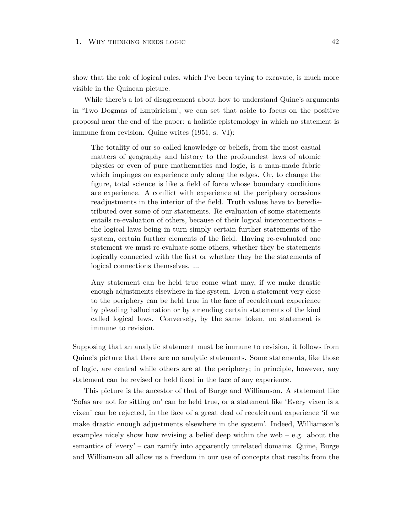show that the role of logical rules, which I've been trying to excavate, is much more visible in the Quinean picture.

While there's a lot of disagreement about how to understand Quine's arguments in 'Two Dogmas of Empiricism', we can set that aside to focus on the positive proposal near the end of the paper: a holistic epistemology in which no statement is immune from revision. Quine writes (1951, s. VI):

The totality of our so-called knowledge or beliefs, from the most casual matters of geography and history to the profoundest laws of atomic physics or even of pure mathematics and logic, is a man-made fabric which impinges on experience only along the edges. Or, to change the figure, total science is like a field of force whose boundary conditions are experience. A conflict with experience at the periphery occasions readjustments in the interior of the field. Truth values have to beredistributed over some of our statements. Re-evaluation of some statements entails re-evaluation of others, because of their logical interconnections – the logical laws being in turn simply certain further statements of the system, certain further elements of the field. Having re-evaluated one statement we must re-evaluate some others, whether they be statements logically connected with the first or whether they be the statements of logical connections themselves. ...

Any statement can be held true come what may, if we make drastic enough adjustments elsewhere in the system. Even a statement very close to the periphery can be held true in the face of recalcitrant experience by pleading hallucination or by amending certain statements of the kind called logical laws. Conversely, by the same token, no statement is immune to revision.

Supposing that an analytic statement must be immune to revision, it follows from Quine's picture that there are no analytic statements. Some statements, like those of logic, are central while others are at the periphery; in principle, however, any statement can be revised or held fixed in the face of any experience.

This picture is the ancestor of that of Burge and Williamson. A statement like 'Sofas are not for sitting on' can be held true, or a statement like 'Every vixen is a vixen' can be rejected, in the face of a great deal of recalcitrant experience 'if we make drastic enough adjustments elsewhere in the system'. Indeed, Williamson's examples nicely show how revising a belief deep within the web  $-$  e.g. about the semantics of 'every' – can ramify into apparently unrelated domains. Quine, Burge and Williamson all allow us a freedom in our use of concepts that results from the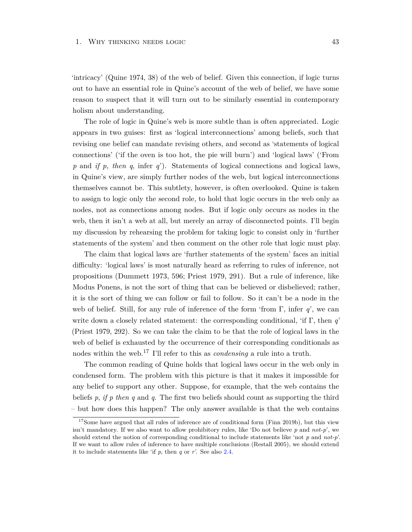'intricacy' (Quine 1974, 38) of the web of belief. Given this connection, if logic turns out to have an essential role in Quine's account of the web of belief, we have some reason to suspect that it will turn out to be similarly essential in contemporary holism about understanding.

The role of logic in Quine's web is more subtle than is often appreciated. Logic appears in two guises: first as 'logical interconnections' among beliefs, such that revising one belief can mandate revising others, and second as 'statements of logical connections' ('if the oven is too hot, the pie will burn') and 'logical laws' ('From *p* and *if p, then q*, infer *q*'). Statements of logical connections and logical laws, in Quine's view, are simply further nodes of the web, but logical interconnections themselves cannot be. This subtlety, however, is often overlooked. Quine is taken to assign to logic only the second role, to hold that logic occurs in the web only as nodes, not as connections among nodes. But if logic only occurs as nodes in the web, then it isn't a web at all, but merely an array of disconnected points. I'll begin my discussion by rehearsing the problem for taking logic to consist only in 'further statements of the system' and then comment on the other role that logic must play.

The claim that logical laws are 'further statements of the system' faces an initial difficulty: 'logical laws' is most naturally heard as referring to rules of inference, not propositions (Dummett 1973, 596; Priest 1979, 291). But a rule of inference, like Modus Ponens, is not the sort of thing that can be believed or disbelieved; rather, it is the sort of thing we can follow or fail to follow. So it can't be a node in the web of belief. Still, for any rule of inference of the form 'from  $\Gamma$ , infer q', we can write down a closely related statement: the corresponding conditional, 'if Γ, then *q*' (Priest 1979, 292). So we can take the claim to be that the role of logical laws in the web of belief is exhausted by the occurrence of their corresponding conditionals as nodes within the web.<sup>17</sup> I'll refer to this as *condensing* a rule into a truth.

The common reading of Quine holds that logical laws occur in the web only in condensed form. The problem with this picture is that it makes it impossible for any belief to support any other. Suppose, for example, that the web contains the beliefs *p*, *if p then q* and *q*. The first two beliefs should count as supporting the third – but how does this happen? The only answer available is that the web contains

<sup>&</sup>lt;sup>17</sup>Some have argued that all rules of inference are of conditional form (Finn 2019b), but this view isn't mandatory. If we also want to allow prohibitory rules, like 'Do not believe *p* and *not-p*', we should extend the notion of corresponding conditional to include statements like 'not *p* and *not-p*'. If we want to allow rules of inference to have multiple conclusions (Restall 2005), we should extend it to include statements like 'if *p*, then *q* or *r*'. See also [2.4.](#page-73-0)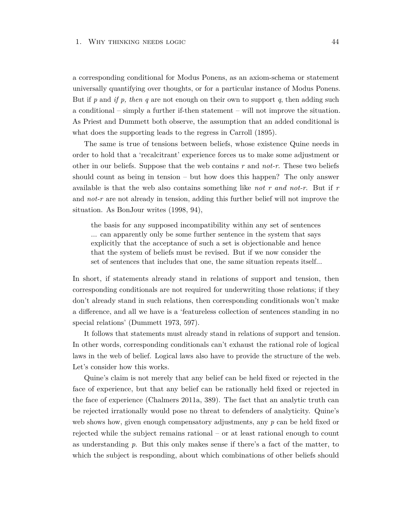a corresponding conditional for Modus Ponens, as an axiom-schema or statement universally quantifying over thoughts, or for a particular instance of Modus Ponens. But if *p* and *if p, then q* are not enough on their own to support *q*, then adding such a conditional – simply a further if-then statement – will not improve the situation. As Priest and Dummett both observe, the assumption that an added conditional is what does the supporting leads to the regress in Carroll (1895).

The same is true of tensions between beliefs, whose existence Quine needs in order to hold that a 'recalcitrant' experience forces us to make some adjustment or other in our beliefs. Suppose that the web contains *r* and *not-r*. These two beliefs should count as being in tension – but how does this happen? The only answer available is that the web also contains something like *not r and not-r*. But if *r* and *not-r* are not already in tension, adding this further belief will not improve the situation. As BonJour writes (1998, 94),

the basis for any supposed incompatibility within any set of sentences ... can apparently only be some further sentence in the system that says explicitly that the acceptance of such a set is objectionable and hence that the system of beliefs must be revised. But if we now consider the set of sentences that includes that one, the same situation repeats itself...

In short, if statements already stand in relations of support and tension, then corresponding conditionals are not required for underwriting those relations; if they don't already stand in such relations, then corresponding conditionals won't make a difference, and all we have is a 'featureless collection of sentences standing in no special relations' (Dummett 1973, 597).

It follows that statements must already stand in relations of support and tension. In other words, corresponding conditionals can't exhaust the rational role of logical laws in the web of belief. Logical laws also have to provide the structure of the web. Let's consider how this works.

Quine's claim is not merely that any belief can be held fixed or rejected in the face of experience, but that any belief can be rationally held fixed or rejected in the face of experience (Chalmers 2011a, 389). The fact that an analytic truth can be rejected irrationally would pose no threat to defenders of analyticity. Quine's web shows how, given enough compensatory adjustments, any *p* can be held fixed or rejected while the subject remains rational – or at least rational enough to count as understanding *p*. But this only makes sense if there's a fact of the matter, to which the subject is responding, about which combinations of other beliefs should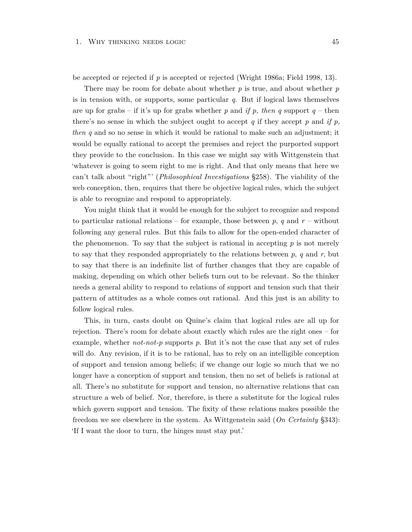be accepted or rejected if *p* is accepted or rejected (Wright 1986a; Field 1998, 13).

There may be room for debate about whether *p* is true, and about whether *p* is in tension with, or supports, some particular *q*. But if logical laws themselves are up for grabs – if it's up for grabs whether p and *if p, then q* support  $q$  – then there's no sense in which the subject ought to accept *q* if they accept *p* and *if p, then q* and so no sense in which it would be rational to make such an adjustment; it would be equally rational to accept the premises and reject the purported support they provide to the conclusion. In this case we might say with Wittgenstein that 'whatever is going to seem right to me is right. And that only means that here we can't talk about "right"' (*Philosophical Investigations* §258). The viability of the web conception, then, requires that there be objective logical rules, which the subject is able to recognize and respond to appropriately.

You might think that it would be enough for the subject to recognize and respond to particular rational relations – for example, those between  $p$ ,  $q$  and  $r$  – without following any general rules. But this fails to allow for the open-ended character of the phenomenon. To say that the subject is rational in accepting  $p$  is not merely to say that they responded appropriately to the relations between *p*, *q* and *r*, but to say that there is an indefinite list of further changes that they are capable of making, depending on which other beliefs turn out to be relevant. So the thinker needs a general ability to respond to relations of support and tension such that their pattern of attitudes as a whole comes out rational. And this just is an ability to follow logical rules.

This, in turn, casts doubt on Quine's claim that logical rules are all up for rejection. There's room for debate about exactly which rules are the right ones – for example, whether *not-not-p* supports *p*. But it's not the case that any set of rules will do. Any revision, if it is to be rational, has to rely on an intelligible conception of support and tension among beliefs; if we change our logic so much that we no longer have a conception of support and tension, then no set of beliefs is rational at all. There's no substitute for support and tension, no alternative relations that can structure a web of belief. Nor, therefore, is there a substitute for the logical rules which govern support and tension. The fixity of these relations makes possible the freedom we see elsewhere in the system. As Wittgenstein said (*On Certainty* §343): 'If I want the door to turn, the hinges must stay put.'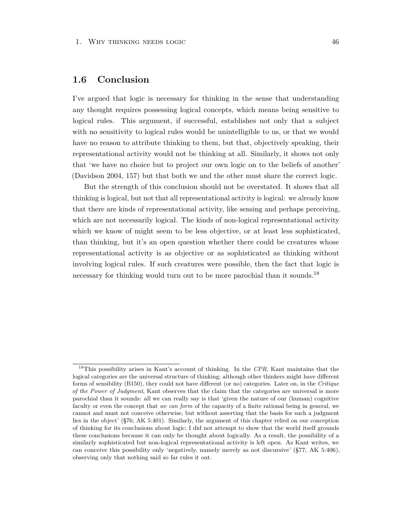# **1.6 Conclusion**

I've argued that logic is necessary for thinking in the sense that understanding any thought requires possessing logical concepts, which means being sensitive to logical rules. This argument, if successful, establishes not only that a subject with no sensitivity to logical rules would be unintelligible to us, or that we would have no reason to attribute thinking to them, but that, objectively speaking, their representational activity would not be thinking at all. Similarly, it shows not only that 'we have no choice but to project our own logic on to the beliefs of another' (Davidson 2004, 157) but that both we and the other must share the correct logic.

But the strength of this conclusion should not be overstated. It shows that all thinking is logical, but not that all representational activity is logical: we already know that there are kinds of representational activity, like sensing and perhaps perceiving, which are not necessarily logical. The kinds of non-logical representational activity which we know of might seem to be less objective, or at least less sophisticated, than thinking, but it's an open question whether there could be creatures whose representational activity is as objective or as sophisticated as thinking without involving logical rules. If such creatures were possible, then the fact that logic is necessary for thinking would turn out to be more parochial than it sounds.<sup>18</sup>

<sup>18</sup>This possibility arises in Kant's account of thinking. In the *CPR*, Kant maintains that the logical categories are the universal structure of thinking; although other thinkers might have different forms of sensibility (B150), they could not have different (or no) categories. Later on, in the *Critique of the Power of Judgment*, Kant observes that the claim that the categories are universal is more parochial than it sounds: all we can really say is that 'given the nature of our (human) cognitive faculty or even the concept that *we can form* of the capacity of a finite rational being in general, we cannot and must not conceive otherwise, but without asserting that the basis for such a judgment lies in the object' (§76; AK 5:401). Similarly, the argument of this chapter relied on our conception of thinking for its conclusions about logic; I did not attempt to show that the world itself grounds these conclusions because it can only be thought about logically. As a result, the possibility of a similarly sophisticated but non-logical representational activity is left open. As Kant writes, we can conceive this possibility only 'negatively, namely merely as not discursive' (§77; AK 5:406), observing only that nothing said so far rules it out.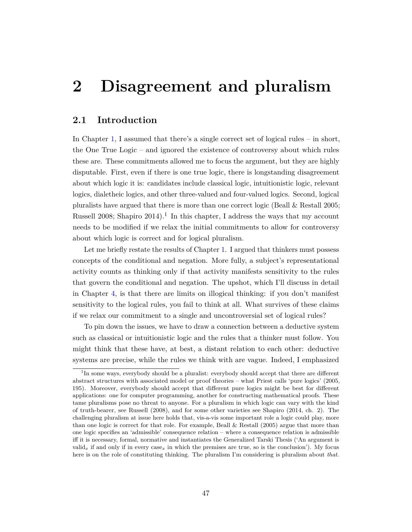# **2 Disagreement and pluralism**

# **2.1 Introduction**

In Chapter [1,](#page-22-0) I assumed that there's a single correct set of logical rules – in short, the One True Logic – and ignored the existence of controversy about which rules these are. These commitments allowed me to focus the argument, but they are highly disputable. First, even if there is one true logic, there is longstanding disagreement about which logic it is: candidates include classical logic, intuitionistic logic, relevant logics, dialetheic logics, and other three-valued and four-valued logics. Second, logical pluralists have argued that there is more than one correct logic (Beall & Restall 2005; Russell 2008; Shapiro 2014).<sup>1</sup> In this chapter, I address the ways that my account needs to be modified if we relax the initial commitments to allow for controversy about which logic is correct and for logical pluralism.

Let me briefly restate the results of Chapter [1.](#page-22-0) I argued that thinkers must possess concepts of the conditional and negation. More fully, a subject's representational activity counts as thinking only if that activity manifests sensitivity to the rules that govern the conditional and negation. The upshot, which I'll discuss in detail in Chapter [4,](#page-105-0) is that there are limits on illogical thinking: if you don't manifest sensitivity to the logical rules, you fail to think at all. What survives of these claims if we relax our commitment to a single and uncontroversial set of logical rules?

To pin down the issues, we have to draw a connection between a deductive system such as classical or intuitionistic logic and the rules that a thinker must follow. You might think that these have, at best, a distant relation to each other: deductive systems are precise, while the rules we think with are vague. Indeed, I emphasized

<sup>&</sup>lt;sup>1</sup>In some ways, everybody should be a pluralist: everybody should accept that there are different abstract structures with associated model or proof theories – what Priest calls 'pure logics' (2005, 195). Moreover, everybody should accept that different pure logics might be best for different applications: one for computer programming, another for constructing mathematical proofs. These tame pluralisms pose no threat to anyone. For a pluralism in which logic can vary with the kind of truth-bearer, see Russell (2008), and for some other varieties see Shapiro (2014, ch. 2). The challenging pluralism at issue here holds that, vis-a-vis some important role a logic could play, more than one logic is correct for that role. For example, Beall & Restall (2005) argue that more than one logic specifies an 'admissible' consequence relation – where a consequence relation is admissible iff it is necessary, formal, normative and instantiates the Generalized Tarski Thesis ('An argument is valid<sub>*x*</sub> if and only if in every case<sub>*x*</sub> in which the premises are true, so is the conclusion'). My focus here is on the role of constituting thinking. The pluralism I'm considering is pluralism about *that*.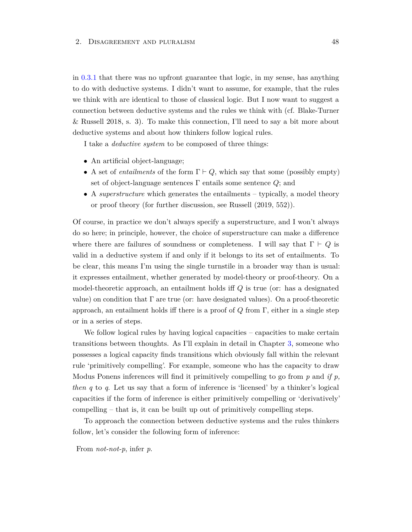in [0.3.1](#page-15-0) that there was no upfront guarantee that logic, in my sense, has anything to do with deductive systems. I didn't want to assume, for example, that the rules we think with are identical to those of classical logic. But I now want to suggest a connection between deductive systems and the rules we think with (cf. Blake-Turner & Russell 2018, s. 3). To make this connection, I'll need to say a bit more about deductive systems and about how thinkers follow logical rules.

I take a *deductive system* to be composed of three things:

- An artificial object-language;
- A set of *entailments* of the form  $\Gamma \vdash Q$ , which say that some (possibly empty) set of object-language sentences Γ entails some sentence *Q*; and
- A *superstructure* which generates the entailments typically, a model theory or proof theory (for further discussion, see Russell (2019, 552)).

Of course, in practice we don't always specify a superstructure, and I won't always do so here; in principle, however, the choice of superstructure can make a difference where there are failures of soundness or completeness. I will say that  $\Gamma \vdash Q$  is valid in a deductive system if and only if it belongs to its set of entailments. To be clear, this means I'm using the single turnstile in a broader way than is usual: it expresses entailment, whether generated by model-theory or proof-theory. On a model-theoretic approach, an entailment holds iff *Q* is true (or: has a designated value) on condition that  $\Gamma$  are true (or: have designated values). On a proof-theoretic approach, an entailment holds iff there is a proof of *Q* from Γ, either in a single step or in a series of steps.

We follow logical rules by having logical capacities – capacities to make certain transitions between thoughts. As I'll explain in detail in Chapter [3,](#page-84-0) someone who possesses a logical capacity finds transitions which obviously fall within the relevant rule 'primitively compelling'. For example, someone who has the capacity to draw Modus Ponens inferences will find it primitively compelling to go from *p* and *if p, then q* to *q*. Let us say that a form of inference is 'licensed' by a thinker's logical capacities if the form of inference is either primitively compelling or 'derivatively' compelling – that is, it can be built up out of primitively compelling steps.

To approach the connection between deductive systems and the rules thinkers follow, let's consider the following form of inference:

From *not-not-p*, infer *p*.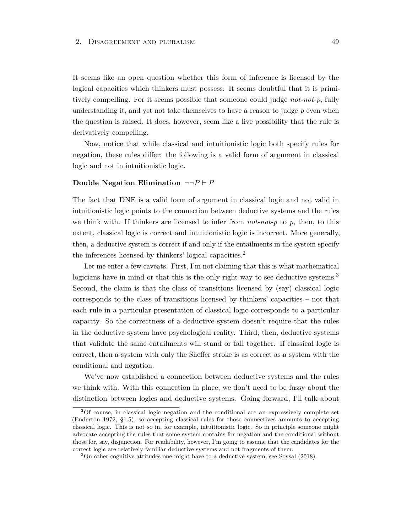It seems like an open question whether this form of inference is licensed by the logical capacities which thinkers must possess. It seems doubtful that it is primitively compelling. For it seems possible that someone could judge *not-not-p*, fully understanding it, and yet not take themselves to have a reason to judge  $p$  even when the question is raised. It does, however, seem like a live possibility that the rule is derivatively compelling.

Now, notice that while classical and intuitionistic logic both specify rules for negation, these rules differ: the following is a valid form of argument in classical logic and not in intuitionistic logic.

## **Double Negation Elimination**  $\neg\neg P \vdash P$

The fact that DNE is a valid form of argument in classical logic and not valid in intuitionistic logic points to the connection between deductive systems and the rules we think with. If thinkers are licensed to infer from *not-not-p* to *p*, then, to this extent, classical logic is correct and intuitionistic logic is incorrect. More generally, then, a deductive system is correct if and only if the entailments in the system specify the inferences licensed by thinkers' logical capacities.<sup>2</sup>

Let me enter a few caveats. First, I'm not claiming that this is what mathematical logicians have in mind or that this is the only right way to see deductive systems.<sup>3</sup> Second, the claim is that the class of transitions licensed by (say) classical logic corresponds to the class of transitions licensed by thinkers' capacities – not that each rule in a particular presentation of classical logic corresponds to a particular capacity. So the correctness of a deductive system doesn't require that the rules in the deductive system have psychological reality. Third, then, deductive systems that validate the same entailments will stand or fall together. If classical logic is correct, then a system with only the Sheffer stroke is as correct as a system with the conditional and negation.

We've now established a connection between deductive systems and the rules we think with. With this connection in place, we don't need to be fussy about the distinction between logics and deductive systems. Going forward, I'll talk about

<sup>2</sup>Of course, in classical logic negation and the conditional are an expressively complete set (Enderton 1972, §1.5), so accepting classical rules for those connectives amounts to accepting classical logic. This is not so in, for example, intuitionistic logic. So in principle someone might advocate accepting the rules that some system contains for negation and the conditional without those for, say, disjunction. For readability, however, I'm going to assume that the candidates for the correct logic are relatively familiar deductive systems and not fragments of them.

<sup>3</sup>On other cognitive attitudes one might have to a deductive system, see Soysal (2018).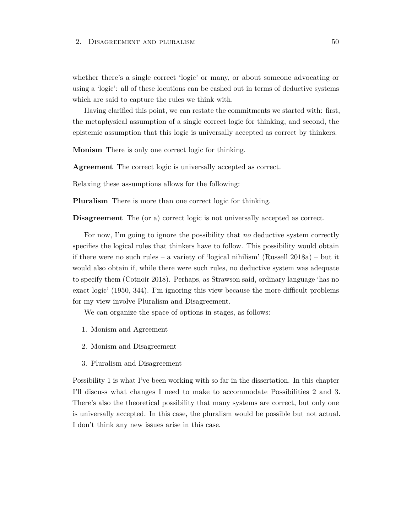whether there's a single correct 'logic' or many, or about someone advocating or using a 'logic': all of these locutions can be cashed out in terms of deductive systems which are said to capture the rules we think with.

Having clarified this point, we can restate the commitments we started with: first, the metaphysical assumption of a single correct logic for thinking, and second, the epistemic assumption that this logic is universally accepted as correct by thinkers.

**Monism** There is only one correct logic for thinking.

**Agreement** The correct logic is universally accepted as correct.

Relaxing these assumptions allows for the following:

**Pluralism** There is more than one correct logic for thinking.

**Disagreement** The (or a) correct logic is not universally accepted as correct.

For now, I'm going to ignore the possibility that *no* deductive system correctly specifies the logical rules that thinkers have to follow. This possibility would obtain if there were no such rules – a variety of 'logical nihilism' (Russell 2018a) – but it would also obtain if, while there were such rules, no deductive system was adequate to specify them (Cotnoir 2018). Perhaps, as Strawson said, ordinary language 'has no exact logic' (1950, 344). I'm ignoring this view because the more difficult problems for my view involve Pluralism and Disagreement.

We can organize the space of options in stages, as follows:

- 1. Monism and Agreement
- 2. Monism and Disagreement
- 3. Pluralism and Disagreement

Possibility 1 is what I've been working with so far in the dissertation. In this chapter I'll discuss what changes I need to make to accommodate Possibilities 2 and 3. There's also the theoretical possibility that many systems are correct, but only one is universally accepted. In this case, the pluralism would be possible but not actual. I don't think any new issues arise in this case.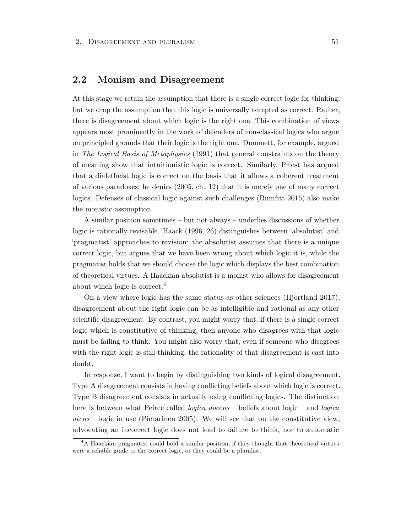# **2.2 Monism and Disagreement**

At this stage we retain the assumption that there is a single correct logic for thinking, but we drop the assumption that this logic is universally accepted as correct. Rather, there is disagreement about which logic is the right one. This combination of views appears most prominently in the work of defenders of non-classical logics who argue on principled grounds that their logic is the right one. Dummett, for example, argued in *The Logical Basis of Metaphysics* (1991) that general constraints on the theory of meaning show that intuitionistic logic is correct. Similarly, Priest has argued that a dialetheist logic is correct on the basis that it allows a coherent treatment of various paradoxes; he denies (2005, ch. 12) that it is merely one of many correct logics. Defenses of classical logic against such challenges (Rumfitt 2015) also make the monistic assumption.

A similar position sometimes – but not always – underlies discussions of whether logic is rationally revisable. Haack (1996, 26) distinguishes between 'absolutist' and 'pragmatist' approaches to revision: the absolutist assumes that there is a unique correct logic, but argues that we have been wrong about which logic it is, while the pragmatist holds that we should choose the logic which displays the best combination of theoretical virtues. A Haackian absolutist is a monist who allows for disagreement about which logic is correct.<sup>4</sup>

On a view where logic has the same status as other sciences (Hjortland 2017), disagreement about the right logic can be as intelligible and rational as any other scientific disagreement. By contrast, you might worry that, if there is a single correct logic which is constitutive of thinking, then anyone who disagrees with that logic must be failing to think. You might also worry that, even if someone who disagrees with the right logic is still thinking, the rationality of that disagreement is cast into doubt.

In response, I want to begin by distinguishing two kinds of logical disagreement. Type A disagreement consists in having conflicting beliefs about which logic is correct. Type B disagreement consists in actually using conflicting logics. The distinction here is between what Peirce called *logica docens* – beliefs about logic – and *logica utens* – logic in use (Pietarinen 2005). We will see that on the constitutive view, advocating an incorrect logic does not lead to failure to think, nor to automatic

<sup>&</sup>lt;sup>4</sup>A Haackian pragmatist could hold a similar position, if they thought that theoretical virtues were a reliable guide to the correct logic, or they could be a pluralist.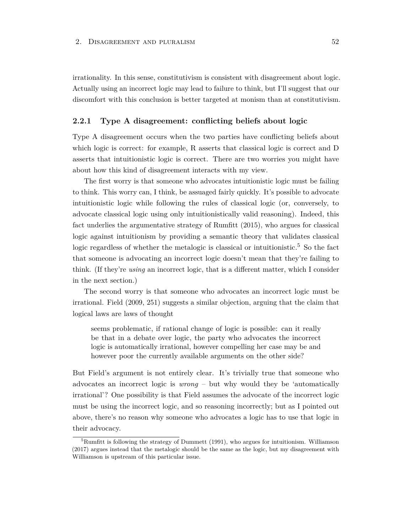irrationality. In this sense, constitutivism is consistent with disagreement about logic. Actually using an incorrect logic may lead to failure to think, but I'll suggest that our discomfort with this conclusion is better targeted at monism than at constitutivism.

# **2.2.1 Type A disagreement: conflicting beliefs about logic**

Type A disagreement occurs when the two parties have conflicting beliefs about which logic is correct: for example, R asserts that classical logic is correct and D asserts that intuitionistic logic is correct. There are two worries you might have about how this kind of disagreement interacts with my view.

The first worry is that someone who advocates intuitionistic logic must be failing to think. This worry can, I think, be assuaged fairly quickly. It's possible to advocate intuitionistic logic while following the rules of classical logic (or, conversely, to advocate classical logic using only intuitionistically valid reasoning). Indeed, this fact underlies the argumentative strategy of Rumfitt (2015), who argues for classical logic against intuitionism by providing a semantic theory that validates classical logic regardless of whether the metalogic is classical or intuitionistic.<sup>5</sup> So the fact that someone is advocating an incorrect logic doesn't mean that they're failing to think. (If they're *using* an incorrect logic, that is a different matter, which I consider in the next section.)

The second worry is that someone who advocates an incorrect logic must be irrational. Field (2009, 251) suggests a similar objection, arguing that the claim that logical laws are laws of thought

seems problematic, if rational change of logic is possible: can it really be that in a debate over logic, the party who advocates the incorrect logic is automatically irrational, however compelling her case may be and however poor the currently available arguments on the other side?

But Field's argument is not entirely clear. It's trivially true that someone who advocates an incorrect logic is *wrong* – but why would they be 'automatically irrational'? One possibility is that Field assumes the advocate of the incorrect logic must be using the incorrect logic, and so reasoning incorrectly; but as I pointed out above, there's no reason why someone who advocates a logic has to use that logic in their advocacy.

<sup>&</sup>lt;sup>5</sup>Rumfitt is following the strategy of Dummett (1991), who argues for intuitionism. Williamson (2017) argues instead that the metalogic should be the same as the logic, but my disagreement with Williamson is upstream of this particular issue.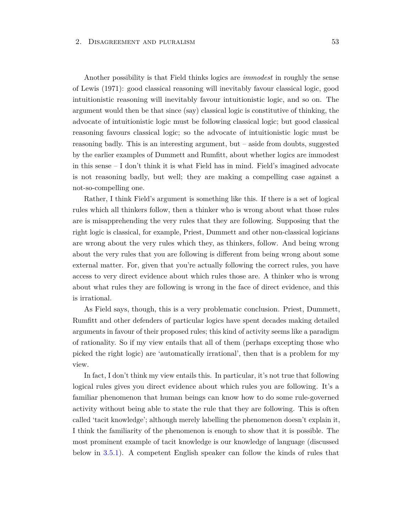Another possibility is that Field thinks logics are *immodest* in roughly the sense of Lewis (1971): good classical reasoning will inevitably favour classical logic, good intuitionistic reasoning will inevitably favour intuitionistic logic, and so on. The argument would then be that since (say) classical logic is constitutive of thinking, the advocate of intuitionistic logic must be following classical logic; but good classical reasoning favours classical logic; so the advocate of intuitionistic logic must be reasoning badly. This is an interesting argument, but – aside from doubts, suggested by the earlier examples of Dummett and Rumfitt, about whether logics are immodest in this sense  $-1$  don't think it is what Field has in mind. Field's imagined advocate is not reasoning badly, but well; they are making a compelling case against a not-so-compelling one.

Rather, I think Field's argument is something like this. If there is a set of logical rules which all thinkers follow, then a thinker who is wrong about what those rules are is misapprehending the very rules that they are following. Supposing that the right logic is classical, for example, Priest, Dummett and other non-classical logicians are wrong about the very rules which they, as thinkers, follow. And being wrong about the very rules that you are following is different from being wrong about some external matter. For, given that you're actually following the correct rules, you have access to very direct evidence about which rules those are. A thinker who is wrong about what rules they are following is wrong in the face of direct evidence, and this is irrational.

As Field says, though, this is a very problematic conclusion. Priest, Dummett, Rumfitt and other defenders of particular logics have spent decades making detailed arguments in favour of their proposed rules; this kind of activity seems like a paradigm of rationality. So if my view entails that all of them (perhaps excepting those who picked the right logic) are 'automatically irrational', then that is a problem for my view.

In fact, I don't think my view entails this. In particular, it's not true that following logical rules gives you direct evidence about which rules you are following. It's a familiar phenomenon that human beings can know how to do some rule-governed activity without being able to state the rule that they are following. This is often called 'tacit knowledge'; although merely labelling the phenomenon doesn't explain it, I think the familiarity of the phenomenon is enough to show that it is possible. The most prominent example of tacit knowledge is our knowledge of language (discussed below in [3.5.1\)](#page-99-0). A competent English speaker can follow the kinds of rules that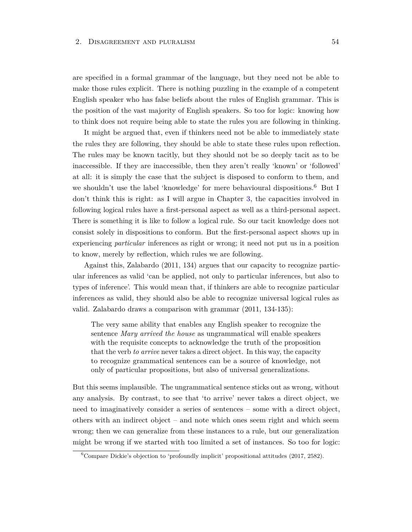are specified in a formal grammar of the language, but they need not be able to make those rules explicit. There is nothing puzzling in the example of a competent English speaker who has false beliefs about the rules of English grammar. This is the position of the vast majority of English speakers. So too for logic: knowing how to think does not require being able to state the rules you are following in thinking.

It might be argued that, even if thinkers need not be able to immediately state the rules they are following, they should be able to state these rules upon reflection. The rules may be known tacitly, but they should not be so deeply tacit as to be inaccessible. If they are inaccessible, then they aren't really 'known' or 'followed' at all: it is simply the case that the subject is disposed to conform to them, and we shouldn't use the label 'knowledge' for mere behavioural dispositions.<sup>6</sup> But I don't think this is right: as I will argue in Chapter [3,](#page-84-0) the capacities involved in following logical rules have a first-personal aspect as well as a third-personal aspect. There is something it is like to follow a logical rule. So our tacit knowledge does not consist solely in dispositions to conform. But the first-personal aspect shows up in experiencing *particular* inferences as right or wrong; it need not put us in a position to know, merely by reflection, which rules we are following.

Against this, Zalabardo (2011, 134) argues that our capacity to recognize particular inferences as valid 'can be applied, not only to particular inferences, but also to types of inference'. This would mean that, if thinkers are able to recognize particular inferences as valid, they should also be able to recognize universal logical rules as valid. Zalabardo draws a comparison with grammar (2011, 134-135):

The very same ability that enables any English speaker to recognize the sentence *Mary arrived the house* as ungrammatical will enable speakers with the requisite concepts to acknowledge the truth of the proposition that the verb *to arrive* never takes a direct object. In this way, the capacity to recognize grammatical sentences can be a source of knowledge, not only of particular propositions, but also of universal generalizations.

But this seems implausible. The ungrammatical sentence sticks out as wrong, without any analysis. By contrast, to see that 'to arrive' never takes a direct object, we need to imaginatively consider a series of sentences – some with a direct object, others with an indirect object – and note which ones seem right and which seem wrong; then we can generalize from these instances to a rule, but our generalization might be wrong if we started with too limited a set of instances. So too for logic:

<sup>6</sup>Compare Dickie's objection to 'profoundly implicit' propositional attitudes (2017, 2582).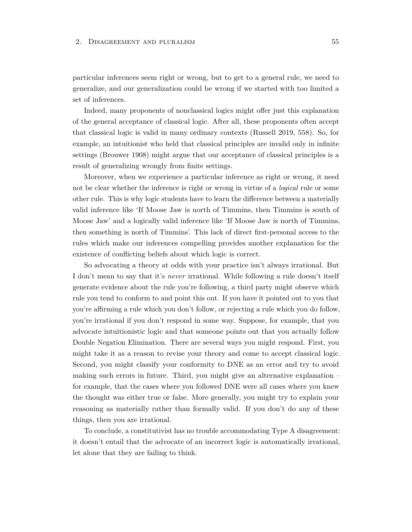particular inferences seem right or wrong, but to get to a general rule, we need to generalize, and our generalization could be wrong if we started with too limited a set of inferences.

Indeed, many proponents of nonclassical logics might offer just this explanation of the general acceptance of classical logic. After all, these proponents often accept that classical logic is valid in many ordinary contexts (Russell 2019, 558). So, for example, an intuitionist who held that classical principles are invalid only in infinite settings (Brouwer 1908) might argue that our acceptance of classical principles is a result of generalizing wrongly from finite settings.

Moreover, when we experience a particular inference as right or wrong, it need not be clear whether the inference is right or wrong in virtue of a *logical* rule or some other rule. This is why logic students have to learn the difference between a materially valid inference like 'If Moose Jaw is north of Timmins, then Timmins is south of Moose Jaw' and a logically valid inference like 'If Moose Jaw is north of Timmins, then something is north of Timmins'. This lack of direct first-personal access to the rules which make our inferences compelling provides another explanation for the existence of conflicting beliefs about which logic is correct.

So advocating a theory at odds with your practice isn't always irrational. But I don't mean to say that it's *never* irrational. While following a rule doesn't itself generate evidence about the rule you're following, a third party might observe which rule you tend to conform to and point this out. If you have it pointed out to you that you're affirming a rule which you don't follow, or rejecting a rule which you do follow, you're irrational if you don't respond in some way. Suppose, for example, that you advocate intuitionistic logic and that someone points out that you actually follow Double Negation Elimination. There are several ways you might respond. First, you might take it as a reason to revise your theory and come to accept classical logic. Second, you might classify your conformity to DNE as an error and try to avoid making such errors in future. Third, you might give an alternative explanation – for example, that the cases where you followed DNE were all cases where you knew the thought was either true or false. More generally, you might try to explain your reasoning as materially rather than formally valid. If you don't do any of these things, then you are irrational.

To conclude, a constitutivist has no trouble accommodating Type A disagreement: it doesn't entail that the advocate of an incorrect logic is automatically irrational, let alone that they are failing to think.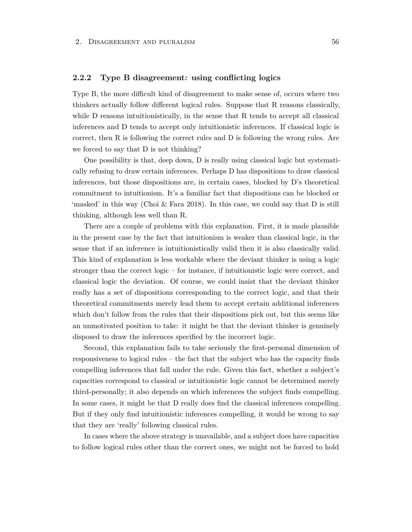## **2.2.2 Type B disagreement: using conflicting logics**

Type B, the more difficult kind of disagreement to make sense of, occurs where two thinkers actually follow different logical rules. Suppose that R reasons classically, while D reasons intuitionistically, in the sense that R tends to accept all classical inferences and D tends to accept only intuitionistic inferences. If classical logic is correct, then R is following the correct rules and D is following the wrong rules. Are we forced to say that D is not thinking?

One possibility is that, deep down, D is really using classical logic but systematically refusing to draw certain inferences. Perhaps D has dispositions to draw classical inferences, but those dispositions are, in certain cases, blocked by D's theoretical commitment to intuitionism. It's a familiar fact that dispositions can be blocked or 'masked' in this way (Choi & Fara 2018). In this case, we could say that D is still thinking, although less well than R.

There are a couple of problems with this explanation. First, it is made plausible in the present case by the fact that intuitionism is weaker than classical logic, in the sense that if an inference is intuitionistically valid then it is also classically valid. This kind of explanation is less workable where the deviant thinker is using a logic stronger than the correct logic – for instance, if intuitionistic logic were correct, and classical logic the deviation. Of course, we could insist that the deviant thinker really has a set of dispositions corresponding to the correct logic, and that their theoretical commitments merely lead them to accept certain additional inferences which don't follow from the rules that their dispositions pick out, but this seems like an unmotivated position to take: it might be that the deviant thinker is genuinely disposed to draw the inferences specified by the incorrect logic.

Second, this explanation fails to take seriously the first-personal dimension of responsiveness to logical rules – the fact that the subject who has the capacity finds compelling inferences that fall under the rule. Given this fact, whether a subject's capacities correspond to classical or intuitionistic logic cannot be determined merely third-personally; it also depends on which inferences the subject finds compelling. In some cases, it might be that D really does find the classical inferences compelling. But if they only find intuitionistic inferences compelling, it would be wrong to say that they are 'really' following classical rules.

In cases where the above strategy is unavailable, and a subject does have capacities to follow logical rules other than the correct ones, we might not be forced to hold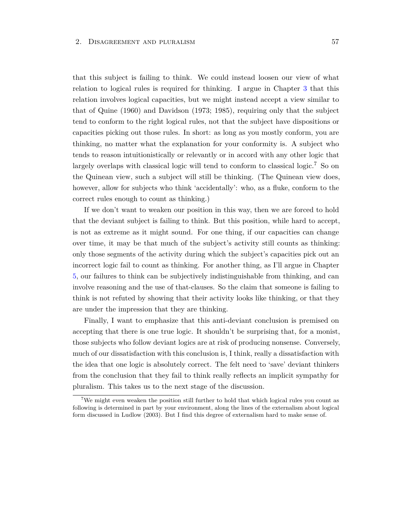that this subject is failing to think. We could instead loosen our view of what relation to logical rules is required for thinking. I argue in Chapter [3](#page-84-0) that this relation involves logical capacities, but we might instead accept a view similar to that of Quine (1960) and Davidson (1973; 1985), requiring only that the subject tend to conform to the right logical rules, not that the subject have dispositions or capacities picking out those rules. In short: as long as you mostly conform, you are thinking, no matter what the explanation for your conformity is. A subject who tends to reason intuitionistically or relevantly or in accord with any other logic that largely overlaps with classical logic will tend to conform to classical logic.<sup>7</sup> So on the Quinean view, such a subject will still be thinking. (The Quinean view does, however, allow for subjects who think 'accidentally': who, as a fluke, conform to the correct rules enough to count as thinking.)

If we don't want to weaken our position in this way, then we are forced to hold that the deviant subject is failing to think. But this position, while hard to accept, is not as extreme as it might sound. For one thing, if our capacities can change over time, it may be that much of the subject's activity still counts as thinking: only those segments of the activity during which the subject's capacities pick out an incorrect logic fail to count as thinking. For another thing, as I'll argue in Chapter [5,](#page-120-0) our failures to think can be subjectively indistinguishable from thinking, and can involve reasoning and the use of that-clauses. So the claim that someone is failing to think is not refuted by showing that their activity looks like thinking, or that they are under the impression that they are thinking.

Finally, I want to emphasize that this anti-deviant conclusion is premised on accepting that there is one true logic. It shouldn't be surprising that, for a monist, those subjects who follow deviant logics are at risk of producing nonsense. Conversely, much of our dissatisfaction with this conclusion is, I think, really a dissatisfaction with the idea that one logic is absolutely correct. The felt need to 'save' deviant thinkers from the conclusion that they fail to think really reflects an implicit sympathy for pluralism. This takes us to the next stage of the discussion.

<sup>&</sup>lt;sup>7</sup>We might even weaken the position still further to hold that which logical rules you count as following is determined in part by your environment, along the lines of the externalism about logical form discussed in Ludlow (2003). But I find this degree of externalism hard to make sense of.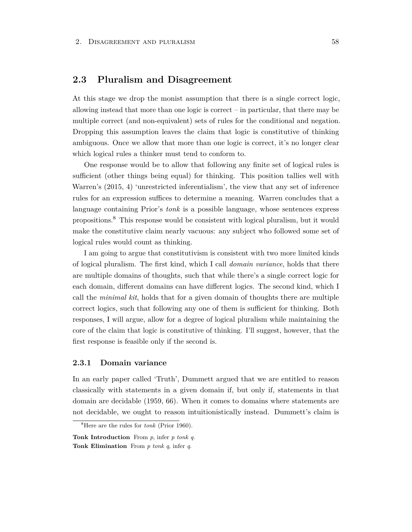# **2.3 Pluralism and Disagreement**

At this stage we drop the monist assumption that there is a single correct logic, allowing instead that more than one logic is correct – in particular, that there may be multiple correct (and non-equivalent) sets of rules for the conditional and negation. Dropping this assumption leaves the claim that logic is constitutive of thinking ambiguous. Once we allow that more than one logic is correct, it's no longer clear which logical rules a thinker must tend to conform to.

One response would be to allow that following any finite set of logical rules is sufficient (other things being equal) for thinking. This position tallies well with Warren's (2015, 4) 'unrestricted inferentialism', the view that any set of inference rules for an expression suffices to determine a meaning. Warren concludes that a language containing Prior's *tonk* is a possible language, whose sentences express propositions.<sup>8</sup> This response would be consistent with logical pluralism, but it would make the constitutive claim nearly vacuous: any subject who followed some set of logical rules would count as thinking.

I am going to argue that constitutivism is consistent with two more limited kinds of logical pluralism. The first kind, which I call *domain variance*, holds that there are multiple domains of thoughts, such that while there's a single correct logic for each domain, different domains can have different logics. The second kind, which I call the *minimal kit*, holds that for a given domain of thoughts there are multiple correct logics, such that following any one of them is sufficient for thinking. Both responses, I will argue, allow for a degree of logical pluralism while maintaining the core of the claim that logic is constitutive of thinking. I'll suggest, however, that the first response is feasible only if the second is.

### **2.3.1 Domain variance**

In an early paper called 'Truth', Dummett argued that we are entitled to reason classically with statements in a given domain if, but only if, statements in that domain are decidable (1959, 66). When it comes to domains where statements are not decidable, we ought to reason intuitionistically instead. Dummett's claim is

<sup>8</sup>Here are the rules for *tonk* (Prior 1960).

**Tonk Introduction** From *p*, infer *p tonk q*. **Tonk Elimination** From *p tonk q*, infer *q*.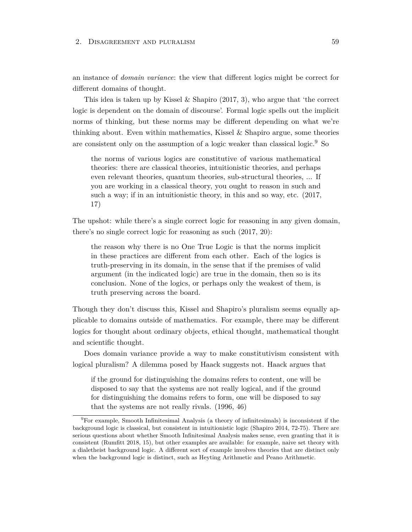an instance of *domain variance*: the view that different logics might be correct for different domains of thought.

This idea is taken up by Kissel  $\&$  Shapiro (2017, 3), who argue that 'the correct logic is dependent on the domain of discourse'. Formal logic spells out the implicit norms of thinking, but these norms may be different depending on what we're thinking about. Even within mathematics, Kissel  $\&$  Shapiro argue, some theories are consistent only on the assumption of a logic weaker than classical logic.<sup>9</sup> So

the norms of various logics are constitutive of various mathematical theories: there are classical theories, intuitionistic theories, and perhaps even relevant theories, quantum theories, sub-structural theories, ... If you are working in a classical theory, you ought to reason in such and such a way; if in an intuitionistic theory, in this and so way, etc. (2017, 17)

The upshot: while there's a single correct logic for reasoning in any given domain, there's no single correct logic for reasoning as such (2017, 20):

the reason why there is no One True Logic is that the norms implicit in these practices are different from each other. Each of the logics is truth-preserving in its domain, in the sense that if the premises of valid argument (in the indicated logic) are true in the domain, then so is its conclusion. None of the logics, or perhaps only the weakest of them, is truth preserving across the board.

Though they don't discuss this, Kissel and Shapiro's pluralism seems equally applicable to domains outside of mathematics. For example, there may be different logics for thought about ordinary objects, ethical thought, mathematical thought and scientific thought.

Does domain variance provide a way to make constitutivism consistent with logical pluralism? A dilemma posed by Haack suggests not. Haack argues that

if the ground for distinguishing the domains refers to content, one will be disposed to say that the systems are not really logical, and if the ground for distinguishing the domains refers to form, one will be disposed to say that the systems are not really rivals. (1996, 46)

 $9$ For example, Smooth Infinitesimal Analysis (a theory of infinitesimals) is inconsistent if the background logic is classical, but consistent in intuitionistic logic (Shapiro 2014, 72-75). There are serious questions about whether Smooth Infinitesimal Analysis makes sense, even granting that it is consistent (Rumfitt 2018, 15), but other examples are available: for example, naive set theory with a dialetheist background logic. A different sort of example involves theories that are distinct only when the background logic is distinct, such as Heyting Arithmetic and Peano Arithmetic.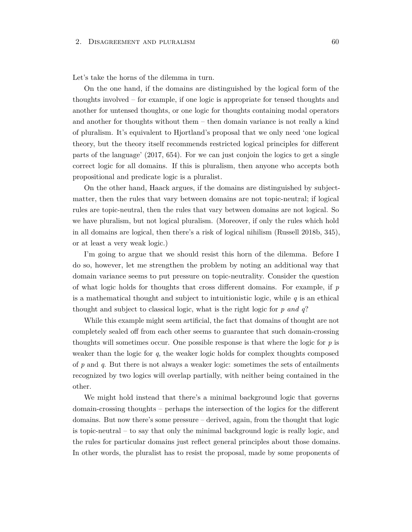Let's take the horns of the dilemma in turn.

On the one hand, if the domains are distinguished by the logical form of the thoughts involved – for example, if one logic is appropriate for tensed thoughts and another for untensed thoughts, or one logic for thoughts containing modal operators and another for thoughts without them – then domain variance is not really a kind of pluralism. It's equivalent to Hjortland's proposal that we only need 'one logical theory, but the theory itself recommends restricted logical principles for different parts of the language' (2017, 654). For we can just conjoin the logics to get a single correct logic for all domains. If this is pluralism, then anyone who accepts both propositional and predicate logic is a pluralist.

On the other hand, Haack argues, if the domains are distinguished by subjectmatter, then the rules that vary between domains are not topic-neutral; if logical rules are topic-neutral, then the rules that vary between domains are not logical. So we have pluralism, but not logical pluralism. (Moreover, if only the rules which hold in all domains are logical, then there's a risk of logical nihilism (Russell 2018b, 345), or at least a very weak logic.)

I'm going to argue that we should resist this horn of the dilemma. Before I do so, however, let me strengthen the problem by noting an additional way that domain variance seems to put pressure on topic-neutrality. Consider the question of what logic holds for thoughts that cross different domains. For example, if *p* is a mathematical thought and subject to intuitionistic logic, while *q* is an ethical thought and subject to classical logic, what is the right logic for *p and q*?

While this example might seem artificial, the fact that domains of thought are not completely sealed off from each other seems to guarantee that such domain-crossing thoughts will sometimes occur. One possible response is that where the logic for *p* is weaker than the logic for *q*, the weaker logic holds for complex thoughts composed of *p* and *q*. But there is not always a weaker logic: sometimes the sets of entailments recognized by two logics will overlap partially, with neither being contained in the other.

We might hold instead that there's a minimal background logic that governs domain-crossing thoughts – perhaps the intersection of the logics for the different domains. But now there's some pressure – derived, again, from the thought that logic is topic-neutral – to say that only the minimal background logic is really logic, and the rules for particular domains just reflect general principles about those domains. In other words, the pluralist has to resist the proposal, made by some proponents of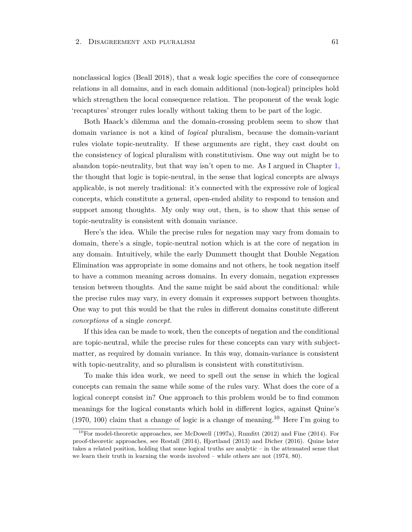nonclassical logics (Beall 2018), that a weak logic specifies the core of consequence relations in all domains, and in each domain additional (non-logical) principles hold which strengthen the local consequence relation. The proponent of the weak logic 'recaptures' stronger rules locally without taking them to be part of the logic.

Both Haack's dilemma and the domain-crossing problem seem to show that domain variance is not a kind of *logical* pluralism, because the domain-variant rules violate topic-neutrality. If these arguments are right, they cast doubt on the consistency of logical pluralism with constitutivism. One way out might be to abandon topic-neutrality, but that way isn't open to me. As I argued in Chapter [1,](#page-22-0) the thought that logic is topic-neutral, in the sense that logical concepts are always applicable, is not merely traditional: it's connected with the expressive role of logical concepts, which constitute a general, open-ended ability to respond to tension and support among thoughts. My only way out, then, is to show that this sense of topic-neutrality is consistent with domain variance.

Here's the idea. While the precise rules for negation may vary from domain to domain, there's a single, topic-neutral notion which is at the core of negation in any domain. Intuitively, while the early Dummett thought that Double Negation Elimination was appropriate in some domains and not others, he took negation itself to have a common meaning across domains. In every domain, negation expresses tension between thoughts. And the same might be said about the conditional: while the precise rules may vary, in every domain it expresses support between thoughts. One way to put this would be that the rules in different domains constitute different *conceptions* of a single *concept*.

If this idea can be made to work, then the concepts of negation and the conditional are topic-neutral, while the precise rules for these concepts can vary with subjectmatter, as required by domain variance. In this way, domain-variance is consistent with topic-neutrality, and so pluralism is consistent with constitutivism.

To make this idea work, we need to spell out the sense in which the logical concepts can remain the same while some of the rules vary. What does the core of a logical concept consist in? One approach to this problem would be to find common meanings for the logical constants which hold in different logics, against Quine's  $(1970, 100)$  claim that a change of logic is a change of meaning.<sup>10</sup> Here I'm going to

<sup>&</sup>lt;sup>10</sup>For model-theoretic approaches, see McDowell (1997a), Rumfitt (2012) and Fine (2014). For proof-theoretic approaches, see Restall (2014), Hjortland (2013) and Dicher (2016). Quine later takes a related position, holding that some logical truths are analytic – in the attenuated sense that we learn their truth in learning the words involved – while others are not (1974, 80).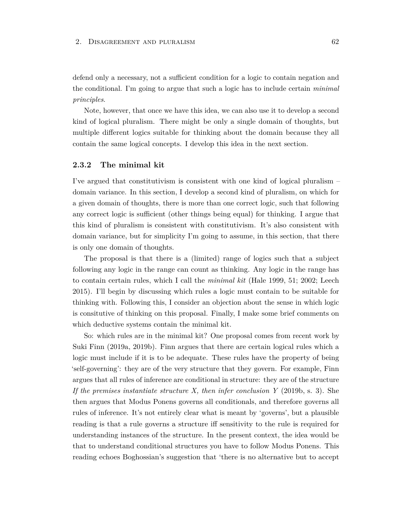defend only a necessary, not a sufficient condition for a logic to contain negation and the conditional. I'm going to argue that such a logic has to include certain *minimal principles*.

Note, however, that once we have this idea, we can also use it to develop a second kind of logical pluralism. There might be only a single domain of thoughts, but multiple different logics suitable for thinking about the domain because they all contain the same logical concepts. I develop this idea in the next section.

# **2.3.2 The minimal kit**

I've argued that constitutivism is consistent with one kind of logical pluralism – domain variance. In this section, I develop a second kind of pluralism, on which for a given domain of thoughts, there is more than one correct logic, such that following any correct logic is sufficient (other things being equal) for thinking. I argue that this kind of pluralism is consistent with constitutivism. It's also consistent with domain variance, but for simplicity I'm going to assume, in this section, that there is only one domain of thoughts.

The proposal is that there is a (limited) range of logics such that a subject following any logic in the range can count as thinking. Any logic in the range has to contain certain rules, which I call the *minimal kit* (Hale 1999, 51; 2002; Leech 2015). I'll begin by discussing which rules a logic must contain to be suitable for thinking with. Following this, I consider an objection about the sense in which logic is consitutive of thinking on this proposal. Finally, I make some brief comments on which deductive systems contain the minimal kit.

So: which rules are in the minimal kit? One proposal comes from recent work by Suki Finn (2019a, 2019b). Finn argues that there are certain logical rules which a logic must include if it is to be adequate. These rules have the property of being 'self-governing': they are of the very structure that they govern. For example, Finn argues that all rules of inference are conditional in structure: they are of the structure *If the premises instantiate structure X, then infer conclusion Y* (2019b, s. 3). She then argues that Modus Ponens governs all conditionals, and therefore governs all rules of inference. It's not entirely clear what is meant by 'governs', but a plausible reading is that a rule governs a structure iff sensitivity to the rule is required for understanding instances of the structure. In the present context, the idea would be that to understand conditional structures you have to follow Modus Ponens. This reading echoes Boghossian's suggestion that 'there is no alternative but to accept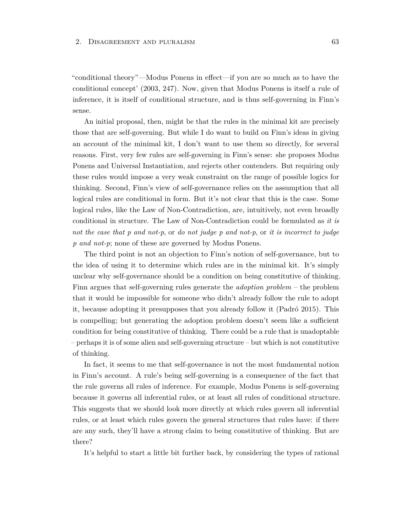"conditional theory"—Modus Ponens in effect—if you are so much as to have the conditional concept' (2003, 247). Now, given that Modus Ponens is itself a rule of inference, it is itself of conditional structure, and is thus self-governing in Finn's sense.

An initial proposal, then, might be that the rules in the minimal kit are precisely those that are self-governing. But while I do want to build on Finn's ideas in giving an account of the minimal kit, I don't want to use them so directly, for several reasons. First, very few rules are self-governing in Finn's sense: she proposes Modus Ponens and Universal Instantiation, and rejects other contenders. But requiring only these rules would impose a very weak constraint on the range of possible logics for thinking. Second, Finn's view of self-governance relies on the assumption that all logical rules are conditional in form. But it's not clear that this is the case. Some logical rules, like the Law of Non-Contradiction, are, intuitively, not even broadly conditional in structure. The Law of Non-Contradiction could be formulated as *it is not the case that p and not-p*, or *do not judge p and not-p*, or *it is incorrect to judge p and not-p*; none of these are governed by Modus Ponens.

The third point is not an objection to Finn's notion of self-governance, but to the idea of using it to determine which rules are in the minimal kit. It's simply unclear why self-governance should be a condition on being constitutive of thinking. Finn argues that self-governing rules generate the *adoption problem* – the problem that it would be impossible for someone who didn't already follow the rule to adopt it, because adopting it presupposes that you already follow it (Padró 2015). This is compelling; but generating the adoption problem doesn't seem like a sufficient condition for being constitutive of thinking. There could be a rule that is unadoptable – perhaps it is of some alien and self-governing structure – but which is not constitutive of thinking.

In fact, it seems to me that self-governance is not the most fundamental notion in Finn's account. A rule's being self-governing is a consequence of the fact that the rule governs all rules of inference. For example, Modus Ponens is self-governing because it governs all inferential rules, or at least all rules of conditional structure. This suggests that we should look more directly at which rules govern all inferential rules, or at least which rules govern the general structures that rules have: if there are any such, they'll have a strong claim to being constitutive of thinking. But are there?

It's helpful to start a little bit further back, by considering the types of rational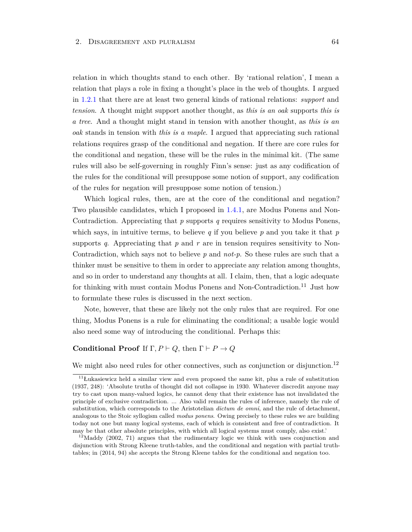relation in which thoughts stand to each other. By 'rational relation', I mean a relation that plays a role in fixing a thought's place in the web of thoughts. I argued in [1.2.1](#page-26-0) that there are at least two general kinds of rational relations: *support* and *tension*. A thought might support another thought, as *this is an oak* supports *this is a tree*. And a thought might stand in tension with another thought, as *this is an oak* stands in tension with *this is a maple*. I argued that appreciating such rational relations requires grasp of the conditional and negation. If there are core rules for the conditional and negation, these will be the rules in the minimal kit. (The same rules will also be self-governing in roughly Finn's sense: just as any codification of the rules for the conditional will presuppose some notion of support, any codification of the rules for negation will presuppose some notion of tension.)

Which logical rules, then, are at the core of the conditional and negation? Two plausible candidates, which I proposed in [1.4.1,](#page-40-0) are Modus Ponens and Non-Contradiction. Appreciating that *p* supports *q* requires sensitivity to Modus Ponens, which says, in intuitive terms, to believe *q* if you believe *p* and you take it that *p* supports  $q$ . Appreciating that  $p$  and  $r$  are in tension requires sensitivity to Non-Contradiction, which says not to believe *p* and *not-p*. So these rules are such that a thinker must be sensitive to them in order to appreciate any relation among thoughts, and so in order to understand any thoughts at all. I claim, then, that a logic adequate for thinking with must contain Modus Ponens and Non-Contradiction.<sup>11</sup> Just how to formulate these rules is discussed in the next section.

Note, however, that these are likely not the only rules that are required. For one thing, Modus Ponens is a rule for eliminating the conditional; a usable logic would also need some way of introducing the conditional. Perhaps this:

# **Conditional Proof** If  $\Gamma, P \vdash Q$ , then  $\Gamma \vdash P \rightarrow Q$

We might also need rules for other connectives, such as conjunction or disjunction.<sup>12</sup>

<sup>&</sup>lt;sup>11</sup>Łukasiewicz held a similar view and even proposed the same kit, plus a rule of substitution (1937, 248): 'Absolute truths of thought did not collapse in 1930. Whatever discredit anyone may try to cast upon many-valued logics, he cannot deny that their existence has not invalidated the principle of exclusive contradiction. ... Also valid remain the rules of inference, namely the rule of substitution, which corresponds to the Aristotelian *dictum de omni*, and the rule of detachment, analogous to the Stoic syllogism called *modus ponens*. Owing precisely to these rules we are building today not one but many logical systems, each of which is consistent and free of contradiction. It may be that other absolute principles, with which all logical systems must comply, also exist.'

 $12$ Maddy (2002, 71) argues that the rudimentary logic we think with uses conjunction and disjunction with Strong Kleene truth-tables, and the conditional and negation with partial truthtables; in (2014, 94) she accepts the Strong Kleene tables for the conditional and negation too.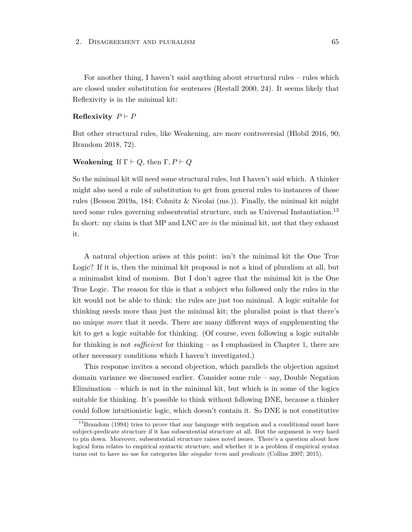For another thing, I haven't said anything about structural rules – rules which are closed under substitution for sentences (Restall 2000, 24). It seems likely that Reflexivity is in the minimal kit:

# **Reflexivity**  $P \vdash P$

But other structural rules, like Weakening, are more controversial (Hlobil 2016, 90; Brandom 2018, 72).

## **Weakening** If  $\Gamma \vdash Q$ , then  $\Gamma, P \vdash Q$

So the minimal kit will need some structural rules, but I haven't said which. A thinker might also need a rule of substitution to get from general rules to instances of those rules (Besson 2019a, 184; Cohnitz & Nicolai (ms.)). Finally, the minimal kit might need some rules governing subsentential structure, such as Universal Instantiation.<sup>13</sup> In short: my claim is that MP and LNC are *in* the minimal kit, not that they exhaust it.

A natural objection arises at this point: isn't the minimal kit the One True Logic? If it is, then the minimal kit proposal is not a kind of pluralism at all, but a minimalist kind of monism. But I don't agree that the minimal kit is the One True Logic. The reason for this is that a subject who followed only the rules in the kit would not be able to think: the rules are just too minimal. A logic suitable for thinking needs more than just the minimal kit; the pluralist point is that there's no unique *more* that it needs. There are many different ways of supplementing the kit to get a logic suitable for thinking. (Of course, even following a logic suitable for thinking is not *sufficient* for thinking – as I emphasized in Chapter [1,](#page-22-0) there are other necessary conditions which I haven't investigated.)

This response invites a second objection, which parallels the objection against domain variance we discussed earlier. Consider some rule – say, Double Negation Elimination – which is not in the minimal kit, but which is in some of the logics suitable for thinking. It's possible to think without following DNE, because a thinker could follow intuitionistic logic, which doesn't contain it. So DNE is not constitutive

<sup>&</sup>lt;sup>13</sup>Brandom (1994) tries to prove that any language with negation and a conditional must have subject-predicate structure if it has subsentential structure at all. But the argument is very hard to pin down. Moreover, subsentential structure raises novel issues. There's a question about how logical form relates to empirical syntactic structure, and whether it is a problem if empirical syntax turns out to have no use for categories like *singular term* and *predicate* (Collins 2007; 2015).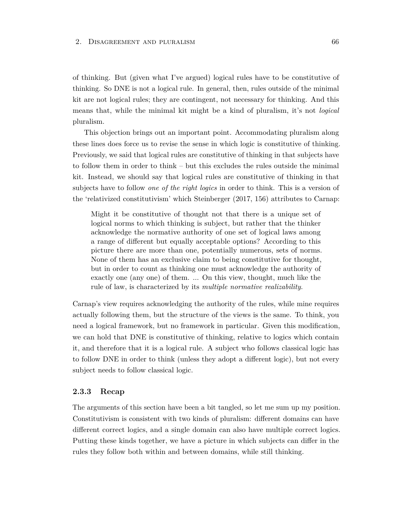of thinking. But (given what I've argued) logical rules have to be constitutive of thinking. So DNE is not a logical rule. In general, then, rules outside of the minimal kit are not logical rules; they are contingent, not necessary for thinking. And this means that, while the minimal kit might be a kind of pluralism, it's not *logical* pluralism.

This objection brings out an important point. Accommodating pluralism along these lines does force us to revise the sense in which logic is constitutive of thinking. Previously, we said that logical rules are constitutive of thinking in that subjects have to follow them in order to think – but this excludes the rules outside the minimal kit. Instead, we should say that logical rules are constitutive of thinking in that subjects have to follow *one of the right logics* in order to think. This is a version of the 'relativized constitutivism' which Steinberger (2017, 156) attributes to Carnap:

Might it be constitutive of thought not that there is a unique set of logical norms to which thinking is subject, but rather that the thinker acknowledge the normative authority of one set of logical laws among a range of different but equally acceptable options? According to this picture there are more than one, potentially numerous, sets of norms. None of them has an exclusive claim to being constitutive for thought, but in order to count as thinking one must acknowledge the authority of exactly one (any one) of them. ... On this view, thought, much like the rule of law, is characterized by its *multiple normative realizability*.

Carnap's view requires acknowledging the authority of the rules, while mine requires actually following them, but the structure of the views is the same. To think, you need a logical framework, but no framework in particular. Given this modification, we can hold that DNE is constitutive of thinking, relative to logics which contain it, and therefore that it is a logical rule. A subject who follows classical logic has to follow DNE in order to think (unless they adopt a different logic), but not every subject needs to follow classical logic.

#### **2.3.3 Recap**

The arguments of this section have been a bit tangled, so let me sum up my position. Constitutivism is consistent with two kinds of pluralism: different domains can have different correct logics, and a single domain can also have multiple correct logics. Putting these kinds together, we have a picture in which subjects can differ in the rules they follow both within and between domains, while still thinking.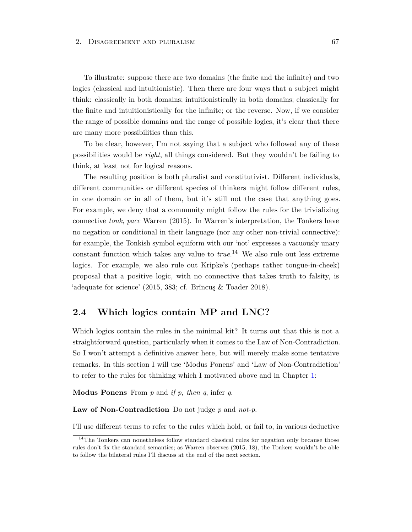To illustrate: suppose there are two domains (the finite and the infinite) and two logics (classical and intuitionistic). Then there are four ways that a subject might think: classically in both domains; intuitionistically in both domains; classically for the finite and intuitionistically for the infinite; or the reverse. Now, if we consider the range of possible domains and the range of possible logics, it's clear that there are many more possibilities than this.

To be clear, however, I'm not saying that a subject who followed any of these possibilities would be *right*, all things considered. But they wouldn't be failing to think, at least not for logical reasons.

The resulting position is both pluralist and constitutivist. Different individuals, different communities or different species of thinkers might follow different rules, in one domain or in all of them, but it's still not the case that anything goes. For example, we deny that a community might follow the rules for the trivializing connective *tonk*, *pace* Warren (2015). In Warren's interpretation, the Tonkers have no negation or conditional in their language (nor any other non-trivial connective): for example, the Tonkish symbol equiform with our 'not' expresses a vacuously unary constant function which takes any value to *true*. <sup>14</sup> We also rule out less extreme logics. For example, we also rule out Kripke's (perhaps rather tongue-in-cheek) proposal that a positive logic, with no connective that takes truth to falsity, is 'adequate for science' (2015, 383; cf. Brîncuş & Toader 2018).

## <span id="page-73-0"></span>**2.4 Which logics contain MP and LNC?**

Which logics contain the rules in the minimal kit? It turns out that this is not a straightforward question, particularly when it comes to the Law of Non-Contradiction. So I won't attempt a definitive answer here, but will merely make some tentative remarks. In this section I will use 'Modus Ponens' and 'Law of Non-Contradiction' to refer to the rules for thinking which I motivated above and in Chapter [1:](#page-22-0)

**Modus Ponens** From *p* and *if p, then q*, infer *q*.

**Law of Non-Contradiction** Do not judge *p* and *not-p*.

I'll use different terms to refer to the rules which hold, or fail to, in various deductive

 $14$ The Tonkers can nonetheless follow standard classical rules for negation only because those rules don't fix the standard semantics; as Warren observes (2015, 18), the Tonkers wouldn't be able to follow the bilateral rules I'll discuss at the end of the next section.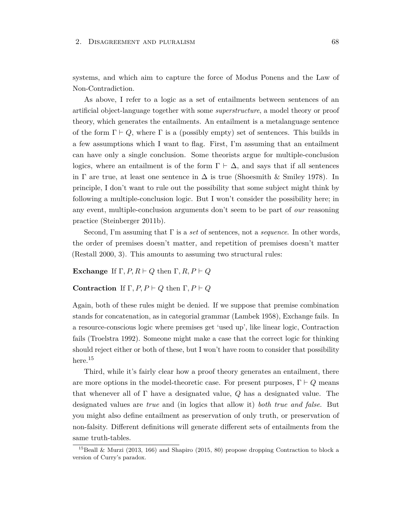systems, and which aim to capture the force of Modus Ponens and the Law of Non-Contradiction.

As above, I refer to a logic as a set of entailments between sentences of an artificial object-language together with some *superstructure*, a model theory or proof theory, which generates the entailments. An entailment is a metalanguage sentence of the form  $\Gamma \vdash Q$ , where  $\Gamma$  is a (possibly empty) set of sentences. This builds in a few assumptions which I want to flag. First, I'm assuming that an entailment can have only a single conclusion. Some theorists argue for multiple-conclusion logics, where an entailment is of the form  $\Gamma \vdash \Delta$ , and says that if all sentences in  $\Gamma$  are true, at least one sentence in  $\Delta$  is true (Shoesmith & Smiley 1978). In principle, I don't want to rule out the possibility that some subject might think by following a multiple-conclusion logic. But I won't consider the possibility here; in any event, multiple-conclusion arguments don't seem to be part of *our* reasoning practice (Steinberger 2011b).

Second, I'm assuming that Γ is a *set* of sentences, not a *sequence*. In other words, the order of premises doesn't matter, and repetition of premises doesn't matter (Restall 2000, 3). This amounts to assuming two structural rules:

**Exchange** If  $\Gamma, P, R \vdash Q$  then  $\Gamma, R, P \vdash Q$ 

## **Contraction** If  $\Gamma, P, P \vdash Q$  then  $\Gamma, P \vdash Q$

Again, both of these rules might be denied. If we suppose that premise combination stands for concatenation, as in categorial grammar (Lambek 1958), Exchange fails. In a resource-conscious logic where premises get 'used up', like linear logic, Contraction fails (Troelstra 1992). Someone might make a case that the correct logic for thinking should reject either or both of these, but I won't have room to consider that possibility here. $15$ 

Third, while it's fairly clear how a proof theory generates an entailment, there are more options in the model-theoretic case. For present purposes,  $\Gamma \vdash Q$  means that whenever all of Γ have a designated value, *Q* has a designated value. The designated values are *true* and (in logics that allow it) *both true and false*. But you might also define entailment as preservation of only truth, or preservation of non-falsity. Different definitions will generate different sets of entailments from the same truth-tables.

 $^{15}$ Beall & Murzi (2013, 166) and Shapiro (2015, 80) propose dropping Contraction to block a version of Curry's paradox.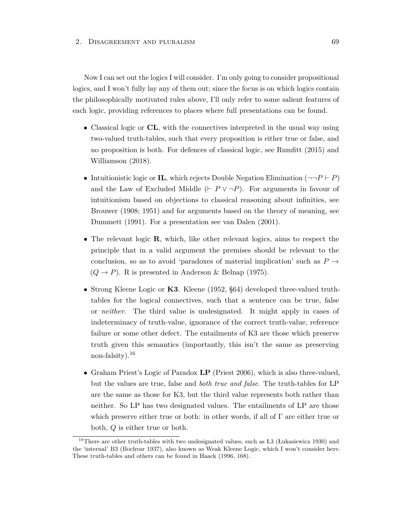Now I can set out the logics I will consider. I'm only going to consider propositional logics, and I won't fully lay any of them out; since the focus is on which logics contain the philosophically motivated rules above, I'll only refer to some salient features of each logic, providing references to places where full presentations can be found.

- Classical logic or **CL**, with the connectives interpreted in the usual way using two-valued truth-tables, such that every proposition is either true or false, and no proposition is both. For defences of classical logic, see Rumfitt (2015) and Williamson (2018).
- Intuitionistic logic or **IL**, which rejects Double Negation Elimination  $(\neg \neg P \vdash P)$ and the Law of Excluded Middle ( $\vdash P \lor \neg P$ ). For arguments in favour of intuitionism based on objections to classical reasoning about infinities, see Brouwer (1908; 1951) and for arguments based on the theory of meaning, see Dummett (1991). For a presentation see van Dalen (2001).
- The relevant logic **R**, which, like other relevant logics, aims to respect the principle that in a valid argument the premises should be relevant to the conclusion, so as to avoid 'paradoxes of material implication' such as  $P \rightarrow$  $(Q \rightarrow P)$ . R is presented in Anderson & Belnap (1975).
- Strong Kleene Logic or **K3**. Kleene (1952, §64) developed three-valued truthtables for the logical connectives, such that a sentence can be true, false or *neither*. The third value is undesignated. It might apply in cases of indeterminacy of truth-value, ignorance of the correct truth-value, reference failure or some other defect. The entailments of K3 are those which preserve truth given this semantics (importantly, this isn't the same as preserving non-falsity). $16$
- Graham Priest's Logic of Paradox **LP** (Priest 2006), which is also three-valued, but the values are true, false and *both true and false*. The truth-tables for LP are the same as those for K3, but the third value represents both rather than neither. So LP has two designated values. The entailments of LP are those which preserve either true or both: in other words, if all of Γ are either true or both, *Q* is either true or both.

<sup>&</sup>lt;sup>16</sup>There are other truth-tables with two undesignated values, such as Ł3 (Łukasiewicz 1930) and the 'internal' B3 (Bochvar 1937), also known as Weak Kleene Logic, which I won't consider here. These truth-tables and others can be found in Haack (1996, 168).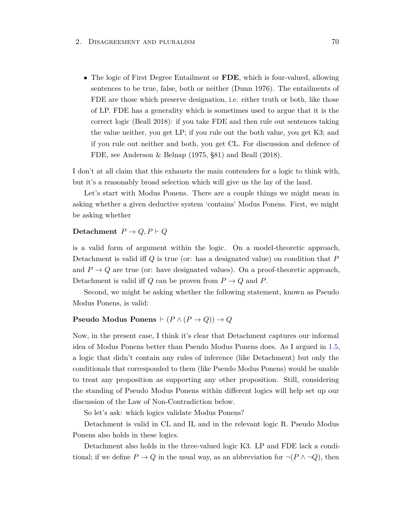• The logic of First Degree Entailment or **FDE**, which is four-valued, allowing sentences to be true, false, both or neither (Dunn 1976). The entailments of FDE are those which preserve designation, i.e. either truth or both, like those of LP. FDE has a generality which is sometimes used to argue that it is the correct logic (Beall 2018): if you take FDE and then rule out sentences taking the value neither, you get LP; if you rule out the both value, you get K3; and if you rule out neither and both, you get CL. For discussion and defence of FDE, see Anderson & Belnap (1975, §81) and Beall (2018).

I don't at all claim that this exhausts the main contenders for a logic to think with, but it's a reasonably broad selection which will give us the lay of the land.

Let's start with Modus Ponens. There are a couple things we might mean in asking whether a given deductive system 'contains' Modus Ponens. First, we might be asking whether

## **Detachment**  $P \rightarrow Q, P \vdash Q$

is a valid form of argument within the logic. On a model-theoretic approach, Detachment is valid iff *Q* is true (or: has a designated value) on condition that *P* and  $P \rightarrow Q$  are true (or: have designated values). On a proof-theoretic approach, Detachment is valid iff  $Q$  can be proven from  $P \to Q$  and  $P$ .

Second, we might be asking whether the following statement, known as Pseudo Modus Ponens, is valid:

## **Pseudo Modus Ponens**  $\vdash (P \land (P \rightarrow Q)) \rightarrow Q$

Now, in the present case, I think it's clear that Detachment captures our informal idea of Modus Ponens better than Pseudo Modus Ponens does. As I argued in [1.5,](#page-47-0) a logic that didn't contain any rules of inference (like Detachment) but only the conditionals that corresponded to them (like Pseudo Modus Ponens) would be unable to treat any proposition as supporting any other proposition. Still, considering the standing of Pseudo Modus Ponens within different logics will help set up our discussion of the Law of Non-Contradiction below.

So let's ask: which logics validate Modus Ponens?

Detachment is valid in CL and IL and in the relevant logic R. Pseudo Modus Ponens also holds in these logics.

Detachment also holds in the three-valued logic K3. LP and FDE lack a conditional; if we define  $P \to Q$  in the usual way, as an abbreviation for  $\neg (P \land \neg Q)$ , then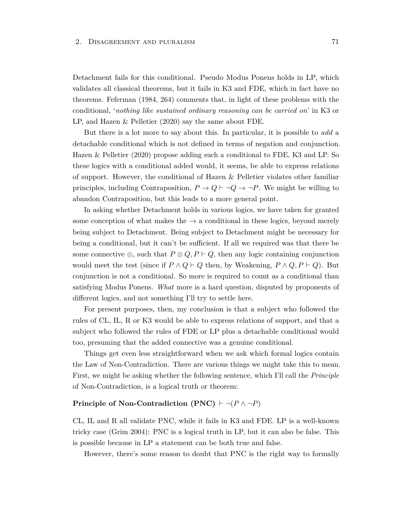Detachment fails for this conditional. Pseudo Modus Ponens holds in LP, which validates all classical theorems, but it fails in K3 and FDE, which in fact have no theorems. Feferman (1984, 264) comments that, in light of these problems with the conditional, '*nothing like sustained ordinary reasoning can be carried on*' in K3 or LP, and Hazen & Pelletier (2020) say the same about FDE.

But there is a lot more to say about this. In particular, it is possible to *add* a detachable conditional which is not defined in terms of negation and conjunction. Hazen & Pelletier (2020) propose adding such a conditional to FDE, K3 and LP. So these logics with a conditional added would, it seems, be able to express relations of support. However, the conditional of Hazen & Pelletier violates other familiar principles, including Contraposition,  $P \to Q \vdash \neg Q \to \neg P$ . We might be willing to abandon Contraposition, but this leads to a more general point.

In asking whether Detachment holds in various logics, we have taken for granted some conception of what makes the  $\rightarrow$  a conditional in these logics, beyond merely being subject to Detachment. Being subject to Detachment might be necessary for being a conditional, but it can't be sufficient. If all we required was that there be some connective  $\otimes$ , such that  $P \otimes Q$ ,  $P \vdash Q$ , then any logic containing conjunction would meet the test (since if  $P \wedge Q \vdash Q$  then, by Weakening,  $P \wedge Q, P \vdash Q$ ). But conjunction is not a conditional. So more is required to count as a conditional than satisfying Modus Ponens. *What* more is a hard question, disputed by proponents of different logics, and not something I'll try to settle here.

For present purposes, then, my conclusion is that a subject who followed the rules of CL, IL, R or K3 would be able to express relations of support, and that a subject who followed the rules of FDE or LP plus a detachable conditional would too, presuming that the added connective was a genuine conditional.

Things get even less straightforward when we ask which formal logics contain the Law of Non-Contradiction. There are various things we might take this to mean. First, we might be asking whether the following sentence, which I'll call the *Principle* of Non-Contradiction, is a logical truth or theorem:

## **Principle of Non-Contradiction (PNC)**  $\vdash \neg (P \land \neg P)$

CL, IL and R all validate PNC, while it fails in K3 and FDE. LP is a well-known tricky case (Grim 2004): PNC is a logical truth in LP, but it can also be false. This is possible because in LP a statement can be both true and false.

However, there's some reason to doubt that PNC is the right way to formally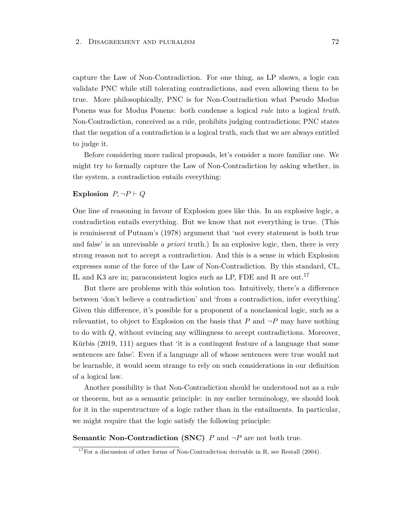capture the Law of Non-Contradiction. For one thing, as LP shows, a logic can validate PNC while still tolerating contradictions, and even allowing them to be true. More philosophically, PNC is for Non-Contradiction what Pseudo Modus Ponens was for Modus Ponens: both condense a logical *rule* into a logical *truth*. Non-Contradiction, conceived as a rule, prohibits judging contradictions; PNC states that the negation of a contradiction is a logical truth, such that we are always entitled to judge it.

Before considering more radical proposals, let's consider a more familiar one. We might try to formally capture the Law of Non-Contradiction by asking whether, in the system, a contradiction entails everything:

#### **Explosion**  $P, \neg P \vdash Q$

One line of reasoning in favour of Explosion goes like this. In an explosive logic, a contradiction entails everything. But we know that not everything is true. (This is reminiscent of Putnam's (1978) argument that 'not every statement is both true and false' is an unrevisable *a priori* truth.) In an explosive logic, then, there is very strong reason not to accept a contradiction. And this is a sense in which Explosion expresses some of the force of the Law of Non-Contradiction. By this standard, CL, IL and K3 are in; paraconsistent logics such as LP, FDE and R are out.<sup>17</sup>

But there are problems with this solution too. Intuitively, there's a difference between 'don't believe a contradiction' and 'from a contradiction, infer everything'. Given this difference, it's possible for a proponent of a nonclassical logic, such as a relevantist, to object to Explosion on the basis that  $P$  and  $\neg P$  may have nothing to do with *Q*, without evincing any willingness to accept contradictions. Moreover, Kürbis (2019, 111) argues that 'it is a contingent feature of a language that some sentences are false'. Even if a language all of whose sentences were true would not be learnable, it would seem strange to rely on such considerations in our definition of a logical law.

Another possibility is that Non-Contradiction should be understood not as a rule or theorem, but as a semantic principle: in my earlier terminology, we should look for it in the superstructure of a logic rather than in the entailments. In particular, we might require that the logic satisfy the following principle:

**Semantic Non-Contradiction (SNC)**  $P$  and  $\neg P$  are not both true.

<sup>&</sup>lt;sup>17</sup>For a discussion of other forms of Non-Contradiction derivable in R, see Restall  $(2004)$ .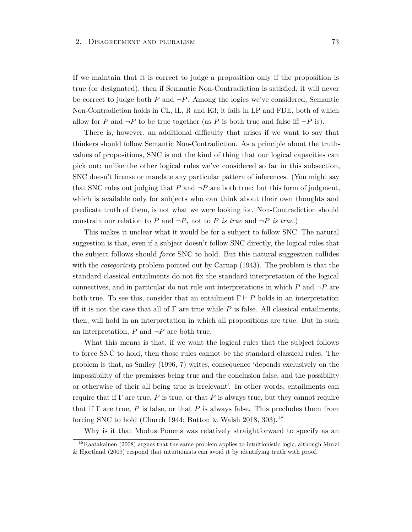If we maintain that it is correct to judge a proposition only if the proposition is true (or designated), then if Semantic Non-Contradiction is satisfied, it will never be correct to judge both  $P$  and  $\neg P$ . Among the logics we've considered, Semantic Non-Contradiction holds in CL, IL, R and K3; it fails in LP and FDE, both of which allow for *P* and  $\neg P$  to be true together (as *P* is both true and false iff  $\neg P$  is).

There is, however, an additional difficulty that arises if we want to say that thinkers should follow Semantic Non-Contradiction. As a principle about the truthvalues of propositions, SNC is not the kind of thing that our logical capacities can pick out; unlike the other logical rules we've considered so far in this subsection, SNC doesn't license or mandate any particular pattern of inferences. (You might say that SNC rules out judging that  $P$  and  $\neg P$  are both true: but this form of judgment, which is available only for subjects who can think about their own thoughts and predicate truth of them, is not what we were looking for. Non-Contradiction should constrain our relation to P and  $\neg P$ , not to P *is true* and  $\neg P$  *is true*.)

This makes it unclear what it would be for a subject to follow SNC. The natural suggestion is that, even if a subject doesn't follow SNC directly, the logical rules that the subject follows should *force* SNC to hold. But this natural suggestion collides with the *categoricity* problem pointed out by Carnap (1943). The problem is that the standard classical entailments do not fix the standard interpretation of the logical connectives, and in particular do not rule out interpretations in which  $P$  and  $\neg P$  are both true. To see this, consider that an entailment  $\Gamma \vdash P$  holds in an interpretation iff it is not the case that all of  $\Gamma$  are true while  $P$  is false. All classical entailments, then, will hold in an interpretation in which all propositions are true. But in such an interpretation,  $P$  and  $\neg P$  are both true.

What this means is that, if we want the logical rules that the subject follows to force SNC to hold, then those rules cannot be the standard classical rules. The problem is that, as Smiley (1996, 7) writes, consequence 'depends exclusively on the impossibility of the premisses being true and the conclusion false, and the possibility or otherwise of their all being true is irrelevant'. In other words, entailments can require that if  $\Gamma$  are true, *P* is true, or that *P* is always true, but they cannot require that if Γ are true, *P* is false, or that *P* is always false. This precludes them from forcing SNC to hold (Church 1944; Button & Walsh 2018, 303).<sup>18</sup>

Why is it that Modus Ponens was relatively straightforward to specify as an

<sup>&</sup>lt;sup>18</sup>Raatakainen (2008) argues that the same problem applies to intuitionistic logic, although Murzi & Hjortland (2009) respond that intuitionists can avoid it by identifying truth with proof.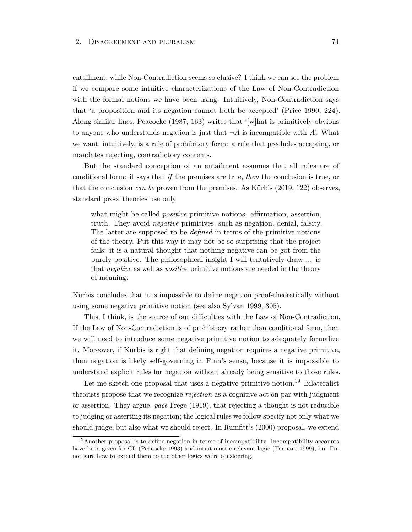entailment, while Non-Contradiction seems so elusive? I think we can see the problem if we compare some intuitive characterizations of the Law of Non-Contradiction with the formal notions we have been using. Intuitively, Non-Contradiction says that 'a proposition and its negation cannot both be accepted' (Price 1990, 224). Along similar lines, Peacocke (1987, 163) writes that '[w]hat is primitively obvious to anyone who understands negation is just that  $\neg A$  is incompatible with *A*'. What we want, intuitively, is a rule of prohibitory form: a rule that precludes accepting, or mandates rejecting, contradictory contents.

But the standard conception of an entailment assumes that all rules are of conditional form: it says that *if* the premises are true, *then* the conclusion is true, or that the conclusion *can be* proven from the premises. As Kürbis (2019, 122) observes, standard proof theories use only

what might be called *positive* primitive notions: affirmation, assertion, truth. They avoid *negative* primitives, such as negation, denial, falsity. The latter are supposed to be *defined* in terms of the primitive notions of the theory. Put this way it may not be so surprising that the project fails: it is a natural thought that nothing negative can be got from the purely positive. The philosophical insight I will tentatively draw ... is that *negative* as well as *positive* primitive notions are needed in the theory of meaning.

Kürbis concludes that it is impossible to define negation proof-theoretically without using some negative primitive notion (see also Sylvan 1999, 305).

This, I think, is the source of our difficulties with the Law of Non-Contradiction. If the Law of Non-Contradiction is of prohibitory rather than conditional form, then we will need to introduce some negative primitive notion to adequately formalize it. Moreover, if Kürbis is right that defining negation requires a negative primitive, then negation is likely self-governing in Finn's sense, because it is impossible to understand explicit rules for negation without already being sensitive to those rules.

Let me sketch one proposal that uses a negative primitive notion.<sup>19</sup> Bilateralist theorists propose that we recognize *rejection* as a cognitive act on par with judgment or assertion. They argue, *pace* Frege (1919), that rejecting a thought is not reducible to judging or asserting its negation; the logical rules we follow specify not only what we should judge, but also what we should reject. In Rumfitt's (2000) proposal, we extend

<sup>&</sup>lt;sup>19</sup>Another proposal is to define negation in terms of incompatibility. Incompatibility accounts have been given for CL (Peacocke 1993) and intuitionistic relevant logic (Tennant 1999), but I'm not sure how to extend them to the other logics we're considering.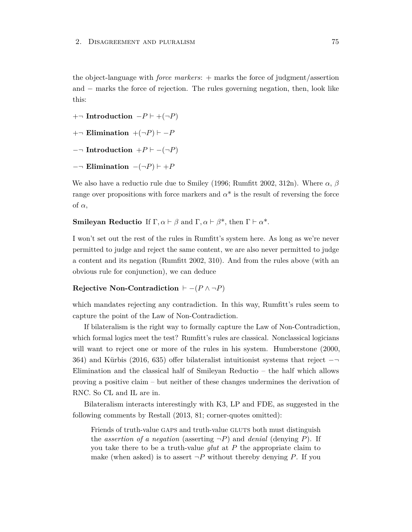the object-language with *force markers*: + marks the force of judgment/assertion and − marks the force of rejection. The rules governing negation, then, look like this:

 $+¬$ **Introduction**  $-P ⊢ + (¬P)$ 

- $+-$  **Elimination**  $+(-P)$   $\vdash$  -*P*
- $-\neg$  **Introduction**  $+P \vdash -(\neg P)$
- $-$ ¬ **Elimination**  $-(\neg P) \vdash +P$

We also have a reductio rule due to Smiley (1996; Rumfitt 2002, 312n). Where *α*, *β* range over propositions with force markers and  $\alpha^*$  is the result of reversing the force of *α*,

**Smileyan Reductio** If  $\Gamma, \alpha \vdash \beta$  and  $\Gamma, \alpha \vdash \beta^*$ , then  $\Gamma \vdash \alpha^*$ .

I won't set out the rest of the rules in Rumfitt's system here. As long as we're never permitted to judge and reject the same content, we are also never permitted to judge a content and its negation (Rumfitt 2002, 310). And from the rules above (with an obvious rule for conjunction), we can deduce

## **Rejective Non-Contradiction**  $\vdash -(P \land \neg P)$

which mandates rejecting any contradiction. In this way, Rumfitt's rules seem to capture the point of the Law of Non-Contradiction.

If bilateralism is the right way to formally capture the Law of Non-Contradiction, which formal logics meet the test? Rumfitt's rules are classical. Nonclassical logicians will want to reject one or more of the rules in his system. Humberstone (2000, 364) and Kürbis (2016, 635) offer bilateralist intuitionist systems that reject −¬ Elimination and the classical half of Smileyan Reductio – the half which allows proving a positive claim – but neither of these changes undermines the derivation of RNC. So CL and IL are in.

Bilateralism interacts interestingly with K3, LP and FDE, as suggested in the following comments by Restall (2013, 81; corner-quotes omitted):

Friends of truth-value GAPS and truth-value GLUTS both must distinguish the *assertion of a negation* (asserting  $\neg P$ ) and *denial* (denying *P*). If you take there to be a truth-value *glut* at *P* the appropriate claim to make (when asked) is to assert  $\neg P$  without thereby denying *P*. If you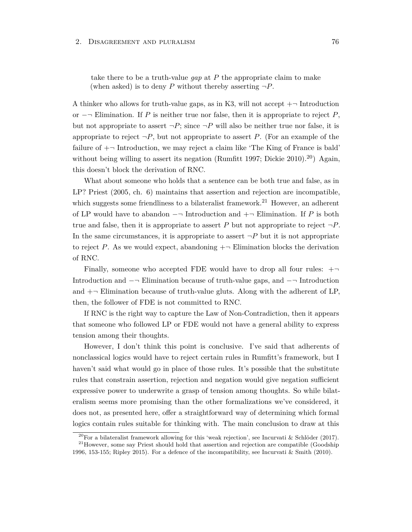take there to be a truth-value *gap* at *P* the appropriate claim to make (when asked) is to deny *P* without thereby asserting  $\neg P$ .

A thinker who allows for truth-value gaps, as in K3, will not accept  $+\neg$  Introduction or −¬ Elimination. If *P* is neither true nor false, then it is appropriate to reject *P*, but not appropriate to assert  $\neg P$ ; since  $\neg P$  will also be neither true nor false, it is appropriate to reject  $\neg P$ , but not appropriate to assert P. (For an example of the failure of  $+\neg$  Introduction, we may reject a claim like 'The King of France is bald' without being willing to assert its negation (Rumfitt 1997; Dickie 2010).<sup>20</sup>) Again, this doesn't block the derivation of RNC.

What about someone who holds that a sentence can be both true and false, as in LP? Priest (2005, ch. 6) maintains that assertion and rejection are incompatible, which suggests some friendliness to a bilateralist framework.<sup>21</sup> However, an adherent of LP would have to abandon −¬ Introduction and +¬ Elimination. If *P* is both true and false, then it is appropriate to assert *P* but not appropriate to reject  $\neg P$ . In the same circumstances, it is appropriate to assert  $\neg P$  but it is not appropriate to reject *P*. As we would expect, abandoning  $+\neg$  Elimination blocks the derivation of RNC.

Finally, someone who accepted FDE would have to drop all four rules:  $+\neg$ Introduction and −¬ Elimination because of truth-value gaps, and −¬ Introduction and  $+\neg$  Elimination because of truth-value gluts. Along with the adherent of LP, then, the follower of FDE is not committed to RNC.

If RNC is the right way to capture the Law of Non-Contradiction, then it appears that someone who followed LP or FDE would not have a general ability to express tension among their thoughts.

However, I don't think this point is conclusive. I've said that adherents of nonclassical logics would have to reject certain rules in Rumfitt's framework, but I haven't said what would go in place of those rules. It's possible that the substitute rules that constrain assertion, rejection and negation would give negation sufficient expressive power to underwrite a grasp of tension among thoughts. So while bilateralism seems more promising than the other formalizations we've considered, it does not, as presented here, offer a straightforward way of determining which formal logics contain rules suitable for thinking with. The main conclusion to draw at this

<sup>&</sup>lt;sup>20</sup>For a bilateralist framework allowing for this 'weak rejection', see Incurvati & Schlöder (2017).

 $21$ However, some say Priest should hold that assertion and rejection are compatible (Goodship 1996, 153-155; Ripley 2015). For a defence of the incompatibility, see Incurvati & Smith (2010).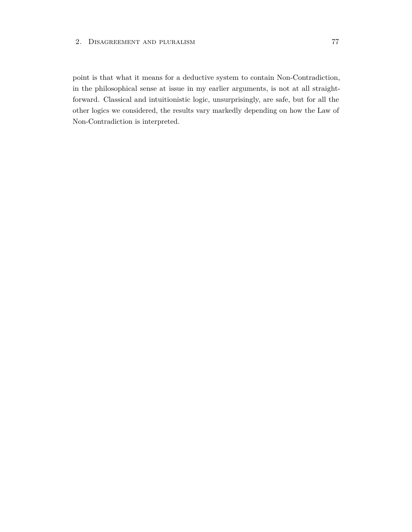point is that what it means for a deductive system to contain Non-Contradiction, in the philosophical sense at issue in my earlier arguments, is not at all straightforward. Classical and intuitionistic logic, unsurprisingly, are safe, but for all the other logics we considered, the results vary markedly depending on how the Law of Non-Contradiction is interpreted.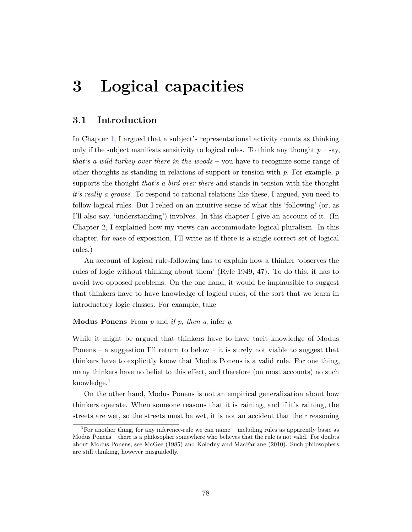## <span id="page-84-0"></span>**3.1 Introduction**

In Chapter [1,](#page-22-0) I argued that a subject's representational activity counts as thinking only if the subject manifests sensitivity to logical rules. To think any thought  $p - say$ , *that's a wild turkey over there in the woods* – you have to recognize some range of other thoughts as standing in relations of support or tension with *p*. For example, *p* supports the thought *that's a bird over there* and stands in tension with the thought *it's really a grouse*. To respond to rational relations like these, I argued, you need to follow logical rules. But I relied on an intuitive sense of what this 'following' (or, as I'll also say, 'understanding') involves. In this chapter I give an account of it. (In Chapter [2,](#page-53-0) I explained how my views can accommodate logical pluralism. In this chapter, for ease of exposition, I'll write as if there is a single correct set of logical rules.)

An account of logical rule-following has to explain how a thinker 'observes the rules of logic without thinking about them' (Ryle 1949, 47). To do this, it has to avoid two opposed problems. On the one hand, it would be implausible to suggest that thinkers have to have knowledge of logical rules, of the sort that we learn in introductory logic classes. For example, take

**Modus Ponens** From *p* and *if p, then q*, infer *q*.

While it might be argued that thinkers have to have tacit knowledge of Modus Ponens – a suggestion I'll return to below – it is surely not viable to suggest that thinkers have to explicitly know that Modus Ponens is a valid rule. For one thing, many thinkers have no belief to this effect, and therefore (on most accounts) no such knowledge. $<sup>1</sup>$ </sup>

On the other hand, Modus Ponens is not an empirical generalization about how thinkers operate. When someone reasons that it is raining, and if it's raining, the streets are wet, so the streets must be wet, it is not an accident that their reasoning

<sup>&</sup>lt;sup>1</sup>For another thing, for any inference-rule we can name – including rules as apparently basic as Modus Ponens – there is a philosopher somewhere who believes that the rule is not valid. For doubts about Modus Ponens, see McGee (1985) and Kolodny and MacFarlane (2010). Such philosophers are still thinking, however misguidedly.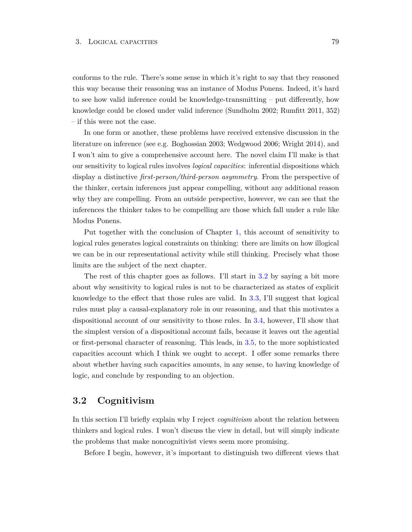conforms to the rule. There's some sense in which it's right to say that they reasoned this way because their reasoning was an instance of Modus Ponens. Indeed, it's hard to see how valid inference could be knowledge-transmitting – put differently, how knowledge could be closed under valid inference (Sundholm 2002; Rumfitt 2011, 352) – if this were not the case.

In one form or another, these problems have received extensive discussion in the literature on inference (see e.g. Boghossian 2003; Wedgwood 2006; Wright 2014), and I won't aim to give a comprehensive account here. The novel claim I'll make is that our sensitivity to logical rules involves *logical capacities*: inferential dispositions which display a distinctive *first-person/third-person asymmetry*. From the perspective of the thinker, certain inferences just appear compelling, without any additional reason why they are compelling. From an outside perspective, however, we can see that the inferences the thinker takes to be compelling are those which fall under a rule like Modus Ponens.

Put together with the conclusion of Chapter [1,](#page-22-0) this account of sensitivity to logical rules generates logical constraints on thinking: there are limits on how illogical we can be in our representational activity while still thinking. Precisely what those limits are the subject of the next chapter.

The rest of this chapter goes as follows. I'll start in [3.2](#page-85-0) by saying a bit more about why sensitivity to logical rules is not to be characterized as states of explicit knowledge to the effect that those rules are valid. In [3.3,](#page-88-0) I'll suggest that logical rules must play a causal-explanatory role in our reasoning, and that this motivates a dispositional account of our sensitivity to those rules. In [3.4,](#page-92-0) however, I'll show that the simplest version of a dispositional account fails, because it leaves out the agential or first-personal character of reasoning. This leads, in [3.5,](#page-94-0) to the more sophisticated capacities account which I think we ought to accept. I offer some remarks there about whether having such capacities amounts, in any sense, to having knowledge of logic, and conclude by responding to an objection.

## <span id="page-85-0"></span>**3.2 Cognitivism**

In this section I'll briefly explain why I reject *cognitivism* about the relation between thinkers and logical rules. I won't discuss the view in detail, but will simply indicate the problems that make noncognitivist views seem more promising.

Before I begin, however, it's important to distinguish two different views that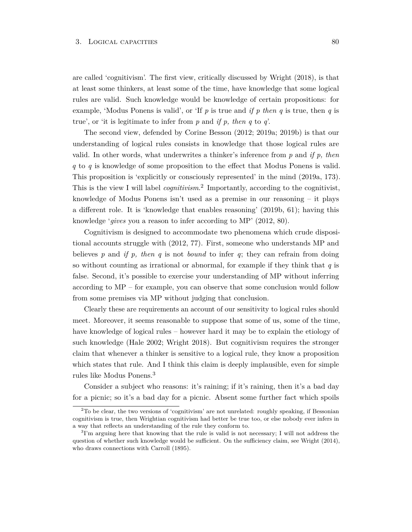are called 'cognitivism'. The first view, critically discussed by Wright (2018), is that at least some thinkers, at least some of the time, have knowledge that some logical rules are valid. Such knowledge would be knowledge of certain propositions: for example, 'Modus Ponens is valid', or 'If *p* is true and *if p then q* is true, then *q* is true', or 'it is legitimate to infer from *p* and *if p, then q* to *q*'.

The second view, defended by Corine Besson (2012; 2019a; 2019b) is that our understanding of logical rules consists in knowledge that those logical rules are valid. In other words, what underwrites a thinker's inference from *p* and *if p, then q* to *q* is knowledge of some proposition to the effect that Modus Ponens is valid. This proposition is 'explicitly or consciously represented' in the mind (2019a, 173). This is the view I will label *cognitivism*. 2 Importantly, according to the cognitivist, knowledge of Modus Ponens isn't used as a premise in our reasoning – it plays a different role. It is 'knowledge that enables reasoning' (2019b, 61); having this knowledge '*gives* you a reason to infer according to MP' (2012, 80).

Cognitivism is designed to accommodate two phenomena which crude dispositional accounts struggle with (2012, 77). First, someone who understands MP and believes *p* and *if p, then q* is not *bound* to infer *q*; they can refrain from doing so without counting as irrational or abnormal, for example if they think that *q* is false. Second, it's possible to exercise your understanding of MP without inferring according to MP – for example, you can observe that some conclusion would follow from some premises via MP without judging that conclusion.

Clearly these are requirements an account of our sensitivity to logical rules should meet. Moreover, it seems reasonable to suppose that some of us, some of the time, have knowledge of logical rules – however hard it may be to explain the etiology of such knowledge (Hale 2002; Wright 2018). But cognitivism requires the stronger claim that whenever a thinker is sensitive to a logical rule, they know a proposition which states that rule. And I think this claim is deeply implausible, even for simple rules like Modus Ponens.<sup>3</sup>

Consider a subject who reasons: it's raining; if it's raining, then it's a bad day for a picnic; so it's a bad day for a picnic. Absent some further fact which spoils

<sup>&</sup>lt;sup>2</sup>To be clear, the two versions of 'cognitivism' are not unrelated: roughly speaking, if Bessonian cognitivism is true, then Wrightian cognitivism had better be true too, or else nobody ever infers in a way that reflects an understanding of the rule they conform to.

<sup>&</sup>lt;sup>3</sup>I'm arguing here that knowing that the rule is valid is not necessary; I will not address the question of whether such knowledge would be sufficient. On the sufficiency claim, see Wright (2014), who draws connections with Carroll (1895).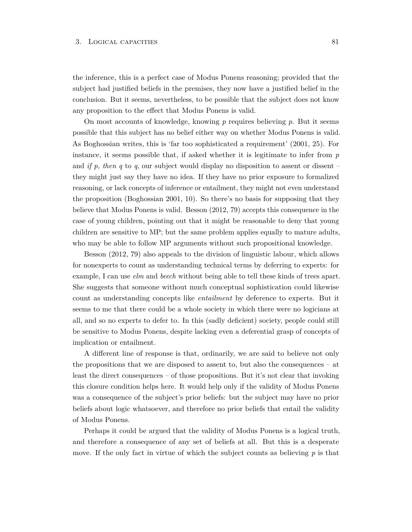the inference, this is a perfect case of Modus Ponens reasoning; provided that the subject had justified beliefs in the premises, they now have a justified belief in the conclusion. But it seems, nevertheless, to be possible that the subject does not know any proposition to the effect that Modus Ponens is valid.

On most accounts of knowledge, knowing *p* requires believing *p*. But it seems possible that this subject has no belief either way on whether Modus Ponens is valid. As Boghossian writes, this is 'far too sophisticated a requirement' (2001, 25). For instance, it seems possible that, if asked whether it is legitimate to infer from *p* and *if p, then q* to *q*, our subject would display no disposition to assent or dissent – they might just say they have no idea. If they have no prior exposure to formalized reasoning, or lack concepts of inference or entailment, they might not even understand the proposition (Boghossian 2001, 10). So there's no basis for supposing that they believe that Modus Ponens is valid. Besson (2012, 79) accepts this consequence in the case of young children, pointing out that it might be reasonable to deny that young children are sensitive to MP; but the same problem applies equally to mature adults, who may be able to follow MP arguments without such propositional knowledge.

Besson (2012, 79) also appeals to the division of linguistic labour, which allows for nonexperts to count as understanding technical terms by deferring to experts: for example, I can use *elm* and *beech* without being able to tell these kinds of trees apart. She suggests that someone without much conceptual sophistication could likewise count as understanding concepts like *entailment* by deference to experts. But it seems to me that there could be a whole society in which there were no logicians at all, and so no experts to defer to. In this (sadly deficient) society, people could still be sensitive to Modus Ponens, despite lacking even a deferential grasp of concepts of implication or entailment.

A different line of response is that, ordinarily, we are said to believe not only the propositions that we are disposed to assent to, but also the consequences – at least the direct consequences – of those propositions. But it's not clear that invoking this closure condition helps here. It would help only if the validity of Modus Ponens was a consequence of the subject's prior beliefs: but the subject may have no prior beliefs about logic whatsoever, and therefore no prior beliefs that entail the validity of Modus Ponens.

Perhaps it could be argued that the validity of Modus Ponens is a logical truth, and therefore a consequence of any set of beliefs at all. But this is a desperate move. If the only fact in virtue of which the subject counts as believing *p* is that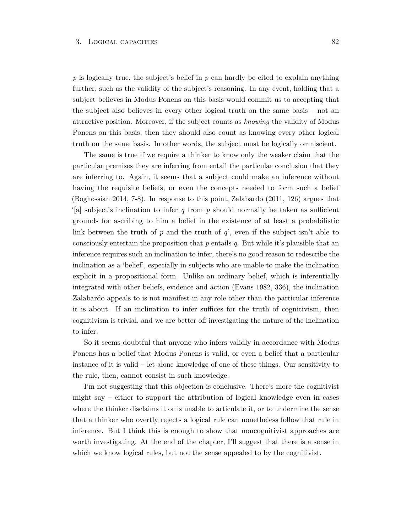*p* is logically true, the subject's belief in *p* can hardly be cited to explain anything further, such as the validity of the subject's reasoning. In any event, holding that a subject believes in Modus Ponens on this basis would commit us to accepting that the subject also believes in every other logical truth on the same basis – not an attractive position. Moreover, if the subject counts as *knowing* the validity of Modus Ponens on this basis, then they should also count as knowing every other logical truth on the same basis. In other words, the subject must be logically omniscient.

The same is true if we require a thinker to know only the weaker claim that the particular premises they are inferring from entail the particular conclusion that they are inferring to. Again, it seems that a subject could make an inference without having the requisite beliefs, or even the concepts needed to form such a belief (Boghossian 2014, 7-8). In response to this point, Zalabardo (2011, 126) argues that '[a] subject's inclination to infer *q* from *p* should normally be taken as sufficient grounds for ascribing to him a belief in the existence of at least a probabilistic link between the truth of *p* and the truth of *q*', even if the subject isn't able to consciously entertain the proposition that *p* entails *q*. But while it's plausible that an inference requires such an inclination to infer, there's no good reason to redescribe the inclination as a 'belief', especially in subjects who are unable to make the inclination explicit in a propositional form. Unlike an ordinary belief, which is inferentially integrated with other beliefs, evidence and action (Evans 1982, 336), the inclination Zalabardo appeals to is not manifest in any role other than the particular inference it is about. If an inclination to infer suffices for the truth of cognitivism, then cognitivism is trivial, and we are better off investigating the nature of the inclination to infer.

So it seems doubtful that anyone who infers validly in accordance with Modus Ponens has a belief that Modus Ponens is valid, or even a belief that a particular instance of it is valid – let alone knowledge of one of these things. Our sensitivity to the rule, then, cannot consist in such knowledge.

<span id="page-88-0"></span>I'm not suggesting that this objection is conclusive. There's more the cognitivist might say – either to support the attribution of logical knowledge even in cases where the thinker disclaims it or is unable to articulate it, or to undermine the sense that a thinker who overtly rejects a logical rule can nonetheless follow that rule in inference. But I think this is enough to show that noncognitivist approaches are worth investigating. At the end of the chapter, I'll suggest that there is a sense in which we know logical rules, but not the sense appealed to by the cognitivist.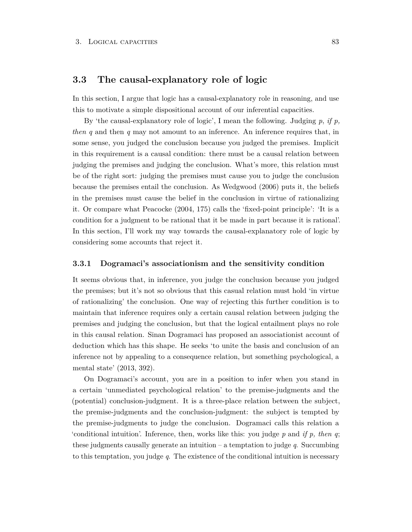## **3.3 The causal-explanatory role of logic**

In this section, I argue that logic has a causal-explanatory role in reasoning, and use this to motivate a simple dispositional account of our inferential capacities.

By 'the causal-explanatory role of logic', I mean the following. Judging *p*, *if p, then q* and then *q* may not amount to an inference. An inference requires that, in some sense, you judged the conclusion because you judged the premises. Implicit in this requirement is a causal condition: there must be a causal relation between judging the premises and judging the conclusion. What's more, this relation must be of the right sort: judging the premises must cause you to judge the conclusion because the premises entail the conclusion. As Wedgwood (2006) puts it, the beliefs in the premises must cause the belief in the conclusion in virtue of rationalizing it. Or compare what Peacocke (2004, 175) calls the 'fixed-point principle': 'It is a condition for a judgment to be rational that it be made in part because it is rational'. In this section, I'll work my way towards the causal-explanatory role of logic by considering some accounts that reject it.

#### **3.3.1 Dogramaci's associationism and the sensitivity condition**

It seems obvious that, in inference, you judge the conclusion because you judged the premises; but it's not so obvious that this casual relation must hold 'in virtue of rationalizing' the conclusion. One way of rejecting this further condition is to maintain that inference requires only a certain causal relation between judging the premises and judging the conclusion, but that the logical entailment plays no role in this causal relation. Sinan Dogramaci has proposed an associationist account of deduction which has this shape. He seeks 'to unite the basis and conclusion of an inference not by appealing to a consequence relation, but something psychological, a mental state' (2013, 392).

On Dogramaci's account, you are in a position to infer when you stand in a certain 'unmediated psychological relation' to the premise-judgments and the (potential) conclusion-judgment. It is a three-place relation between the subject, the premise-judgments and the conclusion-judgment: the subject is tempted by the premise-judgments to judge the conclusion. Dogramaci calls this relation a 'conditional intuition'. Inference, then, works like this: you judge *p* and *if p, then q*; these judgments causally generate an intuition – a temptation to judge *q*. Succumbing to this temptation, you judge *q*. The existence of the conditional intuition is necessary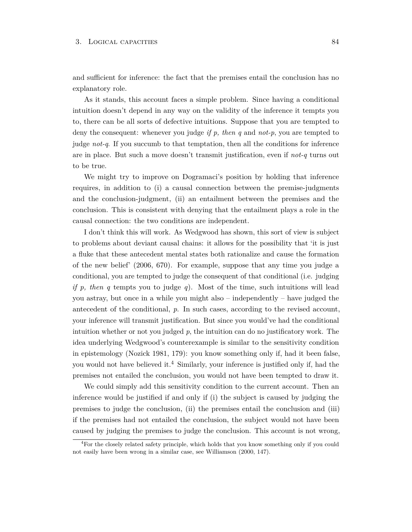and sufficient for inference: the fact that the premises entail the conclusion has no explanatory role.

As it stands, this account faces a simple problem. Since having a conditional intuition doesn't depend in any way on the validity of the inference it tempts you to, there can be all sorts of defective intuitions. Suppose that you are tempted to deny the consequent: whenever you judge *if p, then q* and *not-p*, you are tempted to judge *not-q*. If you succumb to that temptation, then all the conditions for inference are in place. But such a move doesn't transmit justification, even if *not-q* turns out to be true.

We might try to improve on Dogramaci's position by holding that inference requires, in addition to (i) a causal connection between the premise-judgments and the conclusion-judgment, (ii) an entailment between the premises and the conclusion. This is consistent with denying that the entailment plays a role in the causal connection: the two conditions are independent.

I don't think this will work. As Wedgwood has shown, this sort of view is subject to problems about deviant causal chains: it allows for the possibility that 'it is just a fluke that these antecedent mental states both rationalize and cause the formation of the new belief' (2006, 670). For example, suppose that any time you judge a conditional, you are tempted to judge the consequent of that conditional (i.e. judging *if p, then q* tempts you to judge *q*). Most of the time, such intuitions will lead you astray, but once in a while you might also – independently – have judged the antecedent of the conditional, *p*. In such cases, according to the revised account, your inference will transmit justification. But since you would've had the conditional intuition whether or not you judged  $p$ , the intuition can do no justificatory work. The idea underlying Wedgwood's counterexample is similar to the sensitivity condition in epistemology (Nozick 1981, 179): you know something only if, had it been false, you would not have believed it.<sup>4</sup> Similarly, your inference is justified only if, had the premises not entailed the conclusion, you would not have been tempted to draw it.

We could simply add this sensitivity condition to the current account. Then an inference would be justified if and only if (i) the subject is caused by judging the premises to judge the conclusion, (ii) the premises entail the conclusion and (iii) if the premises had not entailed the conclusion, the subject would not have been caused by judging the premises to judge the conclusion. This account is not wrong,

<sup>4</sup>For the closely related safety principle, which holds that you know something only if you could not easily have been wrong in a similar case, see Williamson (2000, 147).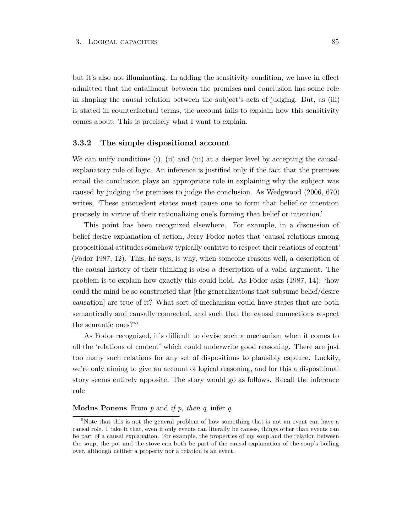but it's also not illuminating. In adding the sensitivity condition, we have in effect admitted that the entailment between the premises and conclusion has some role in shaping the causal relation between the subject's acts of judging. But, as (iii) is stated in counterfactual terms, the account fails to explain how this sensitivity comes about. This is precisely what I want to explain.

#### **3.3.2 The simple dispositional account**

We can unify conditions (i), (ii) and (iii) at a deeper level by accepting the causalexplanatory role of logic. An inference is justified only if the fact that the premises entail the conclusion plays an appropriate role in explaining why the subject was caused by judging the premises to judge the conclusion. As Wedgwood (2006, 670) writes, 'These antecedent states must cause one to form that belief or intention precisely in virtue of their rationalizing one's forming that belief or intention.'

This point has been recognized elsewhere. For example, in a discussion of belief-desire explanation of action, Jerry Fodor notes that 'causal relations among propositional attitudes somehow typically contrive to respect their relations of content' (Fodor 1987, 12). This, he says, is why, when someone reasons well, a description of the causal history of their thinking is also a description of a valid argument. The problem is to explain how exactly this could hold. As Fodor asks (1987, 14): 'how could the mind be so constructed that [the generalizations that subsume belief/desire causation] are true of it? What sort of mechanism could have states that are both semantically and causally connected, and such that the causal connections respect the semantic ones?'<sup>5</sup>

As Fodor recognized, it's difficult to devise such a mechanism when it comes to all the 'relations of content' which could underwrite good reasoning. There are just too many such relations for any set of dispositions to plausibly capture. Luckily, we're only aiming to give an account of logical reasoning, and for this a dispositional story seems entirely apposite. The story would go as follows. Recall the inference rule

## **Modus Ponens** From *p* and *if p, then q*, infer *q*.

<sup>5</sup>Note that this is not the general problem of how something that is not an event can have a causal role. I take it that, even if only events can literally be causes, things other than events can be part of a causal explanation. For example, the properties of my soup and the relation between the soup, the pot and the stove can both be part of the causal explanation of the soup's boiling over, although neither a property nor a relation is an event.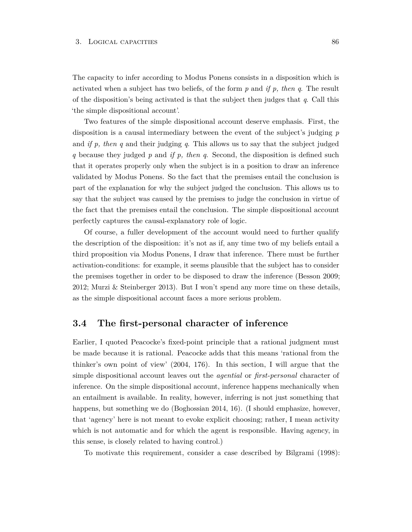The capacity to infer according to Modus Ponens consists in a disposition which is activated when a subject has two beliefs, of the form *p* and *if p, then q*. The result of the disposition's being activated is that the subject then judges that *q*. Call this 'the simple dispositional account'.

Two features of the simple dispositional account deserve emphasis. First, the disposition is a causal intermediary between the event of the subject's judging *p* and *if p, then q* and their judging *q*. This allows us to say that the subject judged *q* because they judged *p* and *if p, then q*. Second, the disposition is defined such that it operates properly only when the subject is in a position to draw an inference validated by Modus Ponens. So the fact that the premises entail the conclusion is part of the explanation for why the subject judged the conclusion. This allows us to say that the subject was caused by the premises to judge the conclusion in virtue of the fact that the premises entail the conclusion. The simple dispositional account perfectly captures the causal-explanatory role of logic.

Of course, a fuller development of the account would need to further qualify the description of the disposition: it's not as if, any time two of my beliefs entail a third proposition via Modus Ponens, I draw that inference. There must be further activation-conditions: for example, it seems plausible that the subject has to consider the premises together in order to be disposed to draw the inference (Besson 2009; 2012; Murzi & Steinberger 2013). But I won't spend any more time on these details, as the simple dispositional account faces a more serious problem.

## <span id="page-92-0"></span>**3.4 The first-personal character of inference**

Earlier, I quoted Peacocke's fixed-point principle that a rational judgment must be made because it is rational. Peacocke adds that this means 'rational from the thinker's own point of view' (2004, 176). In this section, I will argue that the simple dispositional account leaves out the *agential* or *first-personal* character of inference. On the simple dispositional account, inference happens mechanically when an entailment is available. In reality, however, inferring is not just something that happens, but something we do (Boghossian 2014, 16). (I should emphasize, however, that 'agency' here is not meant to evoke explicit choosing; rather, I mean activity which is not automatic and for which the agent is responsible. Having agency, in this sense, is closely related to having control.)

To motivate this requirement, consider a case described by Bilgrami (1998):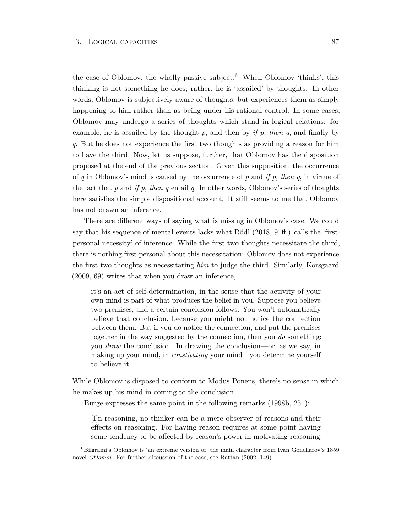the case of Oblomov, the wholly passive subject.<sup>6</sup> When Oblomov 'thinks', this thinking is not something he does; rather, he is 'assailed' by thoughts. In other words, Oblomov is subjectively aware of thoughts, but experiences them as simply happening to him rather than as being under his rational control. In some cases, Oblomov may undergo a series of thoughts which stand in logical relations: for example, he is assailed by the thought *p*, and then by *if p, then q*, and finally by *q*. But he does not experience the first two thoughts as providing a reason for him to have the third. Now, let us suppose, further, that Oblomov has the disposition proposed at the end of the previous section. Given this supposition, the occurrence of *q* in Oblomov's mind is caused by the occurrence of *p* and *if p, then q*, in virtue of the fact that *p* and *if p, then q* entail *q*. In other words, Oblomov's series of thoughts here satisfies the simple dispositional account. It still seems to me that Oblomov has not drawn an inference.

There are different ways of saying what is missing in Oblomov's case. We could say that his sequence of mental events lacks what Rödl (2018, 91ff.) calls the 'firstpersonal necessity' of inference. While the first two thoughts necessitate the third, there is nothing first-personal about this necessitation: Oblomov does not experience the first two thoughts as necessitating *him* to judge the third. Similarly, Korsgaard (2009, 69) writes that when you draw an inference,

it's an act of self-determination, in the sense that the activity of your own mind is part of what produces the belief in you. Suppose you believe two premises, and a certain conclusion follows. You won't automatically believe that conclusion, because you might not notice the connection between them. But if you do notice the connection, and put the premises together in the way suggested by the connection, then you *do* something: you *draw* the conclusion. In drawing the conclusion—or, as we say, in making up your mind, in *constituting* your mind—you determine yourself to believe it.

While Oblomov is disposed to conform to Modus Ponens, there's no sense in which he makes up his mind in coming to the conclusion.

Burge expresses the same point in the following remarks (1998b, 251):

[I]n reasoning, no thinker can be a mere observer of reasons and their effects on reasoning. For having reason requires at some point having some tendency to be affected by reason's power in motivating reasoning.

 ${}^{6}$ Bilgrami's Oblomov is 'an extreme version of' the main character from Ivan Goncharov's 1859 novel *Oblomov*. For further discussion of the case, see Rattan (2002, 149).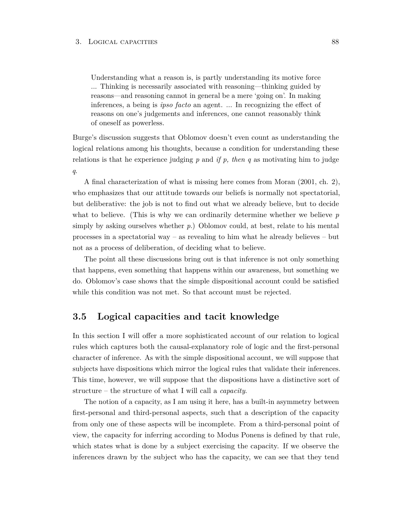Understanding what a reason is, is partly understanding its motive force ... Thinking is necessarily associated with reasoning—thinking guided by reasons—and reasoning cannot in general be a mere 'going on'. In making inferences, a being is *ipso facto* an agent. ... In recognizing the effect of reasons on one's judgements and inferences, one cannot reasonably think of oneself as powerless.

Burge's discussion suggests that Oblomov doesn't even count as understanding the logical relations among his thoughts, because a condition for understanding these relations is that he experience judging *p* and *if p, then q* as motivating him to judge *q*.

A final characterization of what is missing here comes from Moran (2001, ch. 2), who emphasizes that our attitude towards our beliefs is normally not spectatorial, but deliberative: the job is not to find out what we already believe, but to decide what to believe. (This is why we can ordinarily determine whether we believe *p* simply by asking ourselves whether *p*.) Oblomov could, at best, relate to his mental processes in a spectatorial way – as revealing to him what he already believes – but not as a process of deliberation, of deciding what to believe.

The point all these discussions bring out is that inference is not only something that happens, even something that happens within our awareness, but something we do. Oblomov's case shows that the simple dispositional account could be satisfied while this condition was not met. So that account must be rejected.

## <span id="page-94-0"></span>**3.5 Logical capacities and tacit knowledge**

In this section I will offer a more sophisticated account of our relation to logical rules which captures both the causal-explanatory role of logic and the first-personal character of inference. As with the simple dispositional account, we will suppose that subjects have dispositions which mirror the logical rules that validate their inferences. This time, however, we will suppose that the dispositions have a distinctive sort of structure – the structure of what I will call a *capacity*.

The notion of a capacity, as I am using it here, has a built-in asymmetry between first-personal and third-personal aspects, such that a description of the capacity from only one of these aspects will be incomplete. From a third-personal point of view, the capacity for inferring according to Modus Ponens is defined by that rule, which states what is done by a subject exercising the capacity. If we observe the inferences drawn by the subject who has the capacity, we can see that they tend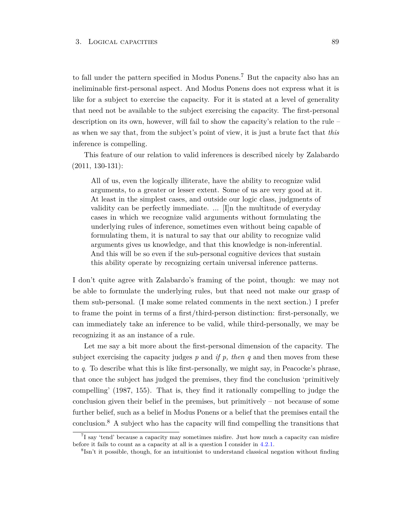to fall under the pattern specified in Modus Ponens.<sup>7</sup> But the capacity also has an ineliminable first-personal aspect. And Modus Ponens does not express what it is like for a subject to exercise the capacity. For it is stated at a level of generality that need not be available to the subject exercising the capacity. The first-personal description on its own, however, will fail to show the capacity's relation to the rule – as when we say that, from the subject's point of view, it is just a brute fact that *this* inference is compelling.

This feature of our relation to valid inferences is described nicely by Zalabardo (2011, 130-131):

All of us, even the logically illiterate, have the ability to recognize valid arguments, to a greater or lesser extent. Some of us are very good at it. At least in the simplest cases, and outside our logic class, judgments of validity can be perfectly immediate. ... [I]n the multitude of everyday cases in which we recognize valid arguments without formulating the underlying rules of inference, sometimes even without being capable of formulating them, it is natural to say that our ability to recognize valid arguments gives us knowledge, and that this knowledge is non-inferential. And this will be so even if the sub-personal cognitive devices that sustain this ability operate by recognizing certain universal inference patterns.

I don't quite agree with Zalabardo's framing of the point, though: we may not be able to formulate the underlying rules, but that need not make our grasp of them sub-personal. (I make some related comments in the next section.) I prefer to frame the point in terms of a first/third-person distinction: first-personally, we can immediately take an inference to be valid, while third-personally, we may be recognizing it as an instance of a rule.

Let me say a bit more about the first-personal dimension of the capacity. The subject exercising the capacity judges  $p$  and *if*  $p$ , then  $q$  and then moves from these to *q*. To describe what this is like first-personally, we might say, in Peacocke's phrase, that once the subject has judged the premises, they find the conclusion 'primitively compelling' (1987, 155). That is, they find it rationally compelling to judge the conclusion given their belief in the premises, but primitively – not because of some further belief, such as a belief in Modus Ponens or a belief that the premises entail the conclusion.<sup>8</sup> A subject who has the capacity will find compelling the transitions that

<sup>7</sup> I say 'tend' because a capacity may sometimes misfire. Just how much a capacity can misfire before it fails to count as a capacity at all is a question I consider in [4.2.1.](#page-109-0)

<sup>8</sup> Isn't it possible, though, for an intuitionist to understand classical negation without finding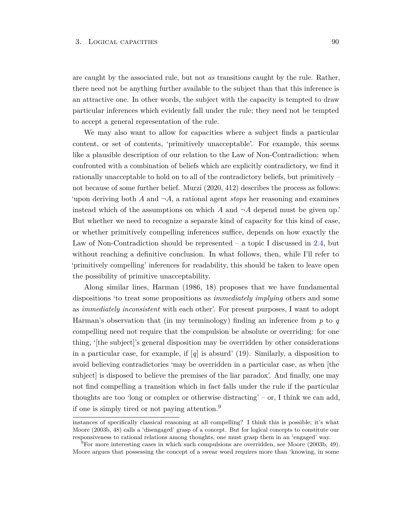are caught by the associated rule, but not *as* transitions caught by the rule. Rather, there need not be anything further available to the subject than that this inference is an attractive one. In other words, the subject with the capacity is tempted to draw particular inferences which evidently fall under the rule; they need not be tempted to accept a general representation of the rule.

We may also want to allow for capacities where a subject finds a particular content, or set of contents, 'primitively unacceptable'. For example, this seems like a plausible description of our relation to the Law of Non-Contradiction: when confronted with a combination of beliefs which are explicitly contradictory, we find it rationally unacceptable to hold on to all of the contradictory beliefs, but primitively – not because of some further belief. Murzi (2020, 412) describes the process as follows: 'upon deriving both  $A$  and  $\neg A$ , a rational agent *stops* her reasoning and examines instead which of the assumptions on which  $A$  and  $\neg A$  depend must be given up.' But whether we need to recognize a separate kind of capacity for this kind of case, or whether primitively compelling inferences suffice, depends on how exactly the Law of Non-Contradiction should be represented – a topic I discussed in [2.4,](#page-73-0) but without reaching a definitive conclusion. In what follows, then, while I'll refer to 'primitively compelling' inferences for readability, this should be taken to leave open the possibility of primitive unacceptability.

Along similar lines, Harman (1986, 18) proposes that we have fundamental dispositions 'to treat some propositions as *immediately implying* others and some as *immediately inconsistent* with each other'. For present purposes, I want to adopt Harman's observation that (in my terminology) finding an inference from *p* to *q* compelling need not require that the compulsion be absolute or overriding: for one thing, '[the subject]'s general disposition may be overridden by other considerations in a particular case, for example, if  $[q]$  is absurd' (19). Similarly, a disposition to avoid believing contradictories 'may be overridden in a particular case, as when [the subject is disposed to believe the premises of the liar paradox'. And finally, one may not find compelling a transition which in fact falls under the rule if the particular thoughts are too 'long or complex or otherwise distracting' – or, I think we can add, if one is simply tired or not paying attention.<sup>9</sup>

instances of specifically classical reasoning at all compelling? I think this is possible; it's what Moore (2003b, 48) calls a 'disengaged' grasp of a concept. But for logical concepts to constitute our responsiveness to rational relations among thoughts, one must grasp them in an 'engaged' way.

 ${}^{9}$ For more interesting cases in which such compulsions are overridden, see Moore (2003b, 49). Moore argues that possessing the concept of a swear word requires more than 'knowing, in some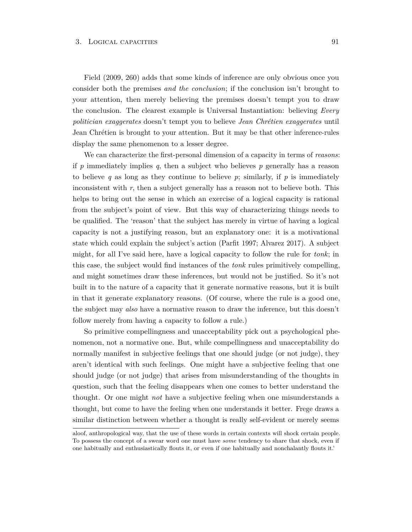Field (2009, 260) adds that some kinds of inference are only obvious once you consider both the premises *and the conclusion*; if the conclusion isn't brought to your attention, then merely believing the premises doesn't tempt you to draw the conclusion. The clearest example is Universal Instantiation: believing *Every politician exaggerates* doesn't tempt you to believe *Jean Chrétien exaggerates* until Jean Chrétien is brought to your attention. But it may be that other inference-rules display the same phenomenon to a lesser degree.

We can characterize the first-personal dimension of a capacity in terms of *reasons*: if *p* immediately implies *q*, then a subject who believes *p* generally has a reason to believe q as long as they continue to believe  $p$ ; similarly, if  $p$  is immediately inconsistent with  $r$ , then a subject generally has a reason not to believe both. This helps to bring out the sense in which an exercise of a logical capacity is rational from the subject's point of view. But this way of characterizing things needs to be qualified. The 'reason' that the subject has merely in virtue of having a logical capacity is not a justifying reason, but an explanatory one: it is a motivational state which could explain the subject's action (Parfit 1997; Alvarez 2017). A subject might, for all I've said here, have a logical capacity to follow the rule for *tonk*; in this case, the subject would find instances of the *tonk* rules primitively compelling, and might sometimes draw these inferences, but would not be justified. So it's not built in to the nature of a capacity that it generate normative reasons, but it is built in that it generate explanatory reasons. (Of course, where the rule is a good one, the subject may *also* have a normative reason to draw the inference, but this doesn't follow merely from having a capacity to follow a rule.)

So primitive compellingness and unacceptability pick out a psychological phenomenon, not a normative one. But, while compellingness and unacceptability do normally manifest in subjective feelings that one should judge (or not judge), they aren't identical with such feelings. One might have a subjective feeling that one should judge (or not judge) that arises from misunderstanding of the thoughts in question, such that the feeling disappears when one comes to better understand the thought. Or one might *not* have a subjective feeling when one misunderstands a thought, but come to have the feeling when one understands it better. Frege draws a similar distinction between whether a thought is really self-evident or merely seems

aloof, anthropological way, that the use of these words in certain contexts will shock certain people. To possess the concept of a swear word one must have *some* tendency to share that shock, even if one habitually and enthusiastically flouts it, or even if one habitually and nonchalantly flouts it.'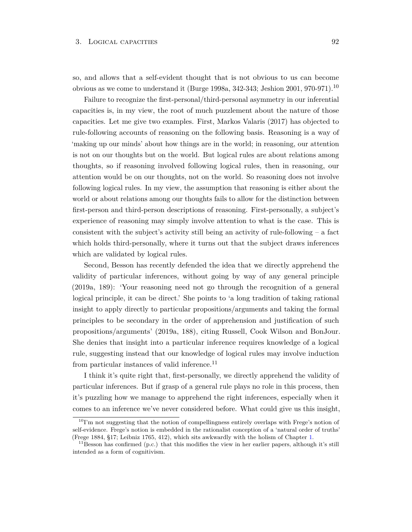so, and allows that a self-evident thought that is not obvious to us can become obvious as we come to understand it (Burge 1998a, 342-343; Jeshion 2001, 970-971).<sup>10</sup>

Failure to recognize the first-personal/third-personal asymmetry in our inferential capacities is, in my view, the root of much puzzlement about the nature of those capacities. Let me give two examples. First, Markos Valaris (2017) has objected to rule-following accounts of reasoning on the following basis. Reasoning is a way of 'making up our minds' about how things are in the world; in reasoning, our attention is not on our thoughts but on the world. But logical rules are about relations among thoughts, so if reasoning involved following logical rules, then in reasoning, our attention would be on our thoughts, not on the world. So reasoning does not involve following logical rules. In my view, the assumption that reasoning is either about the world or about relations among our thoughts fails to allow for the distinction between first-person and third-person descriptions of reasoning. First-personally, a subject's experience of reasoning may simply involve attention to what is the case. This is consistent with the subject's activity still being an activity of rule-following – a fact which holds third-personally, where it turns out that the subject draws inferences which are validated by logical rules.

Second, Besson has recently defended the idea that we directly apprehend the validity of particular inferences, without going by way of any general principle (2019a, 189): 'Your reasoning need not go through the recognition of a general logical principle, it can be direct.' She points to 'a long tradition of taking rational insight to apply directly to particular propositions/arguments and taking the formal principles to be secondary in the order of apprehension and justification of such propositions/arguments' (2019a, 188), citing Russell, Cook Wilson and BonJour. She denies that insight into a particular inference requires knowledge of a logical rule, suggesting instead that our knowledge of logical rules may involve induction from particular instances of valid inference.<sup>11</sup>

I think it's quite right that, first-personally, we directly apprehend the validity of particular inferences. But if grasp of a general rule plays no role in this process, then it's puzzling how we manage to apprehend the right inferences, especially when it comes to an inference we've never considered before. What could give us this insight,

 $10$ I'm not suggesting that the notion of compellingness entirely overlaps with Frege's notion of self-evidence. Frege's notion is embedded in the rationalist conception of a 'natural order of truths' (Frege 1884, §17; Leibniz 1765, 412), which sits awkwardly with the holism of Chapter [1.](#page-22-0)

<sup>&</sup>lt;sup>11</sup>Besson has confirmed (p.c.) that this modifies the view in her earlier papers, although it's still intended as a form of cognitivism.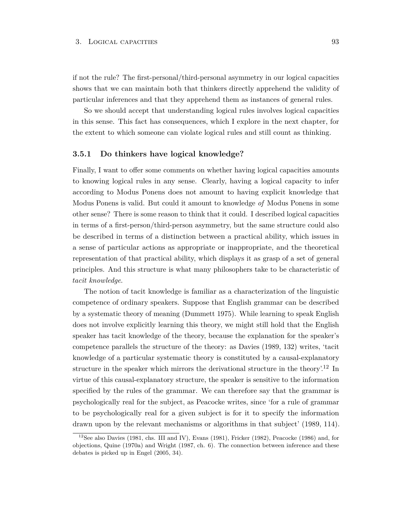if not the rule? The first-personal/third-personal asymmetry in our logical capacities shows that we can maintain both that thinkers directly apprehend the validity of particular inferences and that they apprehend them as instances of general rules.

So we should accept that understanding logical rules involves logical capacities in this sense. This fact has consequences, which I explore in the next chapter, for the extent to which someone can violate logical rules and still count as thinking.

#### **3.5.1 Do thinkers have logical knowledge?**

Finally, I want to offer some comments on whether having logical capacities amounts to knowing logical rules in any sense. Clearly, having a logical capacity to infer according to Modus Ponens does not amount to having explicit knowledge that Modus Ponens is valid. But could it amount to knowledge *of* Modus Ponens in some other sense? There is some reason to think that it could. I described logical capacities in terms of a first-person/third-person asymmetry, but the same structure could also be described in terms of a distinction between a practical ability, which issues in a sense of particular actions as appropriate or inappropriate, and the theoretical representation of that practical ability, which displays it as grasp of a set of general principles. And this structure is what many philosophers take to be characteristic of *tacit knowledge*.

The notion of tacit knowledge is familiar as a characterization of the linguistic competence of ordinary speakers. Suppose that English grammar can be described by a systematic theory of meaning (Dummett 1975). While learning to speak English does not involve explicitly learning this theory, we might still hold that the English speaker has tacit knowledge of the theory, because the explanation for the speaker's competence parallels the structure of the theory: as Davies (1989, 132) writes, 'tacit knowledge of a particular systematic theory is constituted by a causal-explanatory structure in the speaker which mirrors the derivational structure in the theory'.<sup>12</sup> In virtue of this causal-explanatory structure, the speaker is sensitive to the information specified by the rules of the grammar. We can therefore say that the grammar is psychologically real for the subject, as Peacocke writes, since 'for a rule of grammar to be psychologically real for a given subject is for it to specify the information drawn upon by the relevant mechanisms or algorithms in that subject' (1989, 114).

<sup>12</sup>See also Davies (1981, chs. III and IV), Evans (1981), Fricker (1982), Peacocke (1986) and, for objections, Quine (1970a) and Wright (1987, ch. 6). The connection between inference and these debates is picked up in Engel (2005, 34).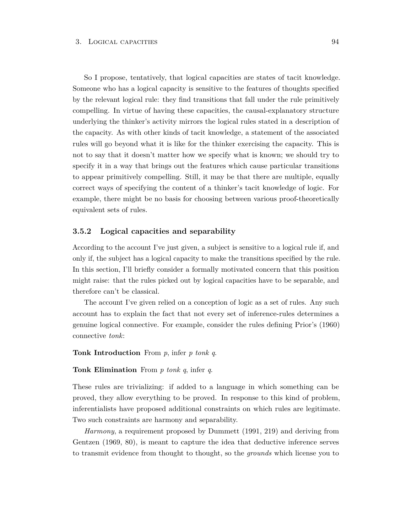So I propose, tentatively, that logical capacities are states of tacit knowledge. Someone who has a logical capacity is sensitive to the features of thoughts specified by the relevant logical rule: they find transitions that fall under the rule primitively compelling. In virtue of having these capacities, the causal-explanatory structure underlying the thinker's activity mirrors the logical rules stated in a description of the capacity. As with other kinds of tacit knowledge, a statement of the associated rules will go beyond what it is like for the thinker exercising the capacity. This is not to say that it doesn't matter how we specify what is known; we should try to specify it in a way that brings out the features which cause particular transitions to appear primitively compelling. Still, it may be that there are multiple, equally correct ways of specifying the content of a thinker's tacit knowledge of logic. For example, there might be no basis for choosing between various proof-theoretically equivalent sets of rules.

#### **3.5.2 Logical capacities and separability**

According to the account I've just given, a subject is sensitive to a logical rule if, and only if, the subject has a logical capacity to make the transitions specified by the rule. In this section, I'll briefly consider a formally motivated concern that this position might raise: that the rules picked out by logical capacities have to be separable, and therefore can't be classical.

The account I've given relied on a conception of logic as a set of rules. Any such account has to explain the fact that not every set of inference-rules determines a genuine logical connective. For example, consider the rules defining Prior's (1960) connective *tonk*:

**Tonk Introduction** From *p*, infer *p tonk q*.

#### **Tonk Elimination** From *p tonk q*, infer *q*.

These rules are trivializing: if added to a language in which something can be proved, they allow everything to be proved. In response to this kind of problem, inferentialists have proposed additional constraints on which rules are legitimate. Two such constraints are harmony and separability.

*Harmony*, a requirement proposed by Dummett (1991, 219) and deriving from Gentzen (1969, 80), is meant to capture the idea that deductive inference serves to transmit evidence from thought to thought, so the *grounds* which license you to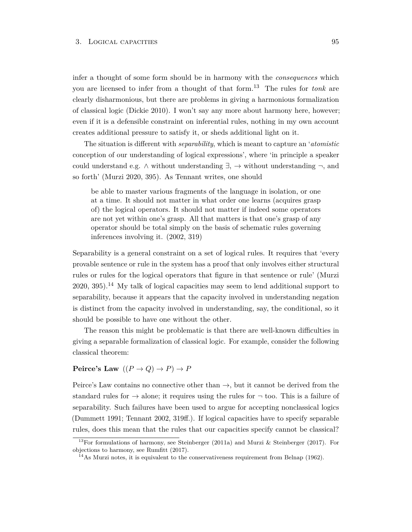infer a thought of some form should be in harmony with the *consequences* which you are licensed to infer from a thought of that form.<sup>13</sup> The rules for *tonk* are clearly disharmonious, but there are problems in giving a harmonious formalization of classical logic (Dickie 2010). I won't say any more about harmony here, however; even if it is a defensible constraint on inferential rules, nothing in my own account creates additional pressure to satisfy it, or sheds additional light on it.

The situation is different with *separability*, which is meant to capture an '*atomistic* conception of our understanding of logical expressions', where 'in principle a speaker could understand e.g.  $\land$  without understanding  $\exists$ ,  $\rightarrow$  without understanding  $\neg$ , and so forth' (Murzi 2020, 395). As Tennant writes, one should

be able to master various fragments of the language in isolation, or one at a time. It should not matter in what order one learns (acquires grasp of) the logical operators. It should not matter if indeed some operators are not yet within one's grasp. All that matters is that one's grasp of any operator should be total simply on the basis of schematic rules governing inferences involving it. (2002, 319)

Separability is a general constraint on a set of logical rules. It requires that 'every provable sentence or rule in the system has a proof that only involves either structural rules or rules for the logical operators that figure in that sentence or rule' (Murzi  $2020, 395$ .<sup>14</sup> My talk of logical capacities may seem to lend additional support to separability, because it appears that the capacity involved in understanding negation is distinct from the capacity involved in understanding, say, the conditional, so it should be possible to have one without the other.

The reason this might be problematic is that there are well-known difficulties in giving a separable formalization of classical logic. For example, consider the following classical theorem:

## **Peirce's Law**  $((P \rightarrow Q) \rightarrow P) \rightarrow P$

Peirce's Law contains no connective other than  $\rightarrow$ , but it cannot be derived from the standard rules for  $\rightarrow$  alone; it requires using the rules for  $\neg$  too. This is a failure of separability. Such failures have been used to argue for accepting nonclassical logics (Dummett 1991; Tennant 2002, 319ff.). If logical capacities have to specify separable rules, does this mean that the rules that our capacities specify cannot be classical?

<sup>&</sup>lt;sup>13</sup>For formulations of harmony, see Steinberger (2011a) and Murzi & Steinberger (2017). For objections to harmony, see Rumfitt (2017).

 $14$ As Murzi notes, it is equivalent to the conservativeness requirement from Belnap (1962).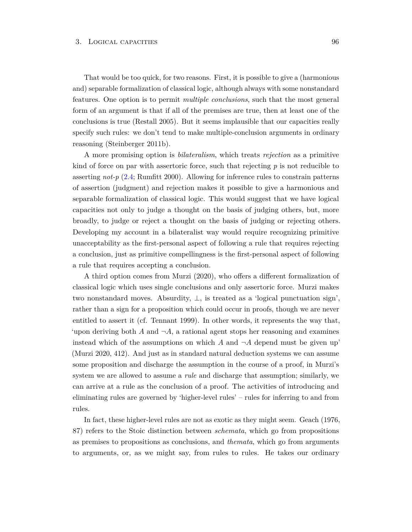That would be too quick, for two reasons. First, it is possible to give a (harmonious and) separable formalization of classical logic, although always with some nonstandard features. One option is to permit *multiple conclusions*, such that the most general form of an argument is that if all of the premises are true, then at least one of the conclusions is true (Restall 2005). But it seems implausible that our capacities really specify such rules: we don't tend to make multiple-conclusion arguments in ordinary reasoning (Steinberger 2011b).

A more promising option is *bilateralism*, which treats *rejection* as a primitive kind of force on par with assertoric force, such that rejecting *p* is not reducible to asserting *not-p* [\(2.4;](#page-73-0) Rumfitt 2000). Allowing for inference rules to constrain patterns of assertion (judgment) and rejection makes it possible to give a harmonious and separable formalization of classical logic. This would suggest that we have logical capacities not only to judge a thought on the basis of judging others, but, more broadly, to judge or reject a thought on the basis of judging or rejecting others. Developing my account in a bilateralist way would require recognizing primitive unacceptability as the first-personal aspect of following a rule that requires rejecting a conclusion, just as primitive compellingness is the first-personal aspect of following a rule that requires accepting a conclusion.

A third option comes from Murzi (2020), who offers a different formalization of classical logic which uses single conclusions and only assertoric force. Murzi makes two nonstandard moves. Absurdity, ⊥, is treated as a 'logical punctuation sign', rather than a sign for a proposition which could occur in proofs, though we are never entitled to assert it (cf. Tennant 1999). In other words, it represents the way that, 'upon deriving both  $A$  and  $\neg A$ , a rational agent stops her reasoning and examines instead which of the assumptions on which  $A$  and  $\neg A$  depend must be given up' (Murzi 2020, 412). And just as in standard natural deduction systems we can assume some proposition and discharge the assumption in the course of a proof, in Murzi's system we are allowed to assume a *rule* and discharge that assumption; similarly, we can arrive at a rule as the conclusion of a proof. The activities of introducing and eliminating rules are governed by 'higher-level rules' – rules for inferring to and from rules.

In fact, these higher-level rules are not as exotic as they might seem. Geach (1976, 87) refers to the Stoic distinction between *schemata*, which go from propositions as premises to propositions as conclusions, and *themata*, which go from arguments to arguments, or, as we might say, from rules to rules. He takes our ordinary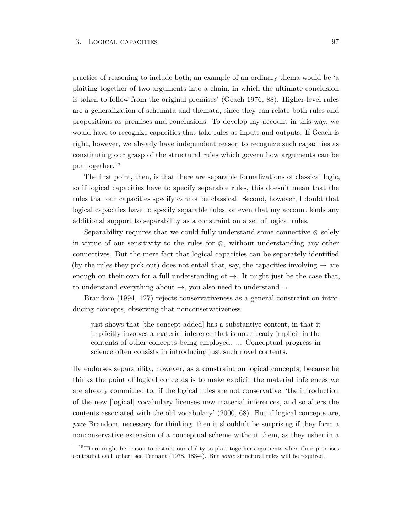practice of reasoning to include both; an example of an ordinary thema would be 'a plaiting together of two arguments into a chain, in which the ultimate conclusion is taken to follow from the original premises' (Geach 1976, 88). Higher-level rules are a generalization of schemata and themata, since they can relate both rules and propositions as premises and conclusions. To develop my account in this way, we would have to recognize capacities that take rules as inputs and outputs. If Geach is right, however, we already have independent reason to recognize such capacities as constituting our grasp of the structural rules which govern how arguments can be put together.<sup>15</sup>

The first point, then, is that there are separable formalizations of classical logic, so if logical capacities have to specify separable rules, this doesn't mean that the rules that our capacities specify cannot be classical. Second, however, I doubt that logical capacities have to specify separable rules, or even that my account lends any additional support to separability as a constraint on a set of logical rules.

Separability requires that we could fully understand some connective ⊗ solely in virtue of our sensitivity to the rules for ⊗, without understanding any other connectives. But the mere fact that logical capacities can be separately identified (by the rules they pick out) does not entail that, say, the capacities involving  $\rightarrow$  are enough on their own for a full understanding of  $\rightarrow$ . It might just be the case that, to understand everything about  $\rightarrow$ , you also need to understand  $\neg$ .

Brandom (1994, 127) rejects conservativeness as a general constraint on introducing concepts, observing that nonconservativeness

just shows that [the concept added] has a substantive content, in that it implicitly involves a material inference that is not already implicit in the contents of other concepts being employed. ... Conceptual progress in science often consists in introducing just such novel contents.

He endorses separability, however, as a constraint on logical concepts, because he thinks the point of logical concepts is to make explicit the material inferences we are already committed to: if the logical rules are not conservative, 'the introduction of the new [logical] vocabulary licenses new material inferences, and so alters the contents associated with the old vocabulary' (2000, 68). But if logical concepts are, *pace* Brandom, necessary for thinking, then it shouldn't be surprising if they form a nonconservative extension of a conceptual scheme without them, as they usher in a

<sup>&</sup>lt;sup>15</sup>There might be reason to restrict our ability to plait together arguments when their premises contradict each other: see Tennant (1978, 183-4). But *some* structural rules will be required.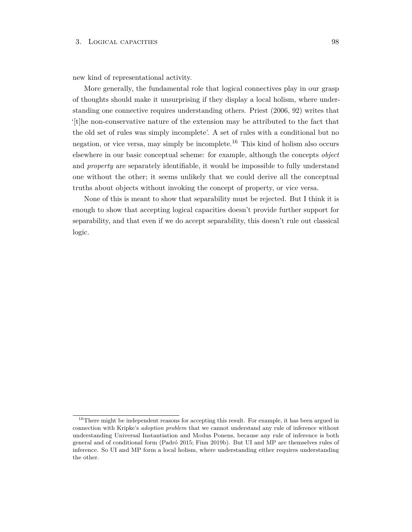new kind of representational activity.

More generally, the fundamental role that logical connectives play in our grasp of thoughts should make it unsurprising if they display a local holism, where understanding one connective requires understanding others. Priest (2006, 92) writes that '[t]he non-conservative nature of the extension may be attributed to the fact that the old set of rules was simply incomplete'. A set of rules with a conditional but no negation, or vice versa, may simply be incomplete.<sup>16</sup> This kind of holism also occurs elsewhere in our basic conceptual scheme: for example, although the concepts *object* and *property* are separately identifiable, it would be impossible to fully understand one without the other; it seems unlikely that we could derive all the conceptual truths about objects without invoking the concept of property, or vice versa.

None of this is meant to show that separability must be rejected. But I think it is enough to show that accepting logical capacities doesn't provide further support for separability, and that even if we do accept separability, this doesn't rule out classical logic.

<sup>&</sup>lt;sup>16</sup>There might be independent reasons for accepting this result. For example, it has been argued in connection with Kripke's *adoption problem* that we cannot understand any rule of inference without understanding Universal Instantiation and Modus Ponens, because any rule of inference is both general and of conditional form (Padró 2015; Finn 2019b). But UI and MP are themselves rules of inference. So UI and MP form a local holism, where understanding either requires understanding the other.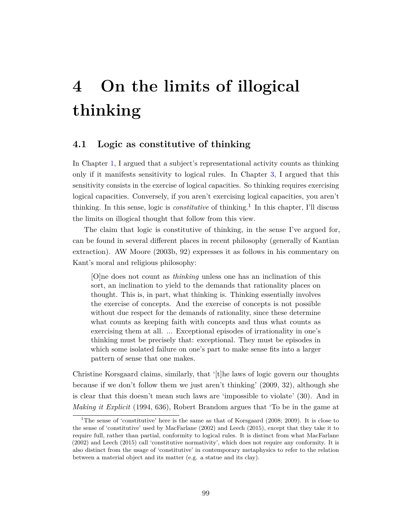# **4 On the limits of illogical thinking**

## **4.1 Logic as constitutive of thinking**

In Chapter [1,](#page-22-0) I argued that a subject's representational activity counts as thinking only if it manifests sensitivity to logical rules. In Chapter [3,](#page-84-0) I argued that this sensitivity consists in the exercise of logical capacities. So thinking requires exercising logical capacities. Conversely, if you aren't exercising logical capacities, you aren't thinking. In this sense, logic is *constitutive* of thinking.<sup>1</sup> In this chapter, I'll discuss the limits on illogical thought that follow from this view.

The claim that logic is constitutive of thinking, in the sense I've argued for, can be found in several different places in recent philosophy (generally of Kantian extraction). AW Moore (2003b, 92) expresses it as follows in his commentary on Kant's moral and religious philosophy:

[O]ne does not count as *thinking* unless one has an inclination of this sort, an inclination to yield to the demands that rationality places on thought. This is, in part, what thinking is. Thinking essentially involves the exercise of concepts. And the exercise of concepts is not possible without due respect for the demands of rationality, since these determine what counts as keeping faith with concepts and thus what counts as exercising them at all. ... Exceptional episodes of irrationality in one's thinking must be precisely that: exceptional. They must be episodes in which some isolated failure on one's part to make sense fits into a larger pattern of sense that one makes.

Christine Korsgaard claims, similarly, that '[t]he laws of logic govern our thoughts because if we don't follow them we just aren't thinking' (2009, 32), although she is clear that this doesn't mean such laws are 'impossible to violate' (30). And in *Making it Explicit* (1994, 636), Robert Brandom argues that 'To be in the game at

<sup>&</sup>lt;sup>1</sup>The sense of 'constitutive' here is the same as that of Korsgaard (2008; 2009). It is close to the sense of 'constitutive' used by MacFarlane (2002) and Leech (2015), except that they take it to require full, rather than partial, conformity to logical rules. It is distinct from what MacFarlane (2002) and Leech (2015) call 'constitutive normativity', which does not require any conformity. It is also distinct from the usage of 'constitutive' in contemporary metaphysics to refer to the relation between a material object and its matter (e.g. a statue and its clay).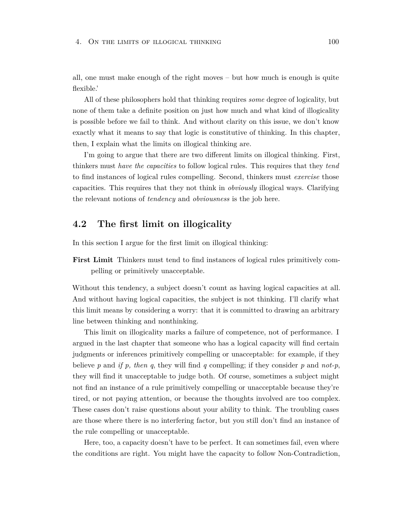all, one must make enough of the right moves – but how much is enough is quite flexible.'

All of these philosophers hold that thinking requires *some* degree of logicality, but none of them take a definite position on just how much and what kind of illogicality is possible before we fail to think. And without clarity on this issue, we don't know exactly what it means to say that logic is constitutive of thinking. In this chapter, then, I explain what the limits on illogical thinking are.

I'm going to argue that there are two different limits on illogical thinking. First, thinkers must *have the capacities* to follow logical rules. This requires that they *tend* to find instances of logical rules compelling. Second, thinkers must *exercise* those capacities. This requires that they not think in *obviously* illogical ways. Clarifying the relevant notions of *tendency* and *obviousness* is the job here.

## **4.2 The first limit on illogicality**

In this section I argue for the first limit on illogical thinking:

**First Limit** Thinkers must tend to find instances of logical rules primitively compelling or primitively unacceptable.

Without this tendency, a subject doesn't count as having logical capacities at all. And without having logical capacities, the subject is not thinking. I'll clarify what this limit means by considering a worry: that it is committed to drawing an arbitrary line between thinking and nonthinking.

This limit on illogicality marks a failure of competence, not of performance. I argued in the last chapter that someone who has a logical capacity will find certain judgments or inferences primitively compelling or unacceptable: for example, if they believe *p* and *if p, then q*, they will find *q* compelling; if they consider *p* and *not-p*, they will find it unacceptable to judge both. Of course, sometimes a subject might not find an instance of a rule primitively compelling or unacceptable because they're tired, or not paying attention, or because the thoughts involved are too complex. These cases don't raise questions about your ability to think. The troubling cases are those where there is no interfering factor, but you still don't find an instance of the rule compelling or unacceptable.

Here, too, a capacity doesn't have to be perfect. It can sometimes fail, even where the conditions are right. You might have the capacity to follow Non-Contradiction,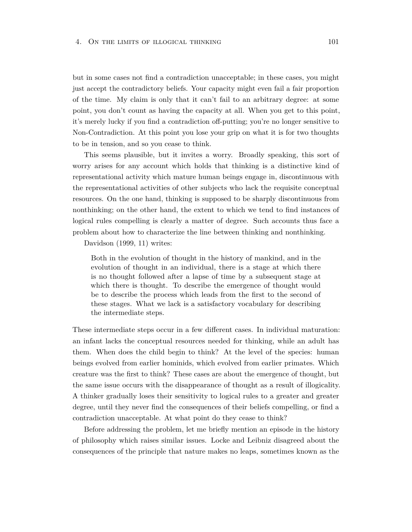but in some cases not find a contradiction unacceptable; in these cases, you might just accept the contradictory beliefs. Your capacity might even fail a fair proportion of the time. My claim is only that it can't fail to an arbitrary degree: at some point, you don't count as having the capacity at all. When you get to this point, it's merely lucky if you find a contradiction off-putting; you're no longer sensitive to Non-Contradiction. At this point you lose your grip on what it is for two thoughts to be in tension, and so you cease to think.

This seems plausible, but it invites a worry. Broadly speaking, this sort of worry arises for any account which holds that thinking is a distinctive kind of representational activity which mature human beings engage in, discontinuous with the representational activities of other subjects who lack the requisite conceptual resources. On the one hand, thinking is supposed to be sharply discontinuous from nonthinking; on the other hand, the extent to which we tend to find instances of logical rules compelling is clearly a matter of degree. Such accounts thus face a problem about how to characterize the line between thinking and nonthinking.

Davidson (1999, 11) writes:

Both in the evolution of thought in the history of mankind, and in the evolution of thought in an individual, there is a stage at which there is no thought followed after a lapse of time by a subsequent stage at which there is thought. To describe the emergence of thought would be to describe the process which leads from the first to the second of these stages. What we lack is a satisfactory vocabulary for describing the intermediate steps.

These intermediate steps occur in a few different cases. In individual maturation: an infant lacks the conceptual resources needed for thinking, while an adult has them. When does the child begin to think? At the level of the species: human beings evolved from earlier hominids, which evolved from earlier primates. Which creature was the first to think? These cases are about the emergence of thought, but the same issue occurs with the disappearance of thought as a result of illogicality. A thinker gradually loses their sensitivity to logical rules to a greater and greater degree, until they never find the consequences of their beliefs compelling, or find a contradiction unacceptable. At what point do they cease to think?

Before addressing the problem, let me briefly mention an episode in the history of philosophy which raises similar issues. Locke and Leibniz disagreed about the consequences of the principle that nature makes no leaps, sometimes known as the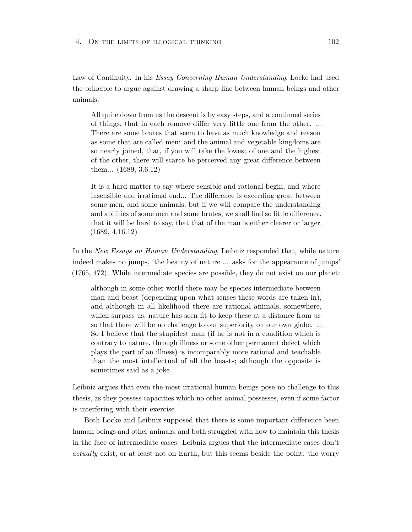Law of Continuity. In his *Essay Concerning Human Understanding*, Locke had used the principle to argue against drawing a sharp line between human beings and other animals:

All quite down from us the descent is by easy steps, and a continued series of things, that in each remove differ very little one from the other. ... There are some brutes that seem to have as much knowledge and reason as some that are called men: and the animal and vegetable kingdoms are so nearly joined, that, if you will take the lowest of one and the highest of the other, there will scarce be perceived any great difference between them... (1689, 3.6.12)

It is a hard matter to say where sensible and rational begin, and where insensible and irrational end... The difference is exceeding great between some men, and some animals; but if we will compare the understanding and abilities of some men and some brutes, we shall find so little difference, that it will be hard to say, that that of the man is either clearer or larger. (1689, 4.16.12)

In the *New Essays on Human Understanding*, Leibniz responded that, while nature indeed makes no jumps, 'the beauty of nature ... asks for the appearance of jumps' (1765, 472). While intermediate species are possible, they do not exist on our planet:

although in some other world there may be species intermediate between man and beast (depending upon what senses these words are taken in), and although in all likelihood there are rational animals, somewhere, which surpass us, nature has seen fit to keep these at a distance from us so that there will be no challenge to our superiority on our own globe. ... So I believe that the stupidest man (if he is not in a condition which is contrary to nature, through illness or some other permanent defect which plays the part of an illness) is incomparably more rational and teachable than the most intellectual of all the beasts; although the opposite is sometimes said as a joke.

Leibniz argues that even the most irrational human beings pose no challenge to this thesis, as they possess capacities which no other animal possesses, even if some factor is interfering with their exercise.

Both Locke and Leibniz supposed that there is some important difference been human beings and other animals, and both struggled with how to maintain this thesis in the face of intermediate cases. Leibniz argues that the intermediate cases don't *actually* exist, or at least not on Earth, but this seems beside the point: the worry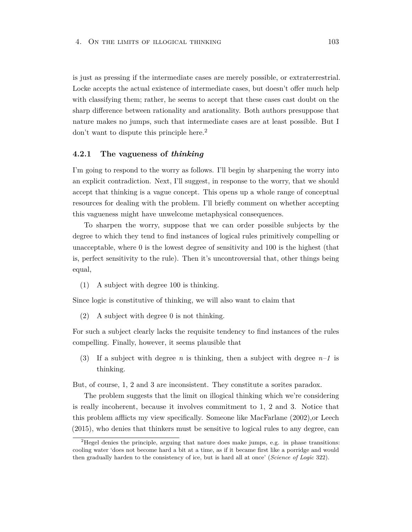is just as pressing if the intermediate cases are merely possible, or extraterrestrial. Locke accepts the actual existence of intermediate cases, but doesn't offer much help with classifying them; rather, he seems to accept that these cases cast doubt on the sharp difference between rationality and arationality. Both authors presuppose that nature makes no jumps, such that intermediate cases are at least possible. But I don't want to dispute this principle here.<sup>2</sup>

#### **4.2.1 The vagueness of** *thinking*

I'm going to respond to the worry as follows. I'll begin by sharpening the worry into an explicit contradiction. Next, I'll suggest, in response to the worry, that we should accept that thinking is a vague concept. This opens up a whole range of conceptual resources for dealing with the problem. I'll briefly comment on whether accepting this vagueness might have unwelcome metaphysical consequences.

To sharpen the worry, suppose that we can order possible subjects by the degree to which they tend to find instances of logical rules primitively compelling or unacceptable, where 0 is the lowest degree of sensitivity and 100 is the highest (that is, perfect sensitivity to the rule). Then it's uncontroversial that, other things being equal,

(1) A subject with degree 100 is thinking.

Since logic is constitutive of thinking, we will also want to claim that

(2) A subject with degree 0 is not thinking.

For such a subject clearly lacks the requisite tendency to find instances of the rules compelling. Finally, however, it seems plausible that

(3) If a subject with degree *n* is thinking, then a subject with degree  $n-1$  is thinking.

But, of course, 1, 2 and 3 are inconsistent. They constitute a sorites paradox.

The problem suggests that the limit on illogical thinking which we're considering is really incoherent, because it involves commitment to 1, 2 and 3. Notice that this problem afflicts my view specifically. Someone like MacFarlane (2002),or Leech (2015), who denies that thinkers must be sensitive to logical rules to any degree, can

<sup>&</sup>lt;sup>2</sup>Hegel denies the principle, arguing that nature does make jumps, e.g. in phase transitions: cooling water 'does not become hard a bit at a time, as if it became first like a porridge and would then gradually harden to the consistency of ice, but is hard all at once' (*Science of Logic* 322).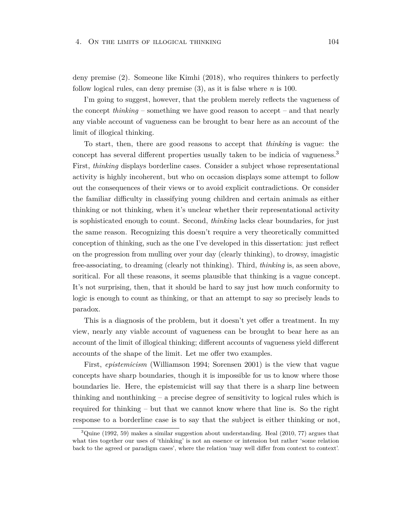deny premise (2). Someone like Kimhi (2018), who requires thinkers to perfectly follow logical rules, can deny premise (3), as it is false where *n* is 100.

I'm going to suggest, however, that the problem merely reflects the vagueness of the concept *thinking* – something we have good reason to accept – and that nearly any viable account of vagueness can be brought to bear here as an account of the limit of illogical thinking.

To start, then, there are good reasons to accept that *thinking* is vague: the concept has several different properties usually taken to be indicia of vagueness.<sup>3</sup> First, *thinking* displays borderline cases. Consider a subject whose representational activity is highly incoherent, but who on occasion displays some attempt to follow out the consequences of their views or to avoid explicit contradictions. Or consider the familiar difficulty in classifying young children and certain animals as either thinking or not thinking, when it's unclear whether their representational activity is sophisticated enough to count. Second, *thinking* lacks clear boundaries, for just the same reason. Recognizing this doesn't require a very theoretically committed conception of thinking, such as the one I've developed in this dissertation: just reflect on the progression from mulling over your day (clearly thinking), to drowsy, imagistic free-associating, to dreaming (clearly not thinking). Third, *thinking* is, as seen above, soritical. For all these reasons, it seems plausible that thinking is a vague concept. It's not surprising, then, that it should be hard to say just how much conformity to logic is enough to count as thinking, or that an attempt to say so precisely leads to paradox.

This is a diagnosis of the problem, but it doesn't yet offer a treatment. In my view, nearly any viable account of vagueness can be brought to bear here as an account of the limit of illogical thinking; different accounts of vagueness yield different accounts of the shape of the limit. Let me offer two examples.

First, *epistemicism* (Williamson 1994; Sorensen 2001) is the view that vague concepts have sharp boundaries, though it is impossible for us to know where those boundaries lie. Here, the epistemicist will say that there is a sharp line between thinking and nonthinking – a precise degree of sensitivity to logical rules which is required for thinking – but that we cannot know where that line is. So the right response to a borderline case is to say that the subject is either thinking or not,

 $3\text{Quine}$  (1992, 59) makes a similar suggestion about understanding. Heal (2010, 77) argues that what ties together our uses of 'thinking' is not an essence or intension but rather 'some relation back to the agreed or paradigm cases', where the relation 'may well differ from context to context'.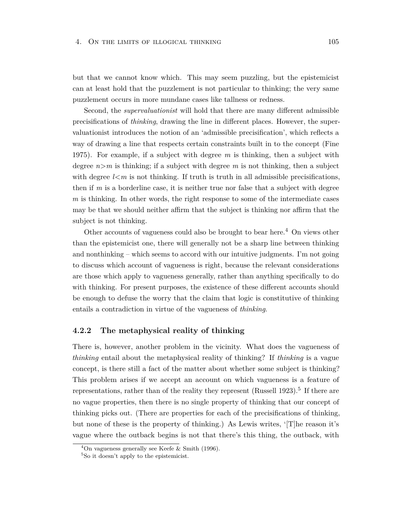#### 4. ON THE LIMITS OF ILLOGICAL THINKING 105

but that we cannot know which. This may seem puzzling, but the epistemicist can at least hold that the puzzlement is not particular to thinking; the very same puzzlement occurs in more mundane cases like tallness or redness.

Second, the *supervaluationist* will hold that there are many different admissible precisifications of *thinking*, drawing the line in different places. However, the supervaluationist introduces the notion of an 'admissible precisification', which reflects a way of drawing a line that respects certain constraints built in to the concept (Fine 1975). For example, if a subject with degree *m* is thinking, then a subject with degree  $n>m$  is thinking; if a subject with degree m is not thinking, then a subject with degree  $l \leq m$  is not thinking. If truth is truth in all admissible precisifications, then if *m* is a borderline case, it is neither true nor false that a subject with degree *m* is thinking. In other words, the right response to some of the intermediate cases may be that we should neither affirm that the subject is thinking nor affirm that the subject is not thinking.

Other accounts of vagueness could also be brought to bear here.<sup>4</sup> On views other than the epistemicist one, there will generally not be a sharp line between thinking and nonthinking – which seems to accord with our intuitive judgments. I'm not going to discuss which account of vagueness is right, because the relevant considerations are those which apply to vagueness generally, rather than anything specifically to do with thinking. For present purposes, the existence of these different accounts should be enough to defuse the worry that the claim that logic is constitutive of thinking entails a contradiction in virtue of the vagueness of *thinking*.

#### **4.2.2 The metaphysical reality of thinking**

There is, however, another problem in the vicinity. What does the vagueness of *thinking* entail about the metaphysical reality of thinking? If *thinking* is a vague concept, is there still a fact of the matter about whether some subject is thinking? This problem arises if we accept an account on which vagueness is a feature of representations, rather than of the reality they represent (Russell 1923).<sup>5</sup> If there are no vague properties, then there is no single property of thinking that our concept of thinking picks out. (There are properties for each of the precisifications of thinking, but none of these is the property of thinking.) As Lewis writes, '[T]he reason it's vague where the outback begins is not that there's this thing, the outback, with

 $4$ On vagueness generally see Keefe & Smith (1996).

<sup>5</sup>So it doesn't apply to the epistemicist.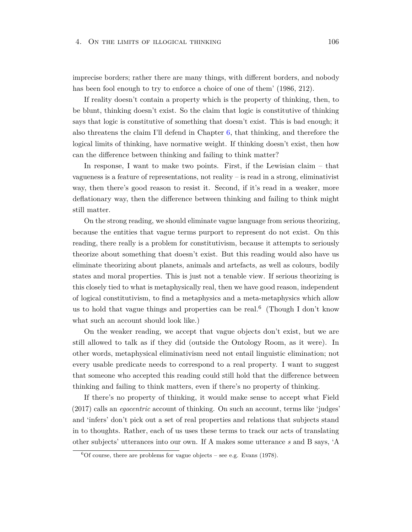#### 4. On the limits of illogical thinking 106

imprecise borders; rather there are many things, with different borders, and nobody has been fool enough to try to enforce a choice of one of them'  $(1986, 212)$ .

If reality doesn't contain a property which is the property of thinking, then, to be blunt, thinking doesn't exist. So the claim that logic is constitutive of thinking says that logic is constitutive of something that doesn't exist. This is bad enough; it also threatens the claim I'll defend in Chapter  $6$ , that thinking, and therefore the logical limits of thinking, have normative weight. If thinking doesn't exist, then how can the difference between thinking and failing to think matter?

In response, I want to make two points. First, if the Lewisian claim – that vagueness is a feature of representations, not reality – is read in a strong, eliminativist way, then there's good reason to resist it. Second, if it's read in a weaker, more deflationary way, then the difference between thinking and failing to think might still matter.

On the strong reading, we should eliminate vague language from serious theorizing, because the entities that vague terms purport to represent do not exist. On this reading, there really is a problem for constitutivism, because it attempts to seriously theorize about something that doesn't exist. But this reading would also have us eliminate theorizing about planets, animals and artefacts, as well as colours, bodily states and moral properties. This is just not a tenable view. If serious theorizing is this closely tied to what is metaphysically real, then we have good reason, independent of logical constitutivism, to find a metaphysics and a meta-metaphysics which allow us to hold that vague things and properties can be real.<sup>6</sup> (Though I don't know what such an account should look like.)

On the weaker reading, we accept that vague objects don't exist, but we are still allowed to talk as if they did (outside the Ontology Room, as it were). In other words, metaphysical eliminativism need not entail linguistic elimination; not every usable predicate needs to correspond to a real property. I want to suggest that someone who accepted this reading could still hold that the difference between thinking and failing to think matters, even if there's no property of thinking.

If there's no property of thinking, it would make sense to accept what Field (2017) calls an *egocentric* account of thinking. On such an account, terms like 'judges' and 'infers' don't pick out a set of real properties and relations that subjects stand in to thoughts. Rather, each of us uses these terms to track our acts of translating other subjects' utterances into our own. If A makes some utterance *s* and B says, 'A

 ${}^{6}$ Of course, there are problems for vague objects – see e.g. Evans (1978).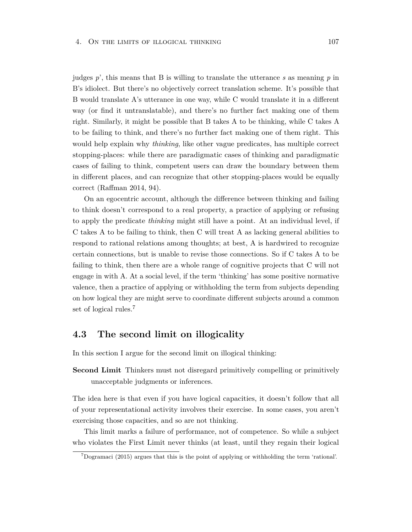#### 4. ON THE LIMITS OF ILLOGICAL THINKING 107

judges *p*', this means that B is willing to translate the utterance *s* as meaning *p* in B's idiolect. But there's no objectively correct translation scheme. It's possible that B would translate A's utterance in one way, while C would translate it in a different way (or find it untranslatable), and there's no further fact making one of them right. Similarly, it might be possible that B takes A to be thinking, while C takes A to be failing to think, and there's no further fact making one of them right. This would help explain why *thinking*, like other vague predicates, has multiple correct stopping-places: while there are paradigmatic cases of thinking and paradigmatic cases of failing to think, competent users can draw the boundary between them in different places, and can recognize that other stopping-places would be equally correct (Raffman 2014, 94).

On an egocentric account, although the difference between thinking and failing to think doesn't correspond to a real property, a practice of applying or refusing to apply the predicate *thinking* might still have a point. At an individual level, if C takes A to be failing to think, then C will treat A as lacking general abilities to respond to rational relations among thoughts; at best, A is hardwired to recognize certain connections, but is unable to revise those connections. So if C takes A to be failing to think, then there are a whole range of cognitive projects that C will not engage in with A. At a social level, if the term 'thinking' has some positive normative valence, then a practice of applying or withholding the term from subjects depending on how logical they are might serve to coordinate different subjects around a common set of logical rules.<sup>7</sup>

# **4.3 The second limit on illogicality**

In this section I argue for the second limit on illogical thinking:

**Second Limit** Thinkers must not disregard primitively compelling or primitively unacceptable judgments or inferences.

The idea here is that even if you have logical capacities, it doesn't follow that all of your representational activity involves their exercise. In some cases, you aren't exercising those capacities, and so are not thinking.

This limit marks a failure of performance, not of competence. So while a subject who violates the First Limit never thinks (at least, until they regain their logical

<sup>7</sup>Dogramaci (2015) argues that this is the point of applying or withholding the term 'rational'.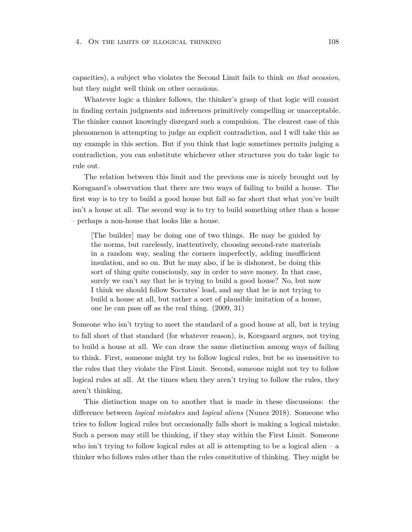#### 4. On the limits of illogical thinking 108

capacities), a subject who violates the Second Limit fails to think *on that occasion*, but they might well think on other occasions.

Whatever logic a thinker follows, the thinker's grasp of that logic will consist in finding certain judgments and inferences primitively compelling or unacceptable. The thinker cannot knowingly disregard such a compulsion. The clearest case of this phenomenon is attempting to judge an explicit contradiction, and I will take this as my example in this section. But if you think that logic sometimes permits judging a contradiction, you can substitute whichever other structures you do take logic to rule out.

The relation between this limit and the previous one is nicely brought out by Korsgaard's observation that there are two ways of failing to build a house. The first way is to try to build a good house but fall so far short that what you've built isn't a house at all. The second way is to try to build something other than a house – perhaps a non-house that looks like a house.

[The builder] may be doing one of two things. He may be guided by the norms, but carelessly, inattentively, choosing second-rate materials in a random way, sealing the corners imperfectly, adding insufficient insulation, and so on. But he may also, if he is dishonest, be doing this sort of thing quite consciously, say in order to save money. In that case, surely we can't say that he is trying to build a good house? No, but now I think we should follow Socrates' lead, and say that he is not trying to build a house at all, but rather a sort of plausible imitation of a house, one he can pass off as the real thing. (2009, 31)

Someone who isn't trying to meet the standard of a good house at all, but is trying to fall short of that standard (for whatever reason), is, Korsgaard argues, not trying to build a house at all. We can draw the same distinction among ways of failing to think. First, someone might try to follow logical rules, but be so insensitive to the rules that they violate the First Limit. Second, someone might not try to follow logical rules at all. At the times when they aren't trying to follow the rules, they aren't thinking.

This distinction maps on to another that is made in these discussions: the difference between *logical mistakes* and *logical aliens* (Nunez 2018). Someone who tries to follow logical rules but occasionally falls short is making a logical mistake. Such a person may still be thinking, if they stay within the First Limit. Someone who isn't trying to follow logical rules at all is attempting to be a logical alien  $- a$ thinker who follows rules other than the rules constitutive of thinking. They might be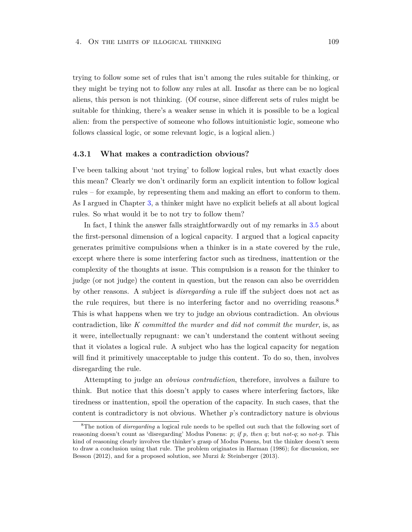trying to follow some set of rules that isn't among the rules suitable for thinking, or they might be trying not to follow any rules at all. Insofar as there can be no logical aliens, this person is not thinking. (Of course, since different sets of rules might be suitable for thinking, there's a weaker sense in which it is possible to be a logical alien: from the perspective of someone who follows intuitionistic logic, someone who follows classical logic, or some relevant logic, is a logical alien.)

#### **4.3.1 What makes a contradiction obvious?**

I've been talking about 'not trying' to follow logical rules, but what exactly does this mean? Clearly we don't ordinarily form an explicit intention to follow logical rules – for example, by representing them and making an effort to conform to them. As I argued in Chapter [3,](#page-84-0) a thinker might have no explicit beliefs at all about logical rules. So what would it be to not try to follow them?

In fact, I think the answer falls straightforwardly out of my remarks in [3.5](#page-94-0) about the first-personal dimension of a logical capacity. I argued that a logical capacity generates primitive compulsions when a thinker is in a state covered by the rule, except where there is some interfering factor such as tiredness, inattention or the complexity of the thoughts at issue. This compulsion is a reason for the thinker to judge (or not judge) the content in question, but the reason can also be overridden by other reasons. A subject is *disregarding* a rule iff the subject does not act as the rule requires, but there is no interfering factor and no overriding reasons.<sup>8</sup> This is what happens when we try to judge an obvious contradiction. An obvious contradiction, like *K committed the murder and did not commit the murder*, is, as it were, intellectually repugnant: we can't understand the content without seeing that it violates a logical rule. A subject who has the logical capacity for negation will find it primitively unacceptable to judge this content. To do so, then, involves disregarding the rule.

Attempting to judge an *obvious contradiction*, therefore, involves a failure to think. But notice that this doesn't apply to cases where interfering factors, like tiredness or inattention, spoil the operation of the capacity. In such cases, that the content is contradictory is not obvious. Whether *p*'s contradictory nature is obvious

<sup>8</sup>The notion of *disregarding* a logical rule needs to be spelled out such that the following sort of reasoning doesn't count as 'disregarding' Modus Ponens: *p*; *if p, then q*; but *not-q*; so *not-p*. This kind of reasoning clearly involves the thinker's grasp of Modus Ponens, but the thinker doesn't seem to draw a conclusion using that rule. The problem originates in Harman (1986); for discussion, see Besson (2012), and for a proposed solution, see Murzi & Steinberger (2013).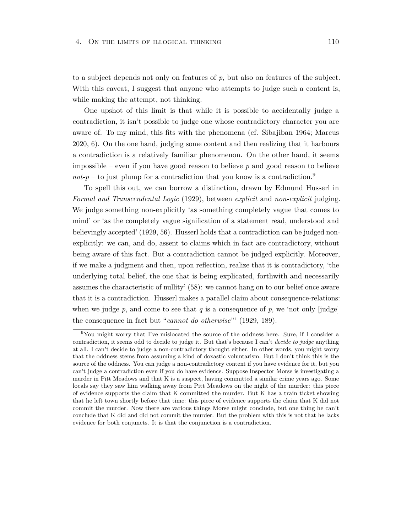#### 4. ON THE LIMITS OF ILLOGICAL THINKING 110

to a subject depends not only on features of *p*, but also on features of the subject. With this caveat, I suggest that anyone who attempts to judge such a content is, while making the attempt, not thinking.

One upshot of this limit is that while it is possible to accidentally judge a contradiction, it isn't possible to judge one whose contradictory character you are aware of. To my mind, this fits with the phenomena (cf. Sibajiban 1964; Marcus 2020, 6). On the one hand, judging some content and then realizing that it harbours a contradiction is a relatively familiar phenomenon. On the other hand, it seems impossible – even if you have good reason to believe *p* and good reason to believe  $not-p$  – to just plump for a contradiction that you know is a contradiction.<sup>9</sup>

To spell this out, we can borrow a distinction, drawn by Edmund Husserl in *Formal and Transcendental Logic* (1929), between *explicit* and *non-explicit* judging. We judge something non-explicitly 'as something completely vague that comes to mind' or 'as the completely vague signification of a statement read, understood and believingly accepted' (1929, 56). Husserl holds that a contradiction can be judged nonexplicitly: we can, and do, assent to claims which in fact are contradictory, without being aware of this fact. But a contradiction cannot be judged explicitly. Moreover, if we make a judgment and then, upon reflection, realize that it is contradictory, 'the underlying total belief, the one that is being explicated, forthwith and necessarily assumes the characteristic of nullity' (58): we cannot hang on to our belief once aware that it is a contradiction. Husserl makes a parallel claim about consequence-relations: when we judge  $p$ , and come to see that  $q$  is a consequence of  $p$ , we 'not only [judge] the consequence in fact but "*cannot do otherwise*"' (1929, 189).

<sup>9</sup>You might worry that I've mislocated the source of the oddness here. Sure, if I consider a contradiction, it seems odd to decide to judge it. But that's because I can't *decide to judge* anything at all. I can't decide to judge a non-contradictory thought either. In other words, you might worry that the oddness stems from assuming a kind of doxastic voluntarism. But I don't think this is the source of the oddness. You can judge a non-contradictory content if you have evidence for it, but you can't judge a contradiction even if you do have evidence. Suppose Inspector Morse is investigating a murder in Pitt Meadows and that K is a suspect, having committed a similar crime years ago. Some locals say they saw him walking away from Pitt Meadows on the night of the murder: this piece of evidence supports the claim that K committed the murder. But K has a train ticket showing that he left town shortly before that time: this piece of evidence supports the claim that K did not commit the murder. Now there are various things Morse might conclude, but one thing he can't conclude that K did and did not commit the murder. But the problem with this is not that he lacks evidence for both conjuncts. It is that the conjunction is a contradiction.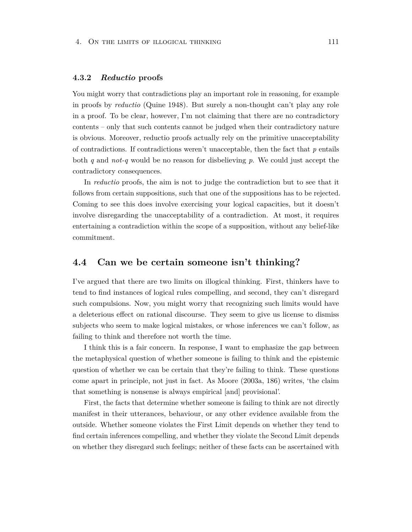#### **4.3.2** *Reductio* **proofs**

You might worry that contradictions play an important role in reasoning, for example in proofs by *reductio* (Quine 1948). But surely a non-thought can't play any role in a proof. To be clear, however, I'm not claiming that there are no contradictory contents – only that such contents cannot be judged when their contradictory nature is obvious. Moreover, reductio proofs actually rely on the primitive unacceptability of contradictions. If contradictions weren't unacceptable, then the fact that *p* entails both *q* and *not-q* would be no reason for disbelieving *p*. We could just accept the contradictory consequences.

In *reductio* proofs, the aim is not to judge the contradiction but to see that it follows from certain suppositions, such that one of the suppositions has to be rejected. Coming to see this does involve exercising your logical capacities, but it doesn't involve disregarding the unacceptability of a contradiction. At most, it requires entertaining a contradiction within the scope of a supposition, without any belief-like commitment.

## **4.4 Can we be certain someone isn't thinking?**

I've argued that there are two limits on illogical thinking. First, thinkers have to tend to find instances of logical rules compelling, and second, they can't disregard such compulsions. Now, you might worry that recognizing such limits would have a deleterious effect on rational discourse. They seem to give us license to dismiss subjects who seem to make logical mistakes, or whose inferences we can't follow, as failing to think and therefore not worth the time.

I think this is a fair concern. In response, I want to emphasize the gap between the metaphysical question of whether someone is failing to think and the epistemic question of whether we can be certain that they're failing to think. These questions come apart in principle, not just in fact. As Moore (2003a, 186) writes, 'the claim that something is nonsense is always empirical [and] provisional'.

First, the facts that determine whether someone is failing to think are not directly manifest in their utterances, behaviour, or any other evidence available from the outside. Whether someone violates the First Limit depends on whether they tend to find certain inferences compelling, and whether they violate the Second Limit depends on whether they disregard such feelings; neither of these facts can be ascertained with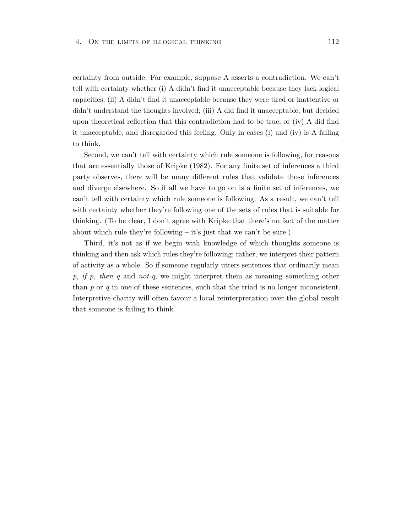certainty from outside. For example, suppose A asserts a contradiction. We can't tell with certainty whether (i) A didn't find it unacceptable because they lack logical capacities; (ii) A didn't find it unacceptable because they were tired or inattentive or didn't understand the thoughts involved; (iii) A did find it unacceptable, but decided upon theoretical reflection that this contradiction had to be true; or (iv) A did find it unacceptable, and disregarded this feeling. Only in cases (i) and (iv) is A failing to think.

Second, we can't tell with certainty which rule someone is following, for reasons that are essentially those of Kripke (1982). For any finite set of inferences a third party observes, there will be many different rules that validate those inferences and diverge elsewhere. So if all we have to go on is a finite set of inferences, we can't tell with certainty which rule someone is following. As a result, we can't tell with certainty whether they're following one of the sets of rules that is suitable for thinking. (To be clear, I don't agree with Kripke that there's no fact of the matter about which rule they're following – it's just that we can't be sure.)

Third, it's not as if we begin with knowledge of which thoughts someone is thinking and then ask which rules they're following; rather, we interpret their pattern of activity as a whole. So if someone regularly utters sentences that ordinarily mean *p*, *if p, then q* and *not-q*, we might interpret them as meaning something other than  $p$  or  $q$  in one of these sentences, such that the triad is no longer inconsistent. Interpretive charity will often favour a local reinterpretation over the global result that someone is failing to think.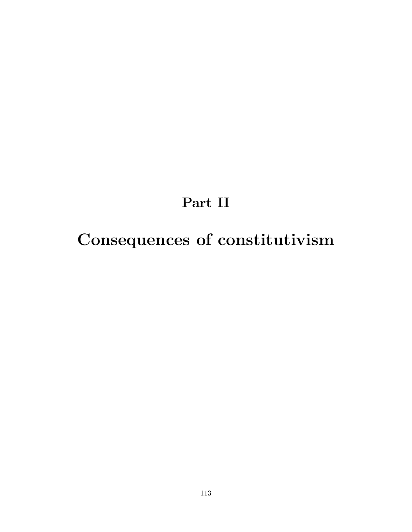# **Part II**

# **Consequences of constitutivism**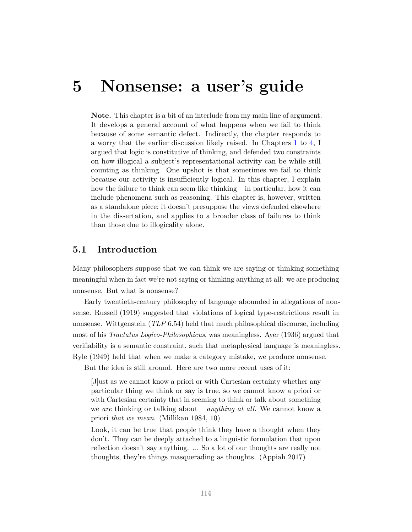# **5 Nonsense: a user's guide**

**Note.** This chapter is a bit of an interlude from my main line of argument. It develops a general account of what happens when we fail to think because of some semantic defect. Indirectly, the chapter responds to a worry that the earlier discussion likely raised. In Chapters [1](#page-22-0) to [4,](#page-105-0) I argued that logic is constitutive of thinking, and defended two constraints on how illogical a subject's representational activity can be while still counting as thinking. One upshot is that sometimes we fail to think because our activity is insufficiently logical. In this chapter, I explain how the failure to think can seem like thinking – in particular, how it can include phenomena such as reasoning. This chapter is, however, written as a standalone piece; it doesn't presuppose the views defended elsewhere in the dissertation, and applies to a broader class of failures to think than those due to illogicality alone.

# **5.1 Introduction**

Many philosophers suppose that we can think we are saying or thinking something meaningful when in fact we're not saying or thinking anything at all: we are producing nonsense. But what is nonsense?

Early twentieth-century philosophy of language abounded in allegations of nonsense. Russell (1919) suggested that violations of logical type-restrictions result in nonsense. Wittgenstein (*TLP* 6.54) held that much philosophical discourse, including most of his *Tractatus Logico-Philosophicus*, was meaningless. Ayer (1936) argued that verifiability is a semantic constraint, such that metaphysical language is meaningless. Ryle (1949) held that when we make a category mistake, we produce nonsense.

But the idea is still around. Here are two more recent uses of it:

[J]ust as we cannot know a priori or with Cartesian certainty whether any particular thing we think or say is true, so we cannot know a priori or with Cartesian certainty that in seeming to think or talk about something we *are* thinking or talking about – *anything at all*. We cannot know a priori *that we mean*. (Millikan 1984, 10)

Look, it can be true that people think they have a thought when they don't. They can be deeply attached to a linguistic formulation that upon reflection doesn't say anything. ... So a lot of our thoughts are really not thoughts, they're things masquerading as thoughts. (Appiah 2017)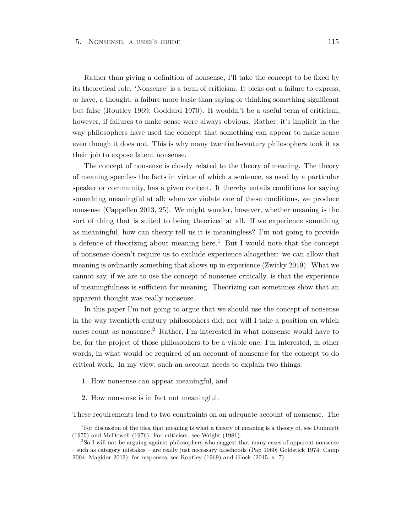Rather than giving a definition of nonsense, I'll take the concept to be fixed by its theoretical role. 'Nonsense' is a term of criticism. It picks out a failure to express, or have, a thought: a failure more basic than saying or thinking something significant but false (Routley 1969; Goddard 1970). It wouldn't be a useful term of criticism, however, if failures to make sense were always obvious. Rather, it's implicit in the way philosophers have used the concept that something can appear to make sense even though it does not. This is why many twentieth-century philosophers took it as their job to expose latent nonsense.

The concept of nonsense is closely related to the theory of meaning. The theory of meaning specifies the facts in virtue of which a sentence, as used by a particular speaker or community, has a given content. It thereby entails conditions for saying something meaningful at all; when we violate one of these conditions, we produce nonsense (Cappellen 2013, 25). We might wonder, however, whether meaning is the sort of thing that is suited to being theorized at all. If we experience something as meaningful, how can theory tell us it is meaningless? I'm not going to provide a defence of theorizing about meaning here.<sup>1</sup> But I would note that the concept of nonsense doesn't require us to exclude experience altogether: we can allow that meaning is ordinarily something that shows up in experience (Zwicky 2019). What we cannot say, if we are to use the concept of nonsense critically, is that the experience of meaningfulness is sufficient for meaning. Theorizing can sometimes show that an apparent thought was really nonsense.

In this paper I'm not going to argue that we should use the concept of nonsense in the way twentieth-century philosophers did; nor will I take a position on which cases count as nonsense.<sup>2</sup> Rather, I'm interested in what nonsense would have to be, for the project of those philosophers to be a viable one. I'm interested, in other words, in what would be required of an account of nonsense for the concept to do critical work. In my view, such an account needs to explain two things:

- 1. How nonsense can appear meaningful, and
- 2. How nonsense is in fact not meaningful.

These requirements lead to two constraints on an adequate account of nonsense. The

<sup>&</sup>lt;sup>1</sup>For discussion of the idea that meaning is what a theory of meaning is a theory of, see Dummett (1975) and McDowell (1976). For criticism, see Wright (1981).

<sup>2</sup>So I will not be arguing against philosophers who suggest that many cases of apparent nonsense – such as category mistakes – are really just necessary falsehoods (Pap 1960; Goldstick 1974; Camp 2004; Magidor 2013); for responses, see Routley (1969) and Glock (2015, s. 7).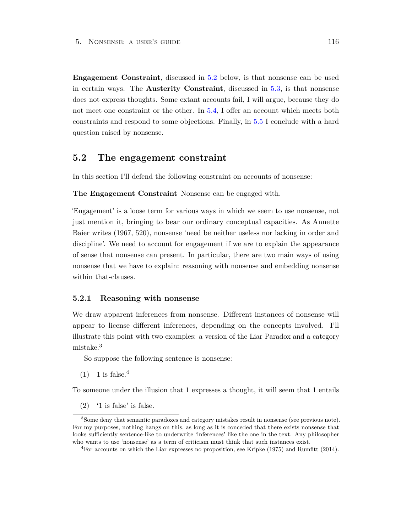**Engagement Constraint**, discussed in [5.2](#page-122-0) below, is that nonsense can be used in certain ways. The **Austerity Constraint**, discussed in [5.3,](#page-130-0) is that nonsense does not express thoughts. Some extant accounts fail, I will argue, because they do not meet one constraint or the other. In [5.4,](#page-133-0) I offer an account which meets both constraints and respond to some objections. Finally, in [5.5](#page-144-0) I conclude with a hard question raised by nonsense.

### <span id="page-122-0"></span>**5.2 The engagement constraint**

In this section I'll defend the following constraint on accounts of nonsense:

**The Engagement Constraint** Nonsense can be engaged with.

'Engagement' is a loose term for various ways in which we seem to use nonsense, not just mention it, bringing to bear our ordinary conceptual capacities. As Annette Baier writes (1967, 520), nonsense 'need be neither useless nor lacking in order and discipline'. We need to account for engagement if we are to explain the appearance of sense that nonsense can present. In particular, there are two main ways of using nonsense that we have to explain: reasoning with nonsense and embedding nonsense within that-clauses.

#### **5.2.1 Reasoning with nonsense**

We draw apparent inferences from nonsense. Different instances of nonsense will appear to license different inferences, depending on the concepts involved. I'll illustrate this point with two examples: a version of the Liar Paradox and a category mistake.<sup>3</sup>

So suppose the following sentence is nonsense:

 $(1)$  1 is false.<sup>4</sup>

To someone under the illusion that 1 expresses a thought, it will seem that 1 entails

(2) '1 is false' is false.

<sup>3</sup>Some deny that semantic paradoxes and category mistakes result in nonsense (see previous note). For my purposes, nothing hangs on this, as long as it is conceded that there exists nonsense that looks sufficiently sentence-like to underwrite 'inferences' like the one in the text. Any philosopher who wants to use 'nonsense' as a term of criticism must think that such instances exist.

<sup>4</sup>For accounts on which the Liar expresses no proposition, see Kripke (1975) and Rumfitt (2014).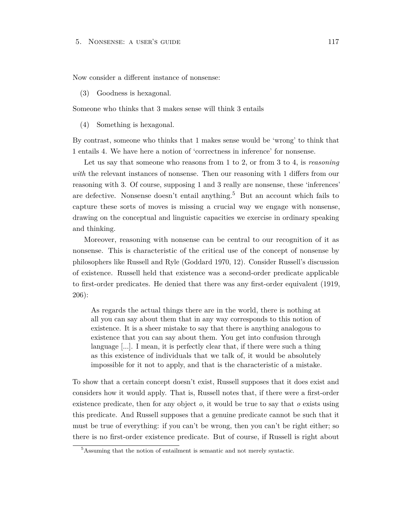Now consider a different instance of nonsense:

(3) Goodness is hexagonal.

Someone who thinks that 3 makes sense will think 3 entails

(4) Something is hexagonal.

By contrast, someone who thinks that 1 makes sense would be 'wrong' to think that 1 entails 4. We have here a notion of 'correctness in inference' for nonsense.

Let us say that someone who reasons from 1 to 2, or from 3 to 4, is *reasoning with* the relevant instances of nonsense. Then our reasoning with 1 differs from our reasoning with 3. Of course, supposing 1 and 3 really are nonsense, these 'inferences' are defective. Nonsense doesn't entail anything.<sup>5</sup> But an account which fails to capture these sorts of moves is missing a crucial way we engage with nonsense, drawing on the conceptual and linguistic capacities we exercise in ordinary speaking and thinking.

Moreover, reasoning with nonsense can be central to our recognition of it as nonsense. This is characteristic of the critical use of the concept of nonsense by philosophers like Russell and Ryle (Goddard 1970, 12). Consider Russell's discussion of existence. Russell held that existence was a second-order predicate applicable to first-order predicates. He denied that there was any first-order equivalent (1919, 206):

As regards the actual things there are in the world, there is nothing at all you can say about them that in any way corresponds to this notion of existence. It is a sheer mistake to say that there is anything analogous to existence that you can say about them. You get into confusion through language [...]. I mean, it is perfectly clear that, if there were such a thing as this existence of individuals that we talk of, it would be absolutely impossible for it not to apply, and that is the characteristic of a mistake.

To show that a certain concept doesn't exist, Russell supposes that it does exist and considers how it would apply. That is, Russell notes that, if there were a first-order existence predicate, then for any object *o*, it would be true to say that *o* exists using this predicate. And Russell supposes that a genuine predicate cannot be such that it must be true of everything: if you can't be wrong, then you can't be right either; so there is no first-order existence predicate. But of course, if Russell is right about

<sup>5</sup>Assuming that the notion of entailment is semantic and not merely syntactic.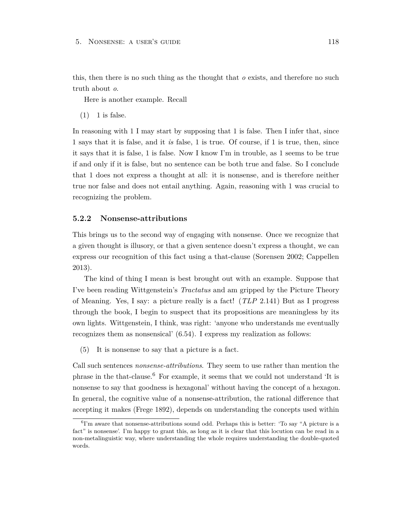this, then there is no such thing as the thought that *o* exists, and therefore no such truth about *o*.

Here is another example. Recall

 $(1)$  1 is false.

In reasoning with 1 I may start by supposing that 1 is false. Then I infer that, since 1 says that it is false, and it *is* false, 1 is true. Of course, if 1 is true, then, since it says that it is false, 1 is false. Now I know I'm in trouble, as 1 seems to be true if and only if it is false, but no sentence can be both true and false. So I conclude that 1 does not express a thought at all: it is nonsense, and is therefore neither true nor false and does not entail anything. Again, reasoning with 1 was crucial to recognizing the problem.

#### **5.2.2 Nonsense-attributions**

This brings us to the second way of engaging with nonsense. Once we recognize that a given thought is illusory, or that a given sentence doesn't express a thought, we can express our recognition of this fact using a that-clause (Sorensen 2002; Cappellen 2013).

The kind of thing I mean is best brought out with an example. Suppose that I've been reading Wittgenstein's *Tractatus* and am gripped by the Picture Theory of Meaning. Yes, I say: a picture really is a fact! (*TLP* 2.141) But as I progress through the book, I begin to suspect that its propositions are meaningless by its own lights. Wittgenstein, I think, was right: 'anyone who understands me eventually recognizes them as nonsensical' (6.54). I express my realization as follows:

(5) It is nonsense to say that a picture is a fact.

Call such sentences *nonsense-attributions*. They seem to use rather than mention the phrase in the that-clause.<sup>6</sup> For example, it seems that we could not understand 'It is nonsense to say that goodness is hexagonal' without having the concept of a hexagon. In general, the cognitive value of a nonsense-attribution, the rational difference that accepting it makes (Frege 1892), depends on understanding the concepts used within

<sup>&</sup>lt;sup>6</sup>I'm aware that nonsense-attributions sound odd. Perhaps this is better: 'To say "A picture is a fact" is nonsense'. I'm happy to grant this, as long as it is clear that this locution can be read in a non-metalinguistic way, where understanding the whole requires understanding the double-quoted words.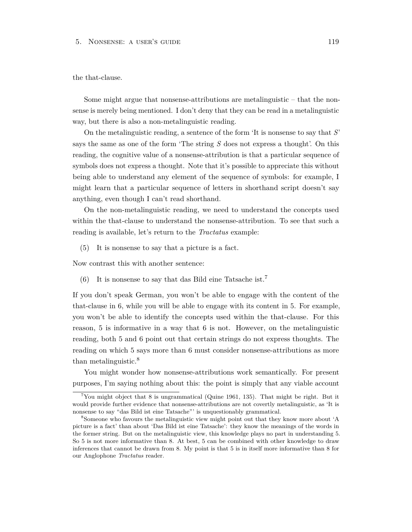#### 5. Nonsense: a user's guide 119

#### the that-clause.

Some might argue that nonsense-attributions are metalinguistic – that the nonsense is merely being mentioned. I don't deny that they can be read in a metalinguistic way, but there is also a non-metalinguistic reading.

On the metalinguistic reading, a sentence of the form 'It is nonsense to say that *S*' says the same as one of the form 'The string *S* does not express a thought'. On this reading, the cognitive value of a nonsense-attribution is that a particular sequence of symbols does not express a thought. Note that it's possible to appreciate this without being able to understand any element of the sequence of symbols: for example, I might learn that a particular sequence of letters in shorthand script doesn't say anything, even though I can't read shorthand.

On the non-metalinguistic reading, we need to understand the concepts used within the that-clause to understand the nonsense-attribution. To see that such a reading is available, let's return to the *Tractatus* example:

(5) It is nonsense to say that a picture is a fact.

Now contrast this with another sentence:

(6) It is nonsense to say that das Bild eine Tatsache ist.<sup>7</sup>

If you don't speak German, you won't be able to engage with the content of the that-clause in 6, while you will be able to engage with its content in 5. For example, you won't be able to identify the concepts used within the that-clause. For this reason, 5 is informative in a way that 6 is not. However, on the metalinguistic reading, both 5 and 6 point out that certain strings do not express thoughts. The reading on which 5 says more than 6 must consider nonsense-attributions as more than metalinguistic.<sup>8</sup>

You might wonder how nonsense-attributions work semantically. For present purposes, I'm saying nothing about this: the point is simply that any viable account

<sup>&</sup>lt;sup>7</sup>You might object that 8 is ungrammatical (Quine 1961, 135). That might be right. But it would provide further evidence that nonsense-attributions are not covertly metalinguistic, as 'It is nonsense to say "das Bild ist eine Tatsache"' is unquestionably grammatical.

<sup>8</sup>Someone who favours the metalinguistic view might point out that they know more about 'A picture is a fact' than about 'Das Bild ist eine Tatsache': they know the meanings of the words in the former string. But on the metalinguistic view, this knowledge plays no part in understanding 5. So 5 is not more informative than 8. At best, 5 can be combined with other knowledge to draw inferences that cannot be drawn from 8. My point is that 5 is in itself more informative than 8 for our Anglophone *Tractatus* reader.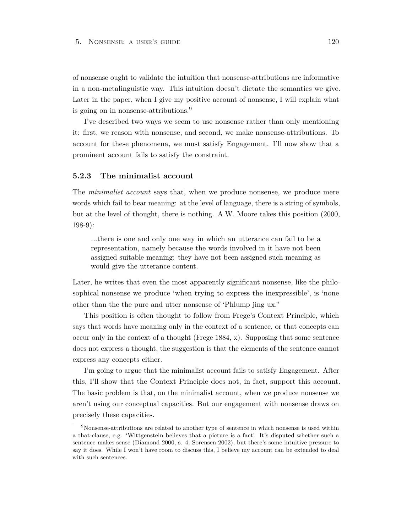of nonsense ought to validate the intuition that nonsense-attributions are informative in a non-metalinguistic way. This intuition doesn't dictate the semantics we give. Later in the paper, when I give my positive account of nonsense, I will explain what is going on in nonsense-attributions.<sup>9</sup>

I've described two ways we seem to use nonsense rather than only mentioning it: first, we reason with nonsense, and second, we make nonsense-attributions. To account for these phenomena, we must satisfy Engagement. I'll now show that a prominent account fails to satisfy the constraint.

#### **5.2.3 The minimalist account**

The *minimalist account* says that, when we produce nonsense, we produce mere words which fail to bear meaning: at the level of language, there is a string of symbols, but at the level of thought, there is nothing. A.W. Moore takes this position (2000, 198-9):

...there is one and only one way in which an utterance can fail to be a representation, namely because the words involved in it have not been assigned suitable meaning: they have not been assigned such meaning as would give the utterance content.

Later, he writes that even the most apparently significant nonsense, like the philosophical nonsense we produce 'when trying to express the inexpressible', is 'none other than the the pure and utter nonsense of 'Phlump jing ux."

This position is often thought to follow from Frege's Context Principle, which says that words have meaning only in the context of a sentence, or that concepts can occur only in the context of a thought (Frege 1884, x). Supposing that some sentence does not express a thought, the suggestion is that the elements of the sentence cannot express any concepts either.

I'm going to argue that the minimalist account fails to satisfy Engagement. After this, I'll show that the Context Principle does not, in fact, support this account. The basic problem is that, on the minimalist account, when we produce nonsense we aren't using our conceptual capacities. But our engagement with nonsense draws on precisely these capacities.

 $9$ Nonsense-attributions are related to another type of sentence in which nonsense is used within a that-clause, e.g. 'Wittgenstein believes that a picture is a fact'. It's disputed whether such a sentence makes sense (Diamond 2000, s. 4; Sorensen 2002), but there's some intuitive pressure to say it does. While I won't have room to discuss this, I believe my account can be extended to deal with such sentences.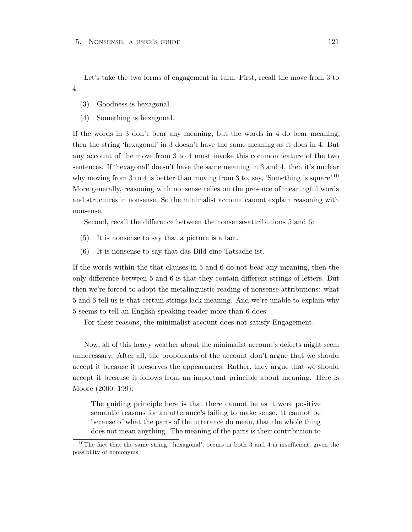Let's take the two forms of engagement in turn. First, recall the move from 3 to 4:

- (3) Goodness is hexagonal.
- (4) Something is hexagonal.

If the words in 3 don't bear any meaning, but the words in 4 do bear meaning, then the string 'hexagonal' in 3 doesn't have the same meaning as it does in 4. But any account of the move from 3 to 4 must invoke this common feature of the two sentences. If 'hexagonal' doesn't have the same meaning in 3 and 4, then it's unclear why moving from 3 to 4 is better than moving from 3 to, say, 'Something is square'.<sup>10</sup> More generally, reasoning with nonsense relies on the presence of meaningful words and structures in nonsense. So the minimalist account cannot explain reasoning with nonsense.

Second, recall the difference between the nonsense-attributions 5 and 6:

- (5) It is nonsense to say that a picture is a fact.
- (6) It is nonsense to say that das Bild eine Tatsache ist.

If the words within the that-clauses in 5 and 6 do not bear any meaning, then the only difference between 5 and 6 is that they contain different strings of letters. But then we're forced to adopt the metalinguistic reading of nonsense-attributions: what 5 and 6 tell us is that certain strings lack meaning. And we're unable to explain why 5 seems to tell an English-speaking reader more than 6 does.

For these reasons, the minimalist account does not satisfy Engagement.

Now, all of this heavy weather about the minimalist account's defects might seem unnecessary. After all, the proponents of the account don't argue that we should accept it because it preserves the appearances. Rather, they argue that we should accept it because it follows from an important principle about meaning. Here is Moore (2000, 199):

The guiding principle here is that there cannot be as it were positive semantic reasons for an utterance's failing to make sense. It cannot be because of what the parts of the utterance do mean, that the whole thing does not mean anything. The meaning of the parts is their contribution to

<sup>10</sup>The fact that the same string, 'hexagonal', occurs in both 3 and 4 is insufficient, given the possibility of homonyms.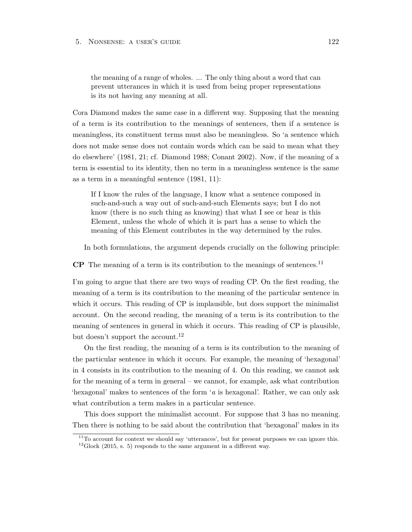the meaning of a range of wholes. ... The only thing about a word that can prevent utterances in which it is used from being proper representations is its not having any meaning at all.

Cora Diamond makes the same case in a different way. Supposing that the meaning of a term is its contribution to the meanings of sentences, then if a sentence is meaningless, its constituent terms must also be meaningless. So 'a sentence which does not make sense does not contain words which can be said to mean what they do elsewhere' (1981, 21; cf. Diamond 1988; Conant 2002). Now, if the meaning of a term is essential to its identity, then no term in a meaningless sentence is the same as a term in a meaningful sentence (1981, 11):

If I know the rules of the language, I know what a sentence composed in such-and-such a way out of such-and-such Elements says; but I do not know (there is no such thing as knowing) that what I see or hear is this Element, unless the whole of which it is part has a sense to which the meaning of this Element contributes in the way determined by the rules.

In both formulations, the argument depends crucially on the following principle:

**CP** The meaning of a term is its contribution to the meanings of sentences.<sup>11</sup>

I'm going to argue that there are two ways of reading CP. On the first reading, the meaning of a term is its contribution to the meaning of the particular sentence in which it occurs. This reading of CP is implausible, but does support the minimalist account. On the second reading, the meaning of a term is its contribution to the meaning of sentences in general in which it occurs. This reading of CP is plausible, but doesn't support the account.<sup>12</sup>

On the first reading, the meaning of a term is its contribution to the meaning of the particular sentence in which it occurs. For example, the meaning of 'hexagonal' in 4 consists in its contribution to the meaning of 4. On this reading, we cannot ask for the meaning of a term in general – we cannot, for example, ask what contribution 'hexagonal' makes to sentences of the form '*a* is hexagonal'. Rather, we can only ask what contribution a term makes in a particular sentence.

This does support the minimalist account. For suppose that 3 has no meaning. Then there is nothing to be said about the contribution that 'hexagonal' makes in its

 $11$ <sup>To</sup> account for context we should say 'utterances', but for present purposes we can ignore this.  $12$ Glock (2015, s. 5) responds to the same argument in a different way.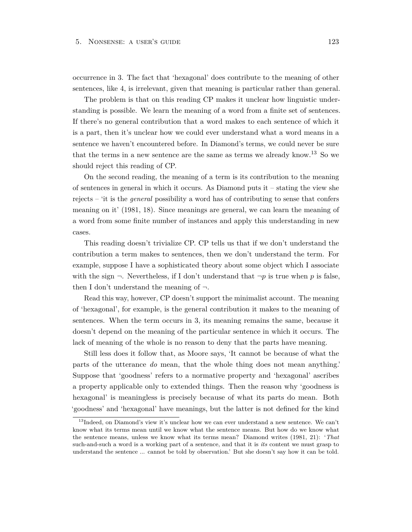occurrence in 3. The fact that 'hexagonal' does contribute to the meaning of other sentences, like 4, is irrelevant, given that meaning is particular rather than general.

The problem is that on this reading CP makes it unclear how linguistic understanding is possible. We learn the meaning of a word from a finite set of sentences. If there's no general contribution that a word makes to each sentence of which it is a part, then it's unclear how we could ever understand what a word means in a sentence we haven't encountered before. In Diamond's terms, we could never be sure that the terms in a new sentence are the same as terms we already know.<sup>13</sup> So we should reject this reading of CP.

On the second reading, the meaning of a term is its contribution to the meaning of sentences in general in which it occurs. As Diamond puts it – stating the view she rejects – 'it is the *general* possibility a word has of contributing to sense that confers meaning on it' (1981, 18). Since meanings are general, we can learn the meaning of a word from some finite number of instances and apply this understanding in new cases.

This reading doesn't trivialize CP. CP tells us that if we don't understand the contribution a term makes to sentences, then we don't understand the term. For example, suppose I have a sophisticated theory about some object which I associate with the sign  $\neg$ . Nevertheless, if I don't understand that  $\neg p$  is true when p is false, then I don't understand the meaning of  $\neg$ .

Read this way, however, CP doesn't support the minimalist account. The meaning of 'hexagonal', for example, is the general contribution it makes to the meaning of sentences. When the term occurs in 3, its meaning remains the same, because it doesn't depend on the meaning of the particular sentence in which it occurs. The lack of meaning of the whole is no reason to deny that the parts have meaning.

Still less does it follow that, as Moore says, 'It cannot be because of what the parts of the utterance *do* mean, that the whole thing does not mean anything.' Suppose that 'goodness' refers to a normative property and 'hexagonal' ascribes a property applicable only to extended things. Then the reason why 'goodness is hexagonal' is meaningless is precisely because of what its parts do mean. Both 'goodness' and 'hexagonal' have meanings, but the latter is not defined for the kind

 $13$ Indeed, on Diamond's view it's unclear how we can ever understand a new sentence. We can't know what its terms mean until we know what the sentence means. But how do we know what the sentence means, unless we know what its terms mean? Diamond writes (1981, 21): '*That* such-and-such a word is a working part of a sentence, and that it is *its* content we must grasp to understand the sentence ... cannot be told by observation.' But she doesn't say how it can be told.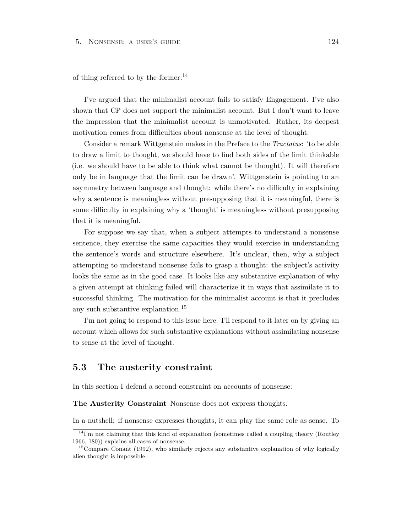of thing referred to by the former.<sup>14</sup>

I've argued that the minimalist account fails to satisfy Engagement. I've also shown that CP does not support the minimalist account. But I don't want to leave the impression that the minimalist account is unmotivated. Rather, its deepest motivation comes from difficulties about nonsense at the level of thought.

Consider a remark Wittgenstein makes in the Preface to the *Tractatus*: 'to be able to draw a limit to thought, we should have to find both sides of the limit thinkable (i.e. we should have to be able to think what cannot be thought). It will therefore only be in language that the limit can be drawn'. Wittgenstein is pointing to an asymmetry between language and thought: while there's no difficulty in explaining why a sentence is meaningless without presupposing that it is meaningful, there is some difficulty in explaining why a 'thought' is meaningless without presupposing that it is meaningful.

For suppose we say that, when a subject attempts to understand a nonsense sentence, they exercise the same capacities they would exercise in understanding the sentence's words and structure elsewhere. It's unclear, then, why a subject attempting to understand nonsense fails to grasp a thought: the subject's activity looks the same as in the good case. It looks like any substantive explanation of why a given attempt at thinking failed will characterize it in ways that assimilate it to successful thinking. The motivation for the minimalist account is that it precludes any such substantive explanation.<sup>15</sup>

I'm not going to respond to this issue here. I'll respond to it later on by giving an account which allows for such substantive explanations without assimilating nonsense to sense at the level of thought.

# <span id="page-130-0"></span>**5.3 The austerity constraint**

In this section I defend a second constraint on accounts of nonsense:

**The Austerity Constraint** Nonsense does not express thoughts.

In a nutshell: if nonsense expresses thoughts, it can play the same role as sense. To

 $14$ I'm not claiming that this kind of explanation (sometimes called a coupling theory (Routley 1966, 180)) explains all cases of nonsense.

<sup>&</sup>lt;sup>15</sup>Compare Conant (1992), who similarly rejects any substantive explanation of why logically alien thought is impossible.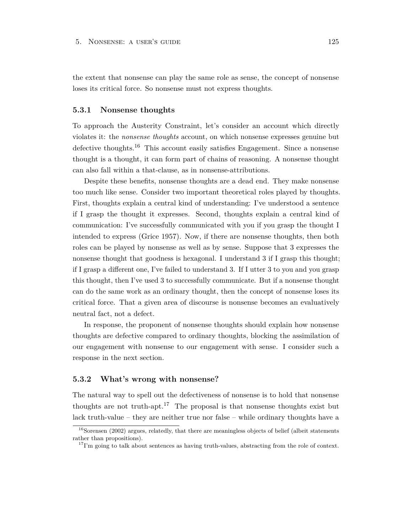the extent that nonsense can play the same role as sense, the concept of nonsense loses its critical force. So nonsense must not express thoughts.

#### **5.3.1 Nonsense thoughts**

To approach the Austerity Constraint, let's consider an account which directly violates it: the *nonsense thoughts* account, on which nonsense expresses genuine but defective thoughts.<sup>16</sup> This account easily satisfies Engagement. Since a nonsense thought is a thought, it can form part of chains of reasoning. A nonsense thought can also fall within a that-clause, as in nonsense-attributions.

Despite these benefits, nonsense thoughts are a dead end. They make nonsense too much like sense. Consider two important theoretical roles played by thoughts. First, thoughts explain a central kind of understanding: I've understood a sentence if I grasp the thought it expresses. Second, thoughts explain a central kind of communication: I've successfully communicated with you if you grasp the thought I intended to express (Grice 1957). Now, if there are nonsense thoughts, then both roles can be played by nonsense as well as by sense. Suppose that 3 expresses the nonsense thought that goodness is hexagonal. I understand 3 if I grasp this thought; if I grasp a different one, I've failed to understand 3. If I utter 3 to you and you grasp this thought, then I've used 3 to successfully communicate. But if a nonsense thought can do the same work as an ordinary thought, then the concept of nonsense loses its critical force. That a given area of discourse is nonsense becomes an evaluatively neutral fact, not a defect.

In response, the proponent of nonsense thoughts should explain how nonsense thoughts are defective compared to ordinary thoughts, blocking the assimilation of our engagement with nonsense to our engagement with sense. I consider such a response in the next section.

#### **5.3.2 What's wrong with nonsense?**

The natural way to spell out the defectiveness of nonsense is to hold that nonsense thoughts are not truth-apt.<sup>17</sup> The proposal is that nonsense thoughts exist but lack truth-value – they are neither true nor false – while ordinary thoughts have a

 $16$ Sorensen (2002) argues, relatedly, that there are meaningless objects of belief (albeit statements rather than propositions).

 $17$ I'm going to talk about sentences as having truth-values, abstracting from the role of context.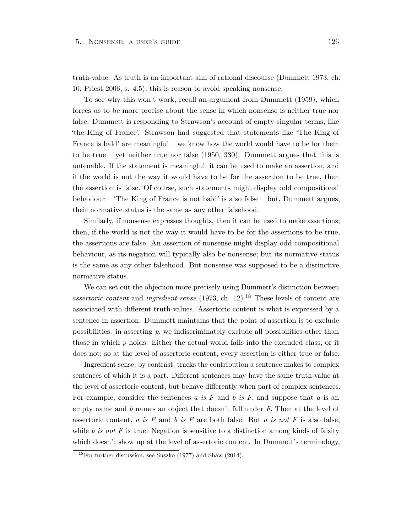truth-value. As truth is an important aim of rational discourse (Dummett 1973, ch. 10; Priest 2006, s. 4.5), this is reason to avoid speaking nonsense.

To see why this won't work, recall an argument from Dummett (1959), which forces us to be more precise about the sense in which nonsense is neither true nor false. Dummett is responding to Strawson's account of empty singular terms, like 'the King of France'. Strawson had suggested that statements like 'The King of France is bald' are meaningful – we know how the world would have to be for them to be true – yet neither true nor false (1950, 330). Dummett argues that this is untenable. If the statement is meaningful, it can be used to make an assertion, and if the world is not the way it would have to be for the assertion to be true, then the assertion is false. Of course, such statements might display odd compositional behaviour – 'The King of France is not bald' is also false – but, Dummett argues, their normative status is the same as any other falsehood.

Similarly, if nonsense expresses thoughts, then it can be used to make assertions; then, if the world is not the way it would have to be for the assertions to be true, the assertions are false. An assertion of nonsense might display odd compositional behaviour, as its negation will typically also be nonsense; but its normative status is the same as any other falsehood. But nonsense was supposed to be a distinctive normative status.

We can set out the objection more precisely using Dummett's distinction between *assertoric content* and *ingredient sense* (1973, ch. 12).<sup>18</sup> These levels of content are associated with different truth-values. Assertoric content is what is expressed by a sentence in assertion. Dummett maintains that the point of assertion is to exclude possibilities: in asserting *p*, we indiscriminately exclude all possibilities other than those in which *p* holds. Either the actual world falls into the excluded class, or it does not; so at the level of assertoric content, every assertion is either true or false.

Ingredient sense, by contrast, tracks the contribution a sentence makes to complex sentences of which it is a part. Different sentences may have the same truth-value at the level of assertoric content, but behave differently when part of complex sentences. For example, consider the sentences *a is F* and *b is F*, and suppose that *a* is an empty name and *b* names an object that doesn't fall under *F*. Then at the level of assertoric content, *a is F* and *b is F* are both false. But *a is not F* is also false, while *b is not* F is true. Negation is sensitive to a distinction among kinds of falsity which doesn't show up at the level of assertoric content. In Dummett's terminology,

 $18\,\text{For further discussion, see Suszko (1977) and Shaw (2014).}$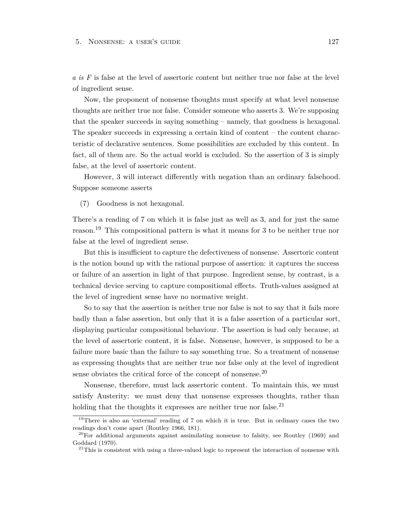#### 5. Nonsense: a user's guide 127

*a is F* is false at the level of assertoric content but neither true nor false at the level of ingredient sense.

Now, the proponent of nonsense thoughts must specify at what level nonsense thoughts are neither true nor false. Consider someone who asserts 3. We're supposing that the speaker succeeds in saying something – namely, that goodness is hexagonal. The speaker succeeds in expressing a certain kind of content – the content characteristic of declarative sentences. Some possibilities are excluded by this content. In fact, all of them are. So the actual world is excluded. So the assertion of 3 is simply false, at the level of assertoric content.

However, 3 will interact differently with negation than an ordinary falsehood. Suppose someone asserts

(7) Goodness is not hexagonal.

There's a reading of 7 on which it is false just as well as 3, and for just the same reason.<sup>19</sup> This compositional pattern is what it means for 3 to be neither true nor false at the level of ingredient sense.

But this is insufficient to capture the defectiveness of nonsense. Assertoric content is the notion bound up with the rational purpose of assertion: it captures the success or failure of an assertion in light of that purpose. Ingredient sense, by contrast, is a technical device serving to capture compositional effects. Truth-values assigned at the level of ingredient sense have no normative weight.

So to say that the assertion is neither true nor false is not to say that it fails more badly than a false assertion, but only that it is a false assertion of a particular sort, displaying particular compositional behaviour. The assertion is bad only because, at the level of assertoric content, it is false. Nonsense, however, is supposed to be a failure more basic than the failure to say something true. So a treatment of nonsense as expressing thoughts that are neither true nor false only at the level of ingredient sense obviates the critical force of the concept of nonsense.<sup>20</sup>

Nonsense, therefore, must lack assertoric content. To maintain this, we must satisfy Austerity: we must deny that nonsense expresses thoughts, rather than holding that the thoughts it expresses are neither true nor false.<sup>21</sup>

<span id="page-133-0"></span><sup>&</sup>lt;sup>19</sup>There is also an 'external' reading of 7 on which it is true. But in ordinary cases the two readings don't come apart (Routley 1966, 181).

 $^{20}$ For additional arguments against assimilating nonsense to falsity, see Routley (1969) and Goddard (1970).

 $21$ This is consistent with using a three-valued logic to represent the interaction of nonsense with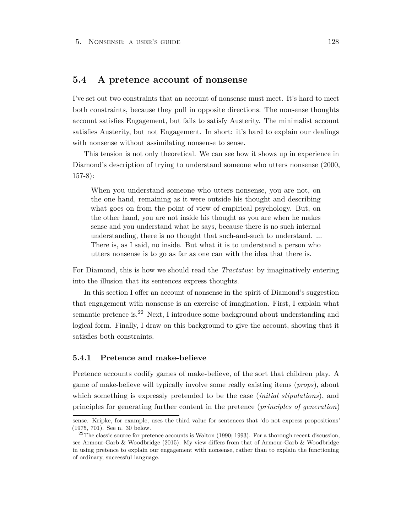## **5.4 A pretence account of nonsense**

I've set out two constraints that an account of nonsense must meet. It's hard to meet both constraints, because they pull in opposite directions. The nonsense thoughts account satisfies Engagement, but fails to satisfy Austerity. The minimalist account satisfies Austerity, but not Engagement. In short: it's hard to explain our dealings with nonsense without assimilating nonsense to sense.

This tension is not only theoretical. We can see how it shows up in experience in Diamond's description of trying to understand someone who utters nonsense (2000, 157-8):

When you understand someone who utters nonsense, you are not, on the one hand, remaining as it were outside his thought and describing what goes on from the point of view of empirical psychology. But, on the other hand, you are not inside his thought as you are when he makes sense and you understand what he says, because there is no such internal understanding, there is no thought that such-and-such to understand. ... There is, as I said, no inside. But what it is to understand a person who utters nonsense is to go as far as one can with the idea that there is.

For Diamond, this is how we should read the *Tractatus*: by imaginatively entering into the illusion that its sentences express thoughts.

In this section I offer an account of nonsense in the spirit of Diamond's suggestion that engagement with nonsense is an exercise of imagination. First, I explain what semantic pretence is.<sup>22</sup> Next, I introduce some background about understanding and logical form. Finally, I draw on this background to give the account, showing that it satisfies both constraints.

#### **5.4.1 Pretence and make-believe**

Pretence accounts codify games of make-believe, of the sort that children play. A game of make-believe will typically involve some really existing items (*props*), about which something is expressly pretended to be the case (*initial stipulations*), and principles for generating further content in the pretence (*principles of generation*)

sense. Kripke, for example, uses the third value for sentences that 'do not express propositions' (1975, 701). See n. 30 below.

 $22$ <sup>22</sup>The classic source for pretence accounts is Walton (1990; 1993). For a thorough recent discussion, see Armour-Garb & Woodbridge (2015). My view differs from that of Armour-Garb & Woodbridge in using pretence to explain our engagement with nonsense, rather than to explain the functioning of ordinary, successful language.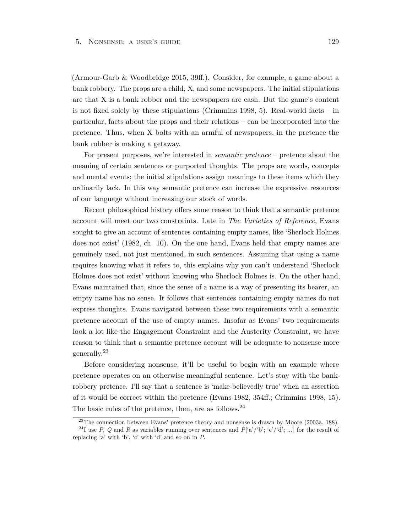(Armour-Garb & Woodbridge 2015, 39ff.). Consider, for example, a game about a bank robbery. The props are a child, X, and some newspapers. The initial stipulations are that X is a bank robber and the newspapers are cash. But the game's content is not fixed solely by these stipulations (Crimmins 1998, 5). Real-world facts – in particular, facts about the props and their relations – can be incorporated into the pretence. Thus, when X bolts with an armful of newspapers, in the pretence the bank robber is making a getaway.

For present purposes, we're interested in *semantic pretence* – pretence about the meaning of certain sentences or purported thoughts. The props are words, concepts and mental events; the initial stipulations assign meanings to these items which they ordinarily lack. In this way semantic pretence can increase the expressive resources of our language without increasing our stock of words.

Recent philosophical history offers some reason to think that a semantic pretence account will meet our two constraints. Late in *The Varieties of Reference*, Evans sought to give an account of sentences containing empty names, like 'Sherlock Holmes does not exist' (1982, ch. 10). On the one hand, Evans held that empty names are genuinely used, not just mentioned, in such sentences. Assuming that using a name requires knowing what it refers to, this explains why you can't understand 'Sherlock Holmes does not exist' without knowing who Sherlock Holmes is. On the other hand, Evans maintained that, since the sense of a name is a way of presenting its bearer, an empty name has no sense. It follows that sentences containing empty names do not express thoughts. Evans navigated between these two requirements with a semantic pretence account of the use of empty names. Insofar as Evans' two requirements look a lot like the Engagement Constraint and the Austerity Constraint, we have reason to think that a semantic pretence account will be adequate to nonsense more generally.<sup>23</sup>

Before considering nonsense, it'll be useful to begin with an example where pretence operates on an otherwise meaningful sentence. Let's stay with the bankrobbery pretence. I'll say that a sentence is 'make-believedly true' when an assertion of it would be correct within the pretence (Evans 1982, 354ff.; Crimmins 1998, 15). The basic rules of the pretence, then, are as follows.  $24$ 

 $23$ The connection between Evans' pretence theory and nonsense is drawn by Moore (2003a, 188).

<sup>&</sup>lt;sup>24</sup>I use *P*, *Q* and *R* as variables running over sentences and *P*['a'/'b'; 'c'/'d'; ...] for the result of replacing 'a' with 'b', 'c' with 'd' and so on in *P*.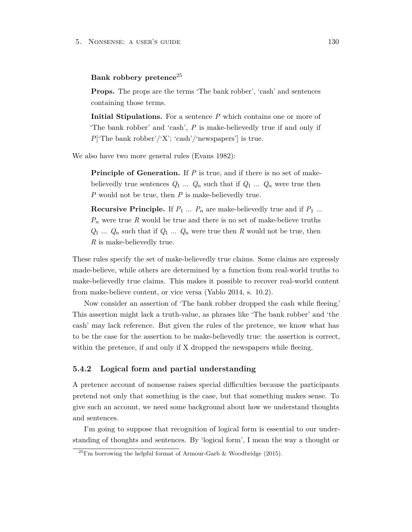#### **Bank robbery pretence**<sup>25</sup>

**Props.** The props are the terms 'The bank robber', 'cash' and sentences containing those terms.

**Initial Stipulations.** For a sentence *P* which contains one or more of 'The bank robber' and 'cash', *P* is make-believedly true if and only if *P*['The bank robber'/'X'; 'cash'/'newspapers'] is true.

We also have two more general rules (Evans 1982):

**Principle of Generation.** If *P* is true, and if there is no set of makebelievedly true sentences  $Q_1$  ...  $Q_n$  such that if  $Q_1$  ...  $Q_n$  were true then *P* would not be true, then *P* is make-believedly true.

**Recursive Principle.** If  $P_1$  ...  $P_n$  are make-believedly true and if  $P_1$  ... *P<sup>n</sup>* were true *R* would be true and there is no set of make-believe truths  $Q_1 \ldots Q_n$  such that if  $Q_1 \ldots Q_n$  were true then  $R$  would not be true, then *R* is make-believedly true.

These rules specify the set of make-believedly true claims. Some claims are expressly made-believe, while others are determined by a function from real-world truths to make-believedly true claims. This makes it possible to recover real-world content from make-believe content, or vice versa (Yablo 2014, s. 10.2).

Now consider an assertion of 'The bank robber dropped the cash while fleeing.' This assertion might lack a truth-value, as phrases like 'The bank robber' and 'the cash' may lack reference. But given the rules of the pretence, we know what has to be the case for the assertion to be make-believedly true: the assertion is correct, within the pretence, if and only if X dropped the newspapers while fleeing.

#### **5.4.2 Logical form and partial understanding**

A pretence account of nonsense raises special difficulties because the participants pretend not only that something is the case, but that something makes sense. To give such an account, we need some background about how we understand thoughts and sentences.

I'm going to suppose that recognition of logical form is essential to our understanding of thoughts and sentences. By 'logical form', I mean the way a thought or

 $^{25}$ I'm borrowing the helpful format of Armour-Garb & Woodbridge (2015).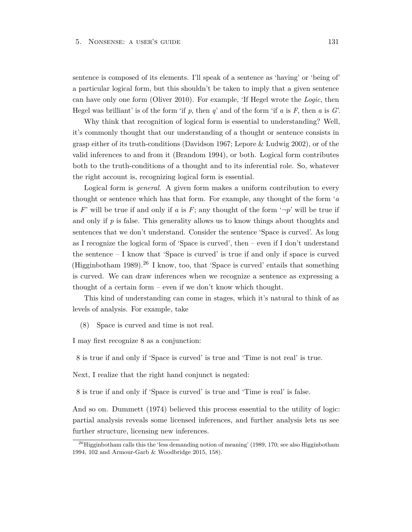sentence is composed of its elements. I'll speak of a sentence as 'having' or 'being of' a particular logical form, but this shouldn't be taken to imply that a given sentence can have only one form (Oliver 2010). For example, 'If Hegel wrote the *Logic*, then Hegel was brilliant' is of the form 'if *p*, then *q*' and of the form 'if *a* is *F*, then *a* is *G*'.

Why think that recognition of logical form is essential to understanding? Well, it's commonly thought that our understanding of a thought or sentence consists in grasp either of its truth-conditions (Davidson 1967; Lepore & Ludwig 2002), or of the valid inferences to and from it (Brandom 1994), or both. Logical form contributes both to the truth-conditions of a thought and to its inferential role. So, whatever the right account is, recognizing logical form is essential.

Logical form is *general*. A given form makes a uniform contribution to every thought or sentence which has that form. For example, any thought of the form '*a* is *F*' will be true if and only if *a* is *F*; any thought of the form  $\neg p'$  will be true if and only if *p* is false. This generality allows us to know things about thoughts and sentences that we don't understand. Consider the sentence 'Space is curved'. As long as I recognize the logical form of 'Space is curved', then – even if I don't understand the sentence  $- I$  know that 'Space is curved' is true if and only if space is curved (Higginbotham 1989).<sup>26</sup> I know, too, that 'Space is curved' entails that something is curved. We can draw inferences when we recognize a sentence as expressing a thought of a certain form – even if we don't know which thought.

This kind of understanding can come in stages, which it's natural to think of as levels of analysis. For example, take

(8) Space is curved and time is not real.

I may first recognize 8 as a conjunction:

8 is true if and only if 'Space is curved' is true and 'Time is not real' is true.

Next, I realize that the right hand conjunct is negated:

8 is true if and only if 'Space is curved' is true and 'Time is real' is false.

And so on. Dummett (1974) believed this process essential to the utility of logic: partial analysis reveals some licensed inferences, and further analysis lets us see further structure, licensing new inferences.

<sup>&</sup>lt;sup>26</sup>Higginbotham calls this the 'less demanding notion of meaning' (1989, 170; see also Higginbotham 1994, 102 and Armour-Garb & Woodbridge 2015, 158).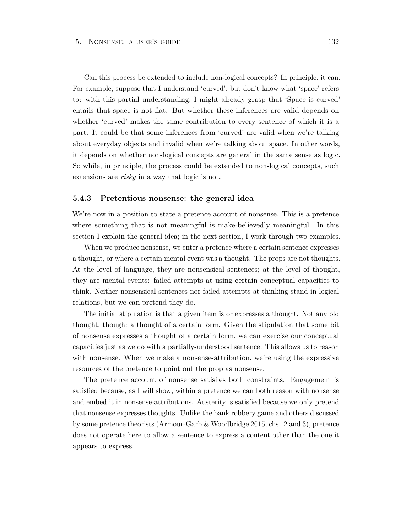Can this process be extended to include non-logical concepts? In principle, it can. For example, suppose that I understand 'curved', but don't know what 'space' refers to: with this partial understanding, I might already grasp that 'Space is curved' entails that space is not flat. But whether these inferences are valid depends on whether 'curved' makes the same contribution to every sentence of which it is a part. It could be that some inferences from 'curved' are valid when we're talking about everyday objects and invalid when we're talking about space. In other words, it depends on whether non-logical concepts are general in the same sense as logic. So while, in principle, the process could be extended to non-logical concepts, such extensions are *risky* in a way that logic is not.

#### **5.4.3 Pretentious nonsense: the general idea**

We're now in a position to state a pretence account of nonsense. This is a pretence where something that is not meaningful is make-believedly meaningful. In this section I explain the general idea; in the next section, I work through two examples.

When we produce nonsense, we enter a pretence where a certain sentence expresses a thought, or where a certain mental event was a thought. The props are not thoughts. At the level of language, they are nonsensical sentences; at the level of thought, they are mental events: failed attempts at using certain conceptual capacities to think. Neither nonsensical sentences nor failed attempts at thinking stand in logical relations, but we can pretend they do.

The initial stipulation is that a given item is or expresses a thought. Not any old thought, though: a thought of a certain form. Given the stipulation that some bit of nonsense expresses a thought of a certain form, we can exercise our conceptual capacities just as we do with a partially-understood sentence. This allows us to reason with nonsense. When we make a nonsense-attribution, we're using the expressive resources of the pretence to point out the prop as nonsense.

The pretence account of nonsense satisfies both constraints. Engagement is satisfied because, as I will show, within a pretence we can both reason with nonsense and embed it in nonsense-attributions. Austerity is satisfied because we only pretend that nonsense expresses thoughts. Unlike the bank robbery game and others discussed by some pretence theorists (Armour-Garb & Woodbridge 2015, chs. 2 and 3), pretence does not operate here to allow a sentence to express a content other than the one it appears to express.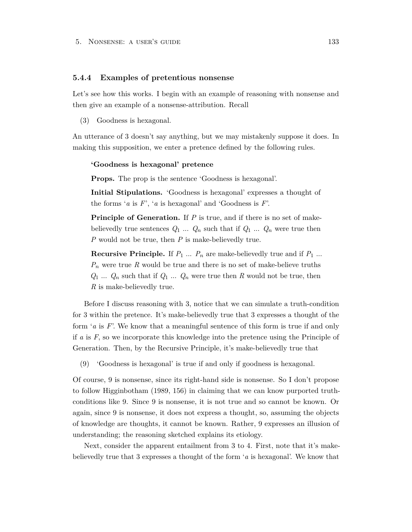#### **5.4.4 Examples of pretentious nonsense**

Let's see how this works. I begin with an example of reasoning with nonsense and then give an example of a nonsense-attribution. Recall

(3) Goodness is hexagonal.

An utterance of 3 doesn't say anything, but we may mistakenly suppose it does. In making this supposition, we enter a pretence defined by the following rules.

#### **'Goodness is hexagonal' pretence**

**Props.** The prop is the sentence 'Goodness is hexagonal'.

**Initial Stipulations.** 'Goodness is hexagonal' expresses a thought of the forms '*a* is *F*', '*a* is hexagonal' and 'Goodness is *F*'.

**Principle of Generation.** If *P* is true, and if there is no set of makebelievedly true sentences  $Q_1 \ldots Q_n$  such that if  $Q_1 \ldots Q_n$  were true then *P* would not be true, then *P* is make-believedly true.

**Recursive Principle.** If  $P_1$  ...  $P_n$  are make-believedly true and if  $P_1$  ...  $P_n$  were true *R* would be true and there is no set of make-believe truths  $Q_1 \ldots Q_n$  such that if  $Q_1 \ldots Q_n$  were true then  $R$  would not be true, then *R* is make-believedly true.

Before I discuss reasoning with 3, notice that we can simulate a truth-condition for 3 within the pretence. It's make-believedly true that 3 expresses a thought of the form '*a* is *F*'. We know that a meaningful sentence of this form is true if and only if *a* is *F*, so we incorporate this knowledge into the pretence using the Principle of Generation. Then, by the Recursive Principle, it's make-believedly true that

(9) 'Goodness is hexagonal' is true if and only if goodness is hexagonal.

Of course, 9 is nonsense, since its right-hand side is nonsense. So I don't propose to follow Higginbotham (1989, 156) in claiming that we can know purported truthconditions like 9. Since 9 is nonsense, it is not true and so cannot be known. Or again, since 9 is nonsense, it does not express a thought, so, assuming the objects of knowledge are thoughts, it cannot be known. Rather, 9 expresses an illusion of understanding; the reasoning sketched explains its etiology.

Next, consider the apparent entailment from 3 to 4. First, note that it's makebelievedly true that 3 expresses a thought of the form '*a* is hexagonal'. We know that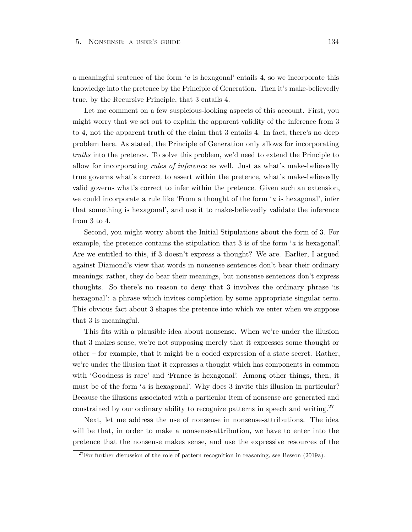a meaningful sentence of the form '*a* is hexagonal' entails 4, so we incorporate this knowledge into the pretence by the Principle of Generation. Then it's make-believedly true, by the Recursive Principle, that 3 entails 4.

Let me comment on a few suspicious-looking aspects of this account. First, you might worry that we set out to explain the apparent validity of the inference from 3 to 4, not the apparent truth of the claim that 3 entails 4. In fact, there's no deep problem here. As stated, the Principle of Generation only allows for incorporating *truths* into the pretence. To solve this problem, we'd need to extend the Principle to allow for incorporating *rules of inference* as well. Just as what's make-believedly true governs what's correct to assert within the pretence, what's make-believedly valid governs what's correct to infer within the pretence. Given such an extension, we could incorporate a rule like 'From a thought of the form '*a* is hexagonal', infer that something is hexagonal', and use it to make-believedly validate the inference from 3 to 4.

Second, you might worry about the Initial Stipulations about the form of 3. For example, the pretence contains the stipulation that 3 is of the form '*a* is hexagonal'. Are we entitled to this, if 3 doesn't express a thought? We are. Earlier, I argued against Diamond's view that words in nonsense sentences don't bear their ordinary meanings; rather, they do bear their meanings, but nonsense sentences don't express thoughts. So there's no reason to deny that 3 involves the ordinary phrase 'is hexagonal': a phrase which invites completion by some appropriate singular term. This obvious fact about 3 shapes the pretence into which we enter when we suppose that 3 is meaningful.

This fits with a plausible idea about nonsense. When we're under the illusion that 3 makes sense, we're not supposing merely that it expresses some thought or other – for example, that it might be a coded expression of a state secret. Rather, we're under the illusion that it expresses a thought which has components in common with 'Goodness is rare' and 'France is hexagonal'. Among other things, then, it must be of the form '*a* is hexagonal'. Why does 3 invite this illusion in particular? Because the illusions associated with a particular item of nonsense are generated and constrained by our ordinary ability to recognize patterns in speech and writing. $27$ 

Next, let me address the use of nonsense in nonsense-attributions. The idea will be that, in order to make a nonsense-attribution, we have to enter into the pretence that the nonsense makes sense, and use the expressive resources of the

<sup>&</sup>lt;sup>27</sup>For further discussion of the role of pattern recognition in reasoning, see Besson (2019a).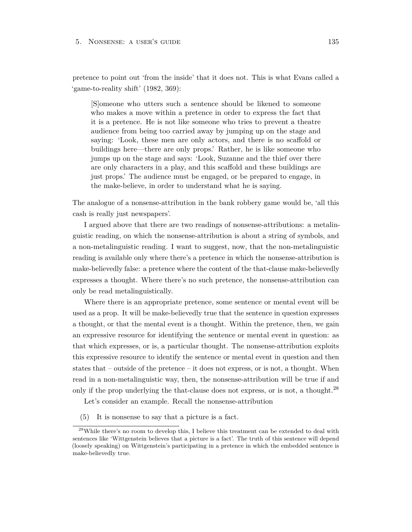pretence to point out 'from the inside' that it does not. This is what Evans called a 'game-to-reality shift' (1982, 369):

[S]omeone who utters such a sentence should be likened to someone who makes a move within a pretence in order to express the fact that it is a pretence. He is not like someone who tries to prevent a theatre audience from being too carried away by jumping up on the stage and saying: 'Look, these men are only actors, and there is no scaffold or buildings here—there are only props.' Rather, he is like someone who jumps up on the stage and says: 'Look, Suzanne and the thief over there are only characters in a play, and this scaffold and these buildings are just props.' The audience must be engaged, or be prepared to engage, in the make-believe, in order to understand what he is saying.

The analogue of a nonsense-attribution in the bank robbery game would be, 'all this cash is really just newspapers'.

I argued above that there are two readings of nonsense-attributions: a metalinguistic reading, on which the nonsense-attribution is about a string of symbols, and a non-metalinguistic reading. I want to suggest, now, that the non-metalinguistic reading is available only where there's a pretence in which the nonsense-attribution is make-believedly false: a pretence where the content of the that-clause make-believedly expresses a thought. Where there's no such pretence, the nonsense-attribution can only be read metalinguistically.

Where there is an appropriate pretence, some sentence or mental event will be used as a prop. It will be make-believedly true that the sentence in question expresses a thought, or that the mental event is a thought. Within the pretence, then, we gain an expressive resource for identifying the sentence or mental event in question: as that which expresses, or is, a particular thought. The nonsense-attribution exploits this expressive resource to identify the sentence or mental event in question and then states that – outside of the pretence – it does not express, or is not, a thought. When read in a non-metalinguistic way, then, the nonsense-attribution will be true if and only if the prop underlying the that-clause does not express, or is not, a thought.<sup>28</sup>

Let's consider an example. Recall the nonsense-attribution

(5) It is nonsense to say that a picture is a fact.

 $^{28}$ While there's no room to develop this, I believe this treatment can be extended to deal with sentences like 'Wittgenstein believes that a picture is a fact'. The truth of this sentence will depend (loosely speaking) on Wittgenstein's participating in a pretence in which the embedded sentence is make-believedly true.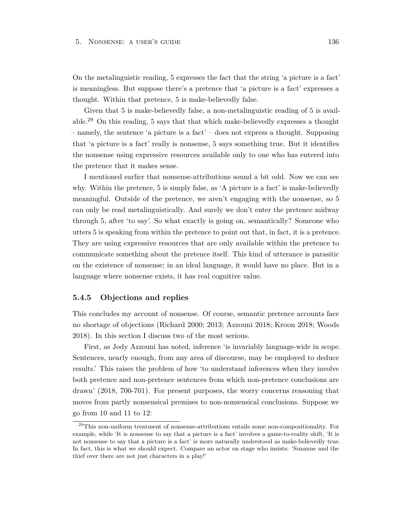On the metalinguistic reading, 5 expresses the fact that the string 'a picture is a fact' is meaningless. But suppose there's a pretence that 'a picture is a fact' expresses a thought. Within that pretence, 5 is make-believedly false.

Given that 5 is make-believedly false, a non-metalinguistic reading of 5 is available.<sup>29</sup> On this reading, 5 says that that which make-believedly expresses a thought – namely, the sentence 'a picture is a fact' – does not express a thought. Supposing that 'a picture is a fact' really is nonsense, 5 says something true. But it identifies the nonsense using expressive resources available only to one who has entered into the pretence that it makes sense.

I mentioned earlier that nonsense-attributions sound a bit odd. Now we can see why. Within the pretence, 5 is simply false, as 'A picture is a fact' is make-believedly meaningful. Outside of the pretence, we aren't engaging with the nonsense, so 5 can only be read metalinguistically. And surely we don't enter the pretence midway through 5, after 'to say'. So what exactly is going on, semantically? Someone who utters 5 is speaking from within the pretence to point out that, in fact, it is a pretence. They are using expressive resources that are only available within the pretence to communicate something about the pretence itself. This kind of utterance is parasitic on the existence of nonsense; in an ideal language, it would have no place. But in a language where nonsense exists, it has real cognitive value.

#### **5.4.5 Objections and replies**

This concludes my account of nonsense. Of course, semantic pretence accounts face no shortage of objections (Richard 2000; 2013; Azzouni 2018; Kroon 2018; Woods 2018). In this section I discuss two of the most serious.

First, as Jody Azzouni has noted, inference 'is invariably language-wide in scope. Sentences, nearly enough, from any area of discourse, may be employed to deduce results.' This raises the problem of how 'to understand inferences when they involve both pretence and non-pretence sentences from which non-pretence conclusions are drawn' (2018, 700-701). For present purposes, the worry concerns reasoning that moves from partly nonsensical premises to non-nonsensical conclusions. Suppose we go from 10 and 11 to 12:

 $29$ This non-uniform treatment of nonsense-attributions entails some non-compositionality. For example, while 'It is nonsense to say that a picture is a fact' involves a game-to-reality shift, 'It is not nonsense to say that a picture is a fact' is more naturally understood as make-believedly true. In fact, this is what we should expect. Compare an actor on stage who insists: 'Suzanne and the thief over there are not just characters in a play!'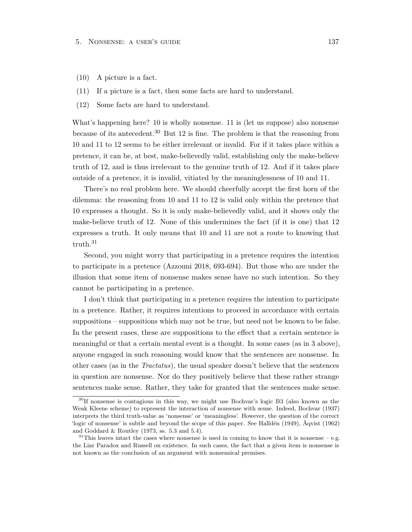- (10) A picture is a fact.
- (11) If a picture is a fact, then some facts are hard to understand.
- (12) Some facts are hard to understand.

What's happening here? 10 is wholly nonsense. 11 is (let us suppose) also nonsense because of its antecedent.<sup>30</sup> But 12 is fine. The problem is that the reasoning from 10 and 11 to 12 seems to be either irrelevant or invalid. For if it takes place within a pretence, it can be, at best, make-believedly valid, establishing only the make-believe truth of 12, and is thus irrelevant to the genuine truth of 12. And if it takes place outside of a pretence, it is invalid, vitiated by the meaninglessness of 10 and 11.

There's no real problem here. We should cheerfully accept the first horn of the dilemma: the reasoning from 10 and 11 to 12 is valid only within the pretence that 10 expresses a thought. So it is only make-believedly valid, and it shows only the make-believe truth of 12. None of this undermines the fact (if it is one) that 12 expresses a truth. It only means that 10 and 11 are not a route to knowing that truth.<sup>31</sup>

Second, you might worry that participating in a pretence requires the intention to participate in a pretence (Azzouni 2018, 693-694). But those who are under the illusion that some item of nonsense makes sense have no such intention. So they cannot be participating in a pretence.

I don't think that participating in a pretence requires the intention to participate in a pretence. Rather, it requires intentions to proceed in accordance with certain suppositions – suppositions which may not be true, but need not be known to be false. In the present cases, these are suppositions to the effect that a certain sentence is meaningful or that a certain mental event is a thought. In some cases (as in 3 above), anyone engaged in such reasoning would know that the sentences are nonsense. In other cases (as in the *Tractatus*), the usual speaker doesn't believe that the sentences in question are nonsense. Nor do they positively believe that these rather strange sentences make sense. Rather, they take for granted that the sentences make sense.

<sup>30</sup>If nonsense is contagious in this way, we might use Bochvar's logic B3 (also known as the Weak Kleene scheme) to represent the interaction of nonsense with sense. Indeed, Bochvar (1937) interprets the third truth-value as 'nonsense' or 'meaningless'. However, the question of the correct 'logic of nonsense' is subtle and beyond the scope of this paper. See Halldén (1949), Åqvist (1962) and Goddard & Routley (1973, ss. 5.3 and 5.4).

 $31$ This leaves intact the cases where nonsense is used in coming to know that it is nonsense – e.g. the Liar Paradox and Russell on existence. In such cases, the fact that a given item is nonsense is not known as the conclusion of an argument with nonsensical premises.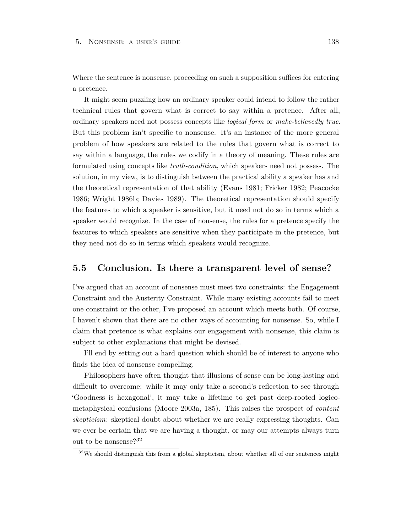Where the sentence is nonsense, proceeding on such a supposition suffices for entering a pretence.

It might seem puzzling how an ordinary speaker could intend to follow the rather technical rules that govern what is correct to say within a pretence. After all, ordinary speakers need not possess concepts like *logical form* or *make-believedly true*. But this problem isn't specific to nonsense. It's an instance of the more general problem of how speakers are related to the rules that govern what is correct to say within a language, the rules we codify in a theory of meaning. These rules are formulated using concepts like *truth-condition*, which speakers need not possess. The solution, in my view, is to distinguish between the practical ability a speaker has and the theoretical representation of that ability (Evans 1981; Fricker 1982; Peacocke 1986; Wright 1986b; Davies 1989). The theoretical representation should specify the features to which a speaker is sensitive, but it need not do so in terms which a speaker would recognize. In the case of nonsense, the rules for a pretence specify the features to which speakers are sensitive when they participate in the pretence, but they need not do so in terms which speakers would recognize.

## **5.5 Conclusion. Is there a transparent level of sense?**

I've argued that an account of nonsense must meet two constraints: the Engagement Constraint and the Austerity Constraint. While many existing accounts fail to meet one constraint or the other, I've proposed an account which meets both. Of course, I haven't shown that there are no other ways of accounting for nonsense. So, while I claim that pretence is what explains our engagement with nonsense, this claim is subject to other explanations that might be devised.

I'll end by setting out a hard question which should be of interest to anyone who finds the idea of nonsense compelling.

Philosophers have often thought that illusions of sense can be long-lasting and difficult to overcome: while it may only take a second's reflection to see through 'Goodness is hexagonal', it may take a lifetime to get past deep-rooted logicometaphysical confusions (Moore 2003a, 185). This raises the prospect of *content skepticism*: skeptical doubt about whether we are really expressing thoughts. Can we ever be certain that we are having a thought, or may our attempts always turn out to be nonsense?<sup>32</sup>

 $32\text{We should distinguish this from a global skepticism, about whether all of our sentences might}$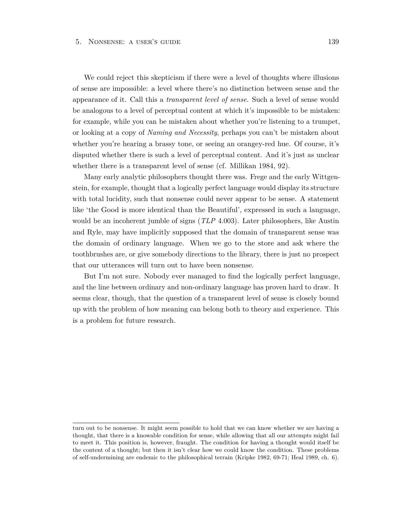We could reject this skepticism if there were a level of thoughts where illusions of sense are impossible: a level where there's no distinction between sense and the appearance of it. Call this a *transparent level of sense*. Such a level of sense would be analogous to a level of perceptual content at which it's impossible to be mistaken: for example, while you can be mistaken about whether you're listening to a trumpet, or looking at a copy of *Naming and Necessity*, perhaps you can't be mistaken about whether you're hearing a brassy tone, or seeing an orangey-red hue. Of course, it's disputed whether there is such a level of perceptual content. And it's just as unclear whether there is a transparent level of sense (cf. Millikan 1984, 92).

Many early analytic philosophers thought there was. Frege and the early Wittgenstein, for example, thought that a logically perfect language would display its structure with total lucidity, such that nonsense could never appear to be sense. A statement like 'the Good is more identical than the Beautiful', expressed in such a language, would be an incoherent jumble of signs (*TLP* 4.003). Later philosophers, like Austin and Ryle, may have implicitly supposed that the domain of transparent sense was the domain of ordinary language. When we go to the store and ask where the toothbrushes are, or give somebody directions to the library, there is just no prospect that our utterances will turn out to have been nonsense.

But I'm not sure. Nobody ever managed to find the logically perfect language, and the line between ordinary and non-ordinary language has proven hard to draw. It seems clear, though, that the question of a transparent level of sense is closely bound up with the problem of how meaning can belong both to theory and experience. This is a problem for future research.

turn out to be nonsense. It might seem possible to hold that we can know whether we are having a thought, that there is a knowable condition for sense, while allowing that all our attempts might fail to meet it. This position is, however, fraught. The condition for having a thought would itself be the content of a thought; but then it isn't clear how we could know the condition. These problems of self-undermining are endemic to the philosophical terrain (Kripke 1982, 69-71; Heal 1989, ch. 6).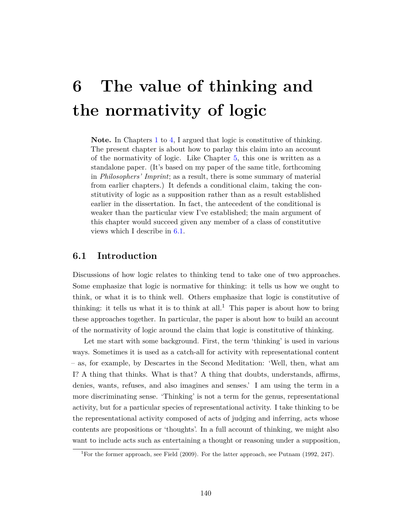# **6 The value of thinking and the normativity of logic**

Note. In Chapters [1](#page-22-0) to [4,](#page-105-0) I argued that logic is constitutive of thinking. The present chapter is about how to parlay this claim into an account of the normativity of logic. Like Chapter [5,](#page-120-0) this one is written as a standalone paper. (It's based on my paper of the same title, forthcoming in *Philosophers' Imprint*; as a result, there is some summary of material from earlier chapters.) It defends a conditional claim, taking the constitutivity of logic as a supposition rather than as a result established earlier in the dissertation. In fact, the antecedent of the conditional is weaker than the particular view I've established; the main argument of this chapter would succeed given any member of a class of constitutive views which I describe in [6.1.](#page-146-0)

## <span id="page-146-0"></span>**6.1 Introduction**

Discussions of how logic relates to thinking tend to take one of two approaches. Some emphasize that logic is normative for thinking: it tells us how we ought to think, or what it is to think well. Others emphasize that logic is constitutive of thinking: it tells us what it is to think at all.<sup>1</sup> This paper is about how to bring these approaches together. In particular, the paper is about how to build an account of the normativity of logic around the claim that logic is constitutive of thinking.

Let me start with some background. First, the term 'thinking' is used in various ways. Sometimes it is used as a catch-all for activity with representational content – as, for example, by Descartes in the Second Meditation: 'Well, then, what am I? A thing that thinks. What is that? A thing that doubts, understands, affirms, denies, wants, refuses, and also imagines and senses.' I am using the term in a more discriminating sense. 'Thinking' is not a term for the genus, representational activity, but for a particular species of representational activity. I take thinking to be the representational activity composed of acts of judging and inferring, acts whose contents are propositions or 'thoughts'. In a full account of thinking, we might also want to include acts such as entertaining a thought or reasoning under a supposition,

<sup>&</sup>lt;sup>1</sup>For the former approach, see Field (2009). For the latter approach, see Putnam (1992, 247).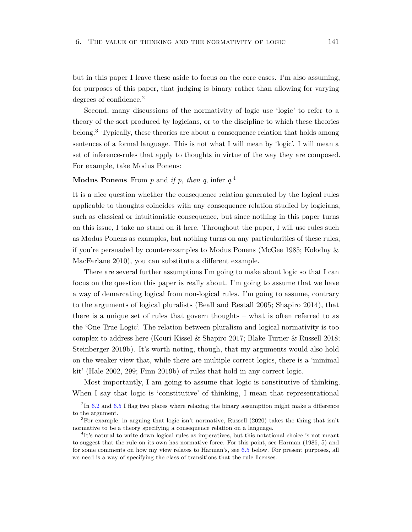but in this paper I leave these aside to focus on the core cases. I'm also assuming, for purposes of this paper, that judging is binary rather than allowing for varying degrees of confidence.<sup>2</sup>

Second, many discussions of the normativity of logic use 'logic' to refer to a theory of the sort produced by logicians, or to the discipline to which these theories belong.<sup>3</sup> Typically, these theories are about a consequence relation that holds among sentences of a formal language. This is not what I will mean by 'logic'. I will mean a set of inference-rules that apply to thoughts in virtue of the way they are composed. For example, take Modus Ponens:

## **Modus Ponens** From *p* and *if p, then q*, infer *q*. 4

It is a nice question whether the consequence relation generated by the logical rules applicable to thoughts coincides with any consequence relation studied by logicians, such as classical or intuitionistic consequence, but since nothing in this paper turns on this issue, I take no stand on it here. Throughout the paper, I will use rules such as Modus Ponens as examples, but nothing turns on any particularities of these rules; if you're persuaded by counterexamples to Modus Ponens (McGee 1985; Kolodny & MacFarlane 2010), you can substitute a different example.

There are several further assumptions I'm going to make about logic so that I can focus on the question this paper is really about. I'm going to assume that we have a way of demarcating logical from non-logical rules. I'm going to assume, contrary to the arguments of logical pluralists (Beall and Restall 2005; Shapiro 2014), that there is a unique set of rules that govern thoughts – what is often referred to as the 'One True Logic'. The relation between pluralism and logical normativity is too complex to address here (Kouri Kissel & Shapiro 2017; Blake-Turner & Russell 2018; Steinberger 2019b). It's worth noting, though, that my arguments would also hold on the weaker view that, while there are multiple correct logics, there is a 'minimal kit' (Hale 2002, 299; Finn 2019b) of rules that hold in any correct logic.

Most importantly, I am going to assume that logic is constitutive of thinking. When I say that logic is 'constitutive' of thinking, I mean that representational

 $^{2}$ In [6.2](#page-150-0) and [6.5](#page-164-0) I flag two places where relaxing the binary assumption might make a difference to the argument.

<sup>&</sup>lt;sup>3</sup>For example, in arguing that logic isn't normative, Russell (2020) takes the thing that isn't normative to be a theory specifying a consequence relation on a language.

<sup>&</sup>lt;sup>4</sup>It's natural to write down logical rules as imperatives, but this notational choice is not meant to suggest that the rule on its own has normative force. For this point, see Harman (1986, 5) and for some comments on how my view relates to Harman's, see [6.5](#page-164-0) below. For present purposes, all we need is a way of specifying the class of transitions that the rule licenses.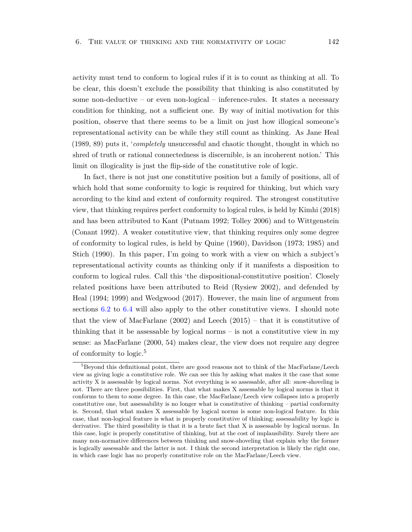activity must tend to conform to logical rules if it is to count as thinking at all. To be clear, this doesn't exclude the possibility that thinking is also constituted by some non-deductive – or even non-logical – inference-rules. It states a necessary condition for thinking, not a sufficient one. By way of initial motivation for this position, observe that there seems to be a limit on just how illogical someone's representational activity can be while they still count as thinking. As Jane Heal (1989, 89) puts it, '*completely* unsuccessful and chaotic thought, thought in which no shred of truth or rational connectedness is discernible, is an incoherent notion.' This limit on illogicality is just the flip-side of the constitutive role of logic.

In fact, there is not just one constitutive position but a family of positions, all of which hold that some conformity to logic is required for thinking, but which vary according to the kind and extent of conformity required. The strongest constitutive view, that thinking requires perfect conformity to logical rules, is held by Kimhi (2018) and has been attributed to Kant (Putnam 1992; Tolley 2006) and to Wittgenstein (Conant 1992). A weaker constitutive view, that thinking requires only some degree of conformity to logical rules, is held by Quine (1960), Davidson (1973; 1985) and Stich (1990). In this paper, I'm going to work with a view on which a subject's representational activity counts as thinking only if it manifests a disposition to conform to logical rules. Call this 'the dispositional-constitutive position'. Closely related positions have been attributed to Reid (Rysiew 2002), and defended by Heal (1994; 1999) and Wedgwood (2017). However, the main line of argument from sections [6.2](#page-150-0) to [6.4](#page-158-0) will also apply to the other constitutive views. I should note that the view of MacFarlane  $(2002)$  and Leech  $(2015)$  – that it is constitutive of thinking that it be assessable by logical norms – is not a constitutive view in my sense: as MacFarlane (2000, 54) makes clear, the view does not require any degree of conformity to logic.<sup>5</sup>

 ${}^{5}$ Beyond this definitional point, there are good reasons not to think of the MacFarlane/Leech view as giving logic a constitutive role. We can see this by asking what makes it the case that some activity X is assessable by logical norms. Not everything is so assessable, after all: snow-shoveling is not. There are three possibilities. First, that what makes X assessable by logical norms is that it conforms to them to some degree. In this case, the MacFarlane/Leech view collapses into a properly constitutive one, but assessability is no longer what is constitutive of thinking – partial conformity is. Second, that what makes X assessable by logical norms is some non-logical feature. In this case, that non-logical feature is what is properly constitutive of thinking; assessability by logic is derivative. The third possibility is that it is a brute fact that X is assessable by logical norms. In this case, logic is properly constitutive of thinking, but at the cost of implausibility. Surely there are many non-normative differences between thinking and snow-shoveling that explain why the former is logically assessable and the latter is not. I think the second interpretation is likely the right one, in which case logic has no properly constitutive role on the MacFarlane/Leech view.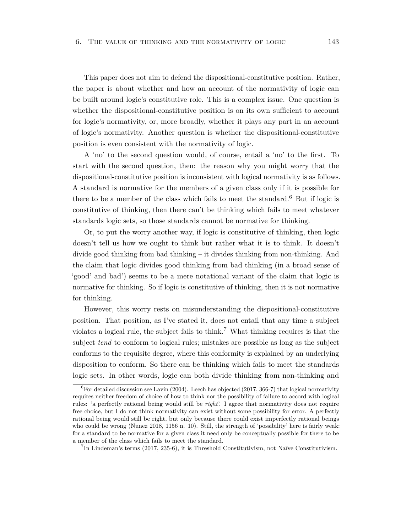This paper does not aim to defend the dispositional-constitutive position. Rather, the paper is about whether and how an account of the normativity of logic can be built around logic's constitutive role. This is a complex issue. One question is whether the dispositional-constitutive position is on its own sufficient to account for logic's normativity, or, more broadly, whether it plays any part in an account of logic's normativity. Another question is whether the dispositional-constitutive position is even consistent with the normativity of logic.

A 'no' to the second question would, of course, entail a 'no' to the first. To start with the second question, then: the reason why you might worry that the dispositional-constitutive position is inconsistent with logical normativity is as follows. A standard is normative for the members of a given class only if it is possible for there to be a member of the class which fails to meet the standard.<sup>6</sup> But if logic is constitutive of thinking, then there can't be thinking which fails to meet whatever standards logic sets, so those standards cannot be normative for thinking.

Or, to put the worry another way, if logic is constitutive of thinking, then logic doesn't tell us how we ought to think but rather what it is to think. It doesn't divide good thinking from bad thinking – it divides thinking from non-thinking. And the claim that logic divides good thinking from bad thinking (in a broad sense of 'good' and bad') seems to be a mere notational variant of the claim that logic is normative for thinking. So if logic is constitutive of thinking, then it is not normative for thinking.

However, this worry rests on misunderstanding the dispositional-constitutive position. That position, as I've stated it, does not entail that any time a subject violates a logical rule, the subject fails to think.<sup>7</sup> What thinking requires is that the subject *tend* to conform to logical rules; mistakes are possible as long as the subject conforms to the requisite degree, where this conformity is explained by an underlying disposition to conform. So there can be thinking which fails to meet the standards logic sets. In other words, logic can both divide thinking from non-thinking and

<sup>&</sup>lt;sup>6</sup>For detailed discussion see Lavin (2004). Leech has objected (2017, 366-7) that logical normativity requires neither freedom of choice of how to think nor the possibility of failure to accord with logical rules: 'a perfectly rational being would still be *right*'. I agree that normativity does not require free choice, but I do not think normativity can exist without some possibility for error. A perfectly rational being would still be right, but only because there could exist imperfectly rational beings who could be wrong (Nunez 2018, 1156 n. 10). Still, the strength of 'possibility' here is fairly weak: for a standard to be normative for a given class it need only be conceptually possible for there to be a member of the class which fails to meet the standard.

<sup>7</sup> In Lindeman's terms (2017, 235-6), it is Threshold Constitutivism, not Naïve Constitutivism.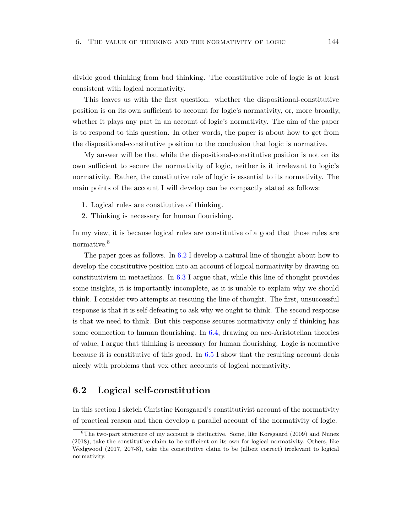divide good thinking from bad thinking. The constitutive role of logic is at least consistent with logical normativity.

This leaves us with the first question: whether the dispositional-constitutive position is on its own sufficient to account for logic's normativity, or, more broadly, whether it plays any part in an account of logic's normativity. The aim of the paper is to respond to this question. In other words, the paper is about how to get from the dispositional-constitutive position to the conclusion that logic is normative.

My answer will be that while the dispositional-constitutive position is not on its own sufficient to secure the normativity of logic, neither is it irrelevant to logic's normativity. Rather, the constitutive role of logic is essential to its normativity. The main points of the account I will develop can be compactly stated as follows:

- 1. Logical rules are constitutive of thinking.
- 2. Thinking is necessary for human flourishing.

In my view, it is because logical rules are constitutive of a good that those rules are normative.<sup>8</sup>

The paper goes as follows. In [6.2](#page-150-0) I develop a natural line of thought about how to develop the constitutive position into an account of logical normativity by drawing on constitutivism in metaethics. In [6.3](#page-154-0) I argue that, while this line of thought provides some insights, it is importantly incomplete, as it is unable to explain why we should think. I consider two attempts at rescuing the line of thought. The first, unsuccessful response is that it is self-defeating to ask why we ought to think. The second response is that we need to think. But this response secures normativity only if thinking has some connection to human flourishing. In [6.4,](#page-158-0) drawing on neo-Aristotelian theories of value, I argue that thinking is necessary for human flourishing. Logic is normative because it is constitutive of this good. In  $6.5$  I show that the resulting account deals nicely with problems that vex other accounts of logical normativity.

## <span id="page-150-0"></span>**6.2 Logical self-constitution**

In this section I sketch Christine Korsgaard's constitutivist account of the normativity of practical reason and then develop a parallel account of the normativity of logic.

<sup>8</sup>The two-part structure of my account is distinctive. Some, like Korsgaard (2009) and Nunez (2018), take the constitutive claim to be sufficient on its own for logical normativity. Others, like Wedgwood (2017, 207-8), take the constitutive claim to be (albeit correct) irrelevant to logical normativity.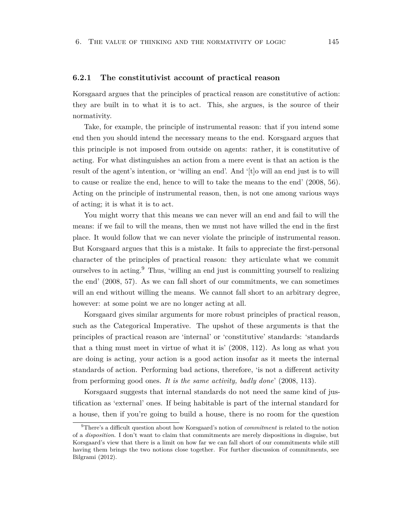#### **6.2.1 The constitutivist account of practical reason**

Korsgaard argues that the principles of practical reason are constitutive of action: they are built in to what it is to act. This, she argues, is the source of their normativity.

Take, for example, the principle of instrumental reason: that if you intend some end then you should intend the necessary means to the end. Korsgaard argues that this principle is not imposed from outside on agents: rather, it is constitutive of acting. For what distinguishes an action from a mere event is that an action is the result of the agent's intention, or 'willing an end'. And '[t]o will an end just is to will to cause or realize the end, hence to will to take the means to the end' (2008, 56). Acting on the principle of instrumental reason, then, is not one among various ways of acting; it is what it is to act.

You might worry that this means we can never will an end and fail to will the means: if we fail to will the means, then we must not have willed the end in the first place. It would follow that we can never violate the principle of instrumental reason. But Korsgaard argues that this is a mistake. It fails to appreciate the first-personal character of the principles of practical reason: they articulate what we commit ourselves to in acting.<sup>9</sup> Thus, 'willing an end just is committing yourself to realizing the end' (2008, 57). As we can fall short of our commitments, we can sometimes will an end without willing the means. We cannot fall short to an arbitrary degree, however: at some point we are no longer acting at all.

Korsgaard gives similar arguments for more robust principles of practical reason, such as the Categorical Imperative. The upshot of these arguments is that the principles of practical reason are 'internal' or 'constitutive' standards: 'standards that a thing must meet in virtue of what it is' (2008, 112). As long as what you are doing is acting, your action is a good action insofar as it meets the internal standards of action. Performing bad actions, therefore, 'is not a different activity from performing good ones. *It is the same activity, badly done*' (2008, 113).

Korsgaard suggests that internal standards do not need the same kind of justification as 'external' ones. If being habitable is part of the internal standard for a house, then if you're going to build a house, there is no room for the question

<sup>9</sup>There's a difficult question about how Korsgaard's notion of *commitment* is related to the notion of a *disposition*. I don't want to claim that commitments are merely dispositions in disguise, but Korsgaard's view that there is a limit on how far we can fall short of our commitments while still having them brings the two notions close together. For further discussion of commitments, see Bilgrami (2012).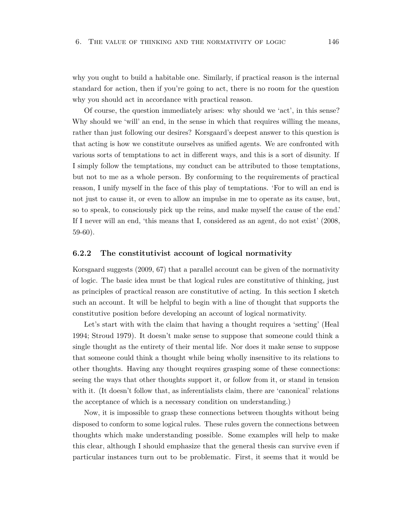why you ought to build a habitable one. Similarly, if practical reason is the internal standard for action, then if you're going to act, there is no room for the question why you should act in accordance with practical reason.

Of course, the question immediately arises: why should we 'act', in this sense? Why should we 'will' an end, in the sense in which that requires willing the means, rather than just following our desires? Korsgaard's deepest answer to this question is that acting is how we constitute ourselves as unified agents. We are confronted with various sorts of temptations to act in different ways, and this is a sort of disunity. If I simply follow the temptations, my conduct can be attributed to those temptations, but not to me as a whole person. By conforming to the requirements of practical reason, I unify myself in the face of this play of temptations. 'For to will an end is not just to cause it, or even to allow an impulse in me to operate as its cause, but, so to speak, to consciously pick up the reins, and make myself the cause of the end.' If I never will an end, 'this means that I, considered as an agent, do not exist' (2008, 59-60).

#### **6.2.2 The constitutivist account of logical normativity**

Korsgaard suggests (2009, 67) that a parallel account can be given of the normativity of logic. The basic idea must be that logical rules are constitutive of thinking, just as principles of practical reason are constitutive of acting. In this section I sketch such an account. It will be helpful to begin with a line of thought that supports the constitutive position before developing an account of logical normativity.

Let's start with with the claim that having a thought requires a 'setting' (Heal 1994; Stroud 1979). It doesn't make sense to suppose that someone could think a single thought as the entirety of their mental life. Nor does it make sense to suppose that someone could think a thought while being wholly insensitive to its relations to other thoughts. Having any thought requires grasping some of these connections: seeing the ways that other thoughts support it, or follow from it, or stand in tension with it. (It doesn't follow that, as inferentialists claim, there are 'canonical' relations the acceptance of which is a necessary condition on understanding.)

Now, it is impossible to grasp these connections between thoughts without being disposed to conform to some logical rules. These rules govern the connections between thoughts which make understanding possible. Some examples will help to make this clear, although I should emphasize that the general thesis can survive even if particular instances turn out to be problematic. First, it seems that it would be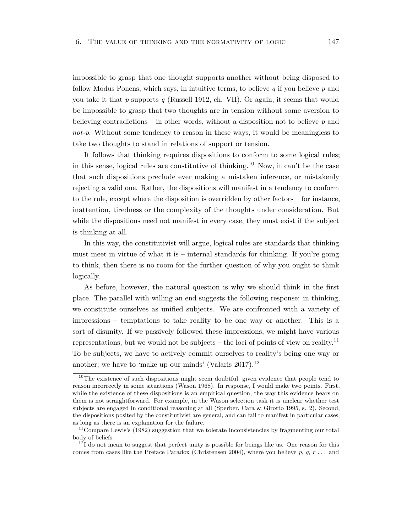impossible to grasp that one thought supports another without being disposed to follow Modus Ponens, which says, in intuitive terms, to believe *q* if you believe *p* and you take it that *p* supports *q* (Russell 1912, ch. VII). Or again, it seems that would be impossible to grasp that two thoughts are in tension without some aversion to believing contradictions – in other words, without a disposition not to believe *p* and *not-p*. Without some tendency to reason in these ways, it would be meaningless to take two thoughts to stand in relations of support or tension.

It follows that thinking requires dispositions to conform to some logical rules; in this sense, logical rules are constitutive of thinking.<sup>10</sup> Now, it can't be the case that such dispositions preclude ever making a mistaken inference, or mistakenly rejecting a valid one. Rather, the dispositions will manifest in a tendency to conform to the rule, except where the disposition is overridden by other factors – for instance, inattention, tiredness or the complexity of the thoughts under consideration. But while the dispositions need not manifest in every case, they must exist if the subject is thinking at all.

In this way, the constitutivist will argue, logical rules are standards that thinking must meet in virtue of what it is – internal standards for thinking. If you're going to think, then there is no room for the further question of why you ought to think logically.

As before, however, the natural question is why we should think in the first place. The parallel with willing an end suggests the following response: in thinking, we constitute ourselves as unified subjects. We are confronted with a variety of impressions – temptations to take reality to be one way or another. This is a sort of disunity. If we passively followed these impressions, we might have various representations, but we would not be subjects – the loci of points of view on reality.<sup>11</sup> To be subjects, we have to actively commit ourselves to reality's being one way or another; we have to 'make up our minds' (Valaris  $2017$ ).<sup>12</sup>

<sup>&</sup>lt;sup>10</sup>The existence of such dispositions might seem doubtful, given evidence that people tend to reason incorrectly in some situations (Wason 1968). In response, I would make two points. First, while the existence of these dispositions is an empirical question, the way this evidence bears on them is not straightforward. For example, in the Wason selection task it is unclear whether test subjects are engaged in conditional reasoning at all (Sperber, Cara & Girotto 1995, s. 2). Second, the dispositions posited by the constitutivist are general, and can fail to manifest in particular cases, as long as there is an explanation for the failure.

 $11$ Compare Lewis's (1982) suggestion that we tolerate inconsistencies by fragmenting our total body of beliefs.

 $12I$  do not mean to suggest that perfect unity is possible for beings like us. One reason for this comes from cases like the Preface Paradox (Christensen 2004), where you believe *p*, *q*, *r* . . . and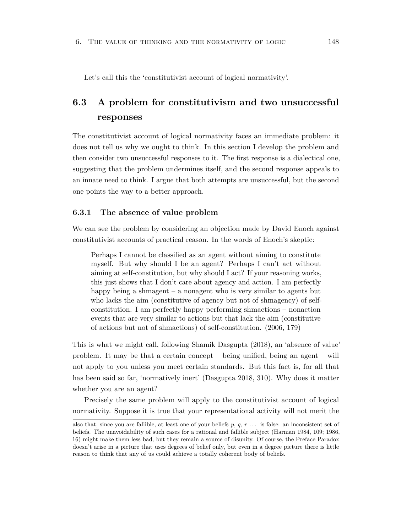<span id="page-154-0"></span>Let's call this the 'constitutivist account of logical normativity'.

## **6.3 A problem for constitutivism and two unsuccessful responses**

The constitutivist account of logical normativity faces an immediate problem: it does not tell us why we ought to think. In this section I develop the problem and then consider two unsuccessful responses to it. The first response is a dialectical one, suggesting that the problem undermines itself, and the second response appeals to an innate need to think. I argue that both attempts are unsuccessful, but the second one points the way to a better approach.

#### **6.3.1 The absence of value problem**

We can see the problem by considering an objection made by David Enoch against constitutivist accounts of practical reason. In the words of Enoch's skeptic:

Perhaps I cannot be classified as an agent without aiming to constitute myself. But why should I be an agent? Perhaps I can't act without aiming at self-constitution, but why should I act? If your reasoning works, this just shows that I don't care about agency and action. I am perfectly happy being a shmagent – a nonagent who is very similar to agents but who lacks the aim (constitutive of agency but not of shmagency) of selfconstitution. I am perfectly happy performing shmactions – nonaction events that are very similar to actions but that lack the aim (constitutive of actions but not of shmactions) of self-constitution. (2006, 179)

This is what we might call, following Shamik Dasgupta (2018), an 'absence of value' problem. It may be that a certain concept – being unified, being an agent – will not apply to you unless you meet certain standards. But this fact is, for all that has been said so far, 'normatively inert' (Dasgupta 2018, 310). Why does it matter whether you are an agent?

Precisely the same problem will apply to the constitutivist account of logical normativity. Suppose it is true that your representational activity will not merit the

also that, since you are fallible, at least one of your beliefs *p*, *q*, *r* . . . is false: an inconsistent set of beliefs. The unavoidability of such cases for a rational and fallible subject (Harman 1984, 109; 1986, 16) might make them less bad, but they remain a source of disunity. Of course, the Preface Paradox doesn't arise in a picture that uses degrees of belief only, but even in a degree picture there is little reason to think that any of us could achieve a totally coherent body of beliefs.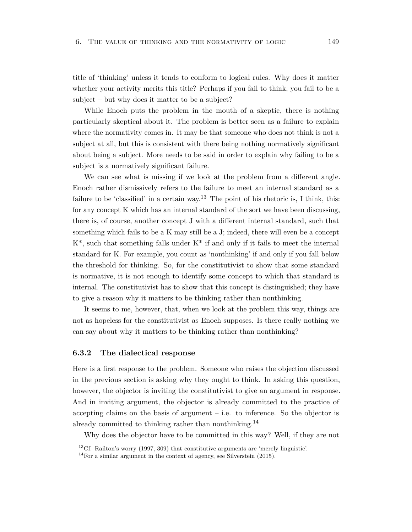title of 'thinking' unless it tends to conform to logical rules. Why does it matter whether your activity merits this title? Perhaps if you fail to think, you fail to be a subject – but why does it matter to be a subject?

While Enoch puts the problem in the mouth of a skeptic, there is nothing particularly skeptical about it. The problem is better seen as a failure to explain where the normativity comes in. It may be that someone who does not think is not a subject at all, but this is consistent with there being nothing normatively significant about being a subject. More needs to be said in order to explain why failing to be a subject is a normatively significant failure.

We can see what is missing if we look at the problem from a different angle. Enoch rather dismissively refers to the failure to meet an internal standard as a failure to be 'classified' in a certain way.<sup>13</sup> The point of his rhetoric is, I think, this: for any concept K which has an internal standard of the sort we have been discussing, there is, of course, another concept J with a different internal standard, such that something which fails to be a K may still be a J; indeed, there will even be a concept  $K^*$ , such that something falls under  $K^*$  if and only if it fails to meet the internal standard for K. For example, you count as 'nonthinking' if and only if you fall below the threshold for thinking. So, for the constitutivist to show that some standard is normative, it is not enough to identify some concept to which that standard is internal. The constitutivist has to show that this concept is distinguished; they have to give a reason why it matters to be thinking rather than nonthinking.

It seems to me, however, that, when we look at the problem this way, things are not as hopeless for the constitutivist as Enoch supposes. Is there really nothing we can say about why it matters to be thinking rather than nonthinking?

#### **6.3.2 The dialectical response**

Here is a first response to the problem. Someone who raises the objection discussed in the previous section is asking why they ought to think. In asking this question, however, the objector is inviting the constitutivist to give an argument in response. And in inviting argument, the objector is already committed to the practice of accepting claims on the basis of argument  $-$  i.e. to inference. So the objector is already committed to thinking rather than nonthinking.<sup>14</sup>

Why does the objector have to be committed in this way? Well, if they are not

<sup>&</sup>lt;sup>13</sup>Cf. Railton's worry (1997, 309) that constitutive arguments are 'merely linguistic'.

<sup>&</sup>lt;sup>14</sup>For a similar argument in the context of agency, see Silverstein  $(2015)$ .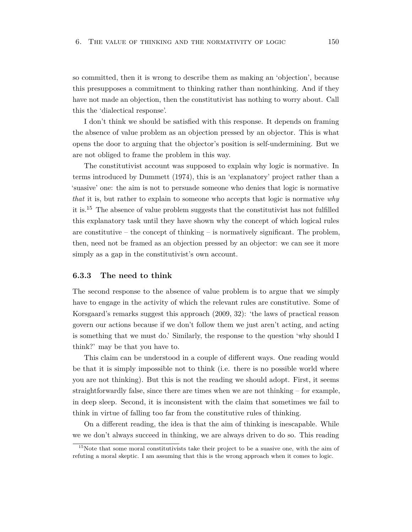so committed, then it is wrong to describe them as making an 'objection', because this presupposes a commitment to thinking rather than nonthinking. And if they have not made an objection, then the constitutivist has nothing to worry about. Call this the 'dialectical response'.

I don't think we should be satisfied with this response. It depends on framing the absence of value problem as an objection pressed by an objector. This is what opens the door to arguing that the objector's position is self-undermining. But we are not obliged to frame the problem in this way.

The constitutivist account was supposed to explain why logic is normative. In terms introduced by Dummett (1974), this is an 'explanatory' project rather than a 'suasive' one: the aim is not to persuade someone who denies that logic is normative *that* it is, but rather to explain to someone who accepts that logic is normative *why* it is.<sup>15</sup> The absence of value problem suggests that the constitutivist has not fulfilled this explanatory task until they have shown why the concept of which logical rules are constitutive – the concept of thinking – is normatively significant. The problem, then, need not be framed as an objection pressed by an objector: we can see it more simply as a gap in the constitutivist's own account.

#### **6.3.3 The need to think**

The second response to the absence of value problem is to argue that we simply have to engage in the activity of which the relevant rules are constitutive. Some of Korsgaard's remarks suggest this approach (2009, 32): 'the laws of practical reason govern our actions because if we don't follow them we just aren't acting, and acting is something that we must do.' Similarly, the response to the question 'why should I think?' may be that you have to.

This claim can be understood in a couple of different ways. One reading would be that it is simply impossible not to think (i.e. there is no possible world where you are not thinking). But this is not the reading we should adopt. First, it seems straightforwardly false, since there are times when we are not thinking – for example, in deep sleep. Second, it is inconsistent with the claim that sometimes we fail to think in virtue of falling too far from the constitutive rules of thinking.

On a different reading, the idea is that the aim of thinking is inescapable. While we we don't always succeed in thinking, we are always driven to do so. This reading

<sup>&</sup>lt;sup>15</sup>Note that some moral constitutivists take their project to be a suasive one, with the aim of refuting a moral skeptic. I am assuming that this is the wrong approach when it comes to logic.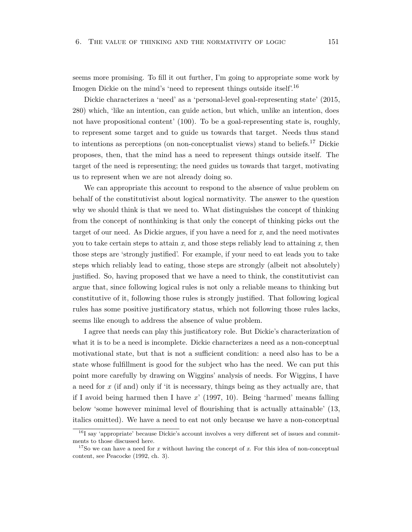seems more promising. To fill it out further, I'm going to appropriate some work by Imogen Dickie on the mind's 'need to represent things outside itself'.<sup>16</sup>

Dickie characterizes a 'need' as a 'personal-level goal-representing state' (2015, 280) which, 'like an intention, can guide action, but which, unlike an intention, does not have propositional content' (100). To be a goal-representing state is, roughly, to represent some target and to guide us towards that target. Needs thus stand to intentions as perceptions (on non-conceptualist views) stand to beliefs.<sup>17</sup> Dickie proposes, then, that the mind has a need to represent things outside itself. The target of the need is representing; the need guides us towards that target, motivating us to represent when we are not already doing so.

We can appropriate this account to respond to the absence of value problem on behalf of the constitutivist about logical normativity. The answer to the question why we should think is that we need to. What distinguishes the concept of thinking from the concept of nonthinking is that only the concept of thinking picks out the target of our need. As Dickie argues, if you have a need for *x*, and the need motivates you to take certain steps to attain *x*, and those steps reliably lead to attaining *x*, then those steps are 'strongly justified'. For example, if your need to eat leads you to take steps which reliably lead to eating, those steps are strongly (albeit not absolutely) justified. So, having proposed that we have a need to think, the constitutivist can argue that, since following logical rules is not only a reliable means to thinking but constitutive of it, following those rules is strongly justified. That following logical rules has some positive justificatory status, which not following those rules lacks, seems like enough to address the absence of value problem.

I agree that needs can play this justificatory role. But Dickie's characterization of what it is to be a need is incomplete. Dickie characterizes a need as a non-conceptual motivational state, but that is not a sufficient condition: a need also has to be a state whose fulfillment is good for the subject who has the need. We can put this point more carefully by drawing on Wiggins' analysis of needs. For Wiggins, I have a need for *x* (if and) only if 'it is necessary, things being as they actually are, that if I avoid being harmed then I have *x*' (1997, 10). Being 'harmed' means falling below 'some however minimal level of flourishing that is actually attainable' (13, italics omitted). We have a need to eat not only because we have a non-conceptual

<sup>&</sup>lt;sup>16</sup>I say 'appropriate' because Dickie's account involves a very different set of issues and commitments to those discussed here.

<sup>&</sup>lt;sup>17</sup>So we can have a need for *x* without having the concept of *x*. For this idea of non-conceptual content, see Peacocke (1992, ch. 3).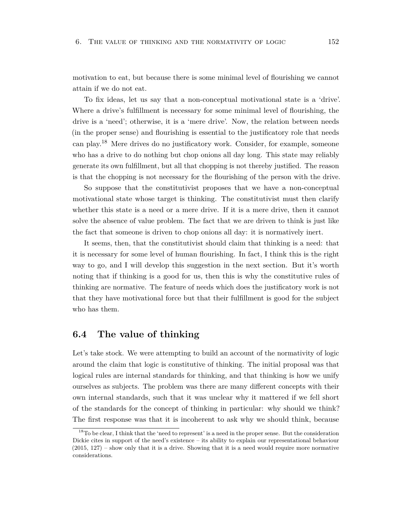motivation to eat, but because there is some minimal level of flourishing we cannot attain if we do not eat.

To fix ideas, let us say that a non-conceptual motivational state is a 'drive'. Where a drive's fulfillment is necessary for some minimal level of flourishing, the drive is a 'need'; otherwise, it is a 'mere drive'. Now, the relation between needs (in the proper sense) and flourishing is essential to the justificatory role that needs can play.<sup>18</sup> Mere drives do no justificatory work. Consider, for example, someone who has a drive to do nothing but chop onions all day long. This state may reliably generate its own fulfillment, but all that chopping is not thereby justified. The reason is that the chopping is not necessary for the flourishing of the person with the drive.

So suppose that the constitutivist proposes that we have a non-conceptual motivational state whose target is thinking. The constitutivist must then clarify whether this state is a need or a mere drive. If it is a mere drive, then it cannot solve the absence of value problem. The fact that we are driven to think is just like the fact that someone is driven to chop onions all day: it is normatively inert.

It seems, then, that the constitutivist should claim that thinking is a need: that it is necessary for some level of human flourishing. In fact, I think this is the right way to go, and I will develop this suggestion in the next section. But it's worth noting that if thinking is a good for us, then this is why the constitutive rules of thinking are normative. The feature of needs which does the justificatory work is not that they have motivational force but that their fulfillment is good for the subject who has them.

## <span id="page-158-0"></span>**6.4 The value of thinking**

Let's take stock. We were attempting to build an account of the normativity of logic around the claim that logic is constitutive of thinking. The initial proposal was that logical rules are internal standards for thinking, and that thinking is how we unify ourselves as subjects. The problem was there are many different concepts with their own internal standards, such that it was unclear why it mattered if we fell short of the standards for the concept of thinking in particular: why should we think? The first response was that it is incoherent to ask why we should think, because

<sup>&</sup>lt;sup>18</sup>To be clear, I think that the 'need to represent' is a need in the proper sense. But the consideration Dickie cites in support of the need's existence – its ability to explain our representational behaviour  $(2015, 127)$  – show only that it is a drive. Showing that it is a need would require more normative considerations.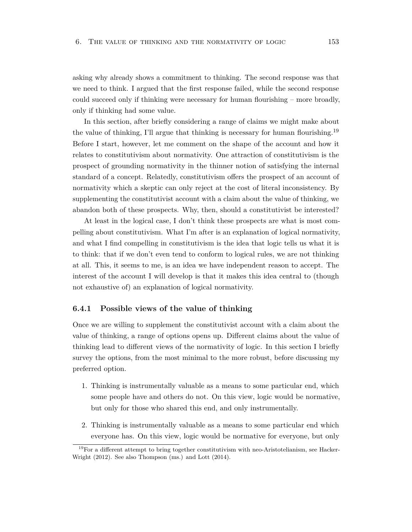asking why already shows a commitment to thinking. The second response was that we need to think. I argued that the first response failed, while the second response could succeed only if thinking were necessary for human flourishing – more broadly, only if thinking had some value.

In this section, after briefly considering a range of claims we might make about the value of thinking, I'll argue that thinking is necessary for human flourishing.<sup>19</sup> Before I start, however, let me comment on the shape of the account and how it relates to constitutivism about normativity. One attraction of constitutivism is the prospect of grounding normativity in the thinner notion of satisfying the internal standard of a concept. Relatedly, constitutivism offers the prospect of an account of normativity which a skeptic can only reject at the cost of literal inconsistency. By supplementing the constitutivist account with a claim about the value of thinking, we abandon both of these prospects. Why, then, should a constitutivist be interested?

At least in the logical case, I don't think these prospects are what is most compelling about constitutivism. What I'm after is an explanation of logical normativity, and what I find compelling in constitutivism is the idea that logic tells us what it is to think: that if we don't even tend to conform to logical rules, we are not thinking at all. This, it seems to me, is an idea we have independent reason to accept. The interest of the account I will develop is that it makes this idea central to (though not exhaustive of) an explanation of logical normativity.

#### **6.4.1 Possible views of the value of thinking**

Once we are willing to supplement the constitutivist account with a claim about the value of thinking, a range of options opens up. Different claims about the value of thinking lead to different views of the normativity of logic. In this section I briefly survey the options, from the most minimal to the more robust, before discussing my preferred option.

- 1. Thinking is instrumentally valuable as a means to some particular end, which some people have and others do not. On this view, logic would be normative, but only for those who shared this end, and only instrumentally.
- 2. Thinking is instrumentally valuable as a means to some particular end which everyone has. On this view, logic would be normative for everyone, but only

<sup>&</sup>lt;sup>19</sup>For a different attempt to bring together constitutivism with neo-Aristotelianism, see Hacker-Wright (2012). See also Thompson (ms.) and Lott (2014).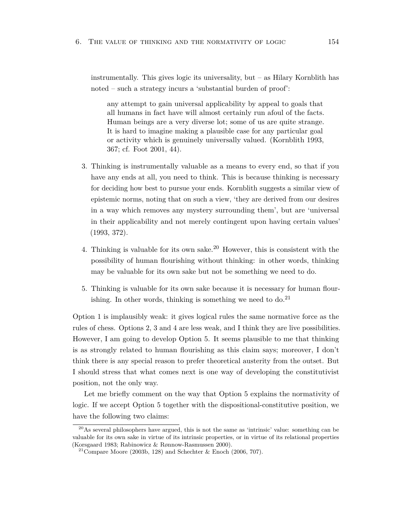instrumentally. This gives logic its universality, but – as Hilary Kornblith has noted – such a strategy incurs a 'substantial burden of proof':

any attempt to gain universal applicability by appeal to goals that all humans in fact have will almost certainly run afoul of the facts. Human beings are a very diverse lot; some of us are quite strange. It is hard to imagine making a plausible case for any particular goal or activity which is genuinely universally valued. (Kornblith 1993, 367; cf. Foot 2001, 44).

- 3. Thinking is instrumentally valuable as a means to every end, so that if you have any ends at all, you need to think. This is because thinking is necessary for deciding how best to pursue your ends. Kornblith suggests a similar view of epistemic norms, noting that on such a view, 'they are derived from our desires in a way which removes any mystery surrounding them', but are 'universal in their applicability and not merely contingent upon having certain values' (1993, 372).
- 4. Thinking is valuable for its own sake.<sup>20</sup> However, this is consistent with the possibility of human flourishing without thinking: in other words, thinking may be valuable for its own sake but not be something we need to do.
- 5. Thinking is valuable for its own sake because it is necessary for human flourishing. In other words, thinking is something we need to  $do.^{21}$

Option 1 is implausibly weak: it gives logical rules the same normative force as the rules of chess. Options 2, 3 and 4 are less weak, and I think they are live possibilities. However, I am going to develop Option 5. It seems plausible to me that thinking is as strongly related to human flourishing as this claim says; moreover, I don't think there is any special reason to prefer theoretical austerity from the outset. But I should stress that what comes next is one way of developing the constitutivist position, not the only way.

Let me briefly comment on the way that Option 5 explains the normativity of logic. If we accept Option 5 together with the dispositional-constitutive position, we have the following two claims:

<sup>&</sup>lt;sup>20</sup>As several philosophers have argued, this is not the same as 'intrinsic' value: something can be valuable for its own sake in virtue of its intrinsic properties, or in virtue of its relational properties (Korsgaard 1983; Rabinowicz & Rønnow-Rasmussen 2000).

<sup>&</sup>lt;sup>21</sup>Compare Moore (2003b, 128) and Schechter & Enoch (2006, 707).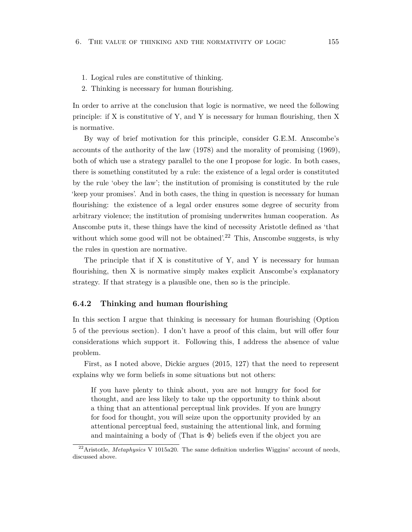- 1. Logical rules are constitutive of thinking.
- 2. Thinking is necessary for human flourishing.

In order to arrive at the conclusion that logic is normative, we need the following principle: if X is constitutive of Y, and Y is necessary for human flourishing, then X is normative.

By way of brief motivation for this principle, consider G.E.M. Anscombe's accounts of the authority of the law (1978) and the morality of promising (1969), both of which use a strategy parallel to the one I propose for logic. In both cases, there is something constituted by a rule: the existence of a legal order is constituted by the rule 'obey the law'; the institution of promising is constituted by the rule 'keep your promises'. And in both cases, the thing in question is necessary for human flourishing: the existence of a legal order ensures some degree of security from arbitrary violence; the institution of promising underwrites human cooperation. As Anscombe puts it, these things have the kind of necessity Aristotle defined as 'that without which some good will not be obtained.<sup>22</sup> This, Anscombe suggests, is why the rules in question are normative.

The principle that if  $X$  is constitutive of  $Y$ , and  $Y$  is necessary for human flourishing, then X is normative simply makes explicit Anscombe's explanatory strategy. If that strategy is a plausible one, then so is the principle.

#### **6.4.2 Thinking and human flourishing**

In this section I argue that thinking is necessary for human flourishing (Option 5 of the previous section). I don't have a proof of this claim, but will offer four considerations which support it. Following this, I address the absence of value problem.

First, as I noted above, Dickie argues (2015, 127) that the need to represent explains why we form beliefs in some situations but not others:

If you have plenty to think about, you are not hungry for food for thought, and are less likely to take up the opportunity to think about a thing that an attentional perceptual link provides. If you are hungry for food for thought, you will seize upon the opportunity provided by an attentional perceptual feed, sustaining the attentional link, and forming and maintaining a body of  $\langle \text{That is } \Phi \rangle$  beliefs even if the object you are

<sup>&</sup>lt;sup>22</sup>Aristotle, *Metaphysics* V 1015a20. The same definition underlies Wiggins' account of needs, discussed above.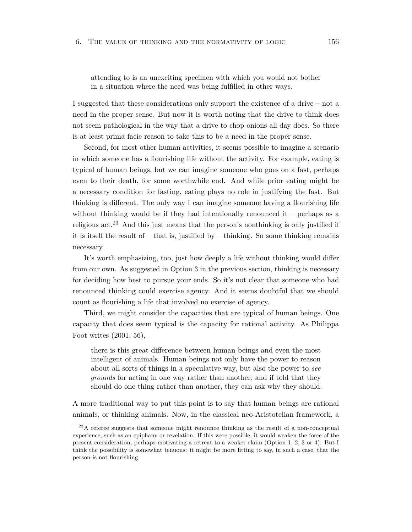attending to is an unexciting specimen with which you would not bother in a situation where the need was being fulfilled in other ways.

I suggested that these considerations only support the existence of a drive – not a need in the proper sense. But now it is worth noting that the drive to think does not seem pathological in the way that a drive to chop onions all day does. So there is at least prima facie reason to take this to be a need in the proper sense.

Second, for most other human activities, it seems possible to imagine a scenario in which someone has a flourishing life without the activity. For example, eating is typical of human beings, but we can imagine someone who goes on a fast, perhaps even to their death, for some worthwhile end. And while prior eating might be a necessary condition for fasting, eating plays no role in justifying the fast. But thinking is different. The only way I can imagine someone having a flourishing life without thinking would be if they had intentionally renounced it – perhaps as a religious  $\arct{a}^{23}$  And this just means that the person's nonthinking is only justified if it is itself the result of  $-$  that is, justified by  $-$  thinking. So some thinking remains necessary.

It's worth emphasizing, too, just how deeply a life without thinking would differ from our own. As suggested in Option 3 in the previous section, thinking is necessary for deciding how best to pursue your ends. So it's not clear that someone who had renounced thinking could exercise agency. And it seems doubtful that we should count as flourishing a life that involved no exercise of agency.

Third, we might consider the capacities that are typical of human beings. One capacity that does seem typical is the capacity for rational activity. As Philippa Foot writes (2001, 56),

there is this great difference between human beings and even the most intelligent of animals. Human beings not only have the power to reason about all sorts of things in a speculative way, but also the power to *see grounds* for acting in one way rather than another; and if told that they should do one thing rather than another, they can ask why they should.

A more traditional way to put this point is to say that human beings are rational animals, or thinking animals. Now, in the classical neo-Aristotelian framework, a

<sup>&</sup>lt;sup>23</sup>A referee suggests that someone might renounce thinking as the result of a non-conceptual experience, such as an epiphany or revelation. If this were possible, it would weaken the force of the present consideration, perhaps motivating a retreat to a weaker claim (Option 1, 2, 3 or 4). But I think the possibility is somewhat tenuous: it might be more fitting to say, in such a case, that the person is not flourishing.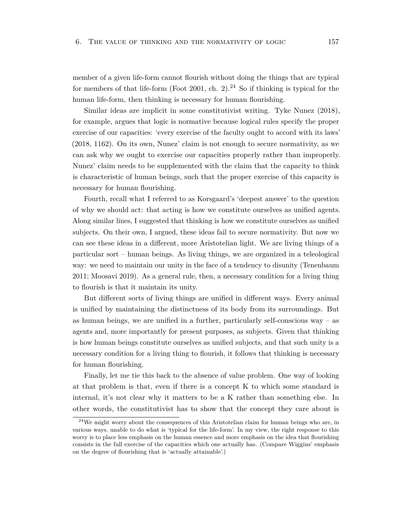member of a given life-form cannot flourish without doing the things that are typical for members of that life-form (Foot 2001, ch. 2).<sup>24</sup> So if thinking is typical for the human life-form, then thinking is necessary for human flourishing.

Similar ideas are implicit in some constitutivist writing. Tyke Nunez (2018), for example, argues that logic is normative because logical rules specify the proper exercise of our capacities: 'every exercise of the faculty ought to accord with its laws' (2018, 1162). On its own, Nunez' claim is not enough to secure normativity, as we can ask why we ought to exercise our capacities properly rather than improperly. Nunez' claim needs to be supplemented with the claim that the capacity to think is characteristic of human beings, such that the proper exercise of this capacity is necessary for human flourishing.

Fourth, recall what I referred to as Korsgaard's 'deepest answer' to the question of why we should act: that acting is how we constitute ourselves as unified agents. Along similar lines, I suggested that thinking is how we constitute ourselves as unified subjects. On their own, I argued, these ideas fail to secure normativity. But now we can see these ideas in a different, more Aristotelian light. We are living things of a particular sort – human beings. As living things, we are organized in a teleological way: we need to maintain our unity in the face of a tendency to disunity (Tenenbaum 2011; Moosavi 2019). As a general rule, then, a necessary condition for a living thing to flourish is that it maintain its unity.

But different sorts of living things are unified in different ways. Every animal is unified by maintaining the distinctness of its body from its surroundings. But as human beings, we are unified in a further, particularly self-conscious way – as agents and, more importantly for present purposes, as subjects. Given that thinking is how human beings constitute ourselves as unified subjects, and that such unity is a necessary condition for a living thing to flourish, it follows that thinking is necessary for human flourishing.

Finally, let me tie this back to the absence of value problem. One way of looking at that problem is that, even if there is a concept K to which some standard is internal, it's not clear why it matters to be a K rather than something else. In other words, the constitutivist has to show that the concept they care about is

 $24$ We might worry about the consequences of this Aristotelian claim for human beings who are, in various ways, unable to do what is 'typical for the life-form'. In my view, the right response to this worry is to place less emphasis on the human essence and more emphasis on the idea that flourishing consists in the full exercise of the capacities which one actually has. (Compare Wiggins' emphasis on the degree of flourishing that is 'actually attainable'.)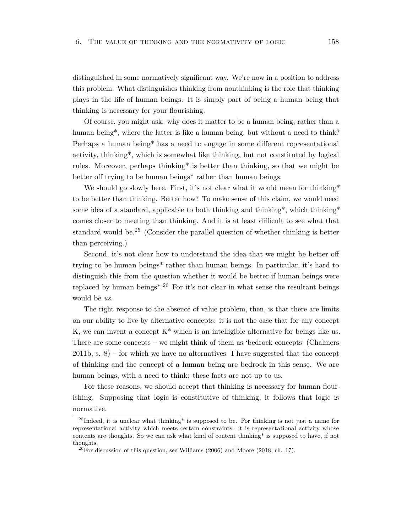distinguished in some normatively significant way. We're now in a position to address this problem. What distinguishes thinking from nonthinking is the role that thinking plays in the life of human beings. It is simply part of being a human being that thinking is necessary for your flourishing.

Of course, you might ask: why does it matter to be a human being, rather than a human being<sup>\*</sup>, where the latter is like a human being, but without a need to think? Perhaps a human being\* has a need to engage in some different representational activity, thinking\*, which is somewhat like thinking, but not constituted by logical rules. Moreover, perhaps thinking\* is better than thinking, so that we might be better off trying to be human beings\* rather than human beings.

We should go slowly here. First, it's not clear what it would mean for thinking\* to be better than thinking. Better how? To make sense of this claim, we would need some idea of a standard, applicable to both thinking and thinking\*, which thinking\* comes closer to meeting than thinking. And it is at least difficult to see what that standard would be.<sup>25</sup> (Consider the parallel question of whether thinking is better than perceiving.)

Second, it's not clear how to understand the idea that we might be better off trying to be human beings\* rather than human beings. In particular, it's hard to distinguish this from the question whether it would be better if human beings were replaced by human beings<sup>\*.26</sup> For it's not clear in what sense the resultant beings would be *us*.

The right response to the absence of value problem, then, is that there are limits on our ability to live by alternative concepts: it is not the case that for any concept K, we can invent a concept  $K^*$  which is an intelligible alternative for beings like us. There are some concepts – we might think of them as 'bedrock concepts' (Chalmers  $2011b$ , s.  $8$ ) – for which we have no alternatives. I have suggested that the concept of thinking and the concept of a human being are bedrock in this sense. We are human beings, with a need to think: these facts are not up to us.

For these reasons, we should accept that thinking is necessary for human flourishing. Supposing that logic is constitutive of thinking, it follows that logic is normative.

<span id="page-164-0"></span> $^{25}$ Indeed, it is unclear what thinking\* is supposed to be. For thinking is not just a name for representational activity which meets certain constraints: it is representational activity whose contents are thoughts. So we can ask what kind of content thinking\* is supposed to have, if not thoughts.

 $^{26}$ For discussion of this question, see Williams (2006) and Moore (2018, ch. 17).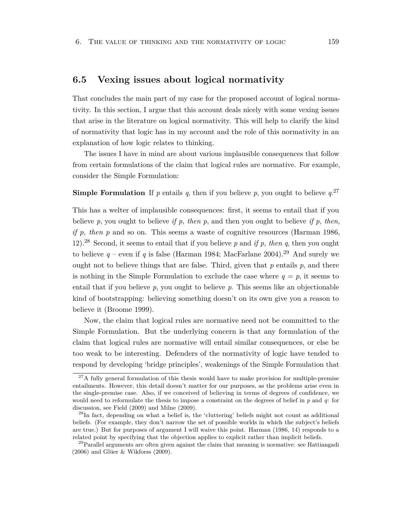## **6.5 Vexing issues about logical normativity**

That concludes the main part of my case for the proposed account of logical normativity. In this section, I argue that this account deals nicely with some vexing issues that arise in the literature on logical normativity. This will help to clarify the kind of normativity that logic has in my account and the role of this normativity in an explanation of how logic relates to thinking.

The issues I have in mind are about various implausible consequences that follow from certain formulations of the claim that logical rules are normative. For example, consider the Simple Formulation:

**Simple Formulation** If  $p$  entails  $q$ , then if you believe  $p$ , you ought to believe  $q$ <sup>27</sup>

This has a welter of implausible consequences: first, it seems to entail that if you believe *p*, you ought to believe *if p, then p*, and then you ought to believe *if p, then, if p, then p* and so on. This seems a waste of cognitive resources (Harman 1986, 12).<sup>28</sup> Second, it seems to entail that if you believe *p* and *if p, then q*, then you ought to believe  $q$  – even if q is false (Harman 1984; MacFarlane 2004).<sup>29</sup> And surely we ought not to believe things that are false. Third, given that *p* entails *p*, and there is nothing in the Simple Formulation to exclude the case where  $q = p$ , it seems to entail that if you believe *p*, you ought to believe *p*. This seems like an objectionable kind of bootstrapping: believing something doesn't on its own give you a reason to believe it (Broome 1999).

Now, the claim that logical rules are normative need not be committed to the Simple Formulation. But the underlying concern is that any formulation of the claim that logical rules are normative will entail similar consequences, or else be too weak to be interesting. Defenders of the normativity of logic have tended to respond by developing 'bridge principles', weakenings of the Simple Formulation that

 $27A$  fully general formulation of this thesis would have to make provision for multiple-premise entailments. However, this detail doesn't matter for our purposes, as the problems arise even in the single-premise case. Also, if we conceived of believing in terms of degrees of confidence, we would need to reformulate the thesis to impose a constraint on the degrees of belief in *p* and *q*: for discussion, see Field (2009) and Milne (2009).

 $^{28}$ In fact, depending on what a belief is, the 'cluttering' beliefs might not count as additional beliefs. (For example, they don't narrow the set of possible worlds in which the subject's beliefs are true.) But for purposes of argument I will waive this point. Harman (1986, 14) responds to a related point by specifying that the objection applies to explicit rather than implicit beliefs.

<sup>&</sup>lt;sup>29</sup> Parallel arguments are often given against the claim that meaning is normative: see Hattiangadi (2006) and Glüer & Wikforss (2009).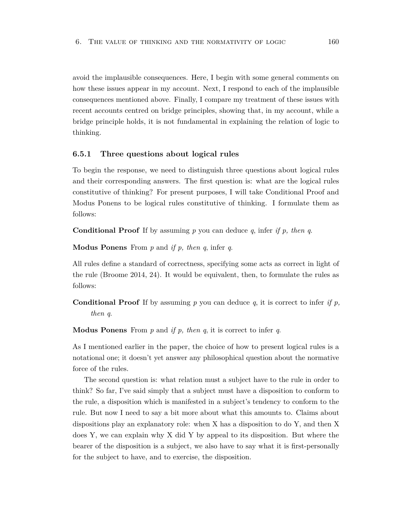avoid the implausible consequences. Here, I begin with some general comments on how these issues appear in my account. Next, I respond to each of the implausible consequences mentioned above. Finally, I compare my treatment of these issues with recent accounts centred on bridge principles, showing that, in my account, while a bridge principle holds, it is not fundamental in explaining the relation of logic to thinking.

#### **6.5.1 Three questions about logical rules**

To begin the response, we need to distinguish three questions about logical rules and their corresponding answers. The first question is: what are the logical rules constitutive of thinking? For present purposes, I will take Conditional Proof and Modus Ponens to be logical rules constitutive of thinking. I formulate them as follows:

**Conditional Proof** If by assuming *p* you can deduce *q*, infer *if p, then q*.

**Modus Ponens** From *p* and *if p, then q*, infer *q*.

All rules define a standard of correctness, specifying some acts as correct in light of the rule (Broome 2014, 24). It would be equivalent, then, to formulate the rules as follows:

**Conditional Proof** If by assuming *p* you can deduce *q*, it is correct to infer *if p, then q*.

**Modus Ponens** From *p* and *if p, then q*, it is correct to infer *q*.

As I mentioned earlier in the paper, the choice of how to present logical rules is a notational one; it doesn't yet answer any philosophical question about the normative force of the rules.

The second question is: what relation must a subject have to the rule in order to think? So far, I've said simply that a subject must have a disposition to conform to the rule, a disposition which is manifested in a subject's tendency to conform to the rule. But now I need to say a bit more about what this amounts to. Claims about dispositions play an explanatory role: when X has a disposition to do Y, and then X does Y, we can explain why X did Y by appeal to its disposition. But where the bearer of the disposition is a subject, we also have to say what it is first-personally for the subject to have, and to exercise, the disposition.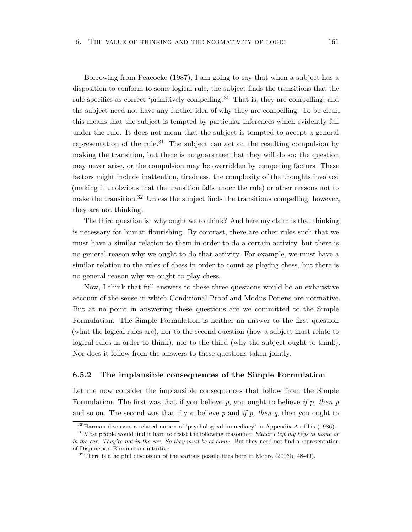Borrowing from Peacocke (1987), I am going to say that when a subject has a disposition to conform to some logical rule, the subject finds the transitions that the rule specifies as correct 'primitively compelling'.<sup>30</sup> That is, they are compelling, and the subject need not have any further idea of why they are compelling. To be clear, this means that the subject is tempted by particular inferences which evidently fall under the rule. It does not mean that the subject is tempted to accept a general representation of the rule.<sup>31</sup> The subject can act on the resulting compulsion by making the transition, but there is no guarantee that they will do so: the question may never arise, or the compulsion may be overridden by competing factors. These factors might include inattention, tiredness, the complexity of the thoughts involved (making it unobvious that the transition falls under the rule) or other reasons not to make the transition.<sup>32</sup> Unless the subject finds the transitions compelling, however, they are not thinking.

The third question is: why ought we to think? And here my claim is that thinking is necessary for human flourishing. By contrast, there are other rules such that we must have a similar relation to them in order to do a certain activity, but there is no general reason why we ought to do that activity. For example, we must have a similar relation to the rules of chess in order to count as playing chess, but there is no general reason why we ought to play chess.

Now, I think that full answers to these three questions would be an exhaustive account of the sense in which Conditional Proof and Modus Ponens are normative. But at no point in answering these questions are we committed to the Simple Formulation. The Simple Formulation is neither an answer to the first question (what the logical rules are), nor to the second question (how a subject must relate to logical rules in order to think), nor to the third (why the subject ought to think). Nor does it follow from the answers to these questions taken jointly.

#### **6.5.2 The implausible consequences of the Simple Formulation**

Let me now consider the implausible consequences that follow from the Simple Formulation. The first was that if you believe *p*, you ought to believe *if p, then p* and so on. The second was that if you believe *p* and *if p, then q*, then you ought to

<sup>30</sup>Harman discusses a related notion of 'psychological immediacy' in Appendix A of his (1986).

<sup>31</sup>Most people would find it hard to resist the following reasoning: *Either I left my keys at home or in the car. They're not in the car. So they must be at home.* But they need not find a representation of Disjunction Elimination intuitive.

 $32$ There is a helpful discussion of the various possibilities here in Moore (2003b, 48-49).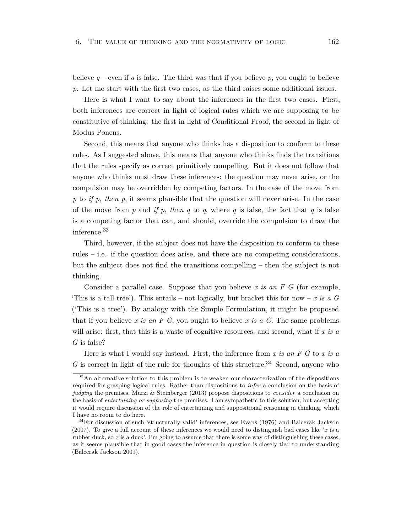believe  $q$  – even if q is false. The third was that if you believe p, you ought to believe *p*. Let me start with the first two cases, as the third raises some additional issues.

Here is what I want to say about the inferences in the first two cases. First, both inferences are correct in light of logical rules which we are supposing to be constitutive of thinking: the first in light of Conditional Proof, the second in light of Modus Ponens.

Second, this means that anyone who thinks has a disposition to conform to these rules. As I suggested above, this means that anyone who thinks finds the transitions that the rules specify as correct primitively compelling. But it does not follow that anyone who thinks must draw these inferences: the question may never arise, or the compulsion may be overridden by competing factors. In the case of the move from *p* to *if p, then p*, it seems plausible that the question will never arise. In the case of the move from *p* and *if p, then q* to *q*, where *q* is false, the fact that *q* is false is a competing factor that can, and should, override the compulsion to draw the inference.<sup>33</sup>

Third, however, if the subject does not have the disposition to conform to these rules – i.e. if the question does arise, and there are no competing considerations, but the subject does not find the transitions compelling – then the subject is not thinking.

Consider a parallel case. Suppose that you believe *x is an F G* (for example, 'This is a tall tree'). This entails – not logically, but bracket this for now – *x is a G* ('This is a tree'). By analogy with the Simple Formulation, it might be proposed that if you believe *x is an F G*, you ought to believe *x is a G*. The same problems will arise: first, that this is a waste of cognitive resources, and second, what if *x is a G* is false?

Here is what I would say instead. First, the inference from *x is an F G* to *x is a*  $G$  is correct in light of the rule for thoughts of this structure.<sup>34</sup> Second, anyone who

<sup>&</sup>lt;sup>33</sup>An alternative solution to this problem is to weaken our characterization of the dispositions required for grasping logical rules. Rather than dispositions to *infer* a conclusion on the basis of *judging* the premises, Murzi & Steinberger (2013) propose dispositions to *consider* a conclusion on the basis of *entertaining or supposing* the premises. I am sympathetic to this solution, but accepting it would require discussion of the role of entertaining and suppositional reasoning in thinking, which I have no room to do here.

<sup>34</sup>For discussion of such 'structurally valid' inferences, see Evans (1976) and Balcerak Jackson (2007). To give a full account of these inferences we would need to distinguish bad cases like '*x* is a rubber duck, so *x* is a duck'. I'm going to assume that there is some way of distinguishing these cases, as it seems plausible that in good cases the inference in question is closely tied to understanding (Balcerak Jackson 2009).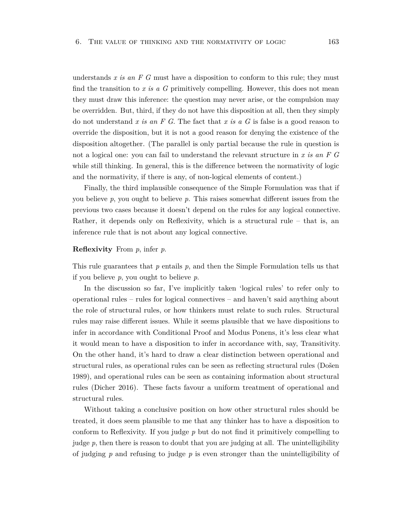understands *x is an F G* must have a disposition to conform to this rule; they must find the transition to *x is a G* primitively compelling. However, this does not mean they must draw this inference: the question may never arise, or the compulsion may be overridden. But, third, if they do not have this disposition at all, then they simply do not understand *x is an F G*. The fact that *x is a G* is false is a good reason to override the disposition, but it is not a good reason for denying the existence of the disposition altogether. (The parallel is only partial because the rule in question is not a logical one: you can fail to understand the relevant structure in *x is an F G* while still thinking. In general, this is the difference between the normativity of logic and the normativity, if there is any, of non-logical elements of content.)

Finally, the third implausible consequence of the Simple Formulation was that if you believe *p*, you ought to believe *p*. This raises somewhat different issues from the previous two cases because it doesn't depend on the rules for any logical connective. Rather, it depends only on Reflexivity, which is a structural rule – that is, an inference rule that is not about any logical connective.

#### **Reflexivity** From *p*, infer *p*.

This rule guarantees that *p* entails *p*, and then the Simple Formulation tells us that if you believe *p*, you ought to believe *p*.

In the discussion so far, I've implicitly taken 'logical rules' to refer only to operational rules – rules for logical connectives – and haven't said anything about the role of structural rules, or how thinkers must relate to such rules. Structural rules may raise different issues. While it seems plausible that we have dispositions to infer in accordance with Conditional Proof and Modus Ponens, it's less clear what it would mean to have a disposition to infer in accordance with, say, Transitivity. On the other hand, it's hard to draw a clear distinction between operational and structural rules, as operational rules can be seen as reflecting structural rules (Došen 1989), and operational rules can be seen as containing information about structural rules (Dicher 2016). These facts favour a uniform treatment of operational and structural rules.

Without taking a conclusive position on how other structural rules should be treated, it does seem plausible to me that any thinker has to have a disposition to conform to Reflexivity. If you judge *p* but do not find it primitively compelling to judge *p*, then there is reason to doubt that you are judging at all. The unintelligibility of judging *p* and refusing to judge *p* is even stronger than the unintelligibility of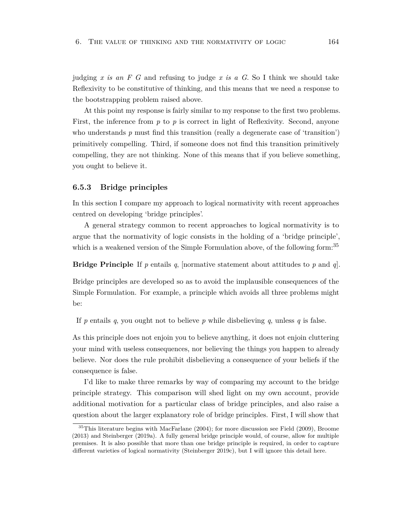judging *x is an F G* and refusing to judge *x is a G*. So I think we should take Reflexivity to be constitutive of thinking, and this means that we need a response to the bootstrapping problem raised above.

At this point my response is fairly similar to my response to the first two problems. First, the inference from p to p is correct in light of Reflexivity. Second, anyone who understands p must find this transition (really a degenerate case of 'transition') primitively compelling. Third, if someone does not find this transition primitively compelling, they are not thinking. None of this means that if you believe something, you ought to believe it.

#### **6.5.3 Bridge principles**

In this section I compare my approach to logical normativity with recent approaches centred on developing 'bridge principles'.

A general strategy common to recent approaches to logical normativity is to argue that the normativity of logic consists in the holding of a 'bridge principle', which is a weakened version of the Simple Formulation above, of the following form:<sup>35</sup>

**Bridge Principle** If *p* entails *q*, [normative statement about attitudes to *p* and *q*].

Bridge principles are developed so as to avoid the implausible consequences of the Simple Formulation. For example, a principle which avoids all three problems might be:

If  $p$  entails  $q$ , you ought not to believe  $p$  while disbelieving  $q$ , unless  $q$  is false.

As this principle does not enjoin you to believe anything, it does not enjoin cluttering your mind with useless consequences, nor believing the things you happen to already believe. Nor does the rule prohibit disbelieving a consequence of your beliefs if the consequence is false.

I'd like to make three remarks by way of comparing my account to the bridge principle strategy. This comparison will shed light on my own account, provide additional motivation for a particular class of bridge principles, and also raise a question about the larger explanatory role of bridge principles. First, I will show that

 $35$ This literature begins with MacFarlane (2004); for more discussion see Field (2009), Broome (2013) and Steinberger (2019a). A fully general bridge principle would, of course, allow for multiple premises. It is also possible that more than one bridge principle is required, in order to capture different varieties of logical normativity (Steinberger 2019c), but I will ignore this detail here.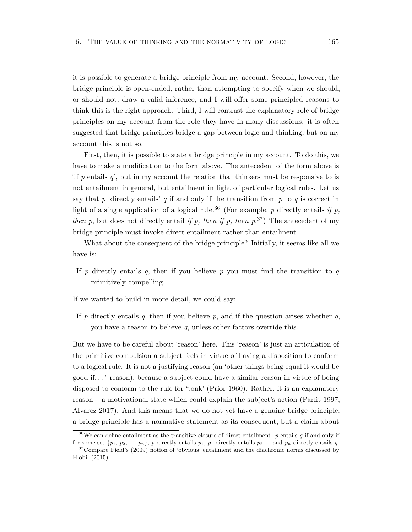it is possible to generate a bridge principle from my account. Second, however, the bridge principle is open-ended, rather than attempting to specify when we should, or should not, draw a valid inference, and I will offer some principled reasons to think this is the right approach. Third, I will contrast the explanatory role of bridge principles on my account from the role they have in many discussions: it is often suggested that bridge principles bridge a gap between logic and thinking, but on my account this is not so.

First, then, it is possible to state a bridge principle in my account. To do this, we have to make a modification to the form above. The antecedent of the form above is 'If *p* entails *q*', but in my account the relation that thinkers must be responsive to is not entailment in general, but entailment in light of particular logical rules. Let us say that  $p$  'directly entails'  $q$  if and only if the transition from  $p$  to  $q$  is correct in light of a single application of a logical rule.<sup>36</sup> (For example,  $p$  directly entails *if*  $p$ , *then p*, but does not directly entail *if p, then if p, then*  $p^{37}$ ) The antecedent of my bridge principle must invoke direct entailment rather than entailment.

What about the consequent of the bridge principle? Initially, it seems like all we have is:

If p directly entails q, then if you believe p you must find the transition to  $q$ primitively compelling.

If we wanted to build in more detail, we could say:

If *p* directly entails *q*, then if you believe *p*, and if the question arises whether *q*, you have a reason to believe *q*, unless other factors override this.

But we have to be careful about 'reason' here. This 'reason' is just an articulation of the primitive compulsion a subject feels in virtue of having a disposition to conform to a logical rule. It is not a justifying reason (an 'other things being equal it would be good if. . . ' reason), because a subject could have a similar reason in virtue of being disposed to conform to the rule for 'tonk' (Prior 1960). Rather, it is an explanatory reason – a motivational state which could explain the subject's action (Parfit 1997; Alvarez 2017). And this means that we do not yet have a genuine bridge principle: a bridge principle has a normative statement as its consequent, but a claim about

<sup>&</sup>lt;sup>36</sup>We can define entailment as the transitive closure of direct entailment. *p* entails *q* if and only if for some set  $\{p_1, p_2, \ldots, p_n\}$ , *p* directly entails  $p_1, p_1$  directly entails  $p_2, \ldots$  and  $p_n$  directly entails *q*.

<sup>&</sup>lt;sup>37</sup>Compare Field's (2009) notion of 'obvious' entailment and the diachronic norms discussed by Hlobil (2015).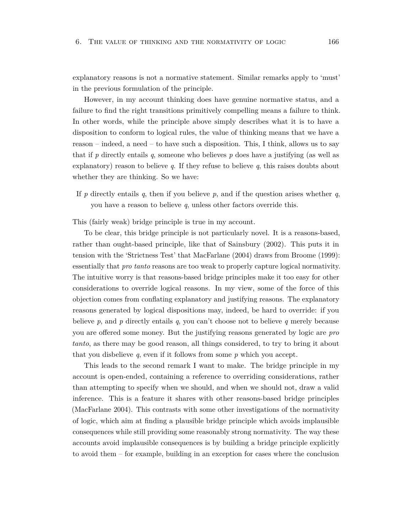explanatory reasons is not a normative statement. Similar remarks apply to 'must' in the previous formulation of the principle.

However, in my account thinking does have genuine normative status, and a failure to find the right transitions primitively compelling means a failure to think. In other words, while the principle above simply describes what it is to have a disposition to conform to logical rules, the value of thinking means that we have a reason – indeed, a need – to have such a disposition. This, I think, allows us to say that if *p* directly entails *q*, someone who believes *p* does have a justifying (as well as explanatory) reason to believe  $q$ . If they refuse to believe  $q$ , this raises doubts about whether they are thinking. So we have:

If *p* directly entails *q*, then if you believe *p*, and if the question arises whether *q*, you have a reason to believe *q*, unless other factors override this.

This (fairly weak) bridge principle is true in my account.

To be clear, this bridge principle is not particularly novel. It is a reasons-based, rather than ought-based principle, like that of Sainsbury (2002). This puts it in tension with the 'Strictness Test' that MacFarlane (2004) draws from Broome (1999): essentially that *pro tanto* reasons are too weak to properly capture logical normativity. The intuitive worry is that reasons-based bridge principles make it too easy for other considerations to override logical reasons. In my view, some of the force of this objection comes from conflating explanatory and justifying reasons. The explanatory reasons generated by logical dispositions may, indeed, be hard to override: if you believe *p*, and *p* directly entails *q*, you can't choose not to believe *q* merely because you are offered some money. But the justifying reasons generated by logic are *pro tanto*, as there may be good reason, all things considered, to try to bring it about that you disbelieve *q*, even if it follows from some *p* which you accept.

This leads to the second remark I want to make. The bridge principle in my account is open-ended, containing a reference to overriding considerations, rather than attempting to specify when we should, and when we should not, draw a valid inference. This is a feature it shares with other reasons-based bridge principles (MacFarlane 2004). This contrasts with some other investigations of the normativity of logic, which aim at finding a plausible bridge principle which avoids implausible consequences while still providing some reasonably strong normativity. The way these accounts avoid implausible consequences is by building a bridge principle explicitly to avoid them – for example, building in an exception for cases where the conclusion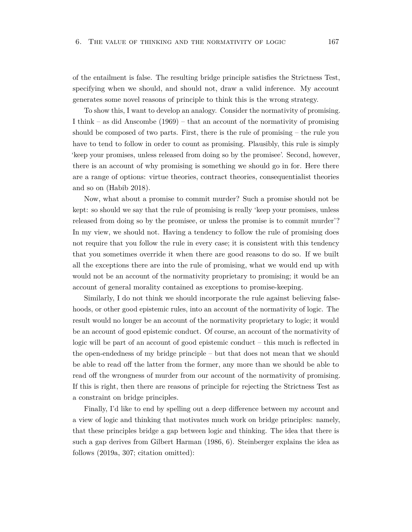of the entailment is false. The resulting bridge principle satisfies the Strictness Test, specifying when we should, and should not, draw a valid inference. My account generates some novel reasons of principle to think this is the wrong strategy.

To show this, I want to develop an analogy. Consider the normativity of promising. I think – as did Anscombe (1969) – that an account of the normativity of promising should be composed of two parts. First, there is the rule of promising  $-$  the rule you have to tend to follow in order to count as promising. Plausibly, this rule is simply 'keep your promises, unless released from doing so by the promisee'. Second, however, there is an account of why promising is something we should go in for. Here there are a range of options: virtue theories, contract theories, consequentialist theories and so on (Habib 2018).

Now, what about a promise to commit murder? Such a promise should not be kept: so should we say that the rule of promising is really 'keep your promises, unless released from doing so by the promisee, or unless the promise is to commit murder'? In my view, we should not. Having a tendency to follow the rule of promising does not require that you follow the rule in every case; it is consistent with this tendency that you sometimes override it when there are good reasons to do so. If we built all the exceptions there are into the rule of promising, what we would end up with would not be an account of the normativity proprietary to promising; it would be an account of general morality contained as exceptions to promise-keeping.

Similarly, I do not think we should incorporate the rule against believing falsehoods, or other good epistemic rules, into an account of the normativity of logic. The result would no longer be an account of the normativity proprietary to logic; it would be an account of good epistemic conduct. Of course, an account of the normativity of logic will be part of an account of good epistemic conduct – this much is reflected in the open-endedness of my bridge principle – but that does not mean that we should be able to read off the latter from the former, any more than we should be able to read off the wrongness of murder from our account of the normativity of promising. If this is right, then there are reasons of principle for rejecting the Strictness Test as a constraint on bridge principles.

Finally, I'd like to end by spelling out a deep difference between my account and a view of logic and thinking that motivates much work on bridge principles: namely, that these principles bridge a gap between logic and thinking. The idea that there is such a gap derives from Gilbert Harman (1986, 6). Steinberger explains the idea as follows (2019a, 307; citation omitted):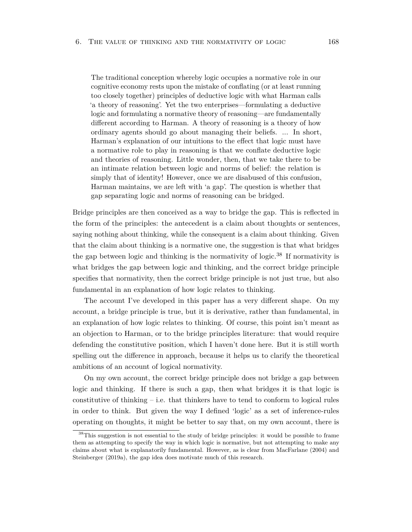The traditional conception whereby logic occupies a normative role in our cognitive economy rests upon the mistake of conflating (or at least running too closely together) principles of deductive logic with what Harman calls 'a theory of reasoning'. Yet the two enterprises—formulating a deductive logic and formulating a normative theory of reasoning—are fundamentally different according to Harman. A theory of reasoning is a theory of how ordinary agents should go about managing their beliefs. ... In short, Harman's explanation of our intuitions to the effect that logic must have a normative role to play in reasoning is that we conflate deductive logic and theories of reasoning. Little wonder, then, that we take there to be an intimate relation between logic and norms of belief: the relation is simply that of identity! However, once we are disabused of this confusion, Harman maintains, we are left with 'a gap'. The question is whether that gap separating logic and norms of reasoning can be bridged.

Bridge principles are then conceived as a way to bridge the gap. This is reflected in the form of the principles: the antecedent is a claim about thoughts or sentences, saying nothing about thinking, while the consequent is a claim about thinking. Given that the claim about thinking is a normative one, the suggestion is that what bridges the gap between logic and thinking is the normativity of logic.<sup>38</sup> If normativity is what bridges the gap between logic and thinking, and the correct bridge principle specifies that normativity, then the correct bridge principle is not just true, but also fundamental in an explanation of how logic relates to thinking.

The account I've developed in this paper has a very different shape. On my account, a bridge principle is true, but it is derivative, rather than fundamental, in an explanation of how logic relates to thinking. Of course, this point isn't meant as an objection to Harman, or to the bridge principles literature: that would require defending the constitutive position, which I haven't done here. But it is still worth spelling out the difference in approach, because it helps us to clarify the theoretical ambitions of an account of logical normativity.

On my own account, the correct bridge principle does not bridge a gap between logic and thinking. If there is such a gap, then what bridges it is that logic is constitutive of thinking  $-$  i.e. that thinkers have to tend to conform to logical rules in order to think. But given the way I defined 'logic' as a set of inference-rules operating on thoughts, it might be better to say that, on my own account, there is

<sup>&</sup>lt;sup>38</sup>This suggestion is not essential to the study of bridge principles: it would be possible to frame them as attempting to specify the way in which logic is normative, but not attempting to make any claims about what is explanatorily fundamental. However, as is clear from MacFarlane (2004) and Steinberger (2019a), the gap idea does motivate much of this research.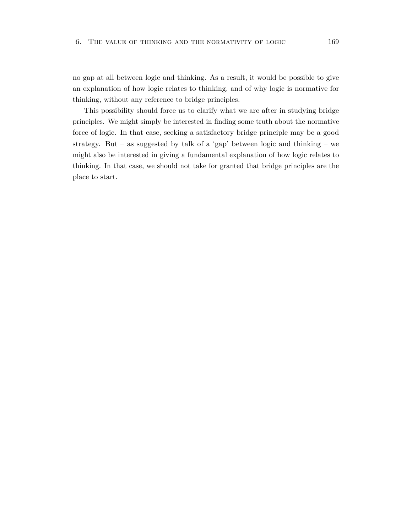no gap at all between logic and thinking. As a result, it would be possible to give an explanation of how logic relates to thinking, and of why logic is normative for thinking, without any reference to bridge principles.

This possibility should force us to clarify what we are after in studying bridge principles. We might simply be interested in finding some truth about the normative force of logic. In that case, seeking a satisfactory bridge principle may be a good strategy. But – as suggested by talk of a 'gap' between logic and thinking – we might also be interested in giving a fundamental explanation of how logic relates to thinking. In that case, we should not take for granted that bridge principles are the place to start.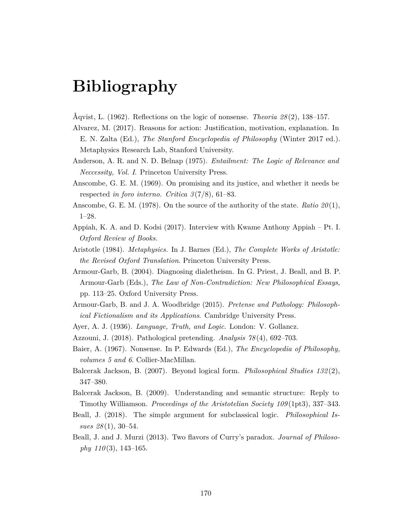## **Bibliography**

- Åqvist, L. (1962). Reflections on the logic of nonsense. *Theoria 28* (2), 138–157.
- Alvarez, M. (2017). Reasons for action: Justification, motivation, explanation. In E. N. Zalta (Ed.), *The Stanford Encyclopedia of Philosophy* (Winter 2017 ed.). Metaphysics Research Lab, Stanford University.
- Anderson, A. R. and N. D. Belnap (1975). *Entailment: The Logic of Relevance and Neccessity, Vol. I*. Princeton University Press.
- Anscombe, G. E. M. (1969). On promising and its justice, and whether it needs be respected *in foro interno*. *Critica 3* (7/8), 61–83.
- Anscombe, G. E. M. (1978). On the source of the authority of the state. *Ratio 20* (1), 1–28.
- Appiah, K. A. and D. Kodsi (2017). Interview with Kwame Anthony Appiah Pt. I. *Oxford Review of Books*.
- Aristotle (1984). *Metaphysics*. In J. Barnes (Ed.), *The Complete Works of Aristotle: the Revised Oxford Translation*. Princeton University Press.
- Armour-Garb, B. (2004). Diagnosing dialetheism. In G. Priest, J. Beall, and B. P. Armour-Garb (Eds.), *The Law of Non-Contradiction: New Philosophical Essays*, pp. 113–25. Oxford University Press.
- Armour-Garb, B. and J. A. Woodbridge (2015). *Pretense and Pathology: Philosophical Fictionalism and its Applications*. Cambridge University Press.
- Ayer, A. J. (1936). *Language, Truth, and Logic*. London: V. Gollancz.
- Azzouni, J. (2018). Pathological pretending. *Analysis 78* (4), 692–703.
- Baier, A. (1967). Nonsense. In P. Edwards (Ed.), *The Encyclopedia of Philosophy, volumes 5 and 6*. Collier-MacMillan.
- Balcerak Jackson, B. (2007). Beyond logical form. *Philosophical Studies 132* (2), 347–380.
- Balcerak Jackson, B. (2009). Understanding and semantic structure: Reply to Timothy Williamson. *Proceedings of the Aristotelian Society 109* (1pt3), 337–343.
- Beall, J. (2018). The simple argument for subclassical logic. *Philosophical Issues 28* (1), 30–54.
- Beall, J. and J. Murzi (2013). Two flavors of Curry's paradox. *Journal of Philosophy 110* (3), 143–165.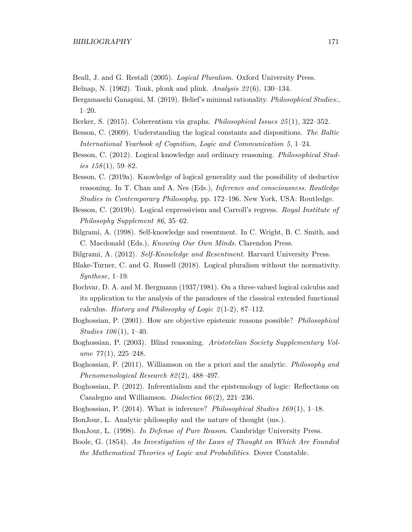- Beall, J. and G. Restall (2005). *Logical Pluralism*. Oxford University Press.
- Belnap, N. (1962). Tonk, plonk and plink. *Analysis 22* (6), 130–134.
- Bergamaschi Ganapini, M. (2019). Belief's minimal rationality. *Philosophical Studies:*, 1–20.
- Berker, S. (2015). Coherentism via graphs. *Philosophical Issues 25* (1), 322–352.
- Besson, C. (2009). Understanding the logical constants and dispositions. *The Baltic International Yearbook of Cognition, Logic and Communication 5*, 1–24.
- Besson, C. (2012). Logical knowledge and ordinary reasoning. *Philosophical Studies 158* (1), 59–82.
- Besson, C. (2019a). Knowledge of logical generality and the possibility of deductive reasoning. In T. Chan and A. Nes (Eds.), *Inference and consciousness. Routledge Studies in Contemporary Philosophy*, pp. 172–196. New York, USA: Routledge.
- Besson, C. (2019b). Logical expressivism and Carroll's regress. *Royal Institute of Philosophy Supplement 86*, 35–62.
- Bilgrami, A. (1998). Self-knowledge and resentment. In C. Wright, B. C. Smith, and C. Macdonald (Eds.), *Knowing Our Own Minds*. Clarendon Press.
- Bilgrami, A. (2012). *Self-Knowledge and Resentment*. Harvard University Press.
- Blake-Turner, C. and G. Russell (2018). Logical pluralism without the normativity. *Synthese*, 1–19.
- Bochvar, D. A. and M. Bergmann (1937/1981). On a three-valued logical calculus and its application to the analysis of the paradoxes of the classical extended functional calculus. *History and Philosophy of Logic 2* (1-2), 87–112.
- Boghossian, P. (2001). How are objective epistemic reasons possible? *Philosophical Studies 106* (1), 1–40.
- Boghossian, P. (2003). Blind reasoning. *Aristotelian Society Supplementary Volume 77* (1), 225–248.
- Boghossian, P. (2011). Williamson on the a priori and the analytic. *Philosophy and Phenomenological Research 82* (2), 488–497.
- Boghossian, P. (2012). Inferentialism and the epistemology of logic: Reflections on Casalegno and Williamson. *Dialectica 66* (2), 221–236.
- Boghossian, P. (2014). What is inference? *Philosophical Studies 169* (1), 1–18.
- BonJour, L. Analytic philosophy and the nature of thought (ms.).
- BonJour, L. (1998). *In Defense of Pure Reason*. Cambridge University Press.
- Boole, G. (1854). *An Investigation of the Laws of Thought on Which Are Founded the Mathematical Theories of Logic and Probabilities*. Dover Constable.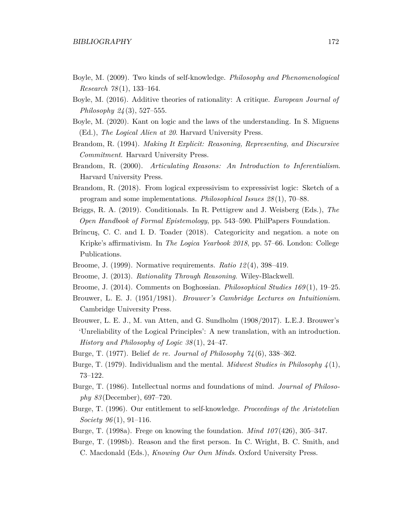- Boyle, M. (2009). Two kinds of self-knowledge. *Philosophy and Phenomenological Research 78* (1), 133–164.
- Boyle, M. (2016). Additive theories of rationality: A critique. *European Journal of Philosophy 24* (3), 527–555.
- Boyle, M. (2020). Kant on logic and the laws of the understanding. In S. Miguens (Ed.), *The Logical Alien at 20*. Harvard University Press.
- Brandom, R. (1994). *Making It Explicit: Reasoning, Representing, and Discursive Commitment*. Harvard University Press.
- Brandom, R. (2000). *Articulating Reasons: An Introduction to Inferentialism*. Harvard University Press.
- Brandom, R. (2018). From logical expressivism to expressivist logic: Sketch of a program and some implementations. *Philosophical Issues 28* (1), 70–88.
- Briggs, R. A. (2019). Conditionals. In R. Pettigrew and J. Weisberg (Eds.), *The Open Handbook of Formal Epistemology*, pp. 543–590. PhilPapers Foundation.
- Brîncuş, C. C. and I. D. Toader (2018). Categoricity and negation. a note on Kripke's affirmativism. In *The Logica Yearbook 2018*, pp. 57–66. London: College Publications.
- Broome, J. (1999). Normative requirements. *Ratio 12* (4), 398–419.
- Broome, J. (2013). *Rationality Through Reasoning*. Wiley-Blackwell.
- Broome, J. (2014). Comments on Boghossian. *Philosophical Studies 169* (1), 19–25.
- Brouwer, L. E. J. (1951/1981). *Brouwer's Cambridge Lectures on Intuitionism*. Cambridge University Press.
- Brouwer, L. E. J., M. van Atten, and G. Sundholm (1908/2017). L.E.J. Brouwer's 'Unreliability of the Logical Principles': A new translation, with an introduction. *History and Philosophy of Logic 38* (1), 24–47.
- Burge, T. (1977). Belief *de re*. *Journal of Philosophy 74* (6), 338–362.
- Burge, T. (1979). Individualism and the mental. *Midwest Studies in Philosophy 4* (1), 73–122.
- Burge, T. (1986). Intellectual norms and foundations of mind. *Journal of Philosophy 83* (December), 697–720.
- Burge, T. (1996). Our entitlement to self-knowledge. *Proceedings of the Aristotelian Society 96* (1), 91–116.
- Burge, T. (1998a). Frege on knowing the foundation. *Mind 107* (426), 305–347.
- Burge, T. (1998b). Reason and the first person. In C. Wright, B. C. Smith, and C. Macdonald (Eds.), *Knowing Our Own Minds*. Oxford University Press.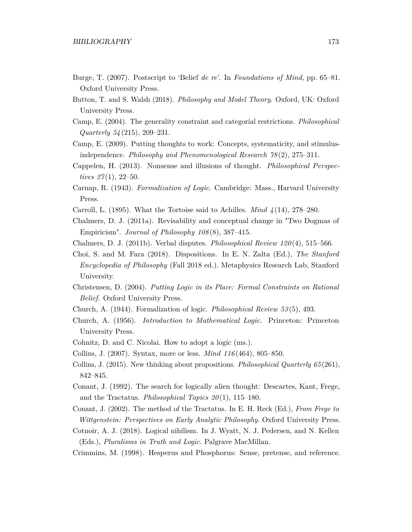- Burge, T. (2007). Postscript to 'Belief *de re*'. In *Foundations of Mind*, pp. 65–81. Oxford University Press.
- Button, T. and S. Walsh (2018). *Philosophy and Model Theory*. Oxford, UK: Oxford University Press.
- Camp, E. (2004). The generality constraint and categorial restrictions. *Philosophical Quarterly 54* (215), 209–231.
- Camp, E. (2009). Putting thoughts to work: Concepts, systematicity, and stimulusindependence. *Philosophy and Phenomenological Research 78* (2), 275–311.
- Cappelen, H. (2013). Nonsense and illusions of thought. *Philosophical Perspectives 27* (1), 22–50.
- Carnap, R. (1943). *Formalization of Logic*. Cambridge: Mass., Harvard University Press.
- Carroll, L. (1895). What the Tortoise said to Achilles. *Mind 4* (14), 278–280.
- Chalmers, D. J. (2011a). Revisability and conceptual change in "Two Dogmas of Empiricism". *Journal of Philosophy 108* (8), 387–415.
- Chalmers, D. J. (2011b). Verbal disputes. *Philosophical Review 120* (4), 515–566.
- Choi, S. and M. Fara (2018). Dispositions. In E. N. Zalta (Ed.), *The Stanford Encyclopedia of Philosophy* (Fall 2018 ed.). Metaphysics Research Lab, Stanford University.
- Christensen, D. (2004). *Putting Logic in its Place: Formal Constraints on Rational Belief*. Oxford University Press.
- Church, A. (1944). Formalization of logic. *Philosophical Review 53* (5), 493.
- Church, A. (1956). *Introduction to Mathematical Logic*. Princeton: Princeton University Press.
- Cohnitz, D. and C. Nicolai. How to adopt a logic (ms.).
- Collins, J. (2007). Syntax, more or less. *Mind 116* (464), 805–850.
- Collins, J. (2015). New thinking about propositions. *Philosophical Quarterly 65* (261), 842–845.
- Conant, J. (1992). The search for logically alien thought: Descartes, Kant, Frege, and the Tractatus. *Philosophical Topics 20* (1), 115–180.
- Conant, J. (2002). The method of the Tractatus. In E. H. Reck (Ed.), *From Frege to Wittgenstein: Perspectives on Early Analytic Philosophy*. Oxford University Press.
- Cotnoir, A. J. (2018). Logical nihilism. In J. Wyatt, N. J. Pedersen, and N. Kellen (Eds.), *Pluralisms in Truth and Logic.* Palgrave MacMillan.
- Crimmins, M. (1998). Hesperus and Phosphorus: Sense, pretense, and reference.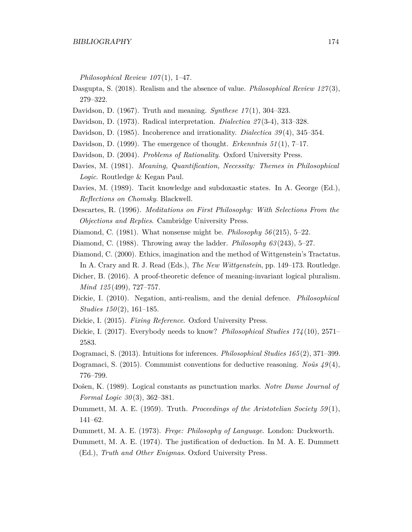*Philosophical Review 107* (1), 1–47.

- Dasgupta, S. (2018). Realism and the absence of value. *Philosophical Review 127*(3), 279–322.
- Davidson, D. (1967). Truth and meaning. *Synthese 17* (1), 304–323.
- Davidson, D. (1973). Radical interpretation. *Dialectica 27* (3-4), 313–328.
- Davidson, D. (1985). Incoherence and irrationality. *Dialectica 39* (4), 345–354.
- Davidson, D. (1999). The emergence of thought. *Erkenntnis 51* (1), 7–17.
- Davidson, D. (2004). *Problems of Rationality*. Oxford University Press.
- Davies, M. (1981). *Meaning, Quantification, Necessity: Themes in Philosophical Logic*. Routledge & Kegan Paul.
- Davies, M. (1989). Tacit knowledge and subdoxastic states. In A. George (Ed.), *Reflections on Chomsky*. Blackwell.
- Descartes, R. (1996). *Meditations on First Philosophy: With Selections From the Objections and Replies*. Cambridge University Press.
- Diamond, C. (1981). What nonsense might be. *Philosophy 56* (215), 5–22.
- Diamond, C. (1988). Throwing away the ladder. *Philosophy 63* (243), 5–27.
- Diamond, C. (2000). Ethics, imagination and the method of Wittgenstein's Tractatus.
- In A. Crary and R. J. Read (Eds.), *The New Wittgenstein*, pp. 149–173. Routledge.
- Dicher, B. (2016). A proof-theoretic defence of meaning-invariant logical pluralism. *Mind 125* (499), 727–757.
- Dickie, I. (2010). Negation, anti-realism, and the denial defence. *Philosophical Studies 150* (2), 161–185.
- Dickie, I. (2015). *Fixing Reference*. Oxford University Press.
- Dickie, I. (2017). Everybody needs to know? *Philosophical Studies 174* (10), 2571– 2583.
- Dogramaci, S. (2013). Intuitions for inferences. *Philosophical Studies 165* (2), 371–399.
- Dogramaci, S. (2015). Communist conventions for deductive reasoning. *Noûs 49* (4), 776–799.
- Došen, K. (1989). Logical constants as punctuation marks. *Notre Dame Journal of Formal Logic 30* (3), 362–381.
- Dummett, M. A. E. (1959). Truth. *Proceedings of the Aristotelian Society 59* (1), 141–62.
- Dummett, M. A. E. (1973). *Frege: Philosophy of Language*. London: Duckworth.
- Dummett, M. A. E. (1974). The justification of deduction. In M. A. E. Dummett (Ed.), *Truth and Other Enigmas*. Oxford University Press.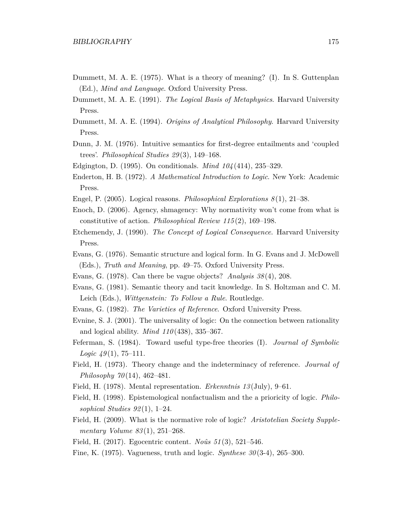- Dummett, M. A. E. (1975). What is a theory of meaning? (I). In S. Guttenplan (Ed.), *Mind and Language*. Oxford University Press.
- Dummett, M. A. E. (1991). *The Logical Basis of Metaphysics*. Harvard University Press.
- Dummett, M. A. E. (1994). *Origins of Analytical Philosophy*. Harvard University Press.
- Dunn, J. M. (1976). Intuitive semantics for first-degree entailments and 'coupled trees'. *Philosophical Studies 29* (3), 149–168.
- Edgington, D. (1995). On conditionals. *Mind 104* (414), 235–329.
- Enderton, H. B. (1972). *A Mathematical Introduction to Logic*. New York: Academic Press.
- Engel, P. (2005). Logical reasons. *Philosophical Explorations 8* (1), 21–38.
- Enoch, D. (2006). Agency, shmagency: Why normativity won't come from what is constitutive of action. *Philosophical Review 115* (2), 169–198.
- Etchemendy, J. (1990). *The Concept of Logical Consequence*. Harvard University Press.
- Evans, G. (1976). Semantic structure and logical form. In G. Evans and J. McDowell (Eds.), *Truth and Meaning*, pp. 49–75. Oxford University Press.
- Evans, G. (1978). Can there be vague objects? *Analysis 38* (4), 208.
- Evans, G. (1981). Semantic theory and tacit knowledge. In S. Holtzman and C. M. Leich (Eds.), *Wittgenstein: To Follow a Rule*. Routledge.
- Evans, G. (1982). *The Varieties of Reference*. Oxford University Press.
- Evnine, S. J. (2001). The universality of logic: On the connection between rationality and logical ability. *Mind 110* (438), 335–367.
- Feferman, S. (1984). Toward useful type-free theories (I). *Journal of Symbolic Logic 49* (1), 75–111.
- Field, H. (1973). Theory change and the indeterminacy of reference. *Journal of Philosophy 70* (14), 462–481.
- Field, H. (1978). Mental representation. *Erkenntnis 13* (July), 9–61.
- Field, H. (1998). Epistemological nonfactualism and the a prioricity of logic. *Philosophical Studies 92* (1), 1–24.
- Field, H. (2009). What is the normative role of logic? *Aristotelian Society Supplementary Volume 83* (1), 251–268.
- Field, H. (2017). Egocentric content. *Noûs 51* (3), 521–546.
- Fine, K. (1975). Vagueness, truth and logic. *Synthese 30* (3-4), 265–300.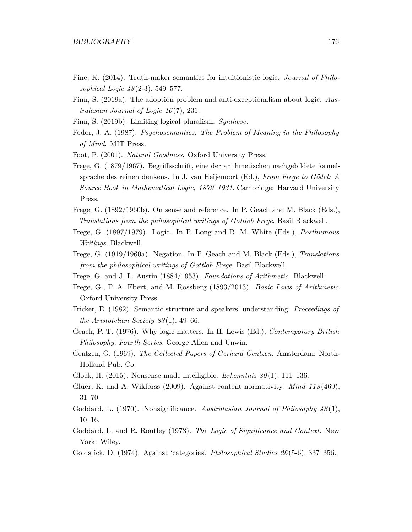- Fine, K. (2014). Truth-maker semantics for intuitionistic logic. *Journal of Philosophical Logic 43* (2-3), 549–577.
- Finn, S. (2019a). The adoption problem and anti-exceptionalism about logic. *Australasian Journal of Logic 16* (7), 231.
- Finn, S. (2019b). Limiting logical pluralism. *Synthese*.
- Fodor, J. A. (1987). *Psychosemantics: The Problem of Meaning in the Philosophy of Mind*. MIT Press.
- Foot, P. (2001). *Natural Goodness*. Oxford University Press.
- Frege, G. (1879/1967). Begriffsschrift, eine der arithmetischen nachgebildete formelsprache des reinen denkens. In J. van Heijenoort (Ed.), *From Frege to Gödel: A Source Book in Mathematical Logic, 1879–1931*. Cambridge: Harvard University Press.
- Frege, G. (1892/1960b). On sense and reference. In P. Geach and M. Black (Eds.), *Translations from the philosophical writings of Gottlob Frege*. Basil Blackwell.
- Frege, G. (1897/1979). Logic. In P. Long and R. M. White (Eds.), *Posthumous Writings*. Blackwell.
- Frege, G. (1919/1960a). Negation. In P. Geach and M. Black (Eds.), *Translations from the philosophical writings of Gottlob Frege*. Basil Blackwell.
- Frege, G. and J. L. Austin (1884/1953). *Foundations of Arithmetic*. Blackwell.
- Frege, G., P. A. Ebert, and M. Rossberg (1893/2013). *Basic Laws of Arithmetic*. Oxford University Press.
- Fricker, E. (1982). Semantic structure and speakers' understanding. *Proceedings of the Aristotelian Society 83* (1), 49–66.
- Geach, P. T. (1976). Why logic matters. In H. Lewis (Ed.), *Contemporary British Philosophy, Fourth Series*. George Allen and Unwin.
- Gentzen, G. (1969). *The Collected Papers of Gerhard Gentzen*. Amsterdam: North-Holland Pub. Co.
- Glock, H. (2015). Nonsense made intelligible. *Erkenntnis 80* (1), 111–136.
- Glüer, K. and A. Wikforss (2009). Against content normativity. *Mind 118* (469), 31–70.
- Goddard, L. (1970). Nonsignificance. *Australasian Journal of Philosophy 48* (1), 10–16.
- Goddard, L. and R. Routley (1973). *The Logic of Significance and Context*. New York: Wiley.
- Goldstick, D. (1974). Against 'categories'. *Philosophical Studies 26* (5-6), 337–356.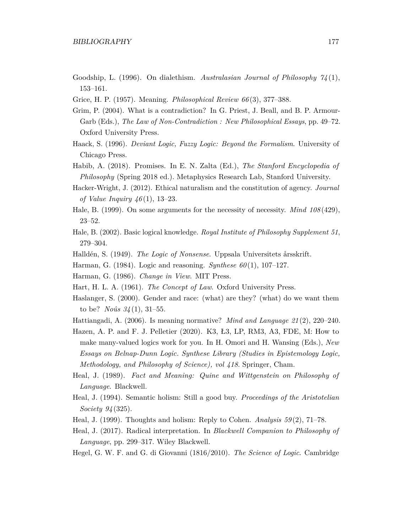- Goodship, L. (1996). On dialethism. *Australasian Journal of Philosophy 74* (1), 153–161.
- Grice, H. P. (1957). Meaning. *Philosophical Review 66* (3), 377–388.
- Grim, P. (2004). What is a contradiction? In G. Priest, J. Beall, and B. P. Armour-Garb (Eds.), *The Law of Non-Contradiction : New Philosophical Essays*, pp. 49–72. Oxford University Press.
- Haack, S. (1996). *Deviant Logic, Fuzzy Logic: Beyond the Formalism*. University of Chicago Press.
- Habib, A. (2018). Promises. In E. N. Zalta (Ed.), *The Stanford Encyclopedia of Philosophy* (Spring 2018 ed.). Metaphysics Research Lab, Stanford University.
- Hacker-Wright, J. (2012). Ethical naturalism and the constitution of agency. *Journal of Value Inquiry 46* (1), 13–23.
- Hale, B. (1999). On some arguments for the necessity of necessity. *Mind 108* (429), 23–52.
- Hale, B. (2002). Basic logical knowledge. *Royal Institute of Philosophy Supplement 51*, 279–304.
- Halldén, S. (1949). *The Logic of Nonsense*. Uppsala Universitets årsskrift.
- Harman, G. (1984). Logic and reasoning. *Synthese 60* (1), 107–127.
- Harman, G. (1986). *Change in View*. MIT Press.
- Hart, H. L. A. (1961). *The Concept of Law*. Oxford University Press.
- Haslanger, S. (2000). Gender and race: (what) are they? (what) do we want them to be? *Noûs 34* (1), 31–55.
- Hattiangadi, A. (2006). Is meaning normative? *Mind and Language 21* (2), 220–240.
- Hazen, A. P. and F. J. Pelletier (2020). K3, Ł3, LP, RM3, A3, FDE, M: How to make many-valued logics work for you. In H. Omori and H. Wansing (Eds.), *New Essays on Belnap-Dunn Logic. Synthese Library (Studies in Epistemology Logic, Methodology, and Philosophy of Science), vol 418*. Springer, Cham.
- Heal, J. (1989). *Fact and Meaning: Quine and Wittgenstein on Philosophy of Language*. Blackwell.
- Heal, J. (1994). Semantic holism: Still a good buy. *Proceedings of the Aristotelian Society 94* (325).
- Heal, J. (1999). Thoughts and holism: Reply to Cohen. *Analysis 59* (2), 71–78.
- Heal, J. (2017). Radical interpretation. In *Blackwell Companion to Philosophy of Language*, pp. 299–317. Wiley Blackwell.
- Hegel, G. W. F. and G. di Giovanni (1816/2010). *The Science of Logic*. Cambridge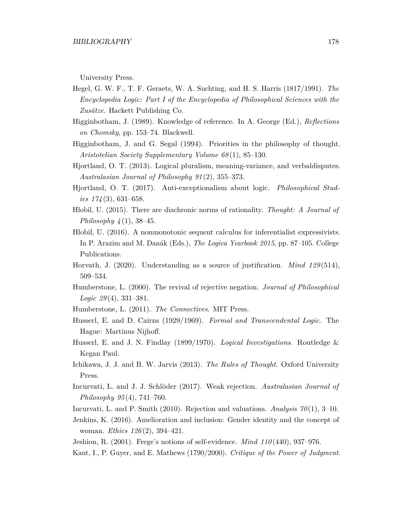University Press.

- Hegel, G. W. F., T. F. Geraets, W. A. Suchting, and H. S. Harris (1817/1991). *The Encyclopedia Logic: Part I of the Encyclopedia of Philosophical Sciences with the Zusätze*. Hackett Publishing Co.
- Higginbotham, J. (1989). Knowledge of reference. In A. George (Ed.), *Reflections on Chomsky*, pp. 153–74. Blackwell.
- Higginbotham, J. and G. Segal (1994). Priorities in the philosophy of thought. *Aristotelian Society Supplementary Volume 68* (1), 85–130.
- Hjortland, O. T. (2013). Logical pluralism, meaning-variance, and verbaldisputes. *Australasian Journal of Philosophy 91* (2), 355–373.
- Hjortland, O. T. (2017). Anti-exceptionalism about logic. *Philosophical Studies 174* (3), 631–658.
- Hlobil, U. (2015). There are diachronic norms of rationality. *Thought: A Journal of Philosophy 4* (1), 38–45.
- Hlobil, U. (2016). A nonmonotonic sequent calculus for inferentialist expressivists. In P. Arazim and M. Danák (Eds.), *The Logica Yearbook 2015*, pp. 87–105. College Publications.
- Horvath, J. (2020). Understanding as a source of justification. *Mind 129* (514), 509–534.
- Humberstone, L. (2000). The revival of rejective negation. *Journal of Philosophical Logic 29* (4), 331–381.
- Humberstone, L. (2011). *The Connectives*. MIT Press.
- Husserl, E. and D. Cairns (1929/1969). *Formal and Transcendental Logic*. The Hague: Martinus Nijhoff.
- Husserl, E. and J. N. Findlay (1899/1970). *Logical Investigations*. Routledge & Kegan Paul.
- Ichikawa, J. J. and B. W. Jarvis (2013). *The Rules of Thought*. Oxford University Press.
- Incurvati, L. and J. J. Schlöder (2017). Weak rejection. *Australasian Journal of Philosophy 95* (4), 741–760.
- Incurvati, L. and P. Smith (2010). Rejection and valuations. *Analysis 70* (1), 3–10.
- Jenkins, K. (2016). Amelioration and inclusion: Gender identity and the concept of woman. *Ethics 126* (2), 394–421.
- Jeshion, R. (2001). Frege's notions of self-evidence. *Mind 110* (440), 937–976.
- Kant, I., P. Guyer, and E. Mathews (1790/2000). *Critique of the Power of Judgment*.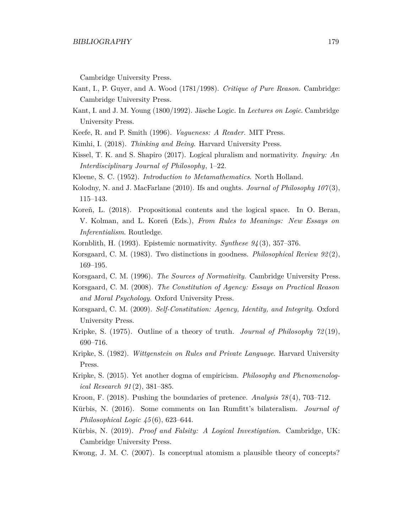Cambridge University Press.

- Kant, I., P. Guyer, and A. Wood (1781/1998). *Critique of Pure Reason*. Cambridge: Cambridge University Press.
- Kant, I. and J. M. Young (1800/1992). Jäsche Logic. In *Lectures on Logic*. Cambridge University Press.
- Keefe, R. and P. Smith (1996). *Vagueness: A Reader*. MIT Press.
- Kimhi, I. (2018). *Thinking and Being*. Harvard University Press.
- Kissel, T. K. and S. Shapiro (2017). Logical pluralism and normativity. *Inquiry: An Interdisciplinary Journal of Philosophy*, 1–22.
- Kleene, S. C. (1952). *Introduction to Metamathematics*. North Holland.
- Kolodny, N. and J. MacFarlane (2010). Ifs and oughts. *Journal of Philosophy 107* (3), 115–143.
- Koreň, L. (2018). Propositional contents and the logical space. In O. Beran, V. Kolman, and L. Koreň (Eds.), *From Rules to Meanings: New Essays on Inferentialism*. Routledge.
- Kornblith, H. (1993). Epistemic normativity. *Synthese 94* (3), 357–376.
- Korsgaard, C. M. (1983). Two distinctions in goodness. *Philosophical Review 92* (2), 169–195.
- Korsgaard, C. M. (1996). *The Sources of Normativity*. Cambridge University Press.
- Korsgaard, C. M. (2008). *The Constitution of Agency: Essays on Practical Reason and Moral Psychology*. Oxford University Press.
- Korsgaard, C. M. (2009). *Self-Constitution: Agency, Identity, and Integrity*. Oxford University Press.
- Kripke, S. (1975). Outline of a theory of truth. *Journal of Philosophy 72* (19), 690–716.
- Kripke, S. (1982). *Wittgenstein on Rules and Private Language*. Harvard University Press.
- Kripke, S. (2015). Yet another dogma of empiricism. *Philosophy and Phenomenological Research 91* (2), 381–385.
- Kroon, F. (2018). Pushing the boundaries of pretence. *Analysis 78* (4), 703–712.
- Kürbis, N. (2016). Some comments on Ian Rumfitt's bilateralism. *Journal of Philosophical Logic 45* (6), 623–644.
- Kürbis, N. (2019). *Proof and Falsity: A Logical Investigation*. Cambridge, UK: Cambridge University Press.
- Kwong, J. M. C. (2007). Is conceptual atomism a plausible theory of concepts?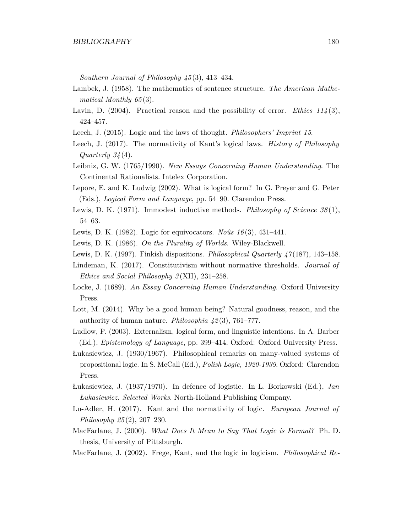*Southern Journal of Philosophy 45* (3), 413–434.

- Lambek, J. (1958). The mathematics of sentence structure. *The American Mathematical Monthly 65* (3).
- Lavin, D. (2004). Practical reason and the possibility of error. *Ethics 114* (3), 424–457.
- Leech, J. (2015). Logic and the laws of thought. *Philosophers' Imprint 15*.
- Leech, J. (2017). The normativity of Kant's logical laws. *History of Philosophy Quarterly 34* (4).
- Leibniz, G. W. (1765/1990). *New Essays Concerning Human Understanding*. The Continental Rationalists. Intelex Corporation.
- Lepore, E. and K. Ludwig (2002). What is logical form? In G. Preyer and G. Peter (Eds.), *Logical Form and Language*, pp. 54–90. Clarendon Press.
- Lewis, D. K. (1971). Immodest inductive methods. *Philosophy of Science 38* (1), 54–63.
- Lewis, D. K. (1982). Logic for equivocators. *Noûs 16* (3), 431–441.
- Lewis, D. K. (1986). *On the Plurality of Worlds*. Wiley-Blackwell.
- Lewis, D. K. (1997). Finkish dispositions. *Philosophical Quarterly 47* (187), 143–158.
- Lindeman, K. (2017). Constitutivism without normative thresholds. *Journal of Ethics and Social Philosophy 3* (XII), 231–258.
- Locke, J. (1689). *An Essay Concerning Human Understanding*. Oxford University Press.
- Lott, M. (2014). Why be a good human being? Natural goodness, reason, and the authority of human nature. *Philosophia 42* (3), 761–777.
- Ludlow, P. (2003). Externalism, logical form, and linguistic intentions. In A. Barber (Ed.), *Epistemology of Language*, pp. 399–414. Oxford: Oxford University Press.
- Łukasiewicz, J. (1930/1967). Philosophical remarks on many-valued systems of propositional logic. In S. McCall (Ed.), *Polish Logic, 1920-1939*. Oxford: Clarendon Press.
- Łukasiewicz, J. (1937/1970). In defence of logistic. In L. Borkowski (Ed.), *Jan Łukasiewicz. Selected Works*. North-Holland Publishing Company.
- Lu-Adler, H. (2017). Kant and the normativity of logic. *European Journal of Philosophy 25* (2), 207–230.
- MacFarlane, J. (2000). *What Does It Mean to Say That Logic is Formal?* Ph. D. thesis, University of Pittsburgh.
- MacFarlane, J. (2002). Frege, Kant, and the logic in logicism. *Philosophical Re-*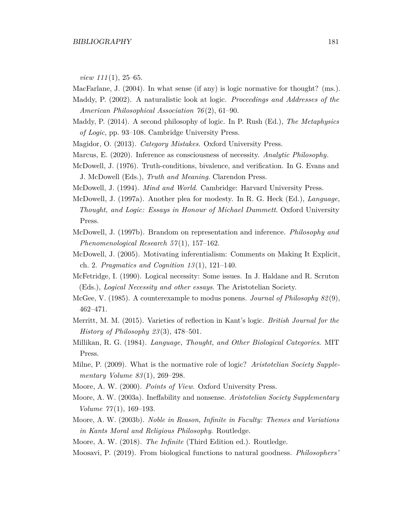*view 111* (1), 25–65.

MacFarlane, J. (2004). In what sense (if any) is logic normative for thought? (ms.).

- Maddy, P. (2002). A naturalistic look at logic. *Proceedings and Addresses of the American Philosophical Association 76* (2), 61–90.
- Maddy, P. (2014). A second philosophy of logic. In P. Rush (Ed.), *The Metaphysics of Logic*, pp. 93–108. Cambridge University Press.
- Magidor, O. (2013). *Category Mistakes*. Oxford University Press.
- Marcus, E. (2020). Inference as consciousness of necessity. *Analytic Philosophy*.
- McDowell, J. (1976). Truth-conditions, bivalence, and verification. In G. Evans and J. McDowell (Eds.), *Truth and Meaning*. Clarendon Press.
- McDowell, J. (1994). *Mind and World*. Cambridge: Harvard University Press.
- McDowell, J. (1997a). Another plea for modesty. In R. G. Heck (Ed.), *Language, Thought, and Logic: Essays in Honour of Michael Dummett*. Oxford University Press.
- McDowell, J. (1997b). Brandom on representation and inference. *Philosophy and Phenomenological Research 57* (1), 157–162.
- McDowell, J. (2005). Motivating inferentialism: Comments on Making It Explicit, ch. 2. *Pragmatics and Cognition 13* (1), 121–140.
- McFetridge, I. (1990). Logical necessity: Some issues. In J. Haldane and R. Scruton (Eds.), *Logical Necessity and other essays*. The Aristotelian Society.
- McGee, V. (1985). A counterexample to modus ponens. *Journal of Philosophy 82* (9), 462–471.
- Merritt, M. M. (2015). Varieties of reflection in Kant's logic. *British Journal for the History of Philosophy 23* (3), 478–501.
- Millikan, R. G. (1984). *Language, Thought, and Other Biological Categories*. MIT Press.
- Milne, P. (2009). What is the normative role of logic? *Aristotelian Society Supplementary Volume 83* (1), 269–298.
- Moore, A. W. (2000). *Points of View*. Oxford University Press.
- Moore, A. W. (2003a). Ineffability and nonsense. *Aristotelian Society Supplementary Volume 77* (1), 169–193.
- Moore, A. W. (2003b). *Noble in Reason, Infinite in Faculty: Themes and Variations in Kants Moral and Religious Philosophy*. Routledge.
- Moore, A. W. (2018). *The Infinite* (Third Edition ed.). Routledge.
- Moosavi, P. (2019). From biological functions to natural goodness. *Philosophers'*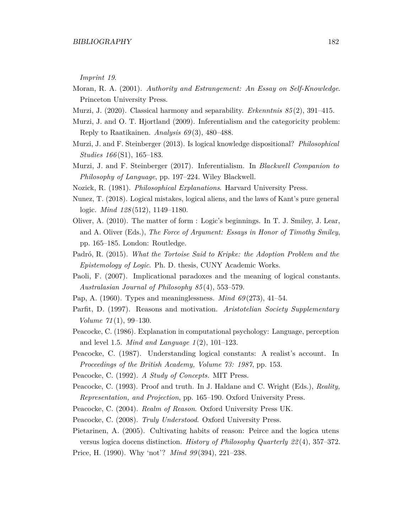*Imprint 19*.

- Moran, R. A. (2001). *Authority and Estrangement: An Essay on Self-Knowledge*. Princeton University Press.
- Murzi, J. (2020). Classical harmony and separability. *Erkenntnis 85* (2), 391–415.
- Murzi, J. and O. T. Hjortland (2009). Inferentialism and the categoricity problem: Reply to Raatikainen. *Analysis 69* (3), 480–488.
- Murzi, J. and F. Steinberger (2013). Is logical knowledge dispositional? *Philosophical Studies 166* (S1), 165–183.
- Murzi, J. and F. Steinberger (2017). Inferentialism. In *Blackwell Companion to Philosophy of Language*, pp. 197–224. Wiley Blackwell.
- Nozick, R. (1981). *Philosophical Explanations*. Harvard University Press.
- Nunez, T. (2018). Logical mistakes, logical aliens, and the laws of Kant's pure general logic. *Mind 128* (512), 1149–1180.
- Oliver, A. (2010). The matter of form : Logic's beginnings. In T. J. Smiley, J. Lear, and A. Oliver (Eds.), *The Force of Argument: Essays in Honor of Timothy Smiley*, pp. 165–185. London: Routledge.
- Padró, R. (2015). *What the Tortoise Said to Kripke: the Adoption Problem and the Epistemology of Logic*. Ph. D. thesis, CUNY Academic Works.
- Paoli, F. (2007). Implicational paradoxes and the meaning of logical constants. *Australasian Journal of Philosophy 85* (4), 553–579.
- Pap, A. (1960). Types and meaninglessness. *Mind 69* (273), 41–54.
- Parfit, D. (1997). Reasons and motivation. *Aristotelian Society Supplementary Volume 71* (1), 99–130.
- Peacocke, C. (1986). Explanation in computational psychology: Language, perception and level 1.5. *Mind and Language 1* (2), 101–123.
- Peacocke, C. (1987). Understanding logical constants: A realist's account. In *Proceedings of the British Academy, Volume 73: 1987*, pp. 153.
- Peacocke, C. (1992). *A Study of Concepts.* MIT Press.
- Peacocke, C. (1993). Proof and truth. In J. Haldane and C. Wright (Eds.), *Reality, Representation, and Projection*, pp. 165–190. Oxford University Press.
- Peacocke, C. (2004). *Realm of Reason*. Oxford University Press UK.
- Peacocke, C. (2008). *Truly Understood*. Oxford University Press.
- Pietarinen, A. (2005). Cultivating habits of reason: Peirce and the logica utens versus logica docens distinction. *History of Philosophy Quarterly 22* (4), 357–372. Price, H. (1990). Why 'not'? *Mind 99* (394), 221–238.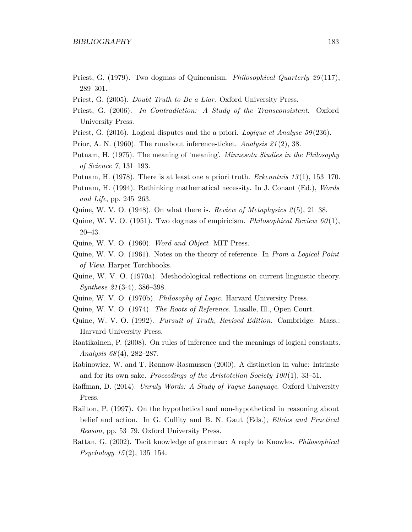- Priest, G. (1979). Two dogmas of Quineanism. *Philosophical Quarterly 29* (117), 289–301.
- Priest, G. (2005). *Doubt Truth to Be a Liar*. Oxford University Press.
- Priest, G. (2006). *In Contradiction: A Study of the Transconsistent*. Oxford University Press.
- Priest, G. (2016). Logical disputes and the a priori. *Logique et Analyse 59* (236).
- Prior, A. N. (1960). The runabout inference-ticket. *Analysis 21* (2), 38.
- Putnam, H. (1975). The meaning of 'meaning'. *Minnesota Studies in the Philosophy of Science 7*, 131–193.
- Putnam, H. (1978). There is at least one a priori truth. *Erkenntnis 13* (1), 153–170.
- Putnam, H. (1994). Rethinking mathematical necessity. In J. Conant (Ed.), *Words and Life*, pp. 245–263.
- Quine, W. V. O. (1948). On what there is. *Review of Metaphysics 2* (5), 21–38.
- Quine, W. V. O. (1951). Two dogmas of empiricism. *Philosophical Review 60* (1), 20–43.
- Quine, W. V. O. (1960). *Word and Object*. MIT Press.
- Quine, W. V. O. (1961). Notes on the theory of reference. In *From a Logical Point of View*. Harper Torchbooks.
- Quine, W. V. O. (1970a). Methodological reflections on current linguistic theory. *Synthese 21* (3-4), 386–398.
- Quine, W. V. O. (1970b). *Philosophy of Logic*. Harvard University Press.
- Quine, W. V. O. (1974). *The Roots of Reference*. Lasalle, Ill., Open Court.
- Quine, W. V. O. (1992). *Pursuit of Truth, Revised Edition.* Cambridge: Mass.: Harvard University Press.
- Raatikainen, P. (2008). On rules of inference and the meanings of logical constants. *Analysis 68* (4), 282–287.
- Rabinowicz, W. and T. Rønnow-Rasmussen (2000). A distinction in value: Intrinsic and for its own sake. *Proceedings of the Aristotelian Society 100* (1), 33–51.
- Raffman, D. (2014). *Unruly Words: A Study of Vague Language*. Oxford University Press.
- Railton, P. (1997). On the hypothetical and non-hypothetical in reasoning about belief and action. In G. Cullity and B. N. Gaut (Eds.), *Ethics and Practical Reason*, pp. 53–79. Oxford University Press.
- Rattan, G. (2002). Tacit knowledge of grammar: A reply to Knowles. *Philosophical Psychology 15* (2), 135–154.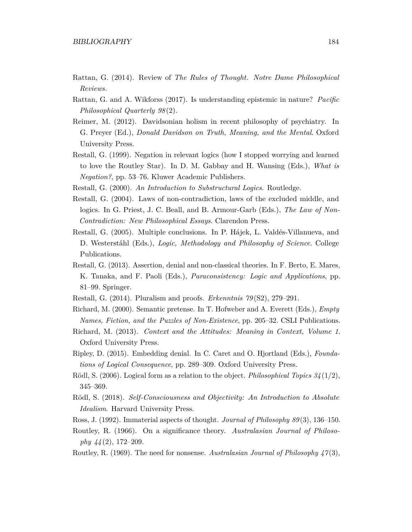- Rattan, G. (2014). Review of *The Rules of Thought*. *Notre Dame Philosophical Reviews*.
- Rattan, G. and A. Wikforss (2017). Is understanding epistemic in nature? *Pacific Philosophical Quarterly 98* (2).
- Reimer, M. (2012). Davidsonian holism in recent philosophy of psychiatry. In G. Preyer (Ed.), *Donald Davidson on Truth, Meaning, and the Mental*. Oxford University Press.
- Restall, G. (1999). Negation in relevant logics (how I stopped worrying and learned to love the Routley Star). In D. M. Gabbay and H. Wansing (Eds.), *What is Negation?*, pp. 53–76. Kluwer Academic Publishers.
- Restall, G. (2000). *An Introduction to Substructural Logics*. Routledge.
- Restall, G. (2004). Laws of non-contradiction, laws of the excluded middle, and logics. In G. Priest, J. C. Beall, and B. Armour-Garb (Eds.), *The Law of Non-Contradiction: New Philosophical Essays*. Clarendon Press.
- Restall, G. (2005). Multiple conclusions. In P. Hájek, L. Valdés-Villanueva, and D. Westerståhl (Eds.), *Logic, Methodology and Philosophy of Science*. College Publications.
- Restall, G. (2013). Assertion, denial and non-classical theories. In F. Berto, E. Mares, K. Tanaka, and F. Paoli (Eds.), *Paraconsistency: Logic and Applications*, pp. 81–99. Springer.
- Restall, G. (2014). Pluralism and proofs. *Erkenntnis 79* (S2), 279–291.
- Richard, M. (2000). Semantic pretense. In T. Hofweber and A. Everett (Eds.), *Empty Names, Fiction, and the Puzzles of Non-Existence*, pp. 205–32. CSLI Publications.
- Richard, M. (2013). *Context and the Attitudes: Meaning in Context, Volume 1*. Oxford University Press.
- Ripley, D. (2015). Embedding denial. In C. Caret and O. Hjortland (Eds.), *Foundations of Logical Consequence*, pp. 289–309. Oxford University Press.
- Rödl, S. (2006). Logical form as a relation to the object. *Philosophical Topics 34* (1/2), 345–369.
- Rödl, S. (2018). *Self-Consciousness and Objectivity: An Introduction to Absolute Idealism*. Harvard University Press.
- Ross, J. (1992). Immaterial aspects of thought. *Journal of Philosophy 89* (3), 136–150.
- Routley, R. (1966). On a significance theory. *Australasian Journal of Philosophy 44* (2), 172–209.
- Routley, R. (1969). The need for nonsense. *Australasian Journal of Philosophy 47* (3),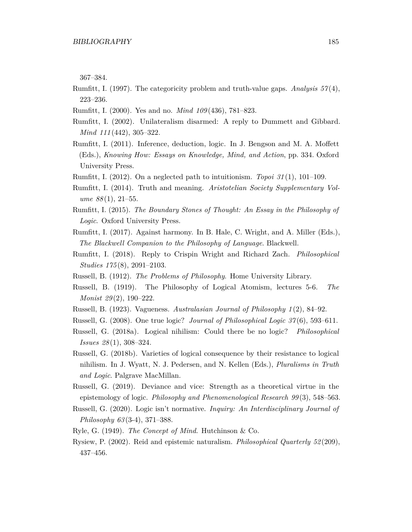367–384.

- Rumfitt, I. (1997). The categoricity problem and truth-value gaps. *Analysis 57* (4), 223–236.
- Rumfitt, I. (2000). Yes and no. *Mind 109* (436), 781–823.
- Rumfitt, I. (2002). Unilateralism disarmed: A reply to Dummett and Gibbard. *Mind 111* (442), 305–322.
- Rumfitt, I. (2011). Inference, deduction, logic. In J. Bengson and M. A. Moffett (Eds.), *Knowing How: Essays on Knowledge, Mind, and Action*, pp. 334. Oxford University Press.
- Rumfitt, I. (2012). On a neglected path to intuitionism. *Topoi 31* (1), 101–109.
- Rumfitt, I. (2014). Truth and meaning. *Aristotelian Society Supplementary Volume 88* (1), 21–55.
- Rumfitt, I. (2015). *The Boundary Stones of Thought: An Essay in the Philosophy of Logic*. Oxford University Press.
- Rumfitt, I. (2017). Against harmony. In B. Hale, C. Wright, and A. Miller (Eds.), *The Blackwell Companion to the Philosophy of Language*. Blackwell.
- Rumfitt, I. (2018). Reply to Crispin Wright and Richard Zach. *Philosophical Studies 175* (8), 2091–2103.
- Russell, B. (1912). *The Problems of Philosophy*. Home University Library.
- Russell, B. (1919). The Philosophy of Logical Atomism, lectures 5-6. *The Monist 29* (2), 190–222.
- Russell, B. (1923). Vagueness. *Australasian Journal of Philosophy 1* (2), 84–92.
- Russell, G. (2008). One true logic? *Journal of Philosophical Logic 37* (6), 593–611.
- Russell, G. (2018a). Logical nihilism: Could there be no logic? *Philosophical Issues 28* (1), 308–324.
- Russell, G. (2018b). Varieties of logical consequence by their resistance to logical nihilism. In J. Wyatt, N. J. Pedersen, and N. Kellen (Eds.), *Pluralisms in Truth and Logic*. Palgrave MacMillan.
- Russell, G. (2019). Deviance and vice: Strength as a theoretical virtue in the epistemology of logic. *Philosophy and Phenomenological Research 99* (3), 548–563.
- Russell, G. (2020). Logic isn't normative. *Inquiry: An Interdisciplinary Journal of Philosophy 63* (3-4), 371–388.
- Ryle, G. (1949). *The Concept of Mind*. Hutchinson & Co.
- Rysiew, P. (2002). Reid and epistemic naturalism. *Philosophical Quarterly 52* (209), 437–456.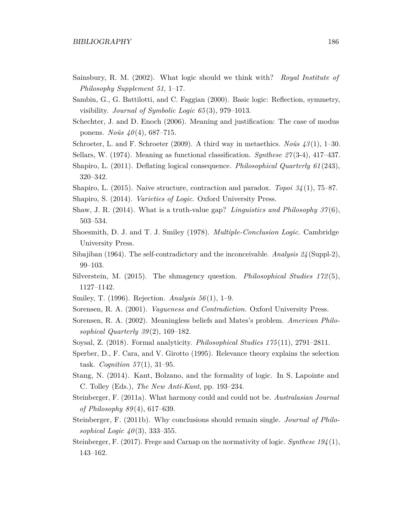- Sainsbury, R. M. (2002). What logic should we think with? *Royal Institute of Philosophy Supplement 51*, 1–17.
- Sambin, G., G. Battilotti, and C. Faggian (2000). Basic logic: Reflection, symmetry, visibility. *Journal of Symbolic Logic 65* (3), 979–1013.
- Schechter, J. and D. Enoch (2006). Meaning and justification: The case of modus ponens. *Noûs 40* (4), 687–715.
- Schroeter, L. and F. Schroeter (2009). A third way in metaethics. *Noûs 43* (1), 1–30.
- Sellars, W. (1974). Meaning as functional classification. *Synthese 27* (3-4), 417–437.
- Shapiro, L. (2011). Deflating logical consequence. *Philosophical Quarterly 61* (243), 320–342.
- Shapiro, L. (2015). Naive structure, contraction and paradox. *Topoi 34* (1), 75–87.
- Shapiro, S. (2014). *Varieties of Logic*. Oxford University Press.
- Shaw, J. R. (2014). What is a truth-value gap? *Linguistics and Philosophy 37* (6), 503–534.
- Shoesmith, D. J. and T. J. Smiley (1978). *Multiple-Conclusion Logic*. Cambridge University Press.
- Sibajiban (1964). The self-contradictory and the inconceivable. *Analysis 24* (Suppl-2), 99–103.
- Silverstein, M. (2015). The shmagency question. *Philosophical Studies 172* (5), 1127–1142.
- Smiley, T. (1996). Rejection. *Analysis 56* (1), 1–9.
- Sorensen, R. A. (2001). *Vagueness and Contradiction*. Oxford University Press.
- Sorensen, R. A. (2002). Meaningless beliefs and Mates's problem. *American Philosophical Quarterly 39* (2), 169–182.
- Soysal, Z. (2018). Formal analyticity. *Philosophical Studies 175* (11), 2791–2811.
- Sperber, D., F. Cara, and V. Girotto (1995). Relevance theory explains the selection task. *Cognition 57* (1), 31–95.
- Stang, N. (2014). Kant, Bolzano, and the formality of logic. In S. Lapointe and C. Tolley (Eds.), *The New Anti-Kant*, pp. 193–234.
- Steinberger, F. (2011a). What harmony could and could not be. *Australasian Journal of Philosophy 89* (4), 617–639.
- Steinberger, F. (2011b). Why conclusions should remain single. *Journal of Philosophical Logic 40* (3), 333–355.
- Steinberger, F. (2017). Frege and Carnap on the normativity of logic. *Synthese 194* (1), 143–162.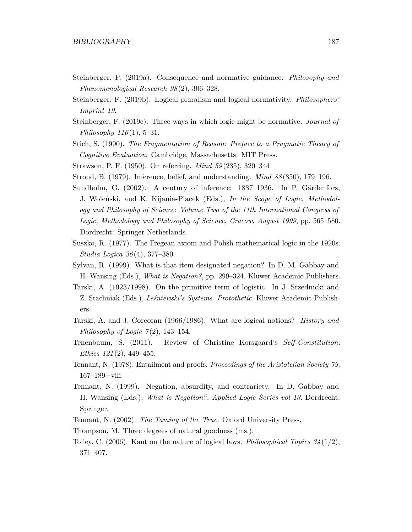- Steinberger, F. (2019a). Consequence and normative guidance. *Philosophy and Phenomenological Research 98* (2), 306–328.
- Steinberger, F. (2019b). Logical pluralism and logical normativity. *Philosophers' Imprint 19*.
- Steinberger, F. (2019c). Three ways in which logic might be normative. *Journal of Philosophy 116* (1), 5–31.
- Stich, S. (1990). *The Fragmentation of Reason: Preface to a Pragmatic Theory of Cognitive Evaluation*. Cambridge, Massachusetts: MIT Press.
- Strawson, P. F. (1950). On referring. *Mind 59* (235), 320–344.
- Stroud, B. (1979). Inference, belief, and understanding. *Mind 88* (350), 179–196.
- Sundholm, G. (2002). A century of inference: 1837–1936. In P. Gärdenfors, J. Woleński, and K. Kijania-Placek (Eds.), *In the Scope of Logic, Methodology and Philosophy of Science: Volume Two of the 11th International Congress of Logic, Methodology and Philosophy of Science, Cracow, August 1999*, pp. 565–580. Dordrecht: Springer Netherlands.
- Suszko, R. (1977). The Fregean axiom and Polish mathematical logic in the 1920s. *Studia Logica 36* (4), 377–380.
- Sylvan, R. (1999). What is that item designated negation? In D. M. Gabbay and H. Wansing (Eds.), *What is Negation?*, pp. 299–324. Kluwer Academic Publishers.
- Tarski, A. (1923/1998). On the primitive term of logistic. In J. Srzednicki and Z. Stachniak (Eds.), *Leśniewski's Systems. Protothetic*. Kluwer Academic Publishers.
- Tarski, A. and J. Corcoran (1966/1986). What are logical notions? *History and Philosophy of Logic 7(2)*, 143–154.
- Tenenbaum, S. (2011). Review of Christine Korsgaard's *Self-Constitution*. *Ethics 121* (2), 449–455.
- Tennant, N. (1978). Entailment and proofs. *Proceedings of the Aristotelian Society 79*, 167–189+viii.
- Tennant, N. (1999). Negation, absurdity, and contrariety. In D. Gabbay and H. Wansing (Eds.), *What is Negation?. Applied Logic Series vol 13*. Dordrecht: Springer.
- Tennant, N. (2002). *The Taming of the True*. Oxford University Press.
- Thompson, M. Three degrees of natural goodness (ms.).
- Tolley, C. (2006). Kant on the nature of logical laws. *Philosophical Topics 34* (1/2), 371–407.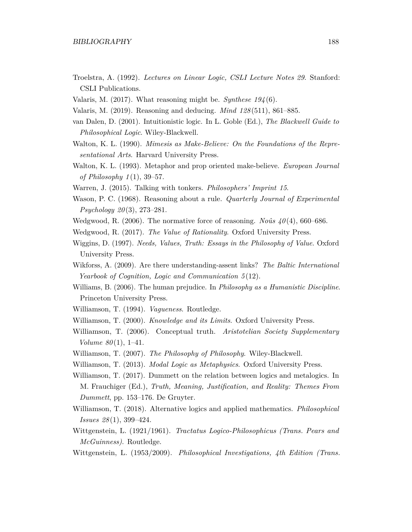- Troelstra, A. (1992). *Lectures on Linear Logic, CSLI Lecture Notes 29*. Stanford: CSLI Publications.
- Valaris, M. (2017). What reasoning might be. *Synthese 194* (6).
- Valaris, M. (2019). Reasoning and deducing. *Mind 128* (511), 861–885.
- van Dalen, D. (2001). Intuitionistic logic. In L. Goble (Ed.), *The Blackwell Guide to Philosophical Logic*. Wiley-Blackwell.
- Walton, K. L. (1990). *Mimesis as Make-Believe: On the Foundations of the Representational Arts*. Harvard University Press.
- Walton, K. L. (1993). Metaphor and prop oriented make-believe. *European Journal of Philosophy 1* (1), 39–57.
- Warren, J. (2015). Talking with tonkers. *Philosophers' Imprint 15*.
- Wason, P. C. (1968). Reasoning about a rule. *Quarterly Journal of Experimental Psychology 20* (3), 273–281.
- Wedgwood, R. (2006). The normative force of reasoning. *Noûs 40* (4), 660–686.
- Wedgwood, R. (2017). *The Value of Rationality*. Oxford University Press.
- Wiggins, D. (1997). *Needs, Values, Truth: Essays in the Philosophy of Value*. Oxford University Press.
- Wikforss, A. (2009). Are there understanding-assent links? *The Baltic International Yearbook of Cognition, Logic and Communication 5* (12).
- Williams, B. (2006). The human prejudice. In *Philosophy as a Humanistic Discipline*. Princeton University Press.
- Williamson, T. (1994). *Vagueness*. Routledge.
- Williamson, T. (2000). *Knowledge and its Limits*. Oxford University Press.
- Williamson, T. (2006). Conceptual truth. *Aristotelian Society Supplementary Volume 80* (1), 1–41.
- Williamson, T. (2007). *The Philosophy of Philosophy*. Wiley-Blackwell.
- Williamson, T. (2013). *Modal Logic as Metaphysics*. Oxford University Press.
- Williamson, T. (2017). Dummett on the relation between logics and metalogics. In M. Frauchiger (Ed.), *Truth, Meaning, Justification, and Reality: Themes From Dummett*, pp. 153–176. De Gruyter.
- Williamson, T. (2018). Alternative logics and applied mathematics. *Philosophical Issues 28* (1), 399–424.
- Wittgenstein, L. (1921/1961). *Tractatus Logico-Philosophicus (Trans. Pears and McGuinness)*. Routledge.
- Wittgenstein, L. (1953/2009). *Philosophical Investigations, 4th Edition (Trans.*